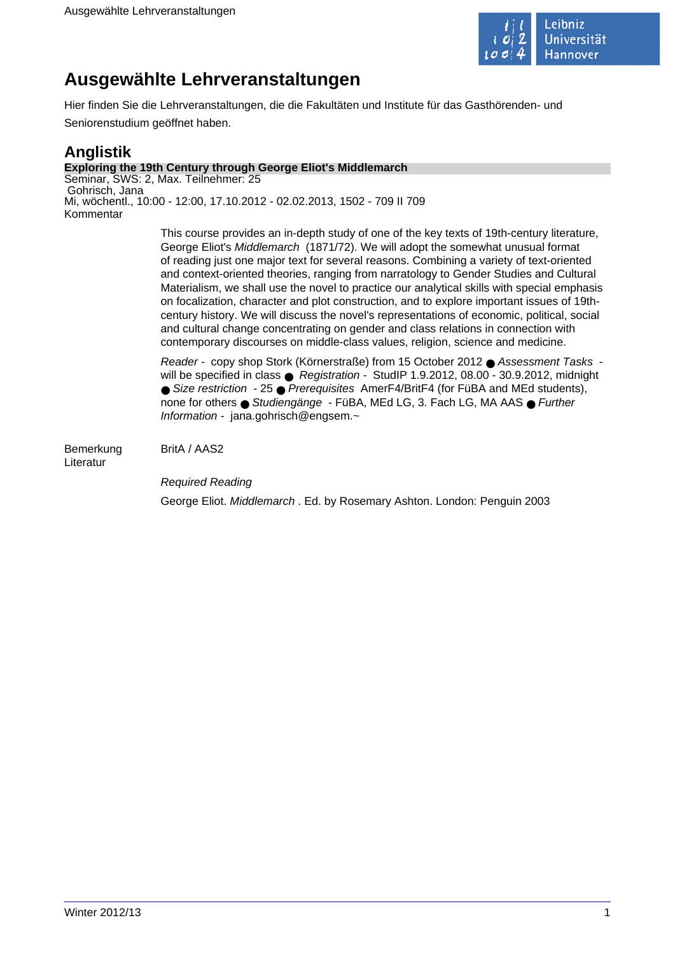

# **Ausgewählte Lehrveranstaltungen**

Hier finden Sie die Lehrveranstaltungen, die die Fakultäten und Institute für das Gasthörenden- und Seniorenstudium geöffnet haben.

## **Anglistik**

### **Exploring the 19th Century through George Eliot's Middlemarch**

Seminar, SWS: 2, Max. Teilnehmer: 25 Gohrisch, Jana Mi, wöchentl., 10:00 - 12:00, 17.10.2012 - 02.02.2013, 1502 - 709 II 709 Kommentar

> This course provides an in-depth study of one of the key texts of 19th-century literature, George Eliot's Middlemarch (1871/72). We will adopt the somewhat unusual format of reading just one major text for several reasons. Combining a variety of text-oriented and context-oriented theories, ranging from narratology to Gender Studies and Cultural Materialism, we shall use the novel to practice our analytical skills with special emphasis on focalization, character and plot construction, and to explore important issues of 19thcentury history. We will discuss the novel's representations of economic, political, social and cultural change concentrating on gender and class relations in connection with contemporary discourses on middle-class values, religion, science and medicine.

> Reader - copy shop Stork (Körnerstraße) from 15 October 2012 ● Assessment Tasks will be specified in class ● Registration - StudIP 1.9.2012, 08.00 - 30.9.2012, midnight ● Size restriction - 25 ● Prerequisites AmerF4/BritF4 (for FüBA and MEd students), none for others ● Studiengänge - FüBA, MEd LG, 3. Fach LG, MA AAS ● Further Information - jana.gohrisch@engsem.~

Bemerkung BritA / AAS2 Literatur

> Required Reading George Eliot. Middlemarch . Ed. by Rosemary Ashton. London: Penguin 2003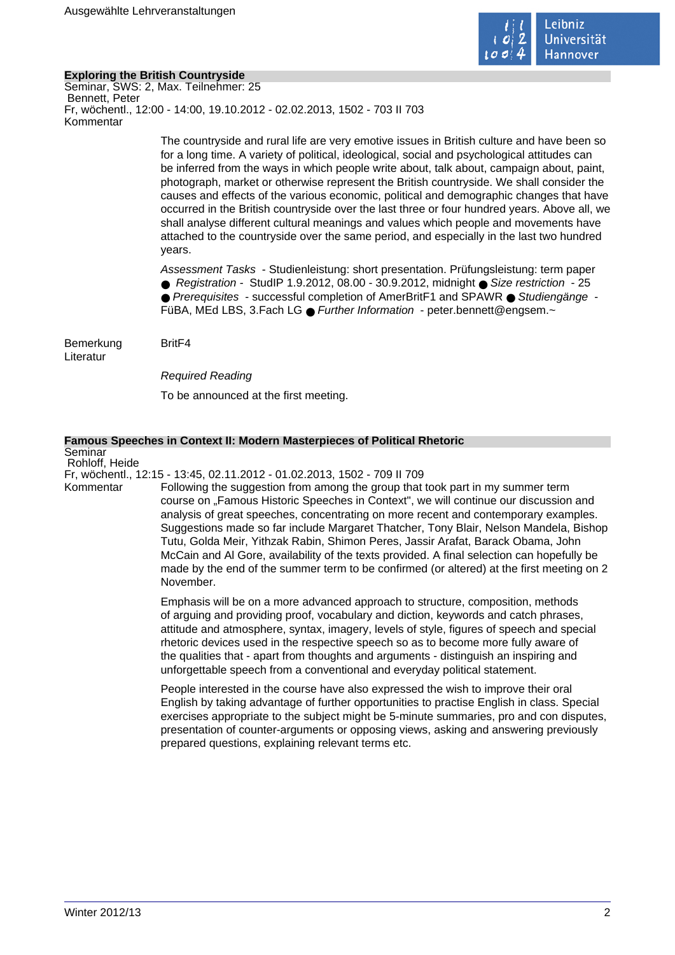

### **Exploring the British Countryside**

Seminar, SWS: 2, Max. Teilnehmer: 25 Bennett, Peter Fr, wöchentl., 12:00 - 14:00, 19.10.2012 - 02.02.2013, 1502 - 703 II 703 Kommentar

> The countryside and rural life are very emotive issues in British culture and have been so for a long time. A variety of political, ideological, social and psychological attitudes can be inferred from the ways in which people write about, talk about, campaign about, paint, photograph, market or otherwise represent the British countryside. We shall consider the causes and effects of the various economic, political and demographic changes that have occurred in the British countryside over the last three or four hundred years. Above all, we shall analyse different cultural meanings and values which people and movements have attached to the countryside over the same period, and especially in the last two hundred years.

Assessment Tasks - Studienleistung: short presentation. Prüfungsleistung: term paper ● Registration - StudIP 1.9.2012, 08.00 - 30.9.2012, midnight ● Size restriction - 25 ● Prerequisites - successful completion of AmerBritF1 and SPAWR ● Studiengänge -FüBA, MEd LBS, 3.Fach LG ● Further Information - peter.bennett@engsem.~

Bemerkung BritF4 Literatur

Required Reading

To be announced at the first meeting.

### **Famous Speeches in Context II: Modern Masterpieces of Political Rhetoric**

Seminar Rohloff, Heide

Fr, wöchentl., 12:15 - 13:45, 02.11.2012 - 01.02.2013, 1502 - 709 II 709

Kommentar Following the suggestion from among the group that took part in my summer term course on "Famous Historic Speeches in Context", we will continue our discussion and analysis of great speeches, concentrating on more recent and contemporary examples. Suggestions made so far include Margaret Thatcher, Tony Blair, Nelson Mandela, Bishop Tutu, Golda Meir, Yithzak Rabin, Shimon Peres, Jassir Arafat, Barack Obama, John McCain and Al Gore, availability of the texts provided. A final selection can hopefully be made by the end of the summer term to be confirmed (or altered) at the first meeting on 2 November.

> Emphasis will be on a more advanced approach to structure, composition, methods of arguing and providing proof, vocabulary and diction, keywords and catch phrases, attitude and atmosphere, syntax, imagery, levels of style, figures of speech and special rhetoric devices used in the respective speech so as to become more fully aware of the qualities that - apart from thoughts and arguments - distinguish an inspiring and unforgettable speech from a conventional and everyday political statement.

People interested in the course have also expressed the wish to improve their oral English by taking advantage of further opportunities to practise English in class. Special exercises appropriate to the subject might be 5-minute summaries, pro and con disputes, presentation of counter-arguments or opposing views, asking and answering previously prepared questions, explaining relevant terms etc.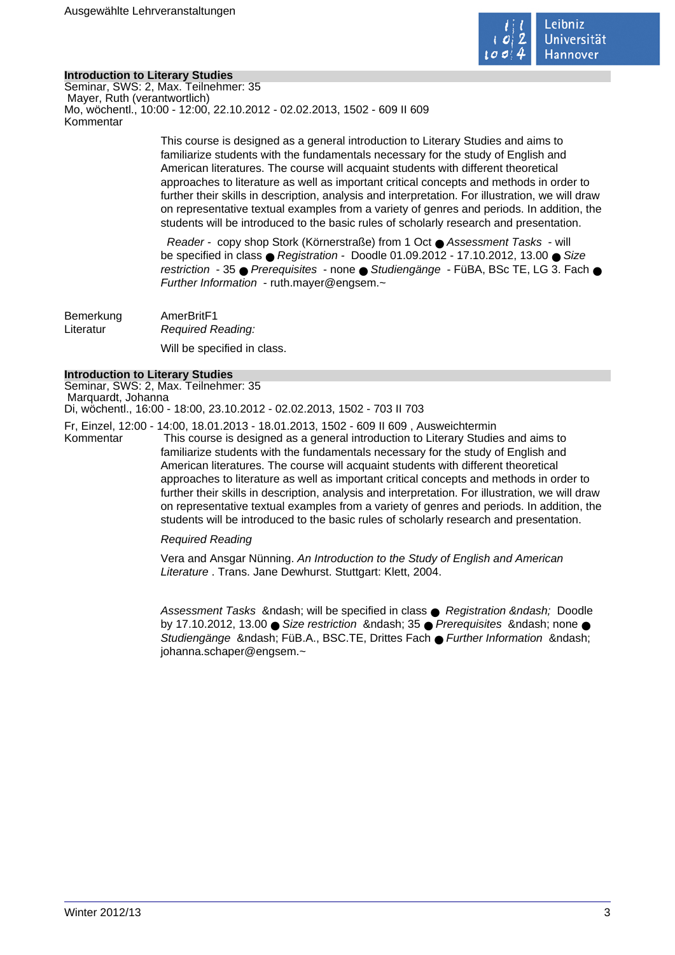

### **Introduction to Literary Studies**

Seminar, SWS: 2, Max. Teilnehmer: 35 Mayer, Ruth (verantwortlich) Mo, wöchentl., 10:00 - 12:00, 22.10.2012 - 02.02.2013, 1502 - 609 II 609 Kommentar

> This course is designed as a general introduction to Literary Studies and aims to familiarize students with the fundamentals necessary for the study of English and American literatures. The course will acquaint students with different theoretical approaches to literature as well as important critical concepts and methods in order to further their skills in description, analysis and interpretation. For illustration, we will draw on representative textual examples from a variety of genres and periods. In addition, the students will be introduced to the basic rules of scholarly research and presentation.

> Reader - copy shop Stork (Körnerstraße) from 1 Oct ● Assessment Tasks - will be specified in class  $\bullet$  Registration - Doodle 01.09.2012 - 17.10.2012, 13.00  $\bullet$  Size restriction - 35 ● Prerequisites - none ● Studiengänge - FüBA, BSc TE, LG 3, Fach ● Further Information - ruth.mayer@engsem.~

Bemerkung AmerBritF1 Literatur Required Reading: Will be specified in class.

#### **Introduction to Literary Studies**

Seminar, SWS: 2, Max. Teilnehmer: 35 Marquardt, Johanna Di, wöchentl., 16:00 - 18:00, 23.10.2012 - 02.02.2013, 1502 - 703 II 703

Fr, Einzel, 12:00 - 14:00, 18.01.2013 - 18.01.2013, 1502 - 609 II 609 , Ausweichtermin Kommentar This course is designed as a general introduction to Literary Studies and aims to familiarize students with the fundamentals necessary for the study of English and American literatures. The course will acquaint students with different theoretical approaches to literature as well as important critical concepts and methods in order to further their skills in description, analysis and interpretation. For illustration, we will draw on representative textual examples from a variety of genres and periods. In addition, the students will be introduced to the basic rules of scholarly research and presentation.

### Required Reading

Vera and Ansgar Nünning. An Introduction to the Study of English and American Literature . Trans. Jane Dewhurst. Stuttgart: Klett, 2004.

Assessment Tasks & ndash; will be specified in class  $\bullet$  Registration & ndash; Doodle by 17.10.2012, 13.00  $\bullet$  Size restriction & ndash; 35  $\bullet$  Prerequisites & ndash; none  $\bullet$ Studiengänge – FüB.A., BSC.TE, Drittes Fach ● Further Information – johanna.schaper@engsem.~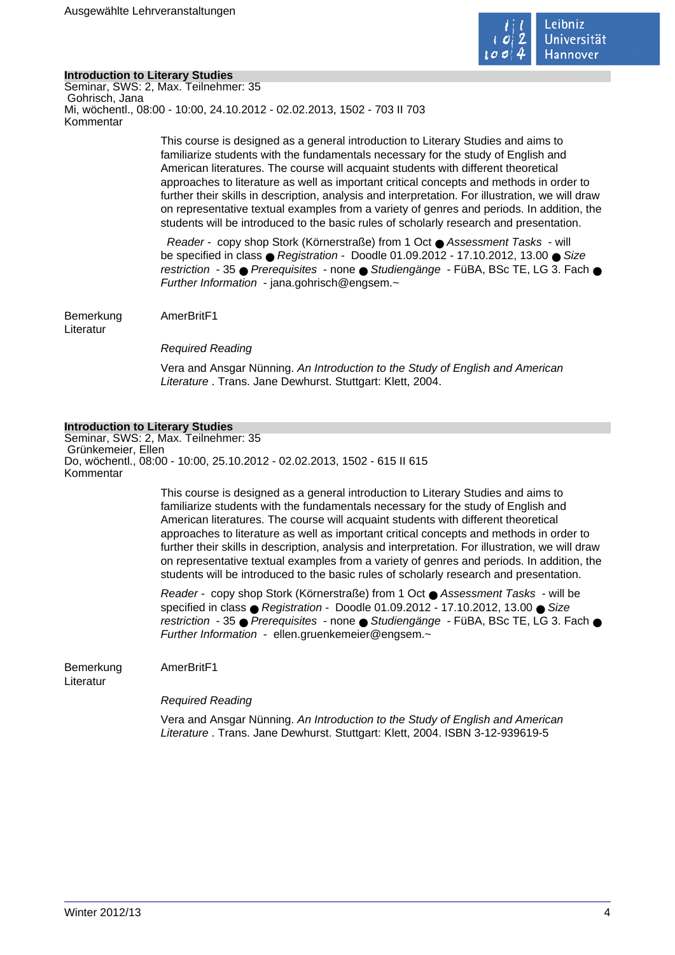

### **Introduction to Literary Studies**

Seminar, SWS: 2, Max. Teilnehmer: 35 Gohrisch, Jana Mi, wöchentl., 08:00 - 10:00, 24.10.2012 - 02.02.2013, 1502 - 703 II 703 Kommentar

> This course is designed as a general introduction to Literary Studies and aims to familiarize students with the fundamentals necessary for the study of English and American literatures. The course will acquaint students with different theoretical approaches to literature as well as important critical concepts and methods in order to further their skills in description, analysis and interpretation. For illustration, we will draw on representative textual examples from a variety of genres and periods. In addition, the students will be introduced to the basic rules of scholarly research and presentation.

> Reader - copy shop Stork (Körnerstraße) from 1 Oct ● Assessment Tasks - will be specified in class  $\bullet$  Registration - Doodle 01.09.2012 - 17.10.2012, 13.00  $\bullet$  Size restriction - 35 ● Prerequisites - none ● Studiengänge - FüBA, BSc TE, LG 3, Fach ● Further Information - jana.gohrisch@engsem. $\sim$

Bemerkung AmerBritF1

Literatur

Required Reading

Vera and Ansgar Nünning. An Introduction to the Study of English and American Literature . Trans. Jane Dewhurst. Stuttgart: Klett. 2004.

### **Introduction to Literary Studies**

Seminar, SWS: 2, Max. Teilnehmer: 35 Grünkemeier, Ellen Do, wöchentl., 08:00 - 10:00, 25.10.2012 - 02.02.2013, 1502 - 615 II 615 Kommentar

> This course is designed as a general introduction to Literary Studies and aims to familiarize students with the fundamentals necessary for the study of English and American literatures. The course will acquaint students with different theoretical approaches to literature as well as important critical concepts and methods in order to further their skills in description, analysis and interpretation. For illustration, we will draw on representative textual examples from a variety of genres and periods. In addition, the students will be introduced to the basic rules of scholarly research and presentation.

> Reader - copy shop Stork (Körnerstraße) from 1 Oct ● Assessment Tasks - will be specified in class ● Registration - Doodle 01.09.2012 - 17.10.2012, 13.00 ● Size restriction - 35 ● Prerequisites - none ● Studiengänge - FüBA, BSc TE, LG 3. Fach ● Further Information - ellen.gruenkemeier@engsem.~

Bemerkung AmerBritF1

Literatur

Required Reading

Vera and Ansgar Nünning. An Introduction to the Study of English and American Literature . Trans. Jane Dewhurst. Stuttgart: Klett, 2004. ISBN 3-12-939619-5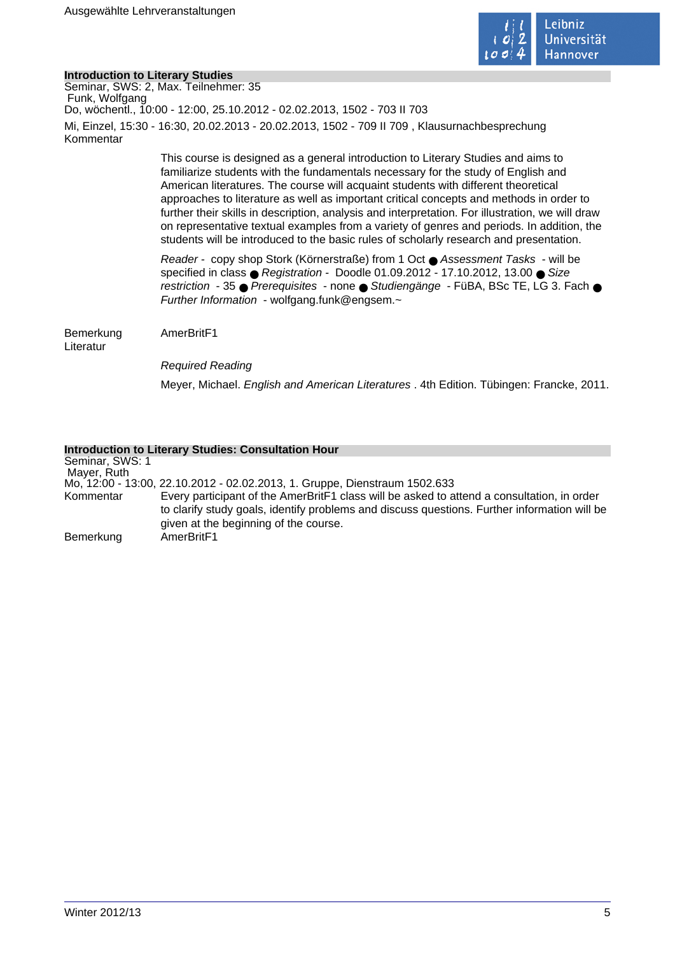

### **Introduction to Literary Studies**

Seminar, SWS: 2, Max. Teilnehmer: 35 Funk, Wolfgang Do, wöchentl., 10:00 - 12:00, 25.10.2012 - 02.02.2013, 1502 - 703 II 703 Mi, Einzel, 15:30 - 16:30, 20.02.2013 - 20.02.2013, 1502 - 709 II 709 , Klausurnachbesprechung Kommentar

> This course is designed as a general introduction to Literary Studies and aims to familiarize students with the fundamentals necessary for the study of English and American literatures. The course will acquaint students with different theoretical approaches to literature as well as important critical concepts and methods in order to further their skills in description, analysis and interpretation. For illustration, we will draw on representative textual examples from a variety of genres and periods. In addition, the students will be introduced to the basic rules of scholarly research and presentation.

> Reader - copy shop Stork (Körnerstraße) from 1 Oct ● Assessment Tasks - will be specified in class ● Registration - Doodle 01.09.2012 - 17.10.2012, 13.00 ● Size restriction - 35 ● Prerequisites - none ● Studiengänge - FüBA, BSc TE, LG 3. Fach ● Further Information - wolfgang.funk@engsem. $\sim$

Bemerkung AmerBritF1

Literatur

Required Reading

Meyer, Michael. English and American Literatures . 4th Edition. Tübingen: Francke, 2011.

### **Introduction to Literary Studies: Consultation Hour**

Seminar, SWS: 1 Mayer, Ruth Mo, 12:00 - 13:00, 22.10.2012 - 02.02.2013, 1. Gruppe, Dienstraum 1502.633 Kommentar Every participant of the AmerBritF1 class will be asked to attend a consultation, in order to clarify study goals, identify problems and discuss questions. Further information will be given at the beginning of the course. Bemerkung AmerBritF1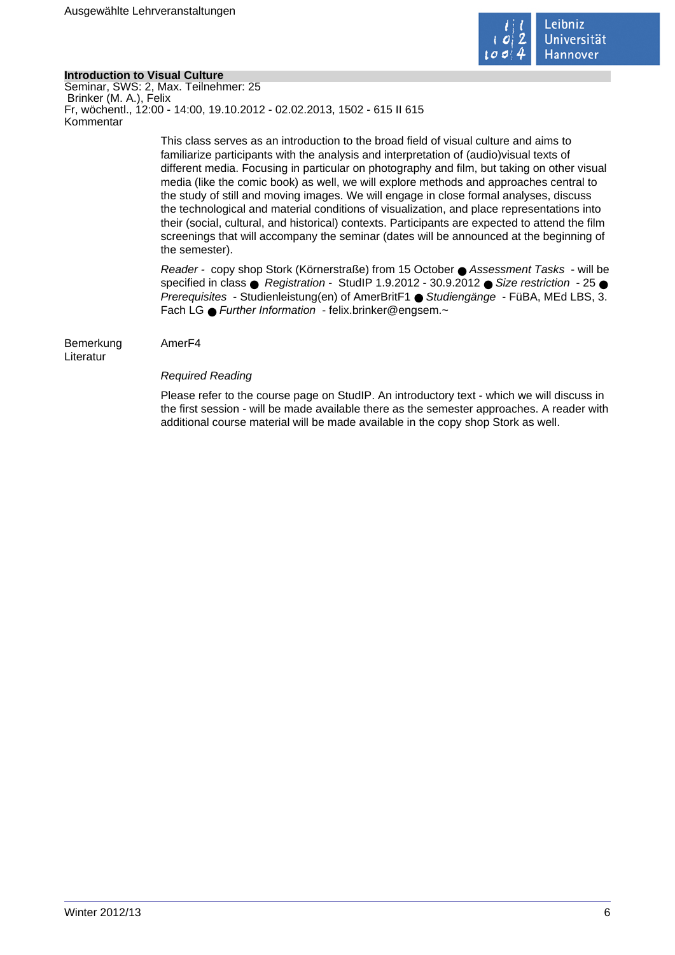

### **Introduction to Visual Culture**

Seminar, SWS: 2, Max. Teilnehmer: 25 Brinker (M. A.), Felix Fr, wöchentl., 12:00 - 14:00, 19.10.2012 - 02.02.2013, 1502 - 615 II 615 Kommentar

> This class serves as an introduction to the broad field of visual culture and aims to familiarize participants with the analysis and interpretation of (audio)visual texts of different media. Focusing in particular on photography and film, but taking on other visual media (like the comic book) as well, we will explore methods and approaches central to the study of still and moving images. We will engage in close formal analyses, discuss the technological and material conditions of visualization, and place representations into their (social, cultural, and historical) contexts. Participants are expected to attend the film screenings that will accompany the seminar (dates will be announced at the beginning of the semester).

> Reader - copy shop Stork (Körnerstraße) from 15 October ● Assessment Tasks - will be specified in class  $\bullet$  Registration - StudIP 1.9.2012 - 30.9.2012  $\bullet$  Size restriction - 25  $\bullet$ Prerequisites - Studienleistung(en) of AmerBritF1 ● Studiengänge - FüBA, MEd LBS, 3. Fach LG ● Further Information - felix.brinker@engsem.~

Bemerkung AmerF4 Literatur

### Required Reading

Please refer to the course page on StudIP. An introductory text - which we will discuss in the first session - will be made available there as the semester approaches. A reader with additional course material will be made available in the copy shop Stork as well.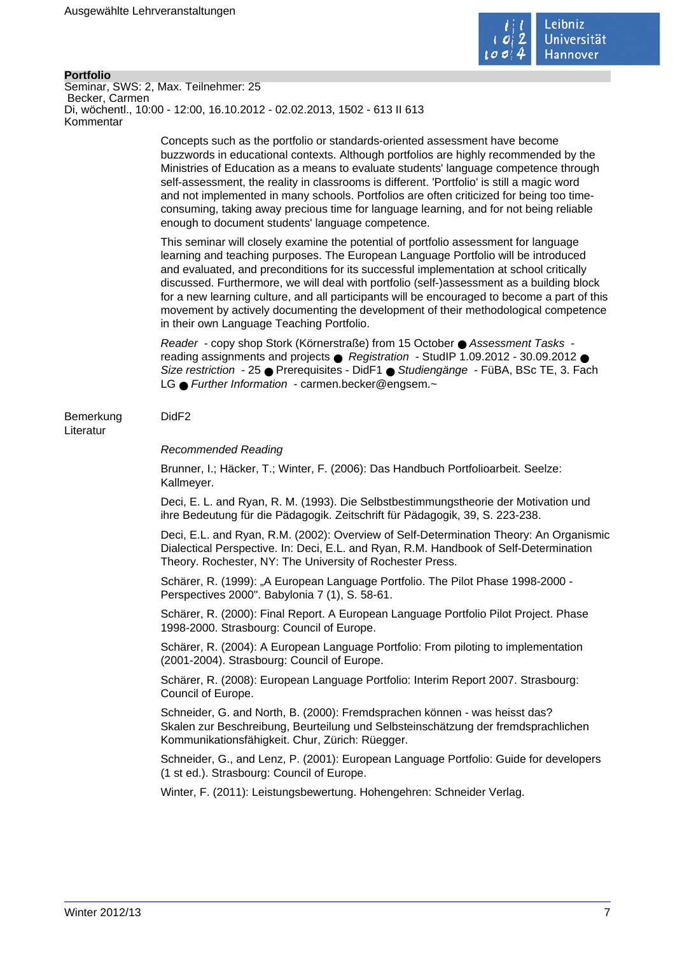

#### **Portfolio** Seminar, SWS: 2, Max. Teilnehmer: 25 Becker, Carmen Di, wöchentl., 10:00 - 12:00, 16.10.2012 - 02.02.2013, 1502 - 613 II 613 Kommentar

Concepts such as the portfolio or standards-oriented assessment have become buzzwords in educational contexts. Although portfolios are highly recommended by the Ministries of Education as a means to evaluate students' language competence through self-assessment, the reality in classrooms is different. 'Portfolio' is still a magic word and not implemented in many schools. Portfolios are often criticized for being too timeconsuming, taking away precious time for language learning, and for not being reliable enough to document students' language competence.

This seminar will closely examine the potential of portfolio assessment for language learning and teaching purposes. The European Language Portfolio will be introduced and evaluated, and preconditions for its successful implementation at school critically discussed. Furthermore, we will deal with portfolio (self-)assessment as a building block for a new learning culture, and all participants will be encouraged to become a part of this movement by actively documenting the development of their methodological competence in their own Language Teaching Portfolio.

Reader - copy shop Stork (Körnerstraße) from 15 October ● Assessment Tasks reading assignments and projects ● Registration - StudIP 1.09.2012 - 30.09.2012 ● Size restriction - 25 ● Prerequisites - DidF1 ● Studiengänge - FüBA, BSc TE, 3. Fach LG ● Further Information - carmen.becker@engsem.~

### Bemerkung DidF2

Literatur

### Recommended Reading

Brunner, I.; Häcker, T.; Winter, F. (2006): Das Handbuch Portfolioarbeit. Seelze: Kallmeyer.

Deci, E. L. and Ryan, R. M. (1993). Die Selbstbestimmungstheorie der Motivation und ihre Bedeutung für die Pädagogik. Zeitschrift für Pädagogik, 39, S. 223-238.

Deci, E.L. and Ryan, R.M. (2002): Overview of Self-Determination Theory: An Organismic Dialectical Perspective. In: Deci, E.L. and Ryan, R.M. Handbook of Self-Determination Theory. Rochester, NY: The University of Rochester Press.

Schärer, R. (1999): "A European Language Portfolio. The Pilot Phase 1998-2000 -Perspectives 2000". Babylonia 7 (1), S. 58-61.

Schärer, R. (2000): Final Report. A European Language Portfolio Pilot Project. Phase 1998-2000. Strasbourg: Council of Europe.

Schärer, R. (2004): A European Language Portfolio: From piloting to implementation (2001-2004). Strasbourg: Council of Europe.

Schärer, R. (2008): European Language Portfolio: Interim Report 2007. Strasbourg: Council of Europe.

Schneider, G. and North, B. (2000): Fremdsprachen können - was heisst das? Skalen zur Beschreibung, Beurteilung und Selbsteinschätzung der fremdsprachlichen Kommunikationsfähigkeit. Chur, Zürich: Rüegger.

Schneider, G., and Lenz, P. (2001): European Language Portfolio: Guide for developers (1 st ed.). Strasbourg: Council of Europe.

Winter, F. (2011): Leistungsbewertung. Hohengehren: Schneider Verlag.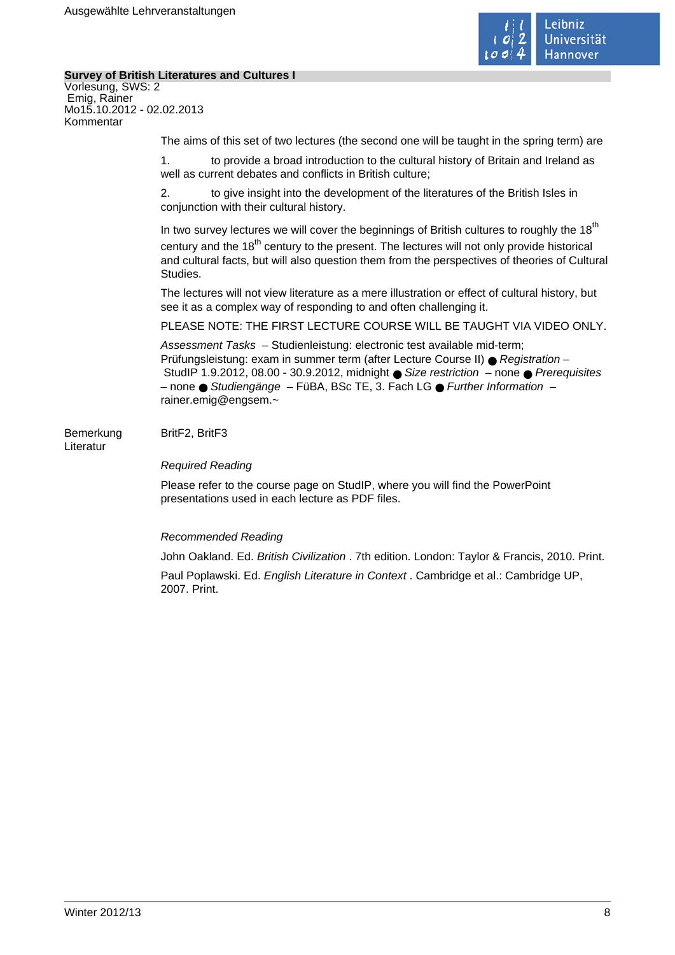

### **Survey of British Literatures and Cultures I**

Vorlesung, SWS: 2 Emig, Rainer Mo15.10.2012 - 02.02.2013 Kommentar

The aims of this set of two lectures (the second one will be taught in the spring term) are

1. to provide a broad introduction to the cultural history of Britain and Ireland as well as current debates and conflicts in British culture;

2. to give insight into the development of the literatures of the British Isles in conjunction with their cultural history.

In two survey lectures we will cover the beginnings of British cultures to roughly the  $18<sup>th</sup>$ century and the 18<sup>th</sup> century to the present. The lectures will not only provide historical and cultural facts, but will also question them from the perspectives of theories of Cultural **Studies** 

The lectures will not view literature as a mere illustration or effect of cultural history, but see it as a complex way of responding to and often challenging it.

PLEASE NOTE: THE FIRST LECTURE COURSE WILL BE TAUGHT VIA VIDEO ONLY.

Assessment Tasks – Studienleistung: electronic test available mid-term; Prüfungsleistung: exam in summer term (after Lecture Course II) ● Registration – StudIP 1.9.2012, 08.00 - 30.9.2012, midnight  $\bullet$  Size restriction – none  $\bullet$  Prerequisites  $-$  none ● Studiengänge – FüBA, BSc TE, 3. Fach LG ● Further Information – rainer.emig@engsem.~

Bemerkung BritF2, BritF3 Literatur

### Required Reading

Please refer to the course page on StudIP, where you will find the PowerPoint presentations used in each lecture as PDF files.

### Recommended Reading

John Oakland. Ed. British Civilization . 7th edition. London: Taylor & Francis, 2010. Print.

Paul Poplawski. Ed. English Literature in Context . Cambridge et al.: Cambridge UP, 2007. Print.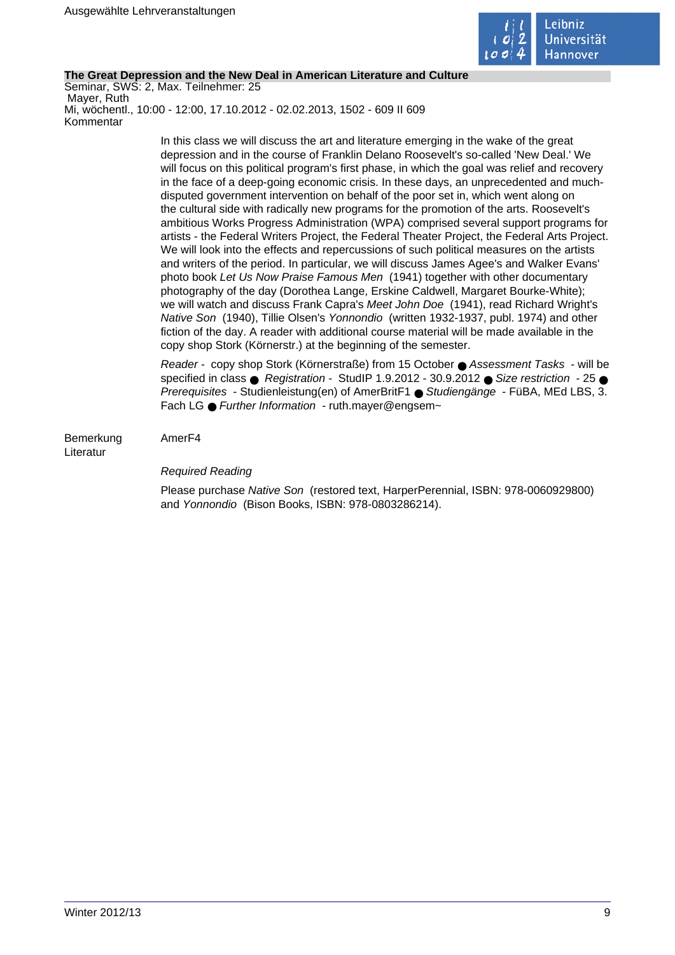

### **The Great Depression and the New Deal in American Literature and Culture**

Seminar, SWS: 2, Max. Teilnehmer: 25 Mayer, Ruth Mi, wöchentl., 10:00 - 12:00, 17.10.2012 - 02.02.2013, 1502 - 609 II 609 Kommentar

> In this class we will discuss the art and literature emerging in the wake of the great depression and in the course of Franklin Delano Roosevelt's so-called 'New Deal.' We will focus on this political program's first phase, in which the goal was relief and recovery in the face of a deep-going economic crisis. In these days, an unprecedented and muchdisputed government intervention on behalf of the poor set in, which went along on the cultural side with radically new programs for the promotion of the arts. Roosevelt's ambitious Works Progress Administration (WPA) comprised several support programs for artists - the Federal Writers Project, the Federal Theater Project, the Federal Arts Project. We will look into the effects and repercussions of such political measures on the artists and writers of the period. In particular, we will discuss James Agee's and Walker Evans' photo book Let Us Now Praise Famous Men (1941) together with other documentary photography of the day (Dorothea Lange, Erskine Caldwell, Margaret Bourke-White); we will watch and discuss Frank Capra's Meet John Doe (1941), read Richard Wright's Native Son (1940), Tillie Olsen's Yonnondio (written 1932-1937, publ. 1974) and other fiction of the day. A reader with additional course material will be made available in the copy shop Stork (Körnerstr.) at the beginning of the semester.

> Reader - copy shop Stork (Körnerstraße) from 15 October ● Assessment Tasks - will be specified in class ● Registration - StudIP 1.9.2012 - 30.9.2012 ● Size restriction - 25 ● Prerequisites - Studienleistung(en) of AmerBritF1 ● Studiengänge - FüBA, MEd LBS, 3. Fach LG ● Further Information - ruth.maver@engsem~

Bemerkung AmerF4 Literatur

## Required Reading

Please purchase Native Son (restored text, HarperPerennial, ISBN: 978-0060929800) and Yonnondio (Bison Books, ISBN: 978-0803286214).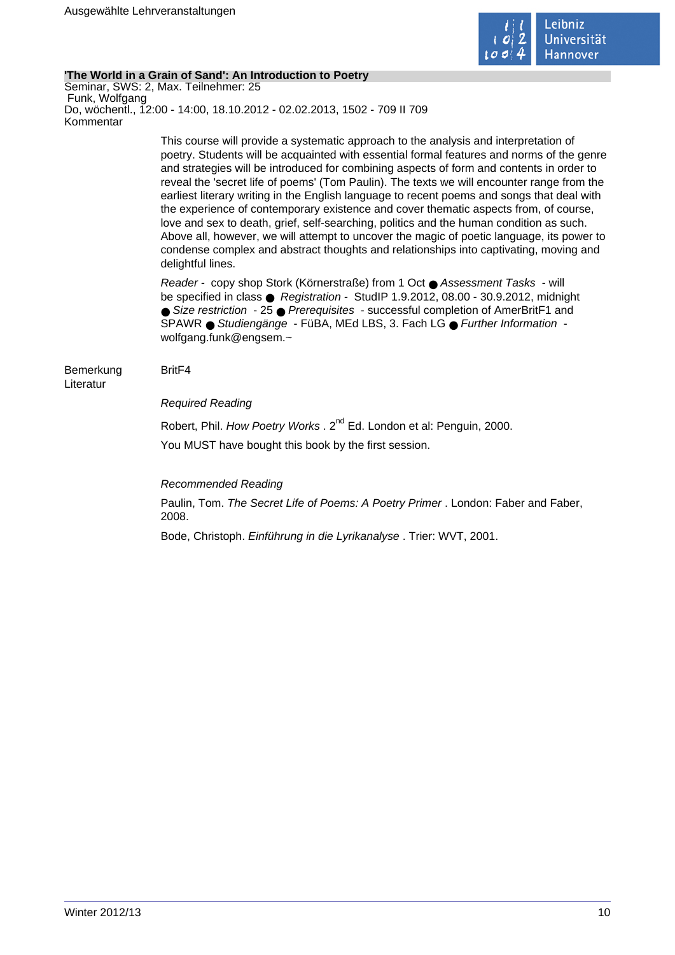

### **'The World in a Grain of Sand': An Introduction to Poetry**

Seminar, SWS: 2, Max. Teilnehmer: 25 Funk, Wolfgang Do, wöchentl., 12:00 - 14:00, 18.10.2012 - 02.02.2013, 1502 - 709 II 709 Kommentar

> This course will provide a systematic approach to the analysis and interpretation of poetry. Students will be acquainted with essential formal features and norms of the genre and strategies will be introduced for combining aspects of form and contents in order to reveal the 'secret life of poems' (Tom Paulin). The texts we will encounter range from the earliest literary writing in the English language to recent poems and songs that deal with the experience of contemporary existence and cover thematic aspects from, of course, love and sex to death, grief, self-searching, politics and the human condition as such. Above all, however, we will attempt to uncover the magic of poetic language, its power to condense complex and abstract thoughts and relationships into captivating, moving and delightful lines.

Reader - copy shop Stork (Körnerstraße) from 1 Oct ● Assessment Tasks - will be specified in class ● Registration - StudIP 1.9.2012, 08.00 - 30.9.2012, midnight ● Size restriction - 25 ● Prerequisites - successful completion of AmerBritF1 and SPAWR ● Studiengänge - FüBA, MEd LBS, 3. Fach LG ● Further Information wolfgang.funk@engsem.~

#### Bemerkung BritF4 Literatur

### Required Reading

Robert, Phil. How Poetry Works . 2<sup>nd</sup> Ed. London et al: Penguin, 2000. You MUST have bought this book by the first session.

Recommended Reading

Paulin, Tom. The Secret Life of Poems: A Poetry Primer . London: Faber and Faber, 2008.

Bode, Christoph. Einführung in die Lyrikanalyse . Trier: WVT, 2001.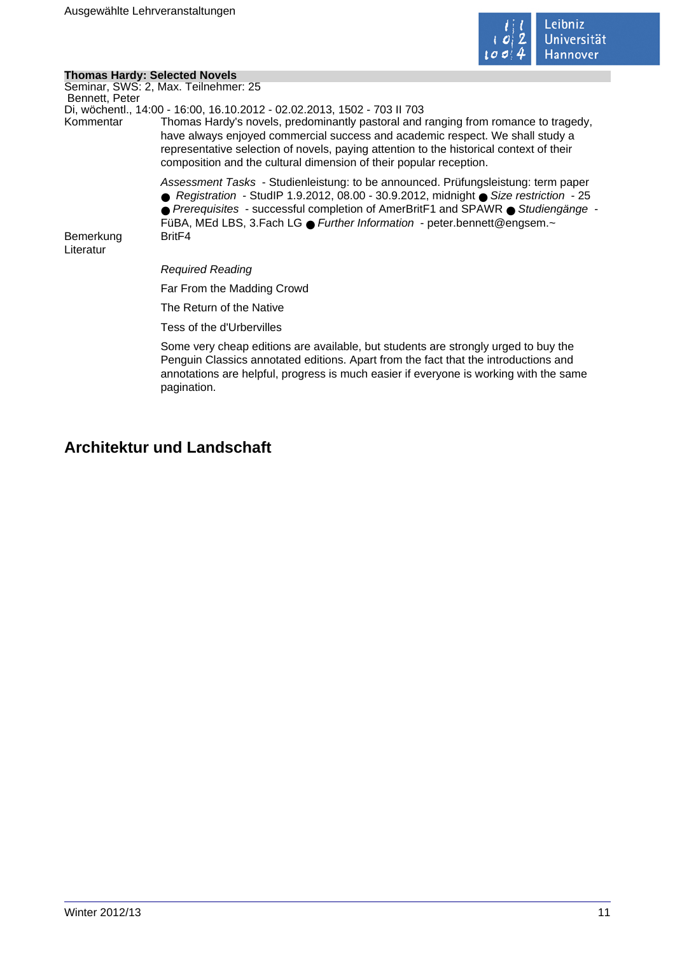

 $\mathcal{L}_{\mathcal{A}}$ 

### **Thomas Hardy: Selected Novels**

|                        | Seminar, SWS: 2, Max. Teilnehmer: 25                                                                                                                                                                                                                                                                                                       |
|------------------------|--------------------------------------------------------------------------------------------------------------------------------------------------------------------------------------------------------------------------------------------------------------------------------------------------------------------------------------------|
| Bennett, Peter         | Di, wöchentl., 14:00 - 16:00, 16.10.2012 - 02.02.2013, 1502 - 703 II 703                                                                                                                                                                                                                                                                   |
| Kommentar              | Thomas Hardy's novels, predominantly pastoral and ranging from romance to tragedy,<br>have always enjoyed commercial success and academic respect. We shall study a<br>representative selection of novels, paying attention to the historical context of their<br>composition and the cultural dimension of their popular reception.       |
|                        | Assessment Tasks - Studienleistung: to be announced. Prüfungsleistung: term paper<br>● Registration - StudIP 1.9.2012, 08.00 - 30.9.2012, midnight ● Size restriction - 25<br>● Prerequisites - successful completion of AmerBritF1 and SPAWR ● Studiengänge -<br>FüBA, MEd LBS, 3. Fach LG ● Further Information - peter bennett@engsem.~ |
| Bemerkung<br>Literatur | Brit <sub>F4</sub>                                                                                                                                                                                                                                                                                                                         |
|                        | <b>Required Reading</b>                                                                                                                                                                                                                                                                                                                    |
|                        | Far From the Madding Crowd                                                                                                                                                                                                                                                                                                                 |
|                        | The Return of the Native                                                                                                                                                                                                                                                                                                                   |
|                        | Tess of the d'Urbervilles                                                                                                                                                                                                                                                                                                                  |
|                        | Some very cheap editions are available, but students are strongly urged to buy the<br>Penguin Classics annotated editions. Apart from the fact that the introductions and<br>annotations are helpful, progress is much easier if everyone is working with the same<br>pagination.                                                          |

# **Architektur und Landschaft**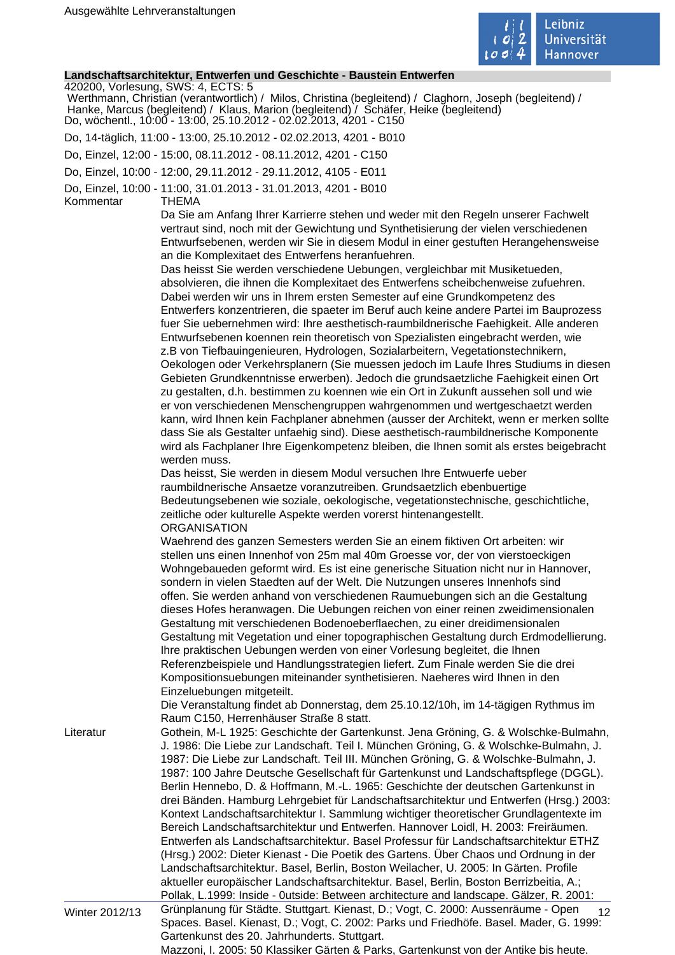

### **Landschaftsarchitektur, Entwerfen und Geschichte - Baustein Entwerfen**

420200, Vorlesung, SWS: 4, ECTS: 5 Werthmann, Christian (verantwortlich) / Milos, Christina (begleitend) / Claghorn, Joseph (begleitend) / Hanke, Marcus (begleitend) / Klaus, Marion (begleitend) / Schäfer, Heike (begleitend) Do, wöchentl., 10:00 - 13:00, 25.10.2012 - 02.02.2013, 4201 - C150 Do, 14-täglich, 11:00 - 13:00, 25.10.2012 - 02.02.2013, 4201 - B010 Do, Einzel, 12:00 - 15:00, 08.11.2012 - 08.11.2012, 4201 - C150 Do, Einzel, 10:00 - 12:00, 29.11.2012 - 29.11.2012, 4105 - E011 Do, Einzel, 10:00 - 11:00, 31.01.2013 - 31.01.2013, 4201 - B010 Kommentar THEMA Da Sie am Anfang Ihrer Karrierre stehen und weder mit den Regeln unserer Fachwelt vertraut sind, noch mit der Gewichtung und Synthetisierung der vielen verschiedenen Entwurfsebenen, werden wir Sie in diesem Modul in einer gestuften Herangehensweise an die Komplexitaet des Entwerfens heranfuehren. Das heisst Sie werden verschiedene Uebungen, vergleichbar mit Musiketueden, absolvieren, die ihnen die Komplexitaet des Entwerfens scheibchenweise zufuehren. Dabei werden wir uns in Ihrem ersten Semester auf eine Grundkompetenz des Entwerfers konzentrieren, die spaeter im Beruf auch keine andere Partei im Bauprozess fuer Sie uebernehmen wird: Ihre aesthetisch-raumbildnerische Faehigkeit. Alle anderen Entwurfsebenen koennen rein theoretisch von Spezialisten eingebracht werden, wie z.B von Tiefbauingenieuren, Hydrologen, Sozialarbeitern, Vegetationstechnikern, Oekologen oder Verkehrsplanern (Sie muessen jedoch im Laufe Ihres Studiums in diesen Gebieten Grundkenntnisse erwerben). Jedoch die grundsaetzliche Faehigkeit einen Ort zu gestalten, d.h. bestimmen zu koennen wie ein Ort in Zukunft aussehen soll und wie er von verschiedenen Menschengruppen wahrgenommen und wertgeschaetzt werden kann, wird Ihnen kein Fachplaner abnehmen (ausser der Architekt, wenn er merken sollte dass Sie als Gestalter unfaehig sind). Diese aesthetisch-raumbildnerische Komponente wird als Fachplaner Ihre Eigenkompetenz bleiben, die Ihnen somit als erstes beigebracht werden muss. Das heisst, Sie werden in diesem Modul versuchen Ihre Entwuerfe ueber raumbildnerische Ansaetze voranzutreiben. Grundsaetzlich ebenbuertige Bedeutungsebenen wie soziale, oekologische, vegetationstechnische, geschichtliche, zeitliche oder kulturelle Aspekte werden vorerst hintenangestellt. **ORGANISATION** Waehrend des ganzen Semesters werden Sie an einem fiktiven Ort arbeiten: wir stellen uns einen Innenhof von 25m mal 40m Groesse vor, der von vierstoeckigen Wohngebaueden geformt wird. Es ist eine generische Situation nicht nur in Hannover, sondern in vielen Staedten auf der Welt. Die Nutzungen unseres Innenhofs sind offen. Sie werden anhand von verschiedenen Raumuebungen sich an die Gestaltung dieses Hofes heranwagen. Die Uebungen reichen von einer reinen zweidimensionalen Gestaltung mit verschiedenen Bodenoeberflaechen, zu einer dreidimensionalen Gestaltung mit Vegetation und einer topographischen Gestaltung durch Erdmodellierung. Ihre praktischen Uebungen werden von einer Vorlesung begleitet, die Ihnen Referenzbeispiele und Handlungsstrategien liefert. Zum Finale werden Sie die drei Kompositionsuebungen miteinander synthetisieren. Naeheres wird Ihnen in den Einzeluebungen mitgeteilt. Die Veranstaltung findet ab Donnerstag, dem 25.10.12/10h, im 14-tägigen Rythmus im Raum C150, Herrenhäuser Straße 8 statt. Literatur Gothein, M-L 1925: Geschichte der Gartenkunst. Jena Gröning, G. & Wolschke-Bulmahn, J. 1986: Die Liebe zur Landschaft. Teil I. München Gröning, G. & Wolschke-Bulmahn, J. 1987: Die Liebe zur Landschaft. Teil III. München Gröning, G. & Wolschke-Bulmahn, J. 1987: 100 Jahre Deutsche Gesellschaft für Gartenkunst und Landschaftspflege (DGGL). Berlin Hennebo, D. & Hoffmann, M.-L. 1965: Geschichte der deutschen Gartenkunst in drei Bänden. Hamburg Lehrgebiet für Landschaftsarchitektur und Entwerfen (Hrsg.) 2003: Kontext Landschaftsarchitektur I. Sammlung wichtiger theoretischer Grundlagentexte im Bereich Landschaftsarchitektur und Entwerfen. Hannover Loidl, H. 2003: Freiräumen. Entwerfen als Landschaftsarchitektur. Basel Professur für Landschaftsarchitektur ETHZ (Hrsg.) 2002: Dieter Kienast - Die Poetik des Gartens. Über Chaos und Ordnung in der Landschaftsarchitektur. Basel, Berlin, Boston Weilacher, U. 2005: In Gärten. Profile aktueller europäischer Landschaftsarchitektur. Basel, Berlin, Boston Berrizbeitia, A.; Pollak, L.1999: Inside - 0utside: Between architecture and landscape. Gälzer, R. 2001:

Winter 2012/13 Grünplanung für Städte. Stuttgart. Kienast, D.; Vogt, C. 2000: Aussenräume - Open 12 Spaces. Basel. Kienast, D.; Vogt, C. 2002: Parks und Friedhöfe. Basel. Mader, G. 1999: Gartenkunst des 20. Jahrhunderts. Stuttgart. Mazzoni, I. 2005: 50 Klassiker Gärten & Parks, Gartenkunst von der Antike bis heute.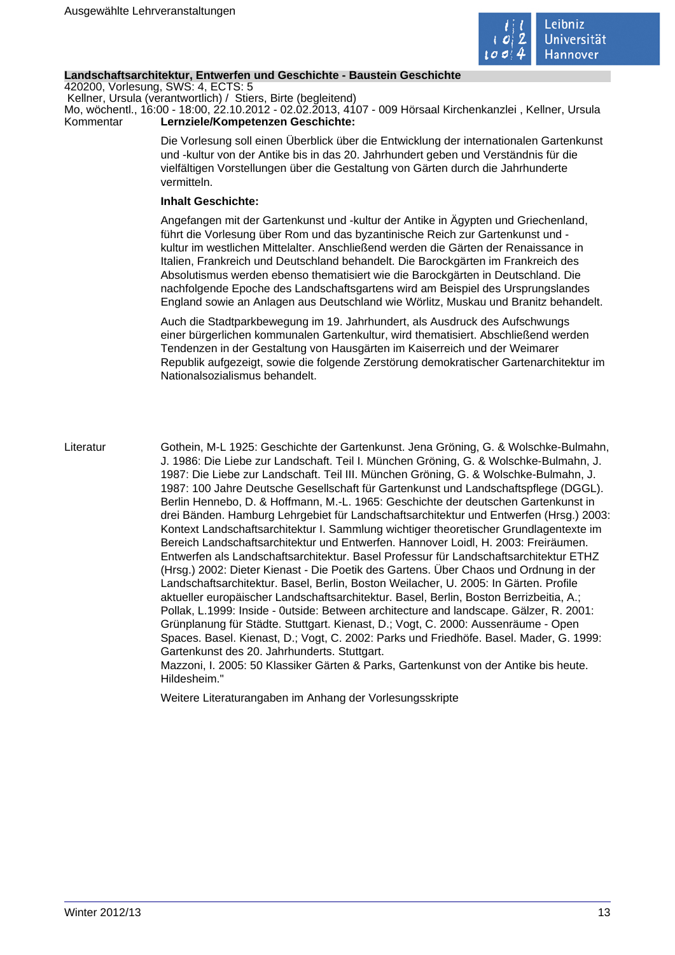

### **Landschaftsarchitektur, Entwerfen und Geschichte - Baustein Geschichte**

420200, Vorlesung, SWS: 4, ECTS: 5 Kellner, Ursula (verantwortlich) / Stiers, Birte (begleitend)

Mo, wöchentl., 16:00 - 18:00, 22.10.2012 - 02.02.2013, 4107 - 009 Hörsaal Kirchenkanzlei , Kellner, Ursula Kommentar **Lernziele/Kompetenzen Geschichte:** 

> Die Vorlesung soll einen Überblick über die Entwicklung der internationalen Gartenkunst und -kultur von der Antike bis in das 20. Jahrhundert geben und Verständnis für die vielfältigen Vorstellungen über die Gestaltung von Gärten durch die Jahrhunderte vermitteln.

### **Inhalt Geschichte:**

Angefangen mit der Gartenkunst und -kultur der Antike in Ägypten und Griechenland, führt die Vorlesung über Rom und das byzantinische Reich zur Gartenkunst und kultur im westlichen Mittelalter. Anschließend werden die Gärten der Renaissance in Italien, Frankreich und Deutschland behandelt. Die Barockgärten im Frankreich des Absolutismus werden ebenso thematisiert wie die Barockgärten in Deutschland. Die nachfolgende Epoche des Landschaftsgartens wird am Beispiel des Ursprungslandes England sowie an Anlagen aus Deutschland wie Wörlitz, Muskau und Branitz behandelt.

Auch die Stadtparkbewegung im 19. Jahrhundert, als Ausdruck des Aufschwungs einer bürgerlichen kommunalen Gartenkultur, wird thematisiert. Abschließend werden Tendenzen in der Gestaltung von Hausgärten im Kaiserreich und der Weimarer Republik aufgezeigt, sowie die folgende Zerstörung demokratischer Gartenarchitektur im Nationalsozialismus behandelt.

Literatur Gothein, M-L 1925: Geschichte der Gartenkunst. Jena Gröning, G. & Wolschke-Bulmahn, J. 1986: Die Liebe zur Landschaft. Teil I. München Gröning, G. & Wolschke-Bulmahn, J. 1987: Die Liebe zur Landschaft. Teil III. München Gröning, G. & Wolschke-Bulmahn, J. 1987: 100 Jahre Deutsche Gesellschaft für Gartenkunst und Landschaftspflege (DGGL). Berlin Hennebo, D. & Hoffmann, M.-L. 1965: Geschichte der deutschen Gartenkunst in drei Bänden. Hamburg Lehrgebiet für Landschaftsarchitektur und Entwerfen (Hrsg.) 2003: Kontext Landschaftsarchitektur I. Sammlung wichtiger theoretischer Grundlagentexte im Bereich Landschaftsarchitektur und Entwerfen. Hannover Loidl, H. 2003: Freiräumen. Entwerfen als Landschaftsarchitektur. Basel Professur für Landschaftsarchitektur ETHZ (Hrsg.) 2002: Dieter Kienast - Die Poetik des Gartens. Über Chaos und Ordnung in der Landschaftsarchitektur. Basel, Berlin, Boston Weilacher, U. 2005: In Gärten. Profile aktueller europäischer Landschaftsarchitektur. Basel, Berlin, Boston Berrizbeitia, A.; Pollak, L.1999: Inside - 0utside: Between architecture and landscape. Gälzer, R. 2001: Grünplanung für Städte. Stuttgart. Kienast, D.; Vogt, C. 2000: Aussenräume - Open Spaces. Basel. Kienast, D.; Vogt, C. 2002: Parks und Friedhöfe. Basel. Mader, G. 1999: Gartenkunst des 20. Jahrhunderts. Stuttgart. Mazzoni, I. 2005: 50 Klassiker Gärten & Parks, Gartenkunst von der Antike bis heute. Hildesheim."

Weitere Literaturangaben im Anhang der Vorlesungsskripte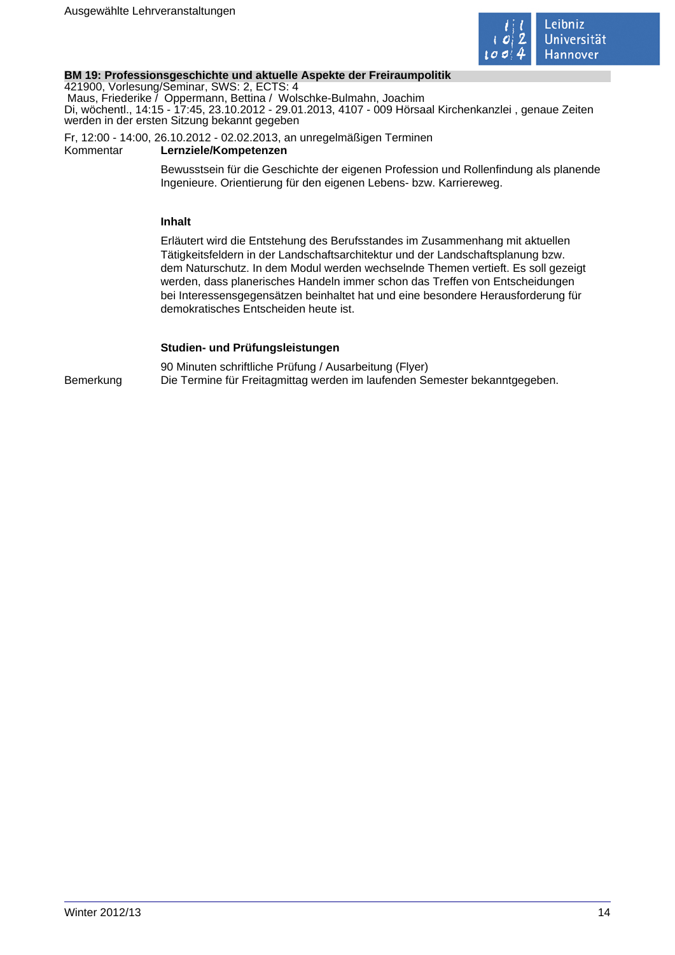

### **BM 19: Professionsgeschichte und aktuelle Aspekte der Freiraumpolitik**

421900, Vorlesung/Seminar, SWS: 2, ECTS: 4 Maus, Friederike / Oppermann, Bettina / Wolschke-Bulmahn, Joachim Di, wöchentl., 14:15 - 17:45, 23.10.2012 - 29.01.2013, 4107 - 009 Hörsaal Kirchenkanzlei , genaue Zeiten werden in der ersten Sitzung bekannt gegeben

Fr, 12:00 - 14:00, 26.10.2012 - 02.02.2013, an unregelmäßigen Terminen<br>Kommentar **Lernziele/Kompetenzen** Lernziele/Kompetenzen

> Bewusstsein für die Geschichte der eigenen Profession und Rollenfindung als planende Ingenieure. Orientierung für den eigenen Lebens- bzw. Karriereweg.

### **Inhalt**

Erläutert wird die Entstehung des Berufsstandes im Zusammenhang mit aktuellen Tätigkeitsfeldern in der Landschaftsarchitektur und der Landschaftsplanung bzw. dem Naturschutz. In dem Modul werden wechselnde Themen vertieft. Es soll gezeigt werden, dass planerisches Handeln immer schon das Treffen von Entscheidungen bei Interessensgegensätzen beinhaltet hat und eine besondere Herausforderung für demokratisches Entscheiden heute ist.

### **Studien- und Prüfungsleistungen**

90 Minuten schriftliche Prüfung / Ausarbeitung (Flyer) Bemerkung Die Termine für Freitagmittag werden im laufenden Semester bekanntgegeben.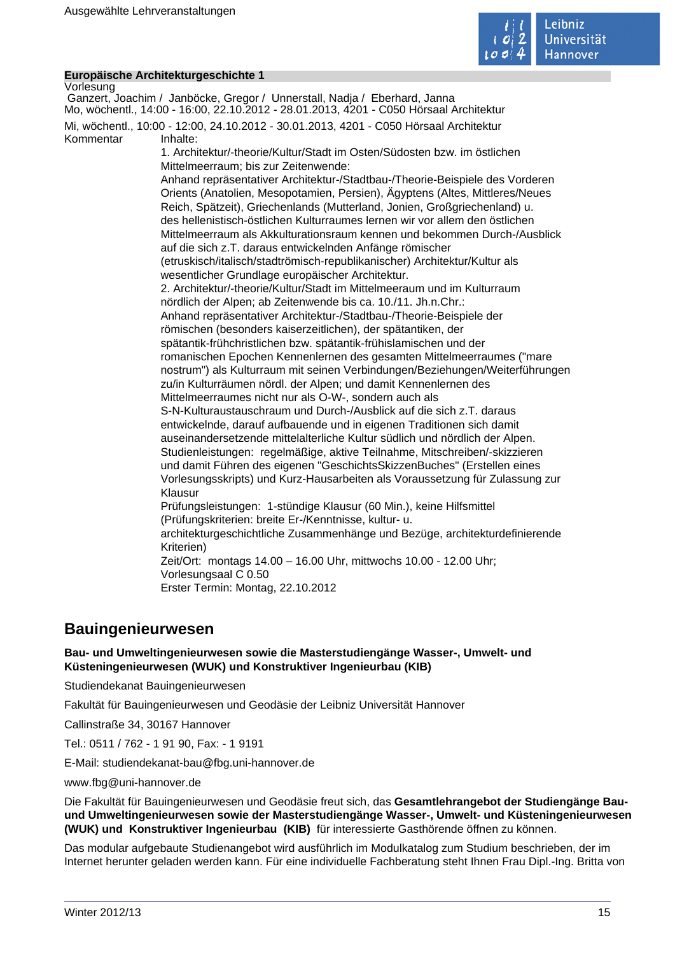

### **Europäische Architekturgeschichte 1**

Vorlesung Ganzert, Joachim / Janböcke, Gregor / Unnerstall, Nadja / Eberhard, Janna Mo, wöchentl., 14:00 - 16:00, 22.10.2012 - 28.01.2013, 4201 - C050 Hörsaal Architektur Mi, wöchentl., 10:00 - 12:00, 24.10.2012 - 30.01.2013, 4201 - C050 Hörsaal Architektur Kommentar Inhalte: 1. Architektur/-theorie/Kultur/Stadt im Osten/Südosten bzw. im östlichen Mittelmeerraum; bis zur Zeitenwende: Anhand repräsentativer Architektur-/Stadtbau-/Theorie-Beispiele des Vorderen Orients (Anatolien, Mesopotamien, Persien), Ägyptens (Altes, Mittleres/Neues Reich, Spätzeit), Griechenlands (Mutterland, Jonien, Großgriechenland) u. des hellenistisch-östlichen Kulturraumes lernen wir vor allem den östlichen Mittelmeerraum als Akkulturationsraum kennen und bekommen Durch-/Ausblick auf die sich z.T. daraus entwickelnden Anfänge römischer (etruskisch/italisch/stadtrömisch-republikanischer) Architektur/Kultur als wesentlicher Grundlage europäischer Architektur. 2. Architektur/-theorie/Kultur/Stadt im Mittelmeeraum und im Kulturraum nördlich der Alpen; ab Zeitenwende bis ca. 10./11. Jh.n.Chr.: Anhand repräsentativer Architektur-/Stadtbau-/Theorie-Beispiele der römischen (besonders kaiserzeitlichen), der spätantiken, der spätantik-frühchristlichen bzw. spätantik-frühislamischen und der romanischen Epochen Kennenlernen des gesamten Mittelmeerraumes ("mare nostrum") als Kulturraum mit seinen Verbindungen/Beziehungen/Weiterführungen zu/in Kulturräumen nördl. der Alpen; und damit Kennenlernen des Mittelmeerraumes nicht nur als O-W-, sondern auch als S-N-Kulturaustauschraum und Durch-/Ausblick auf die sich z.T. daraus entwickelnde, darauf aufbauende und in eigenen Traditionen sich damit auseinandersetzende mittelalterliche Kultur südlich und nördlich der Alpen. Studienleistungen: regelmäßige, aktive Teilnahme, Mitschreiben/-skizzieren und damit Führen des eigenen "GeschichtsSkizzenBuches" (Erstellen eines Vorlesungsskripts) und Kurz-Hausarbeiten als Voraussetzung für Zulassung zur Klausur Prüfungsleistungen: 1-stündige Klausur (60 Min.), keine Hilfsmittel (Prüfungskriterien: breite Er-/Kenntnisse, kultur- u. architekturgeschichtliche Zusammenhänge und Bezüge, architekturdefinierende Kriterien) Zeit/Ort: montags 14.00 – 16.00 Uhr, mittwochs 10.00 - 12.00 Uhr; Vorlesungsaal C 0.50 Erster Termin: Montag, 22.10.2012

## **Bauingenieurwesen**

**Bau- und Umweltingenieurwesen sowie die Masterstudiengänge Wasser-, Umwelt- und Küsteningenieurwesen (WUK) und Konstruktiver Ingenieurbau (KIB)** 

Studiendekanat Bauingenieurwesen

Fakultät für Bauingenieurwesen und Geodäsie der Leibniz Universität Hannover

Callinstraße 34, 30167 Hannover

Tel.: 0511 / 762 - 1 91 90, Fax: - 1 9191

E-Mail: studiendekanat-bau@fbg.uni-hannover.de

www.fbg@uni-hannover.de

Die Fakultät für Bauingenieurwesen und Geodäsie freut sich, das **Gesamtlehrangebot der Studiengänge Bauund Umweltingenieurwesen sowie der Masterstudiengänge Wasser-, Umwelt- und Küsteningenieurwesen (WUK) und Konstruktiver Ingenieurbau (KIB)** für interessierte Gasthörende öffnen zu können.

Das modular aufgebaute Studienangebot wird ausführlich im Modulkatalog zum Studium beschrieben, der im Internet herunter geladen werden kann. Für eine individuelle Fachberatung steht Ihnen Frau Dipl.-Ing. Britta von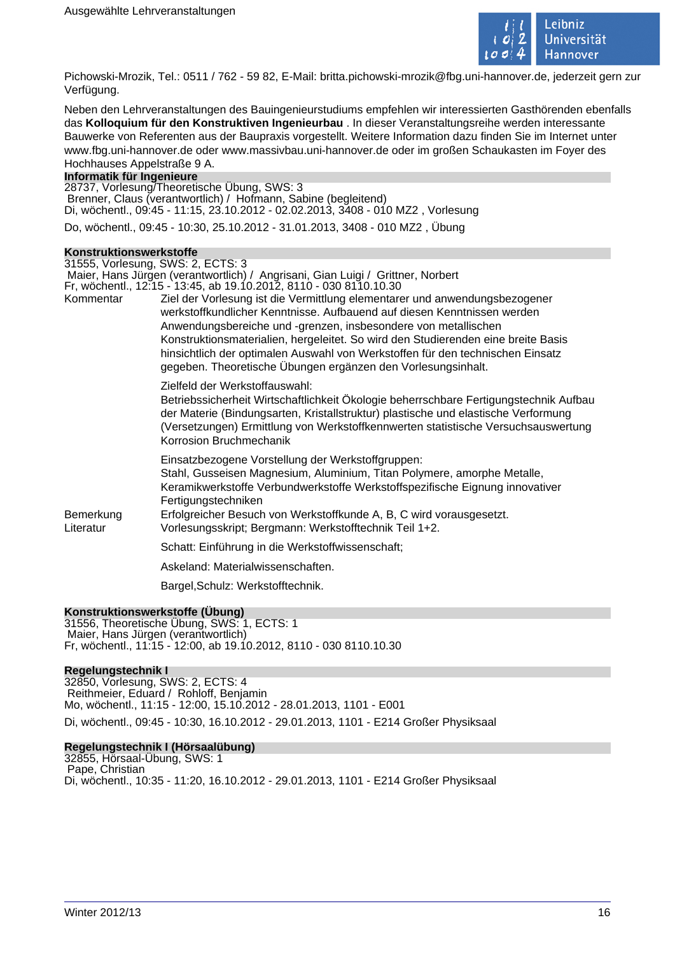

Pichowski-Mrozik, Tel.: 0511 / 762 - 59 82, E-Mail: britta.pichowski-mrozik@fbg.uni-hannover.de, jederzeit gern zur Verfügung.

Neben den Lehrveranstaltungen des Bauingenieurstudiums empfehlen wir interessierten Gasthörenden ebenfalls das **Kolloquium für den Konstruktiven Ingenieurbau** . In dieser Veranstaltungsreihe werden interessante Bauwerke von Referenten aus der Baupraxis vorgestellt. Weitere Information dazu finden Sie im Internet unter www.fbg.uni-hannover.de oder www.massivbau.uni-hannover.de oder im großen Schaukasten im Foyer des Hochhauses Appelstraße 9 A.

### **Informatik für Ingenieure**

28737, Vorlesung/Theoretische Übung, SWS: 3 Brenner, Claus (verantwortlich) / Hofmann, Sabine (begleitend) Di, wöchentl., 09:45 - 11:15, 23.10.2012 - 02.02.2013, 3408 - 010 MZ2 , Vorlesung Do, wöchentl., 09:45 - 10:30, 25.10.2012 - 31.01.2013, 3408 - 010 MZ2 , Übung

### **Konstruktionswerkstoffe**

|                        | 31555, Vorlesung, SWS: 2, ECTS: 3                                                                                                                                                                                                                                                                                                                                                                                                                                                                                                    |
|------------------------|--------------------------------------------------------------------------------------------------------------------------------------------------------------------------------------------------------------------------------------------------------------------------------------------------------------------------------------------------------------------------------------------------------------------------------------------------------------------------------------------------------------------------------------|
|                        | Maier, Hans Jürgen (verantwortlich) / Angrisani, Gian Luigi / Grittner, Norbert                                                                                                                                                                                                                                                                                                                                                                                                                                                      |
| Kommentar              | Fr, wöchentl., 12:15 - 13:45, ab 19.10.2012, 8110 - 030 8110.10.30<br>Ziel der Vorlesung ist die Vermittlung elementarer und anwendungsbezogener<br>werkstoffkundlicher Kenntnisse. Aufbauend auf diesen Kenntnissen werden<br>Anwendungsbereiche und -grenzen, insbesondere von metallischen<br>Konstruktionsmaterialien, hergeleitet. So wird den Studierenden eine breite Basis<br>hinsichtlich der optimalen Auswahl von Werkstoffen für den technischen Einsatz<br>gegeben. Theoretische Übungen ergänzen den Vorlesungsinhalt. |
|                        | Zielfeld der Werkstoffauswahl:<br>Betriebssicherheit Wirtschaftlichkeit Ökologie beherrschbare Fertigungstechnik Aufbau<br>der Materie (Bindungsarten, Kristallstruktur) plastische und elastische Verformung<br>(Versetzungen) Ermittlung von Werkstoffkennwerten statistische Versuchsauswertung<br>Korrosion Bruchmechanik                                                                                                                                                                                                        |
| Bemerkung<br>Literatur | Einsatzbezogene Vorstellung der Werkstoffgruppen:<br>Stahl, Gusseisen Magnesium, Aluminium, Titan Polymere, amorphe Metalle,<br>Keramikwerkstoffe Verbundwerkstoffe Werkstoffspezifische Eignung innovativer<br>Fertigungstechniken<br>Erfolgreicher Besuch von Werkstoffkunde A, B, C wird vorausgesetzt.<br>Vorlesungsskript; Bergmann: Werkstofftechnik Teil 1+2.                                                                                                                                                                 |
|                        | Schatt: Einführung in die Werkstoffwissenschaft;                                                                                                                                                                                                                                                                                                                                                                                                                                                                                     |
|                        | Askeland: Materialwissenschaften.                                                                                                                                                                                                                                                                                                                                                                                                                                                                                                    |
|                        | Bargel, Schulz: Werkstofftechnik.                                                                                                                                                                                                                                                                                                                                                                                                                                                                                                    |
|                        |                                                                                                                                                                                                                                                                                                                                                                                                                                                                                                                                      |

### **Konstruktionswerkstoffe (Übung)**

31556, Theoretische Übung, SWS: 1, ECTS: 1 Maier, Hans Jürgen (verantwortlich) Fr, wöchentl., 11:15 - 12:00, ab 19.10.2012, 8110 - 030 8110.10.30

### **Regelungstechnik I**

32850, Vorlesung, SWS: 2, ECTS: 4 Reithmeier, Eduard / Rohloff, Benjamin Mo, wöchentl., 11:15 - 12:00, 15.10.2012 - 28.01.2013, 1101 - E001 Di, wöchentl., 09:45 - 10:30, 16.10.2012 - 29.01.2013, 1101 - E214 Großer Physiksaal

### **Regelungstechnik I (Hörsaalübung)**

32855, Hörsaal-Übung, SWS: 1 Pape, Christian Di, wöchentl., 10:35 - 11:20, 16.10.2012 - 29.01.2013, 1101 - E214 Großer Physiksaal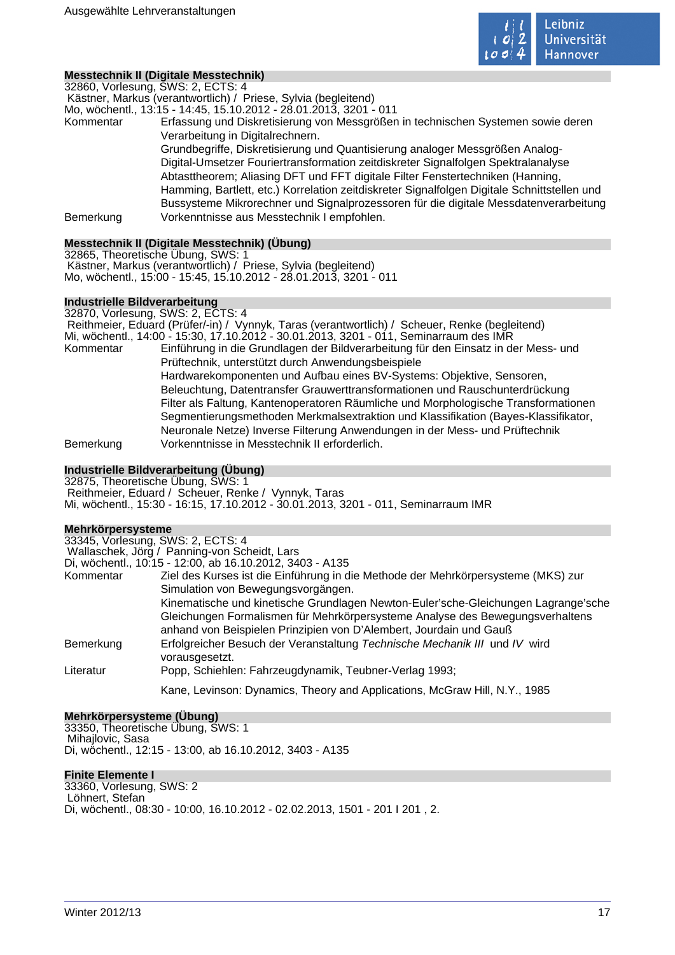

### **Messtechnik II (Digitale Messtechnik)**

32860, Vorlesung, SWS: 2, ECTS: 4

Kästner, Markus (verantwortlich) / Priese, Sylvia (begleitend)

Mo, wöchentl., 13:15 - 14:45, 15.10.2012 - 28.01.2013, 3201 - 011 Kommentar Erfassung und Diskretisierung von Messgrößen in technischen Systemen sowie deren Verarbeitung in Digitalrechnern. Grundbegriffe, Diskretisierung und Quantisierung analoger Messgrößen Analog-Digital-Umsetzer Fouriertransformation zeitdiskreter Signalfolgen Spektralanalyse Abtasttheorem; Aliasing DFT und FFT digitale Filter Fenstertechniken (Hanning, Hamming, Bartlett, etc.) Korrelation zeitdiskreter Signalfolgen Digitale Schnittstellen und Bussysteme Mikrorechner und Signalprozessoren für die digitale Messdatenverarbeitung Bemerkung Vorkenntnisse aus Messtechnik I empfohlen.

### **Messtechnik II (Digitale Messtechnik) (Übung)**

32865, Theoretische Übung, SWS: 1 Kästner, Markus (verantwortlich) / Priese, Sylvia (begleitend) Mo, wöchentl., 15:00 - 15:45, 15.10.2012 - 28.01.2013, 3201 - 011

### **Industrielle Bildverarbeitung**

32870, Vorlesung, SWS: 2, ECTS: 4

 Reithmeier, Eduard (Prüfer/-in) / Vynnyk, Taras (verantwortlich) / Scheuer, Renke (begleitend) Mi, wöchentl., 14:00 - 15:30, 17.10.2012 - 30.01.2013, 3201 - 011, Seminarraum des IMR

Kommentar Einführung in die Grundlagen der Bildverarbeitung für den Einsatz in der Mess- und Prüftechnik, unterstützt durch Anwendungsbeispiele Hardwarekomponenten und Aufbau eines BV-Systems: Objektive, Sensoren, Beleuchtung, Datentransfer Grauwerttransformationen und Rauschunterdrückung Filter als Faltung, Kantenoperatoren Räumliche und Morphologische Transformationen Segmentierungsmethoden Merkmalsextraktion und Klassifikation (Bayes-Klassifikator, Neuronale Netze) Inverse Filterung Anwendungen in der Mess- und Prüftechnik Bemerkung Vorkenntnisse in Messtechnik II erforderlich.

### **Industrielle Bildverarbeitung (Übung)**

32875, Theoretische Übung, SWS: 1 Reithmeier, Eduard / Scheuer, Renke / Vynnyk, Taras Mi, wöchentl., 15:30 - 16:15, 17.10.2012 - 30.01.2013, 3201 - 011, Seminarraum IMR

### **Mehrkörpersysteme**

| <b>INIGHT VOLDER SYSTEMIC</b>     |                                                                                              |
|-----------------------------------|----------------------------------------------------------------------------------------------|
| 33345, Vorlesung, SWS: 2, ECTS: 4 |                                                                                              |
|                                   | Wallaschek, Jörg / Panning-von Scheidt, Lars                                                 |
|                                   | Di, wöchentl., 10:15 - 12:00, ab 16.10.2012, 3403 - A135                                     |
| Kommentar                         | Ziel des Kurses ist die Einführung in die Methode der Mehrkörpersysteme (MKS) zur            |
|                                   | Simulation von Bewegungsvorgängen.                                                           |
|                                   | Kinematische und kinetische Grundlagen Newton-Euler'sche-Gleichungen Lagrange'sche           |
|                                   | Gleichungen Formalismen für Mehrkörpersysteme Analyse des Bewegungsverhaltens                |
|                                   | anhand von Beispielen Prinzipien von D'Alembert, Jourdain und Gauß                           |
| Bemerkung                         | Erfolgreicher Besuch der Veranstaltung Technische Mechanik III und IV wird<br>vorausgesetzt. |
| Literatur                         | Popp, Schiehlen: Fahrzeugdynamik, Teubner-Verlag 1993;                                       |
|                                   | Kane, Levinson: Dynamics, Theory and Applications, McGraw Hill, N.Y., 1985                   |

### **Mehrkörpersysteme (Übung)**

33350, Theoretische Übung, SWS: 1 Mihajlovic, Sasa Di, wöchentl., 12:15 - 13:00, ab 16.10.2012, 3403 - A135

### **Finite Elemente I**

33360, Vorlesung, SWS: 2 Löhnert, Stefan Di, wöchentl., 08:30 - 10:00, 16.10.2012 - 02.02.2013, 1501 - 201 I 201 , 2.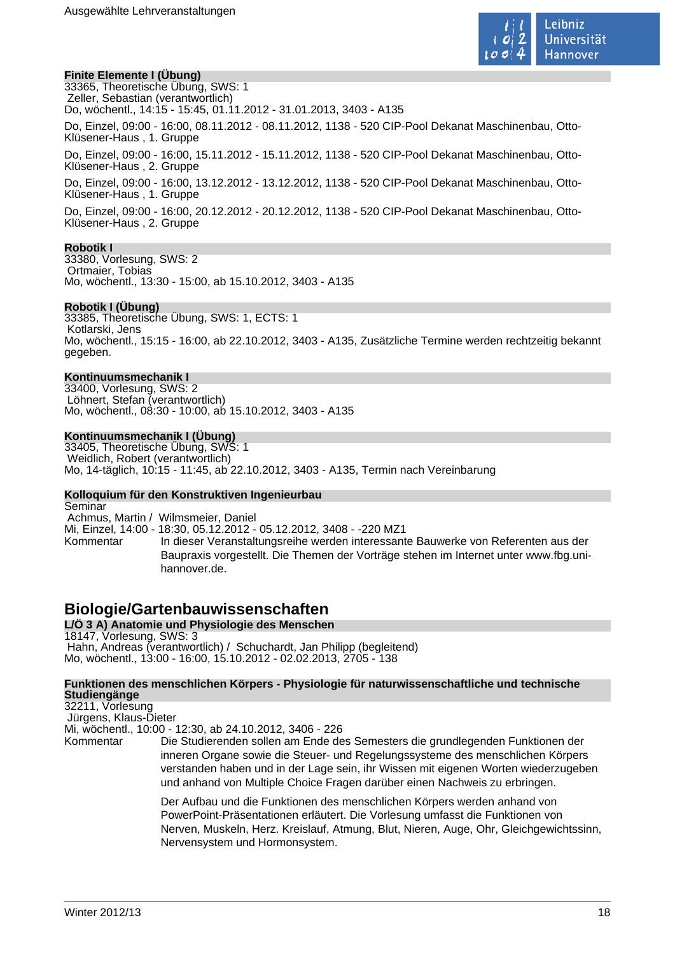

### **Finite Elemente I (Übung)**

33365, Theoretische Übung, SWS: 1 Zeller, Sebastian (verantwortlich) Do, wöchentl., 14:15 - 15:45, 01.11.2012 - 31.01.2013, 3403 - A135

Do, Einzel, 09:00 - 16:00, 08.11.2012 - 08.11.2012, 1138 - 520 CIP-Pool Dekanat Maschinenbau, Otto-Klüsener-Haus , 1. Gruppe

Do, Einzel, 09:00 - 16:00, 15.11.2012 - 15.11.2012, 1138 - 520 CIP-Pool Dekanat Maschinenbau, Otto-Klüsener-Haus , 2. Gruppe

Do, Einzel, 09:00 - 16:00, 13.12.2012 - 13.12.2012, 1138 - 520 CIP-Pool Dekanat Maschinenbau, Otto-Klüsener-Haus , 1. Gruppe

Do, Einzel, 09:00 - 16:00, 20.12.2012 - 20.12.2012, 1138 - 520 CIP-Pool Dekanat Maschinenbau, Otto-Klüsener-Haus , 2. Gruppe

### **Robotik I**

33380, Vorlesung, SWS: 2 Ortmaier, Tobias Mo, wöchentl., 13:30 - 15:00, ab 15.10.2012, 3403 - A135

### **Robotik I (Übung)**

33385, Theoretische Übung, SWS: 1, ECTS: 1 Kotlarski, Jens Mo, wöchentl., 15:15 - 16:00, ab 22.10.2012, 3403 - A135, Zusätzliche Termine werden rechtzeitig bekannt gegeben.

### **Kontinuumsmechanik I**

33400, Vorlesung, SWS: 2 Löhnert, Stefan (verantwortlich) Mo, wöchentl., 08:30 - 10:00, ab 15.10.2012, 3403 - A135

### **Kontinuumsmechanik I (Übung)**

33405, Theoretische Übung, SWS: 1 Weidlich, Robert (verantwortlich) Mo, 14-täglich, 10:15 - 11:45, ab 22.10.2012, 3403 - A135, Termin nach Vereinbarung

### **Kolloquium für den Konstruktiven Ingenieurbau**

**Seminar**  Achmus, Martin / Wilmsmeier, Daniel Mi, Einzel, 14:00 - 18:30, 05.12.2012 - 05.12.2012, 3408 - -220 MZ1 Kommentar In dieser Veranstaltungsreihe werden interessante Bauwerke von Referenten aus der Baupraxis vorgestellt. Die Themen der Vorträge stehen im Internet unter www.fbg.unihannover.de.

## **Biologie/Gartenbauwissenschaften**

**L/Ö 3 A) Anatomie und Physiologie des Menschen** 18147, Vorlesung, SWS: 3 Hahn, Andreas (verantwortlich) / Schuchardt, Jan Philipp (begleitend) Mo, wöchentl., 13:00 - 16:00, 15.10.2012 - 02.02.2013, 2705 - 138

#### **Funktionen des menschlichen Körpers - Physiologie für naturwissenschaftliche und technische Studiengänge**

32211, Vorlesung Jürgens, Klaus-Dieter

Mi, wöchentl., 10:00 - 12:30, ab 24.10.2012, 3406 - 226

Kommentar Die Studierenden sollen am Ende des Semesters die grundlegenden Funktionen der inneren Organe sowie die Steuer- und Regelungssysteme des menschlichen Körpers verstanden haben und in der Lage sein, ihr Wissen mit eigenen Worten wiederzugeben und anhand von Multiple Choice Fragen darüber einen Nachweis zu erbringen.

> Der Aufbau und die Funktionen des menschlichen Körpers werden anhand von PowerPoint-Präsentationen erläutert. Die Vorlesung umfasst die Funktionen von Nerven, Muskeln, Herz. Kreislauf, Atmung, Blut, Nieren, Auge, Ohr, Gleichgewichtssinn, Nervensystem und Hormonsystem.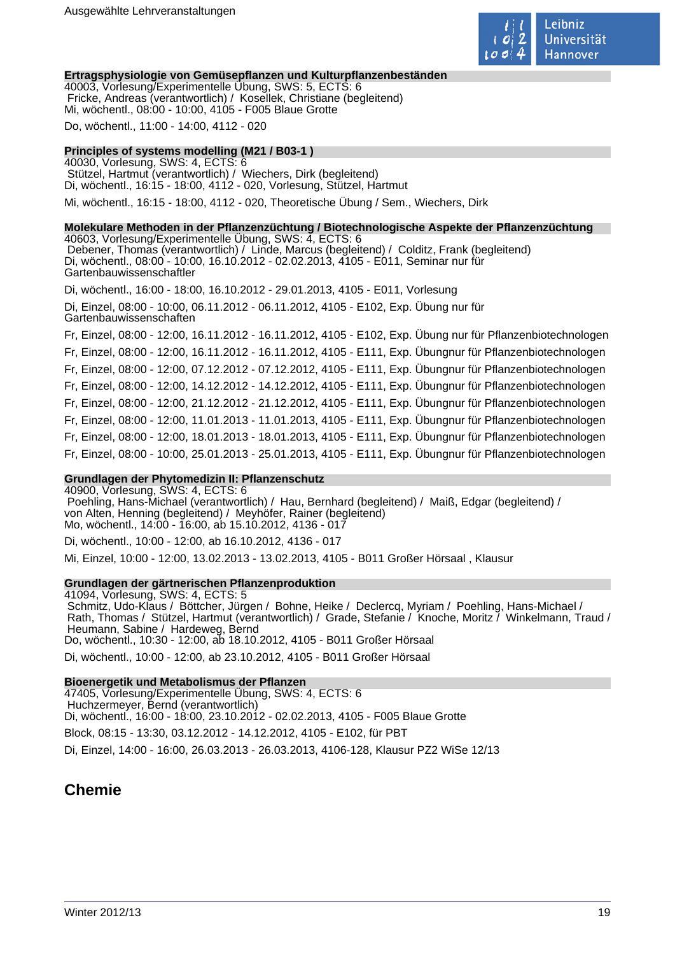

### **Ertragsphysiologie von Gemüsepflanzen und Kulturpflanzenbeständen**

40003, Vorlesung/Experimentelle Übung, SWS: 5, ECTS: 6 Fricke, Andreas (verantwortlich) / Kosellek, Christiane (begleitend) Mi, wöchentl., 08:00 - 10:00, 4105 - F005 Blaue Grotte

Do, wöchentl., 11:00 - 14:00, 4112 - 020

### **Principles of systems modelling (M21 / B03-1 )**

40030, Vorlesung, SWS: 4, ECTS: 6 Stützel, Hartmut (verantwortlich) / Wiechers, Dirk (begleitend) Di, wöchentl., 16:15 - 18:00, 4112 - 020, Vorlesung, Stützel, Hartmut Mi, wöchentl., 16:15 - 18:00, 4112 - 020, Theoretische Übung / Sem., Wiechers, Dirk

### **Molekulare Methoden in der Pflanzenzüchtung / Biotechnologische Aspekte der Pflanzenzüchtung**

40603, Vorlesung/Experimentelle Übung, SWS: 4, ECTS: 6 Debener, Thomas (verantwortlich) / Linde, Marcus (begleitend) / Colditz, Frank (begleitend) Di, wöchentl., 08:00 - 10:00, 16.10.2012 - 02.02.2013, 4105 - E011, Seminar nur für Gartenbauwissenschaftler

Di, wöchentl., 16:00 - 18:00, 16.10.2012 - 29.01.2013, 4105 - E011, Vorlesung

Di, Einzel, 08:00 - 10:00, 06.11.2012 - 06.11.2012, 4105 - E102, Exp. Übung nur für Gartenbauwissenschaften

Fr, Einzel, 08:00 - 12:00, 16.11.2012 - 16.11.2012, 4105 - E102, Exp. Übung nur für Pflanzenbiotechnologen Fr, Einzel, 08:00 - 12:00, 16.11.2012 - 16.11.2012, 4105 - E111, Exp. Übungnur für Pflanzenbiotechnologen Fr, Einzel, 08:00 - 12:00, 07.12.2012 - 07.12.2012, 4105 - E111, Exp. Übungnur für Pflanzenbiotechnologen Fr, Einzel, 08:00 - 12:00, 14.12.2012 - 14.12.2012, 4105 - E111, Exp. Übungnur für Pflanzenbiotechnologen Fr, Einzel, 08:00 - 12:00, 21.12.2012 - 21.12.2012, 4105 - E111, Exp. Übungnur für Pflanzenbiotechnologen Fr, Einzel, 08:00 - 12:00, 11.01.2013 - 11.01.2013, 4105 - E111, Exp. Übungnur für Pflanzenbiotechnologen Fr, Einzel, 08:00 - 12:00, 18.01.2013 - 18.01.2013, 4105 - E111, Exp. Übungnur für Pflanzenbiotechnologen Fr, Einzel, 08:00 - 10:00, 25.01.2013 - 25.01.2013, 4105 - E111, Exp. Übungnur für Pflanzenbiotechnologen

### **Grundlagen der Phytomedizin II: Pflanzenschutz**

40900, Vorlesung, SWS: 4, ECTS: 6 Poehling, Hans-Michael (verantwortlich) / Hau, Bernhard (begleitend) / Maiß, Edgar (begleitend) / von Alten, Henning (begleitend) / Meyhöfer, Rainer (begleitend) Mo, wöchentl., 14:00 - 16:00, ab 15.10.2012, 4136 - 017

Di, wöchentl., 10:00 - 12:00, ab 16.10.2012, 4136 - 017

Mi, Einzel, 10:00 - 12:00, 13.02.2013 - 13.02.2013, 4105 - B011 Großer Hörsaal , Klausur

### **Grundlagen der gärtnerischen Pflanzenproduktion**

41094, Vorlesung, SWS: 4, ECTS: 5 Schmitz, Udo-Klaus / Böttcher, Jürgen / Bohne, Heike / Declercq, Myriam / Poehling, Hans-Michael / Rath, Thomas / Stützel, Hartmut (verantwortlich) / Grade, Stefanie / Knoche, Moritz / Winkelmann, Traud / Heumann, Sabine / Hardeweg, Bernd Do, wöchentl., 10:30 - 12:00, ab 18.10.2012, 4105 - B011 Großer Hörsaal

Di, wöchentl., 10:00 - 12:00, ab 23.10.2012, 4105 - B011 Großer Hörsaal

### **Bioenergetik und Metabolismus der Pflanzen**

47405, Vorlesung/Experimentelle Übung, SWS: 4, ECTS: 6 Huchzermeyer, Bernd (verantwortlich) Di, wöchentl., 16:00 - 18:00, 23.10.2012 - 02.02.2013, 4105 - F005 Blaue Grotte Block, 08:15 - 13:30, 03.12.2012 - 14.12.2012, 4105 - E102, für PBT Di, Einzel, 14:00 - 16:00, 26.03.2013 - 26.03.2013, 4106-128, Klausur PZ2 WiSe 12/13

## **Chemie**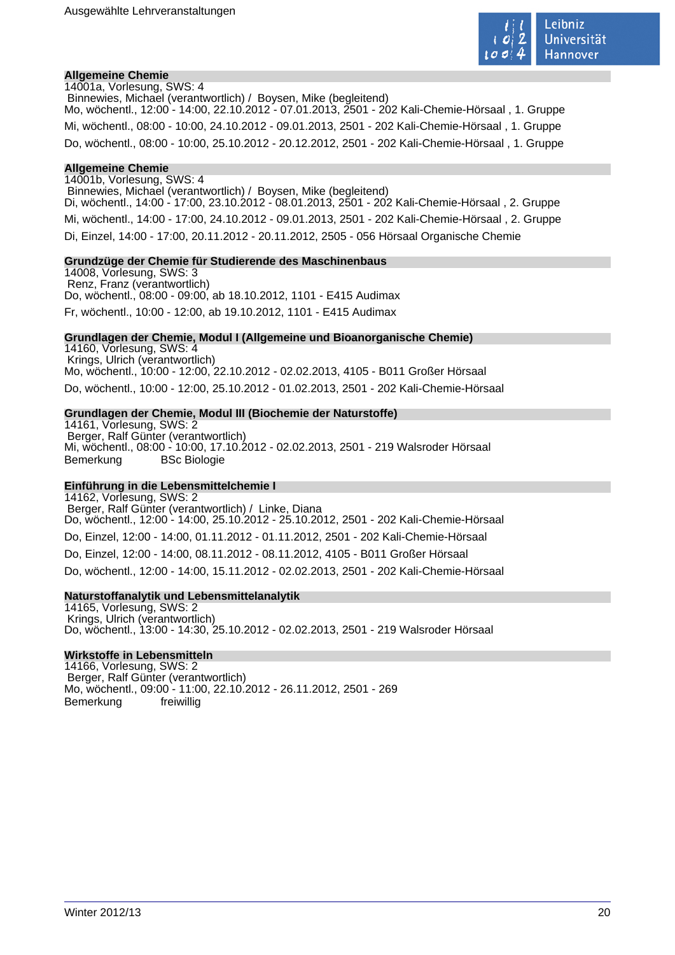

### **Allgemeine Chemie**

14001a, Vorlesung, SWS: 4 Binnewies, Michael (verantwortlich) / Boysen, Mike (begleitend) Mo, wöchentl., 12:00 - 14:00, 22.10.2012 - 07.01.2013, 2501 - 202 Kali-Chemie-Hörsaal , 1. Gruppe Mi, wöchentl., 08:00 - 10:00, 24.10.2012 - 09.01.2013, 2501 - 202 Kali-Chemie-Hörsaal , 1. Gruppe Do, wöchentl., 08:00 - 10:00, 25.10.2012 - 20.12.2012, 2501 - 202 Kali-Chemie-Hörsaal , 1. Gruppe

#### **Allgemeine Chemie**

14001b, Vorlesung, SWS: 4 Binnewies, Michael (verantwortlich) / Boysen, Mike (begleitend) Di, wöchentl., 14:00 - 17:00, 23.10.2012 - 08.01.2013, 2501 - 202 Kali-Chemie-Hörsaal , 2. Gruppe Mi, wöchentl., 14:00 - 17:00, 24.10.2012 - 09.01.2013, 2501 - 202 Kali-Chemie-Hörsaal , 2. Gruppe Di, Einzel, 14:00 - 17:00, 20.11.2012 - 20.11.2012, 2505 - 056 Hörsaal Organische Chemie

#### **Grundzüge der Chemie für Studierende des Maschinenbaus**

14008, Vorlesung, SWS: 3 Renz, Franz (verantwortlich) Do, wöchentl., 08:00 - 09:00, ab 18.10.2012, 1101 - E415 Audimax Fr, wöchentl., 10:00 - 12:00, ab 19.10.2012, 1101 - E415 Audimax

#### **Grundlagen der Chemie, Modul I (Allgemeine und Bioanorganische Chemie)**

14160, Vorlesung, SWS: 4 Krings, Ulrich (verantwortlich) Mo, wöchentl., 10:00 - 12:00, 22.10.2012 - 02.02.2013, 4105 - B011 Großer Hörsaal Do, wöchentl., 10:00 - 12:00, 25.10.2012 - 01.02.2013, 2501 - 202 Kali-Chemie-Hörsaal

### **Grundlagen der Chemie, Modul III (Biochemie der Naturstoffe)**

14161, Vorlesung, SWS: 2 Berger, Ralf Günter (verantwortlich) Mi, wöchentl., 08:00 - 10:00, 17.10.2012 - 02.02.2013, 2501 - 219 Walsroder Hörsaal Bemerkung BSc Biologie

### **Einführung in die Lebensmittelchemie I**

14162, Vorlesung, SWS: 2 Berger, Ralf Günter (verantwortlich) / Linke, Diana Do, wöchentl., 12:00 - 14:00, 25.10.2012 - 25.10.2012, 2501 - 202 Kali-Chemie-Hörsaal Do, Einzel, 12:00 - 14:00, 01.11.2012 - 01.11.2012, 2501 - 202 Kali-Chemie-Hörsaal Do, Einzel, 12:00 - 14:00, 08.11.2012 - 08.11.2012, 4105 - B011 Großer Hörsaal Do, wöchentl., 12:00 - 14:00, 15.11.2012 - 02.02.2013, 2501 - 202 Kali-Chemie-Hörsaal

### **Naturstoffanalytik und Lebensmittelanalytik**

14165, Vorlesung, SWS: 2 Krings, Ulrich (verantwortlich) Do, wöchentl., 13:00 - 14:30, 25.10.2012 - 02.02.2013, 2501 - 219 Walsroder Hörsaal

### **Wirkstoffe in Lebensmitteln**

14166, Vorlesung, SWS: 2 Berger, Ralf Günter (verantwortlich) Mo, wöchentl., 09:00 - 11:00, 22.10.2012 - 26.11.2012, 2501 - 269 Bemerkung freiwillig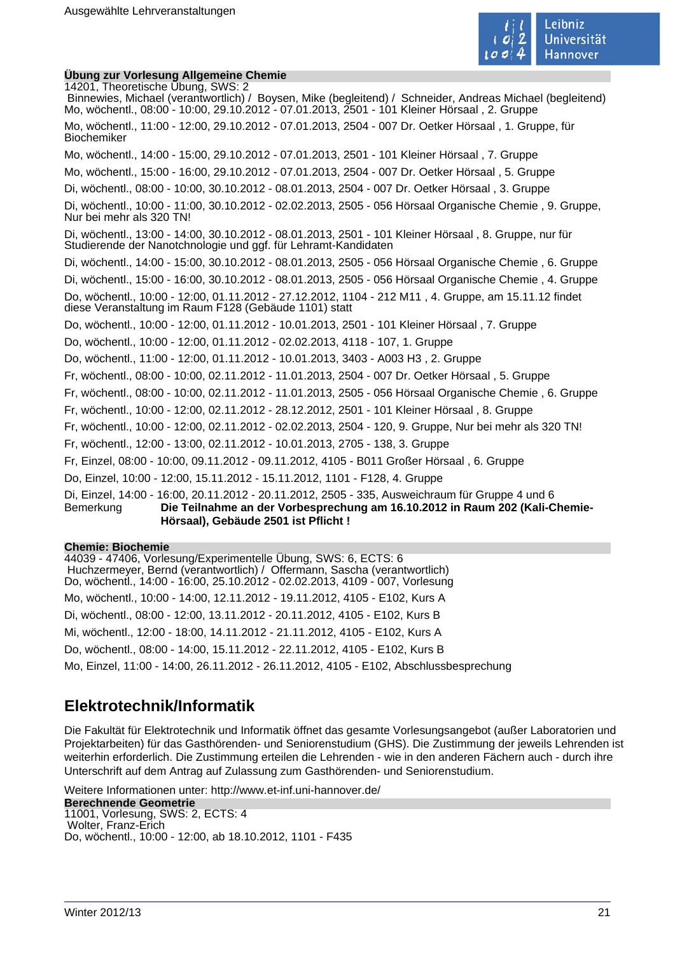

### **Übung zur Vorlesung Allgemeine Chemie**

14201, Theoretische Übung, SWS: 2 Binnewies, Michael (verantwortlich) / Boysen, Mike (begleitend) / Schneider, Andreas Michael (begleitend) Mo, wöchentl., 08:00 - 10:00, 29.10.2012 - 07.01.2013, 2501 - 101 Kleiner Hörsaal , 2. Gruppe Mo, wöchentl., 11:00 - 12:00, 29.10.2012 - 07.01.2013, 2504 - 007 Dr. Oetker Hörsaal , 1. Gruppe, für Biochemiker Mo, wöchentl., 14:00 - 15:00, 29.10.2012 - 07.01.2013, 2501 - 101 Kleiner Hörsaal , 7. Gruppe Mo, wöchentl., 15:00 - 16:00, 29.10.2012 - 07.01.2013, 2504 - 007 Dr. Oetker Hörsaal , 5. Gruppe Di, wöchentl., 08:00 - 10:00, 30.10.2012 - 08.01.2013, 2504 - 007 Dr. Oetker Hörsaal , 3. Gruppe Di, wöchentl., 10:00 - 11:00, 30.10.2012 - 02.02.2013, 2505 - 056 Hörsaal Organische Chemie , 9. Gruppe, Nur bei mehr als 320 TN! Di, wöchentl., 13:00 - 14:00, 30.10.2012 - 08.01.2013, 2501 - 101 Kleiner Hörsaal , 8. Gruppe, nur für Studierende der Nanotchnologie und ggf. für Lehramt-Kandidaten Di, wöchentl., 14:00 - 15:00, 30.10.2012 - 08.01.2013, 2505 - 056 Hörsaal Organische Chemie , 6. Gruppe Di, wöchentl., 15:00 - 16:00, 30.10.2012 - 08.01.2013, 2505 - 056 Hörsaal Organische Chemie , 4. Gruppe Do, wöchentl., 10:00 - 12:00, 01.11.2012 - 27.12.2012, 1104 - 212 M11 , 4. Gruppe, am 15.11.12 findet diese Veranstaltung im Raum F128 (Gebäude 1101) statt Do, wöchentl., 10:00 - 12:00, 01.11.2012 - 10.01.2013, 2501 - 101 Kleiner Hörsaal , 7. Gruppe Do, wöchentl., 10:00 - 12:00, 01.11.2012 - 02.02.2013, 4118 - 107, 1. Gruppe Do, wöchentl., 11:00 - 12:00, 01.11.2012 - 10.01.2013, 3403 - A003 H3 , 2. Gruppe Fr, wöchentl., 08:00 - 10:00, 02.11.2012 - 11.01.2013, 2504 - 007 Dr. Oetker Hörsaal , 5. Gruppe Fr, wöchentl., 08:00 - 10:00, 02.11.2012 - 11.01.2013, 2505 - 056 Hörsaal Organische Chemie , 6. Gruppe Fr, wöchentl., 10:00 - 12:00, 02.11.2012 - 28.12.2012, 2501 - 101 Kleiner Hörsaal , 8. Gruppe Fr, wöchentl., 10:00 - 12:00, 02.11.2012 - 02.02.2013, 2504 - 120, 9. Gruppe, Nur bei mehr als 320 TN! Fr, wöchentl., 12:00 - 13:00, 02.11.2012 - 10.01.2013, 2705 - 138, 3. Gruppe Fr, Einzel, 08:00 - 10:00, 09.11.2012 - 09.11.2012, 4105 - B011 Großer Hörsaal , 6. Gruppe Do, Einzel, 10:00 - 12:00, 15.11.2012 - 15.11.2012, 1101 - F128, 4. Gruppe Di, Einzel, 14:00 - 16:00, 20.11.2012 - 20.11.2012, 2505 - 335, Ausweichraum für Gruppe 4 und 6 Bemerkung **Die Teilnahme an der Vorbesprechung am 16.10.2012 in Raum 202 (Kali-Chemie-Hörsaal), Gebäude 2501 ist Pflicht !** 

### **Chemie: Biochemie**

44039 - 47406, Vorlesung/Experimentelle Übung, SWS: 6, ECTS: 6 Huchzermeyer, Bernd (verantwortlich) / Offermann, Sascha (verantwortlich) Do, wöchentl., 14:00 - 16:00, 25.10.2012 - 02.02.2013, 4109 - 007, Vorlesung Mo, wöchentl., 10:00 - 14:00, 12.11.2012 - 19.11.2012, 4105 - E102, Kurs A Di, wöchentl., 08:00 - 12:00, 13.11.2012 - 20.11.2012, 4105 - E102, Kurs B Mi, wöchentl., 12:00 - 18:00, 14.11.2012 - 21.11.2012, 4105 - E102, Kurs A Do, wöchentl., 08:00 - 14:00, 15.11.2012 - 22.11.2012, 4105 - E102, Kurs B Mo, Einzel, 11:00 - 14:00, 26.11.2012 - 26.11.2012, 4105 - E102, Abschlussbesprechung

## **Elektrotechnik/Informatik**

Die Fakultät für Elektrotechnik und Informatik öffnet das gesamte Vorlesungsangebot (außer Laboratorien und Projektarbeiten) für das Gasthörenden- und Seniorenstudium (GHS). Die Zustimmung der jeweils Lehrenden ist weiterhin erforderlich. Die Zustimmung erteilen die Lehrenden - wie in den anderen Fächern auch - durch ihre Unterschrift auf dem Antrag auf Zulassung zum Gasthörenden- und Seniorenstudium.

Weitere Informationen unter: http://www.et-inf.uni-hannover.de/

**Berechnende Geometrie** 11001, Vorlesung, SWS: 2, ECTS: 4 Wolter, Franz-Erich Do, wöchentl., 10:00 - 12:00, ab 18.10.2012, 1101 - F435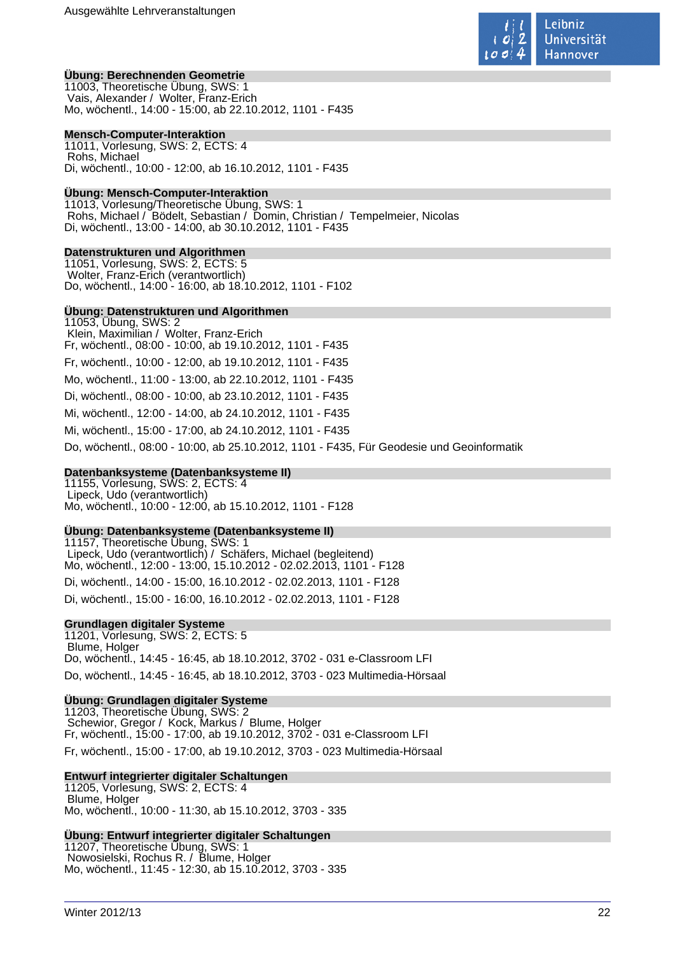

### **Übung: Berechnenden Geometrie**

11003, Theoretische Übung, SWS: 1 Vais, Alexander / Wolter, Franz-Erich Mo, wöchentl., 14:00 - 15:00, ab 22.10.2012, 1101 - F435

#### **Mensch-Computer-Interaktion**

11011, Vorlesung, SWS: 2, ECTS: 4 Rohs, Michael Di, wöchentl., 10:00 - 12:00, ab 16.10.2012, 1101 - F435

### **Übung: Mensch-Computer-Interaktion**

11013, Vorlesung/Theoretische Übung, SWS: 1 Rohs, Michael / Bödelt, Sebastian / Domin, Christian / Tempelmeier, Nicolas Di, wöchentl., 13:00 - 14:00, ab 30.10.2012, 1101 - F435

#### **Datenstrukturen und Algorithmen**

11051, Vorlesung, SWS: 2, ECTS: 5 Wolter, Franz-Erich (verantwortlich) Do, wöchentl., 14:00 - 16:00, ab 18.10.2012, 1101 - F102

### **Übung: Datenstrukturen und Algorithmen**

11053, Übung, SWS: 2 Klein, Maximilian / Wolter, Franz-Erich Fr, wöchentl., 08:00 - 10:00, ab 19.10.2012, 1101 - F435 Fr, wöchentl., 10:00 - 12:00, ab 19.10.2012, 1101 - F435 Mo, wöchentl., 11:00 - 13:00, ab 22.10.2012, 1101 - F435 Di, wöchentl., 08:00 - 10:00, ab 23.10.2012, 1101 - F435 Mi, wöchentl., 12:00 - 14:00, ab 24.10.2012, 1101 - F435 Mi, wöchentl., 15:00 - 17:00, ab 24.10.2012, 1101 - F435 Do, wöchentl., 08:00 - 10:00, ab 25.10.2012, 1101 - F435, Für Geodesie und Geoinformatik

### **Datenbanksysteme (Datenbanksysteme II)**

11155, Vorlesung, SWS: 2, ECTS: 4 Lipeck, Udo (verantwortlich) Mo, wöchentl., 10:00 - 12:00, ab 15.10.2012, 1101 - F128

#### **Übung: Datenbanksysteme (Datenbanksysteme II)**

11157, Theoretische Übung, SWS: 1 Lipeck, Udo (verantwortlich) / Schäfers, Michael (begleitend) Mo, wöchentl., 12:00 - 13:00, 15.10.2012 - 02.02.2013, 1101 - F128 Di, wöchentl., 14:00 - 15:00, 16.10.2012 - 02.02.2013, 1101 - F128 Di, wöchentl., 15:00 - 16:00, 16.10.2012 - 02.02.2013, 1101 - F128

#### **Grundlagen digitaler Systeme**

11201, Vorlesung, SWS: 2, ECTS: 5 Blume, Holger Do, wöchentl., 14:45 - 16:45, ab 18.10.2012, 3702 - 031 e-Classroom LFI Do, wöchentl., 14:45 - 16:45, ab 18.10.2012, 3703 - 023 Multimedia-Hörsaal

#### **Übung: Grundlagen digitaler Systeme**

11203, Theoretische Übung, SWS: 2 Schewior, Gregor / Kock, Markus / Blume, Holger Fr, wöchentl., 15:00 - 17:00, ab 19.10.2012, 3702 - 031 e-Classroom LFI Fr, wöchentl., 15:00 - 17:00, ab 19.10.2012, 3703 - 023 Multimedia-Hörsaal

### **Entwurf integrierter digitaler Schaltungen**

11205, Vorlesung, SWS: 2, ECTS: 4 Blume, Holger Mo, wöchentl., 10:00 - 11:30, ab 15.10.2012, 3703 - 335

#### **Übung: Entwurf integrierter digitaler Schaltungen**

11207, Theoretische Übung, SWS: 1 Nowosielski, Rochus R. / Blume, Holger Mo, wöchentl., 11:45 - 12:30, ab 15.10.2012, 3703 - 335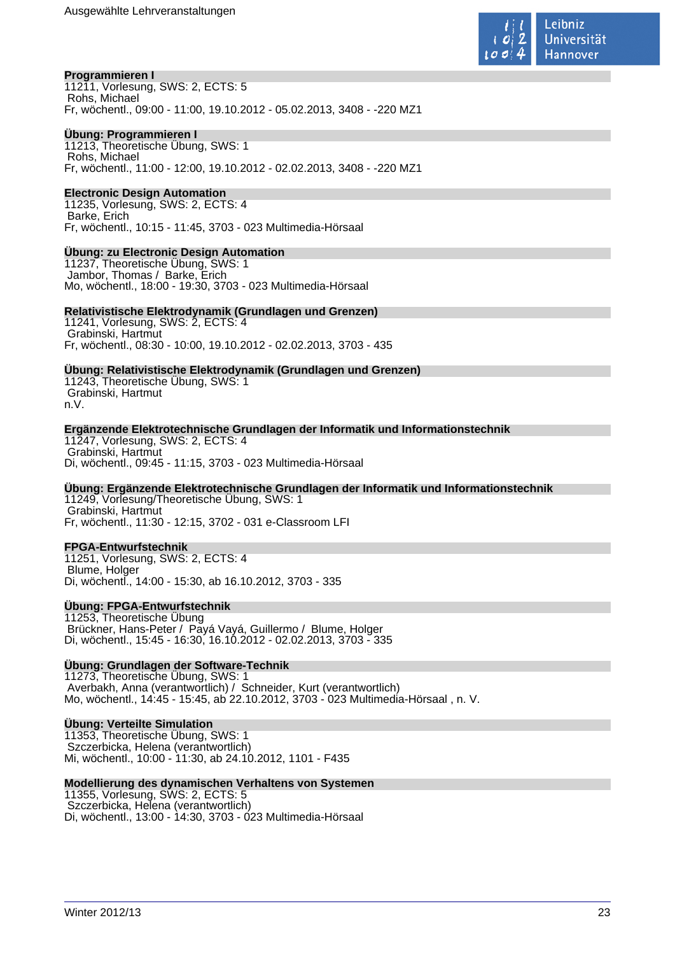

### **Programmieren I**

11211, Vorlesung, SWS: 2, ECTS: 5 Rohs, Michael Fr, wöchentl., 09:00 - 11:00, 19.10.2012 - 05.02.2013, 3408 - -220 MZ1

### **Übung: Programmieren I**

11213, Theoretische Übung, SWS: 1 Rohs, Michael Fr, wöchentl., 11:00 - 12:00, 19.10.2012 - 02.02.2013, 3408 - -220 MZ1

### **Electronic Design Automation**

11235, Vorlesung, SWS: 2, ECTS: 4 Barke, Erich Fr, wöchentl., 10:15 - 11:45, 3703 - 023 Multimedia-Hörsaal

### **Übung: zu Electronic Design Automation**

11237, Theoretische Übung, SWS: 1 Jambor, Thomas / Barke, Erich Mo, wöchentl., 18:00 - 19:30, 3703 - 023 Multimedia-Hörsaal

### **Relativistische Elektrodynamik (Grundlagen und Grenzen)**

11241, Vorlesung, SWS: 2, ECTS: 4 Grabinski, Hartmut Fr, wöchentl., 08:30 - 10:00, 19.10.2012 - 02.02.2013, 3703 - 435

### **Übung: Relativistische Elektrodynamik (Grundlagen und Grenzen)**

11243, Theoretische Übung, SWS: 1 Grabinski, Hartmut n.V.

### **Ergänzende Elektrotechnische Grundlagen der Informatik und Informationstechnik**

11247, Vorlesung, SWS: 2, ECTS: 4 Grabinski, Hartmut Di, wöchentl., 09:45 - 11:15, 3703 - 023 Multimedia-Hörsaal

### **Übung: Ergänzende Elektrotechnische Grundlagen der Informatik und Informationstechnik**

11249, Vorlesung/Theoretische Übung, SWS: 1 Grabinski, Hartmut Fr, wöchentl., 11:30 - 12:15, 3702 - 031 e-Classroom LFI

### **FPGA-Entwurfstechnik**

11251, Vorlesung, SWS: 2, ECTS: 4 Blume, Holger Di, wöchentl., 14:00 - 15:30, ab 16.10.2012, 3703 - 335

### **Übung: FPGA-Entwurfstechnik**

11253, Theoretische Übung Brückner, Hans-Peter / Payá Vayá, Guillermo / Blume, Holger Di, wöchentl., 15:45 - 16:30, 16.10.2012 - 02.02.2013, 3703 - 335

### **Übung: Grundlagen der Software-Technik**

11273, Theoretische Übung, SWS: 1 Averbakh, Anna (verantwortlich) / Schneider, Kurt (verantwortlich) Mo, wöchentl., 14:45 - 15:45, ab 22.10.2012, 3703 - 023 Multimedia-Hörsaal , n. V.

### **Übung: Verteilte Simulation**

11353, Theoretische Übung, SWS: 1 Szczerbicka, Helena (verantwortlich) Mi, wöchentl., 10:00 - 11:30, ab 24.10.2012, 1101 - F435

### **Modellierung des dynamischen Verhaltens von Systemen**

11355, Vorlesung, SWS: 2, ECTS: 5 Szczerbicka, Helena (verantwortlich) Di, wöchentl., 13:00 - 14:30, 3703 - 023 Multimedia-Hörsaal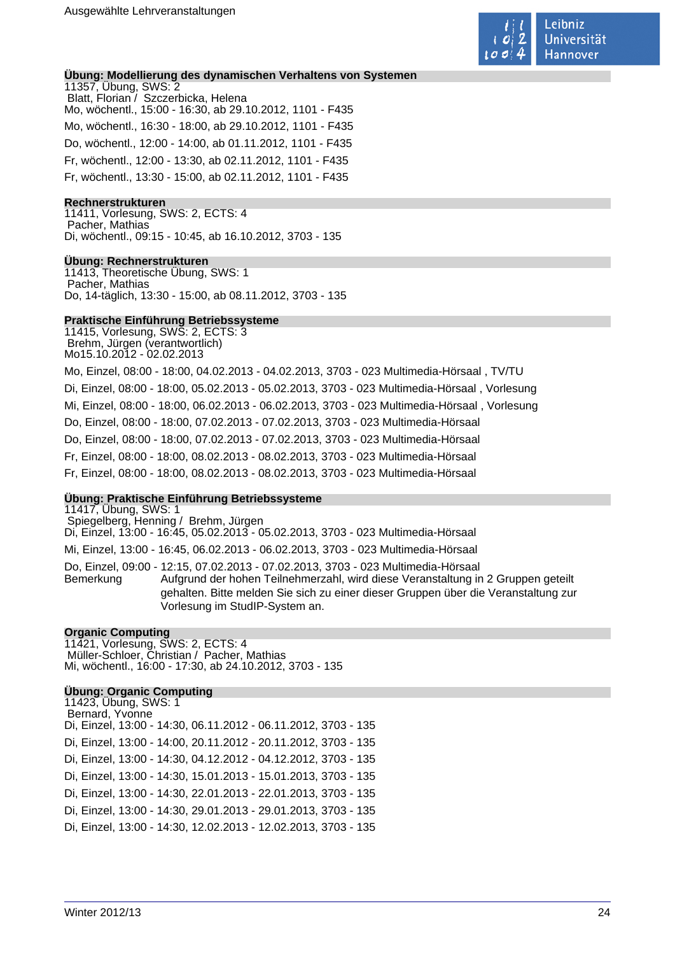

### **Übung: Modellierung des dynamischen Verhaltens von Systemen**

11357, Übung, SWS: 2 Blatt, Florian / Szczerbicka, Helena Mo, wöchentl., 15:00 - 16:30, ab 29.10.2012, 1101 - F435 Mo, wöchentl., 16:30 - 18:00, ab 29.10.2012, 1101 - F435 Do, wöchentl., 12:00 - 14:00, ab 01.11.2012, 1101 - F435 Fr, wöchentl., 12:00 - 13:30, ab 02.11.2012, 1101 - F435 Fr, wöchentl., 13:30 - 15:00, ab 02.11.2012, 1101 - F435

### **Rechnerstrukturen**

11411, Vorlesung, SWS: 2, ECTS: 4 Pacher, Mathias Di, wöchentl., 09:15 - 10:45, ab 16.10.2012, 3703 - 135

### **Übung: Rechnerstrukturen**

11413, Theoretische Übung, SWS: 1 Pacher, Mathias Do, 14-täglich, 13:30 - 15:00, ab 08.11.2012, 3703 - 135

#### **Praktische Einführung Betriebssysteme**

11415, Vorlesung, SWS: 2, ECTS: 3 Brehm, Jürgen (verantwortlich) Mo15.10.2012 - 02.02.2013

Mo, Einzel, 08:00 - 18:00, 04.02.2013 - 04.02.2013, 3703 - 023 Multimedia-Hörsaal , TV/TU Di, Einzel, 08:00 - 18:00, 05.02.2013 - 05.02.2013, 3703 - 023 Multimedia-Hörsaal , Vorlesung Mi, Einzel, 08:00 - 18:00, 06.02.2013 - 06.02.2013, 3703 - 023 Multimedia-Hörsaal , Vorlesung Do, Einzel, 08:00 - 18:00, 07.02.2013 - 07.02.2013, 3703 - 023 Multimedia-Hörsaal Do, Einzel, 08:00 - 18:00, 07.02.2013 - 07.02.2013, 3703 - 023 Multimedia-Hörsaal Fr, Einzel, 08:00 - 18:00, 08.02.2013 - 08.02.2013, 3703 - 023 Multimedia-Hörsaal Fr, Einzel, 08:00 - 18:00, 08.02.2013 - 08.02.2013, 3703 - 023 Multimedia-Hörsaal

### **Übung: Praktische Einführung Betriebssysteme**

11417, Übung, SWS: 1 Spiegelberg, Henning / Brehm, Jürgen Di, Einzel, 13:00 - 16:45, 05.02.2013 - 05.02.2013, 3703 - 023 Multimedia-Hörsaal Mi, Einzel, 13:00 - 16:45, 06.02.2013 - 06.02.2013, 3703 - 023 Multimedia-Hörsaal Do, Einzel, 09:00 - 12:15, 07.02.2013 - 07.02.2013, 3703 - 023 Multimedia-Hörsaal Bemerkung Aufgrund der hohen Teilnehmerzahl, wird diese Veranstaltung in 2 Gruppen geteilt gehalten. Bitte melden Sie sich zu einer dieser Gruppen über die Veranstaltung zur Vorlesung im StudIP-System an.

### **Organic Computing**

11421, Vorlesung, SWS: 2, ECTS: 4 Müller-Schloer, Christian / Pacher, Mathias Mi, wöchentl., 16:00 - 17:30, ab 24.10.2012, 3703 - 135

### **Übung: Organic Computing**

11423, Übung, SWS: 1 Bernard, Yvonne Di, Einzel, 13:00 - 14:30, 06.11.2012 - 06.11.2012, 3703 - 135 Di, Einzel, 13:00 - 14:00, 20.11.2012 - 20.11.2012, 3703 - 135 Di, Einzel, 13:00 - 14:30, 04.12.2012 - 04.12.2012, 3703 - 135 Di, Einzel, 13:00 - 14:30, 15.01.2013 - 15.01.2013, 3703 - 135 Di, Einzel, 13:00 - 14:30, 22.01.2013 - 22.01.2013, 3703 - 135 Di, Einzel, 13:00 - 14:30, 29.01.2013 - 29.01.2013, 3703 - 135 Di, Einzel, 13:00 - 14:30, 12.02.2013 - 12.02.2013, 3703 - 135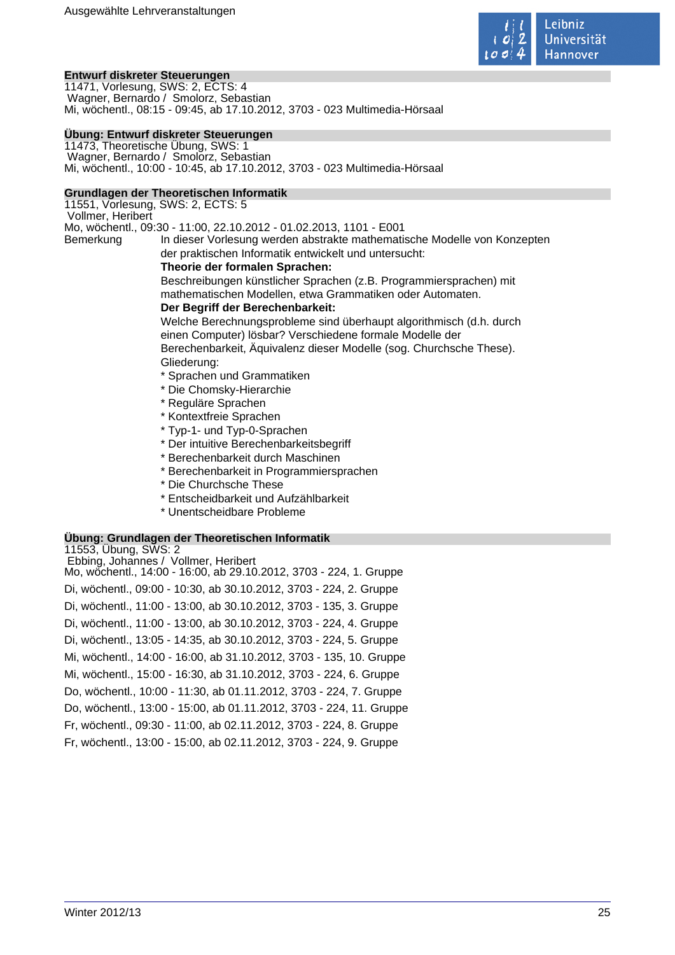

### **Entwurf diskreter Steuerungen**

11471, Vorlesung, SWS: 2, ECTS: 4 Wagner, Bernardo / Smolorz, Sebastian Mi, wöchentl., 08:15 - 09:45, ab 17.10.2012, 3703 - 023 Multimedia-Hörsaal

### **Übung: Entwurf diskreter Steuerungen**

11473, Theoretische Übung, SWS: 1 Wagner, Bernardo / Smolorz, Sebastian Mi, wöchentl., 10:00 - 10:45, ab 17.10.2012, 3703 - 023 Multimedia-Hörsaal

### **Grundlagen der Theoretischen Informatik**

11551, Vorlesung, SWS: 2, ECTS: 5 Vollmer, Heribert Mo, wöchentl., 09:30 - 11:00, 22.10.2012 - 01.02.2013, 1101 - E001 Bemerkung In dieser Vorlesung werden abstrakte mathematische Modelle von Konzepten der praktischen Informatik entwickelt und untersucht:

### **Theorie der formalen Sprachen:**

Beschreibungen künstlicher Sprachen (z.B. Programmiersprachen) mit mathematischen Modellen, etwa Grammatiken oder Automaten.

### **Der Begriff der Berechenbarkeit:**

Welche Berechnungsprobleme sind überhaupt algorithmisch (d.h. durch einen Computer) lösbar? Verschiedene formale Modelle der

Berechenbarkeit, Äquivalenz dieser Modelle (sog. Churchsche These).

Gliederung:

- \* Sprachen und Grammatiken
- \* Die Chomsky-Hierarchie
- \* Reguläre Sprachen
- \* Kontextfreie Sprachen
- \* Typ-1- und Typ-0-Sprachen
- \* Der intuitive Berechenbarkeitsbegriff
- \* Berechenbarkeit durch Maschinen
- \* Berechenbarkeit in Programmiersprachen
- \* Die Churchsche These
- \* Entscheidbarkeit und Aufzählbarkeit
- \* Unentscheidbare Probleme

### **Übung: Grundlagen der Theoretischen Informatik**

| 11553, Übung, SWS: 2                                                |
|---------------------------------------------------------------------|
| Ebbing, Johannes / Vollmer, Heribert                                |
| Mo, wochentl., 14:00 - 16:00, ab 29.10.2012, 3703 - 224, 1. Gruppe  |
| Di, wöchentl., 09:00 - 10:30, ab 30.10.2012, 3703 - 224, 2. Gruppe  |
| Di, wöchentl., 11:00 - 13:00, ab 30.10.2012, 3703 - 135, 3. Gruppe  |
| Di, wöchentl., 11:00 - 13:00, ab 30.10.2012, 3703 - 224, 4. Gruppe  |
| Di, wöchentl., 13:05 - 14:35, ab 30.10.2012, 3703 - 224, 5. Gruppe  |
| Mi, wöchentl., 14:00 - 16:00, ab 31.10.2012, 3703 - 135, 10. Gruppe |
| Mi, wöchentl., 15:00 - 16:30, ab 31.10.2012, 3703 - 224, 6. Gruppe  |
| Do, wöchentl., 10:00 - 11:30, ab 01.11.2012, 3703 - 224, 7. Gruppe  |
| Do, wöchentl., 13:00 - 15:00, ab 01.11.2012, 3703 - 224, 11. Gruppe |
| Fr, wöchentl., 09:30 - 11:00, ab 02.11.2012, 3703 - 224, 8. Gruppe  |
| Fr, wöchentl., 13:00 - 15:00, ab 02.11.2012, 3703 - 224, 9. Gruppe  |
|                                                                     |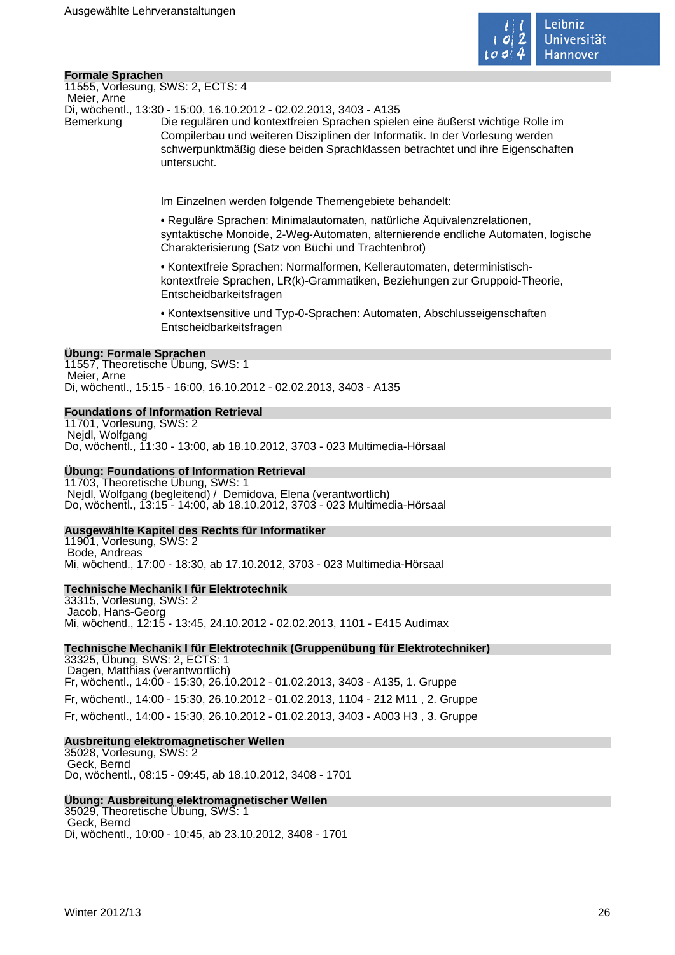

### **Formale Sprachen**

11555, Vorlesung, SWS: 2, ECTS: 4 Meier, Arne

Di, wöchentl., 13:30 - 15:00, 16.10.2012 - 02.02.2013, 3403 - A135

Bemerkung Die regulären und kontextfreien Sprachen spielen eine äußerst wichtige Rolle im Compilerbau und weiteren Disziplinen der Informatik. In der Vorlesung werden schwerpunktmäßig diese beiden Sprachklassen betrachtet und ihre Eigenschaften untersucht.

Im Einzelnen werden folgende Themengebiete behandelt:

• Reguläre Sprachen: Minimalautomaten, natürliche Äquivalenzrelationen, syntaktische Monoide, 2-Weg-Automaten, alternierende endliche Automaten, logische Charakterisierung (Satz von Büchi und Trachtenbrot)

• Kontextfreie Sprachen: Normalformen, Kellerautomaten, deterministischkontextfreie Sprachen, LR(k)-Grammatiken, Beziehungen zur Gruppoid-Theorie, Entscheidbarkeitsfragen

• Kontextsensitive und Typ-0-Sprachen: Automaten, Abschlusseigenschaften Entscheidbarkeitsfragen

### **Übung: Formale Sprachen**

11557, Theoretische Übung, SWS: 1 Meier, Arne Di, wöchentl., 15:15 - 16:00, 16.10.2012 - 02.02.2013, 3403 - A135

### **Foundations of Information Retrieval**

11701, Vorlesung, SWS: 2 Nejdl, Wolfgang Do, wöchentl., 11:30 - 13:00, ab 18.10.2012, 3703 - 023 Multimedia-Hörsaal

### **Übung: Foundations of Information Retrieval**

11703, Theoretische Übung, SWS: 1 Nejdl, Wolfgang (begleitend) / Demidova, Elena (verantwortlich) Do, wöchentl., 13:15 - 14:00, ab 18.10.2012, 3703 - 023 Multimedia-Hörsaal

### **Ausgewählte Kapitel des Rechts für Informatiker**

11901, Vorlesung, SWS: 2 Bode, Andreas Mi, wöchentl., 17:00 - 18:30, ab 17.10.2012, 3703 - 023 Multimedia-Hörsaal

### **Technische Mechanik I für Elektrotechnik**

33315, Vorlesung, SWS: 2 Jacob, Hans-Georg Mi, wöchentl., 12:15 - 13:45, 24.10.2012 - 02.02.2013, 1101 - E415 Audimax

**Technische Mechanik I für Elektrotechnik (Gruppenübung für Elektrotechniker)**

33325, Übung, SWS: 2, ECTS: 1 Dagen, Matthias (verantwortlich) Fr, wöchentl., 14:00 - 15:30, 26.10.2012 - 01.02.2013, 3403 - A135, 1. Gruppe Fr, wöchentl., 14:00 - 15:30, 26.10.2012 - 01.02.2013, 1104 - 212 M11 , 2. Gruppe Fr, wöchentl., 14:00 - 15:30, 26.10.2012 - 01.02.2013, 3403 - A003 H3 , 3. Gruppe

### **Ausbreitung elektromagnetischer Wellen**

35028, Vorlesung, SWS: 2 Geck, Bernd Do, wöchentl., 08:15 - 09:45, ab 18.10.2012, 3408 - 1701

### **Übung: Ausbreitung elektromagnetischer Wellen**

35029, Theoretische Übung, SWS: 1 Geck, Bernd Di, wöchentl., 10:00 - 10:45, ab 23.10.2012, 3408 - 1701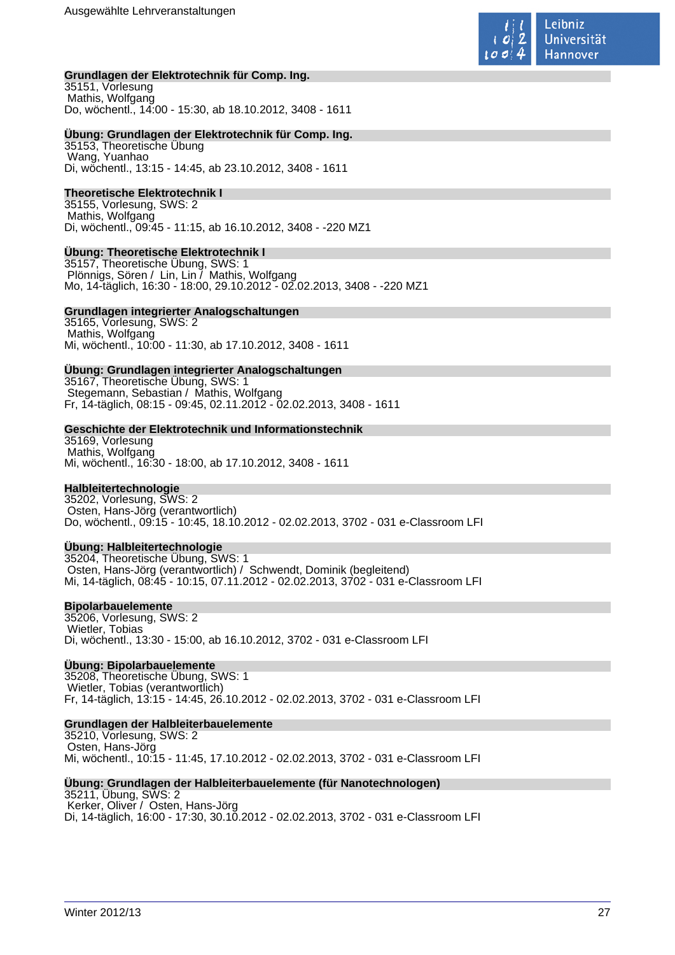

### **Grundlagen der Elektrotechnik für Comp. Ing.**

35151, Vorlesung Mathis, Wolfgang Do, wöchentl., 14:00 - 15:30, ab 18.10.2012, 3408 - 1611

### **Übung: Grundlagen der Elektrotechnik für Comp. Ing.**

35153, Theoretische Übung Wang, Yuanhao Di, wöchentl., 13:15 - 14:45, ab 23.10.2012, 3408 - 1611

### **Theoretische Elektrotechnik I**

35155, Vorlesung, SWS: 2 Mathis, Wolfgang Di, wöchentl., 09:45 - 11:15, ab 16.10.2012, 3408 - -220 MZ1

### **Übung: Theoretische Elektrotechnik I**

35157, Theoretische Übung, SWS: 1 Plönnigs, Sören / Lin, Lin / Mathis, Wolfgang Mo, 14-täglich, 16:30 - 18:00, 29.10.2012 - 02.02.2013, 3408 - -220 MZ1

#### **Grundlagen integrierter Analogschaltungen**

35165, Vorlesung, SWS: 2 Mathis, Wolfgang Mi, wöchentl., 10:00 - 11:30, ab 17.10.2012, 3408 - 1611

### **Übung: Grundlagen integrierter Analogschaltungen**

35167, Theoretische Übung, SWS: 1 Stegemann, Sebastian / Mathis, Wolfgang Fr, 14-täglich, 08:15 - 09:45, 02.11.2012 - 02.02.2013, 3408 - 1611

#### **Geschichte der Elektrotechnik und Informationstechnik**

35169, Vorlesung Mathis, Wolfgang Mi, wöchentl., 16:30 - 18:00, ab 17.10.2012, 3408 - 1611

### **Halbleitertechnologie**

35202, Vorlesung, SWS: 2 Osten, Hans-Jörg (verantwortlich) Do, wöchentl., 09:15 - 10:45, 18.10.2012 - 02.02.2013, 3702 - 031 e-Classroom LFI

### **Übung: Halbleitertechnologie**

35204, Theoretische Übung, SWS: 1 Osten, Hans-Jörg (verantwortlich) / Schwendt, Dominik (begleitend) Mi, 14-täglich, 08:45 - 10:15, 07.11.2012 - 02.02.2013, 3702 - 031 e-Classroom LFI

### **Bipolarbauelemente**

35206, Vorlesung, SWS: 2 Wietler, Tobias Di, wöchentl., 13:30 - 15:00, ab 16.10.2012, 3702 - 031 e-Classroom LFI

### **Übung: Bipolarbauelemente**

35208, Theoretische Übung, SWS: 1 Wietler, Tobias (verantwortlich) Fr, 14-täglich, 13:15 - 14:45, 26.10.2012 - 02.02.2013, 3702 - 031 e-Classroom LFI

### **Grundlagen der Halbleiterbauelemente**

35210, Vorlesung, SWS: 2 Osten, Hans-Jörg Mi, wöchentl., 10:15 - 11:45, 17.10.2012 - 02.02.2013, 3702 - 031 e-Classroom LFI

**Übung: Grundlagen der Halbleiterbauelemente (für Nanotechnologen)** 35211, Übung, SWS: 2 Kerker, Oliver / Osten, Hans-Jörg Di, 14-täglich, 16:00 - 17:30, 30.10.2012 - 02.02.2013, 3702 - 031 e-Classroom LFI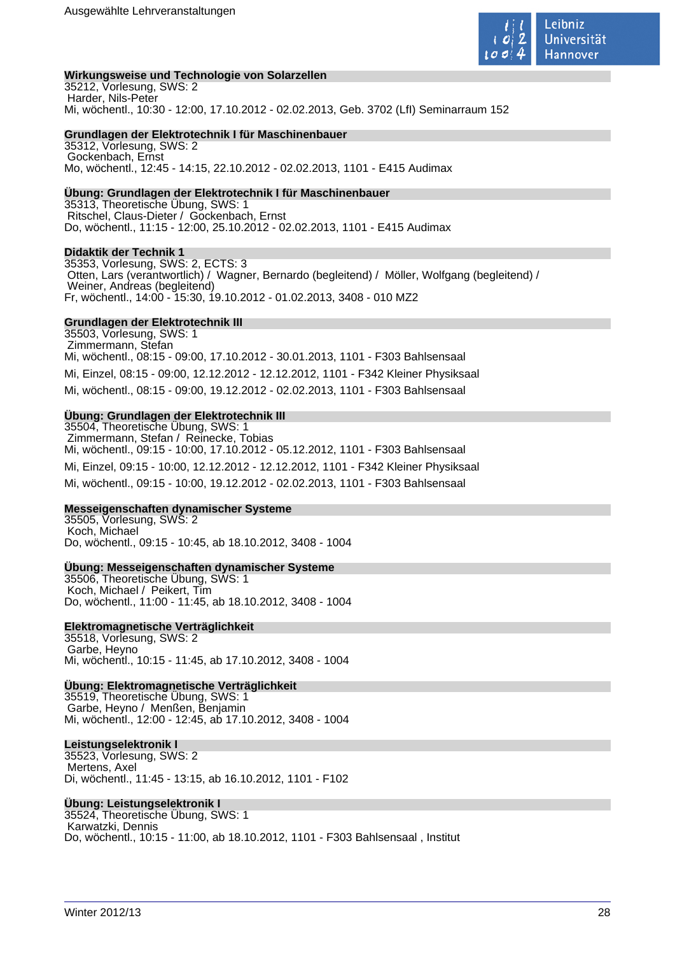

#### **Wirkungsweise und Technologie von Solarzellen**

35212, Vorlesung, SWS: 2 Harder, Nils-Peter Mi, wöchentl., 10:30 - 12:00, 17.10.2012 - 02.02.2013, Geb. 3702 (LfI) Seminarraum 152

#### **Grundlagen der Elektrotechnik I für Maschinenbauer**

35312, Vorlesung, SWS: 2 Gockenbach, Ernst Mo, wöchentl., 12:45 - 14:15, 22.10.2012 - 02.02.2013, 1101 - E415 Audimax

#### **Übung: Grundlagen der Elektrotechnik I für Maschinenbauer**

35313, Theoretische Übung, SWS: 1 Ritschel, Claus-Dieter / Gockenbach, Ernst Do, wöchentl., 11:15 - 12:00, 25.10.2012 - 02.02.2013, 1101 - E415 Audimax

#### **Didaktik der Technik 1**

35353, Vorlesung, SWS: 2, ECTS: 3 Otten, Lars (verantwortlich) / Wagner, Bernardo (begleitend) / Möller, Wolfgang (begleitend) / Weiner, Andreas (begleitend) Fr, wöchentl., 14:00 - 15:30, 19.10.2012 - 01.02.2013, 3408 - 010 MZ2

#### **Grundlagen der Elektrotechnik III**

35503, Vorlesung, SWS: 1 Zimmermann, Stefan Mi, wöchentl., 08:15 - 09:00, 17.10.2012 - 30.01.2013, 1101 - F303 Bahlsensaal Mi, Einzel, 08:15 - 09:00, 12.12.2012 - 12.12.2012, 1101 - F342 Kleiner Physiksaal Mi, wöchentl., 08:15 - 09:00, 19.12.2012 - 02.02.2013, 1101 - F303 Bahlsensaal

#### **Übung: Grundlagen der Elektrotechnik III**

35504, Theoretische Übung, SWS: 1 Zimmermann, Stefan / Reinecke, Tobias Mi, wöchentl., 09:15 - 10:00, 17.10.2012 - 05.12.2012, 1101 - F303 Bahlsensaal Mi, Einzel, 09:15 - 10:00, 12.12.2012 - 12.12.2012, 1101 - F342 Kleiner Physiksaal Mi, wöchentl., 09:15 - 10:00, 19.12.2012 - 02.02.2013, 1101 - F303 Bahlsensaal

#### **Messeigenschaften dynamischer Systeme**

35505, Vorlesung, SWS: 2 Koch, Michael Do, wöchentl., 09:15 - 10:45, ab 18.10.2012, 3408 - 1004

#### **Übung: Messeigenschaften dynamischer Systeme**

35506, Theoretische Übung, SWS: 1 Koch, Michael / Peikert, Tim Do, wöchentl., 11:00 - 11:45, ab 18.10.2012, 3408 - 1004

#### **Elektromagnetische Verträglichkeit**

35518, Vorlesung, SWS: 2 Garbe, Heyno Mi, wöchentl., 10:15 - 11:45, ab 17.10.2012, 3408 - 1004

#### **Übung: Elektromagnetische Verträglichkeit**

35519, Theoretische Übung, SWS: 1 Garbe, Heyno / Menßen, Benjamin Mi, wöchentl., 12:00 - 12:45, ab 17.10.2012, 3408 - 1004

#### **Leistungselektronik I**

35523, Vorlesung, SWS: 2 Mertens, Axel Di, wöchentl., 11:45 - 13:15, ab 16.10.2012, 1101 - F102

### **Übung: Leistungselektronik I**

35524, Theoretische Übung, SWS: 1 Karwatzki, Dennis Do, wöchentl., 10:15 - 11:00, ab 18.10.2012, 1101 - F303 Bahlsensaal , Institut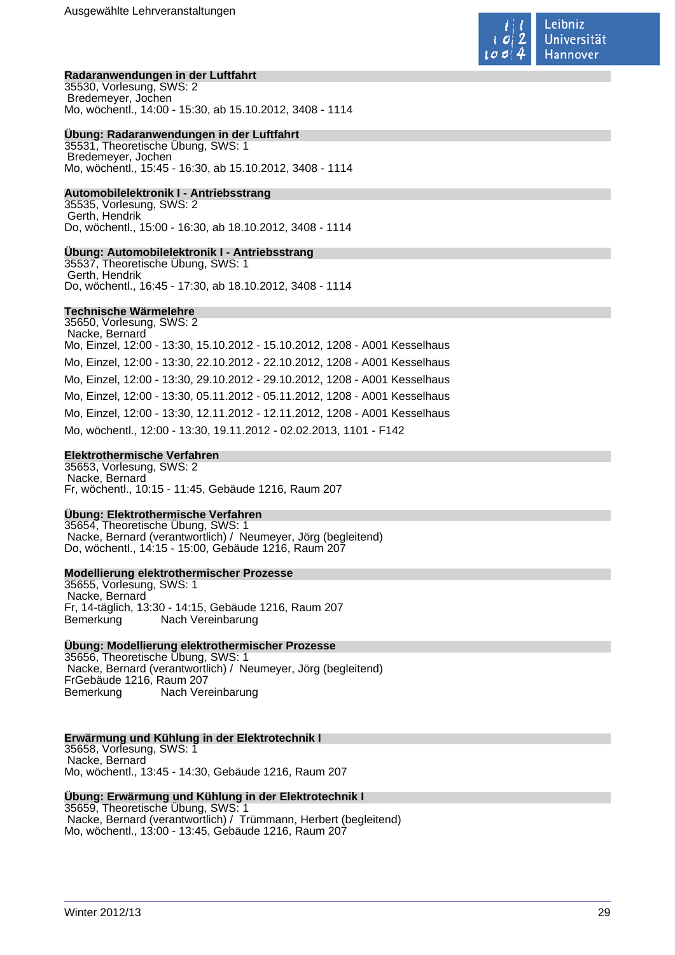

### **Radaranwendungen in der Luftfahrt**

35530, Vorlesung, SWS: 2 Bredemeyer, Jochen Mo, wöchentl., 14:00 - 15:30, ab 15.10.2012, 3408 - 1114

### **Übung: Radaranwendungen in der Luftfahrt**

35531, Theoretische Übung, SWS: 1 Bredemeyer, Jochen Mo, wöchentl., 15:45 - 16:30, ab 15.10.2012, 3408 - 1114

### **Automobilelektronik I - Antriebsstrang**

35535, Vorlesung, SWS: 2 Gerth, Hendrik Do, wöchentl., 15:00 - 16:30, ab 18.10.2012, 3408 - 1114

### **Übung: Automobilelektronik I - Antriebsstrang**

35537, Theoretische Übung, SWS: 1 Gerth, Hendrik Do, wöchentl., 16:45 - 17:30, ab 18.10.2012, 3408 - 1114

### **Technische Wärmelehre**

35650, Vorlesung, SWS: 2 Nacke, Bernard Mo, Einzel, 12:00 - 13:30, 15.10.2012 - 15.10.2012, 1208 - A001 Kesselhaus Mo, Einzel, 12:00 - 13:30, 22.10.2012 - 22.10.2012, 1208 - A001 Kesselhaus Mo, Einzel, 12:00 - 13:30, 29.10.2012 - 29.10.2012, 1208 - A001 Kesselhaus Mo, Einzel, 12:00 - 13:30, 05.11.2012 - 05.11.2012, 1208 - A001 Kesselhaus Mo, Einzel, 12:00 - 13:30, 12.11.2012 - 12.11.2012, 1208 - A001 Kesselhaus Mo, wöchentl., 12:00 - 13:30, 19.11.2012 - 02.02.2013, 1101 - F142

### **Elektrothermische Verfahren**

35653, Vorlesung, SWS: 2 Nacke, Bernard Fr, wöchentl., 10:15 - 11:45, Gebäude 1216, Raum 207

### **Übung: Elektrothermische Verfahren**

35654, Theoretische Übung, SWS: 1 Nacke, Bernard (verantwortlich) / Neumeyer, Jörg (begleitend) Do, wöchentl., 14:15 - 15:00, Gebäude 1216, Raum 207

### **Modellierung elektrothermischer Prozesse**

35655, Vorlesung, SWS: 1 Nacke, Bernard Fr, 14-täglich, 13:30 - 14:15, Gebäude 1216, Raum 207 Bemerkung Nach Vereinbarung

### **Übung: Modellierung elektrothermischer Prozesse**

35656, Theoretische Übung, SWS: 1 Nacke, Bernard (verantwortlich) / Neumeyer, Jörg (begleitend) FrGebäude 1216, Raum 207 Bemerkung Nach Vereinbarung

### **Erwärmung und Kühlung in der Elektrotechnik I**

35658, Vorlesung, SWS: 1 Nacke, Bernard Mo, wöchentl., 13:45 - 14:30, Gebäude 1216, Raum 207

#### **Übung: Erwärmung und Kühlung in der Elektrotechnik I** 35659, Theoretische Übung, SWS: 1

 Nacke, Bernard (verantwortlich) / Trümmann, Herbert (begleitend) Mo, wöchentl., 13:00 - 13:45, Gebäude 1216, Raum 207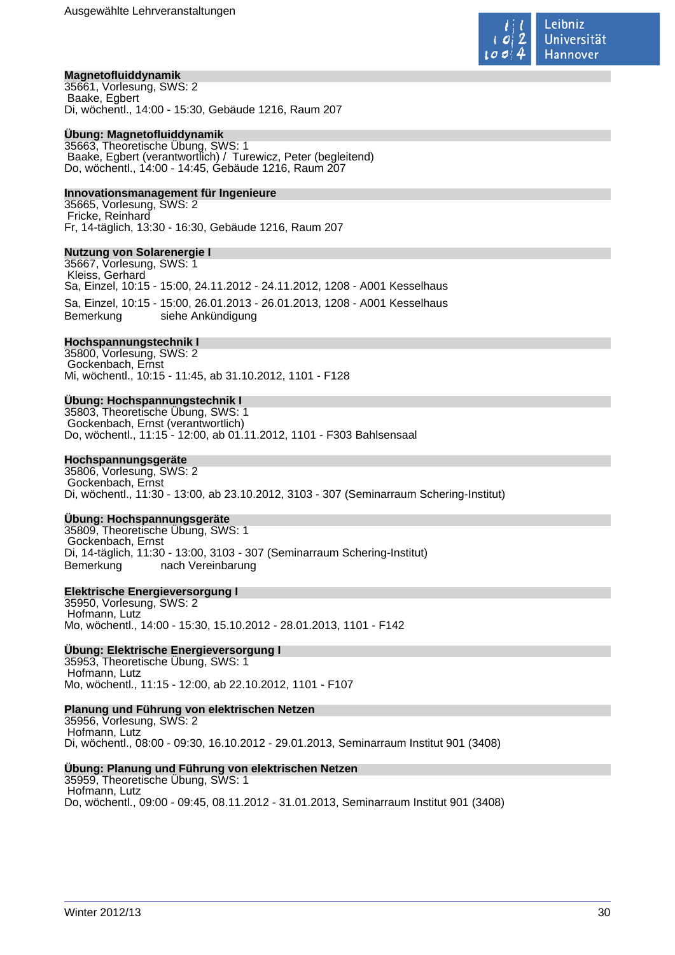

### **Magnetofluiddynamik**

35661, Vorlesung, SWS: 2 Baake, Egbert Di, wöchentl., 14:00 - 15:30, Gebäude 1216, Raum 207

#### **Übung: Magnetofluiddynamik**

35663, Theoretische Übung, SWS: 1 Baake, Egbert (verantwortlich) / Turewicz, Peter (begleitend) Do, wöchentl., 14:00 - 14:45, Gebäude 1216, Raum 207

#### **Innovationsmanagement für Ingenieure**

35665, Vorlesung, SWS: 2 Fricke, Reinhard Fr, 14-täglich, 13:30 - 16:30, Gebäude 1216, Raum 207

#### **Nutzung von Solarenergie I**

35667, Vorlesung, SWS: 1 Kleiss, Gerhard Sa, Einzel, 10:15 - 15:00, 24.11.2012 - 24.11.2012, 1208 - A001 Kesselhaus Sa, Einzel, 10:15 - 15:00, 26.01.2013 - 26.01.2013, 1208 - A001 Kesselhaus siehe Ankündigung

#### **Hochspannungstechnik I**

35800, Vorlesung, SWS: 2 Gockenbach, Ernst Mi, wöchentl., 10:15 - 11:45, ab 31.10.2012, 1101 - F128

### **Übung: Hochspannungstechnik I**

35803, Theoretische Übung, SWS: 1 Gockenbach, Ernst (verantwortlich) Do, wöchentl., 11:15 - 12:00, ab 01.11.2012, 1101 - F303 Bahlsensaal

### **Hochspannungsgeräte**

35806, Vorlesung, SWS: 2 Gockenbach, Ernst Di, wöchentl., 11:30 - 13:00, ab 23.10.2012, 3103 - 307 (Seminarraum Schering-Institut)

### **Übung: Hochspannungsgeräte**

35809, Theoretische Übung, SWS: 1 Gockenbach, Ernst Di, 14-täglich, 11:30 - 13:00, 3103 - 307 (Seminarraum Schering-Institut) Bemerkung nach Vereinbarung

### **Elektrische Energieversorgung I**

35950, Vorlesung, SWS: 2 Hofmann, Lutz Mo, wöchentl., 14:00 - 15:30, 15.10.2012 - 28.01.2013, 1101 - F142

### **Übung: Elektrische Energieversorgung I**

35953, Theoretische Übung, SWS: 1 Hofmann, Lutz Mo, wöchentl., 11:15 - 12:00, ab 22.10.2012, 1101 - F107

#### **Planung und Führung von elektrischen Netzen**

35956, Vorlesung, SWS: 2 Hofmann, Lutz Di, wöchentl., 08:00 - 09:30, 16.10.2012 - 29.01.2013, Seminarraum Institut 901 (3408)

### **Übung: Planung und Führung von elektrischen Netzen**

35959, Theoretische Übung, SWS: 1 Hofmann, Lutz Do, wöchentl., 09:00 - 09:45, 08.11.2012 - 31.01.2013, Seminarraum Institut 901 (3408)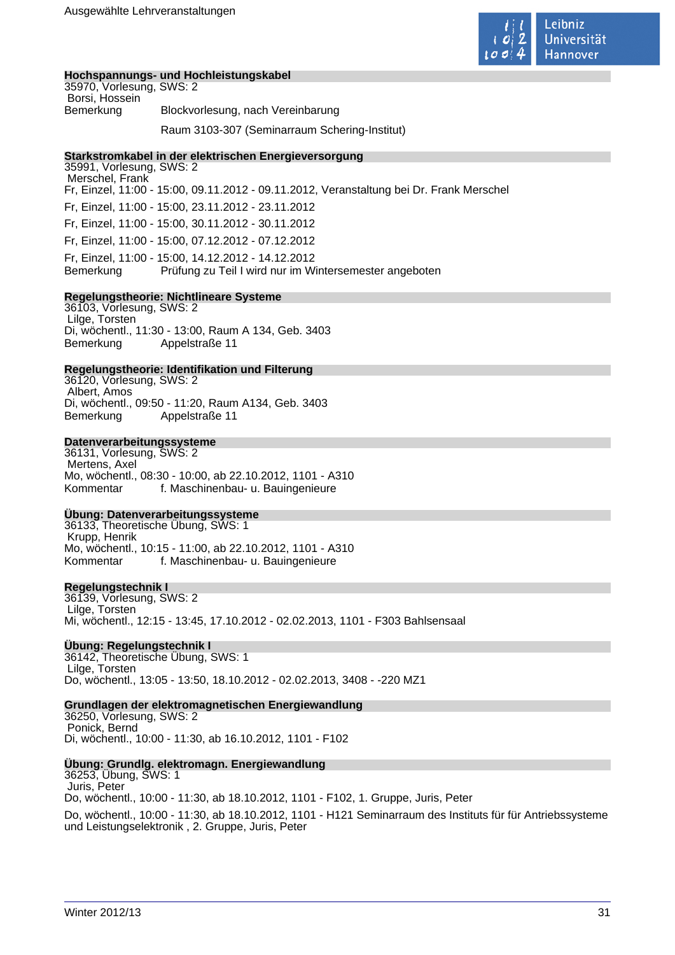

### **Hochspannungs- und Hochleistungskabel**

| 35970, Vorlesung, SWS: 2 |                                               |
|--------------------------|-----------------------------------------------|
| Borsi, Hossein           |                                               |
| Bemerkung                | Blockvorlesung, nach Vereinbarung             |
|                          | Raum 3103-307 (Seminarraum Schering-Institut) |

### **Starkstromkabel in der elektrischen Energieversorgung**

35991, Vorlesung, SWS: 2 Merschel, Frank Fr, Einzel, 11:00 - 15:00, 09.11.2012 - 09.11.2012, Veranstaltung bei Dr. Frank Merschel Fr, Einzel, 11:00 - 15:00, 23.11.2012 - 23.11.2012 Fr, Einzel, 11:00 - 15:00, 30.11.2012 - 30.11.2012 Fr, Einzel, 11:00 - 15:00, 07.12.2012 - 07.12.2012 Fr, Einzel, 11:00 - 15:00, 14.12.2012 - 14.12.2012 Bemerkung Prüfung zu Teil I wird nur im Wintersemester angeboten

### **Regelungstheorie: Nichtlineare Systeme**

36103, Vorlesung, SWS: 2 Lilge, Torsten Di, wöchentl., 11:30 - 13:00, Raum A 134, Geb. 3403 Bemerkung Appelstraße 11

#### **Regelungstheorie: Identifikation und Filterung**

36120, Vorlesung, SWS: 2 Albert, Amos Di, wöchentl., 09:50 - 11:20, Raum A134, Geb. 3403 Bemerkung Appelstraße 11

### **Datenverarbeitungssysteme**

36131, Vorlesung, SWS: 2 Mertens, Axel Mo, wöchentl., 08:30 - 10:00, ab 22.10.2012, 1101 - A310 Kommentar f. Maschinenbau- u. Bauingenieure

#### **Übung: Datenverarbeitungssysteme**

36133, Theoretische Übung, SWS: 1 Krupp, Henrik Mo, wöchentl., 10:15 - 11:00, ab 22.10.2012, 1101 - A310 Kommentar f. Maschinenbau- u. Bauingenieure

#### **Regelungstechnik I**

36139, Vorlesung, SWS: 2 Lilge, Torsten Mi, wöchentl., 12:15 - 13:45, 17.10.2012 - 02.02.2013, 1101 - F303 Bahlsensaal

### **Übung: Regelungstechnik I**

36142, Theoretische Übung, SWS: 1 Lilge, Torsten Do, wöchentl., 13:05 - 13:50, 18.10.2012 - 02.02.2013, 3408 - -220 MZ1

### **Grundlagen der elektromagnetischen Energiewandlung**

36250, Vorlesung, SWS: 2 Ponick, Bernd Di, wöchentl., 10:00 - 11:30, ab 16.10.2012, 1101 - F102

#### **Übung: Grundlg. elektromagn. Energiewandlung**

36253, Übung, SWS: 1 Juris, Peter Do, wöchentl., 10:00 - 11:30, ab 18.10.2012, 1101 - F102, 1. Gruppe, Juris, Peter Do, wöchentl., 10:00 - 11:30, ab 18.10.2012, 1101 - H121 Seminarraum des Instituts für für Antriebssysteme und Leistungselektronik , 2. Gruppe, Juris, Peter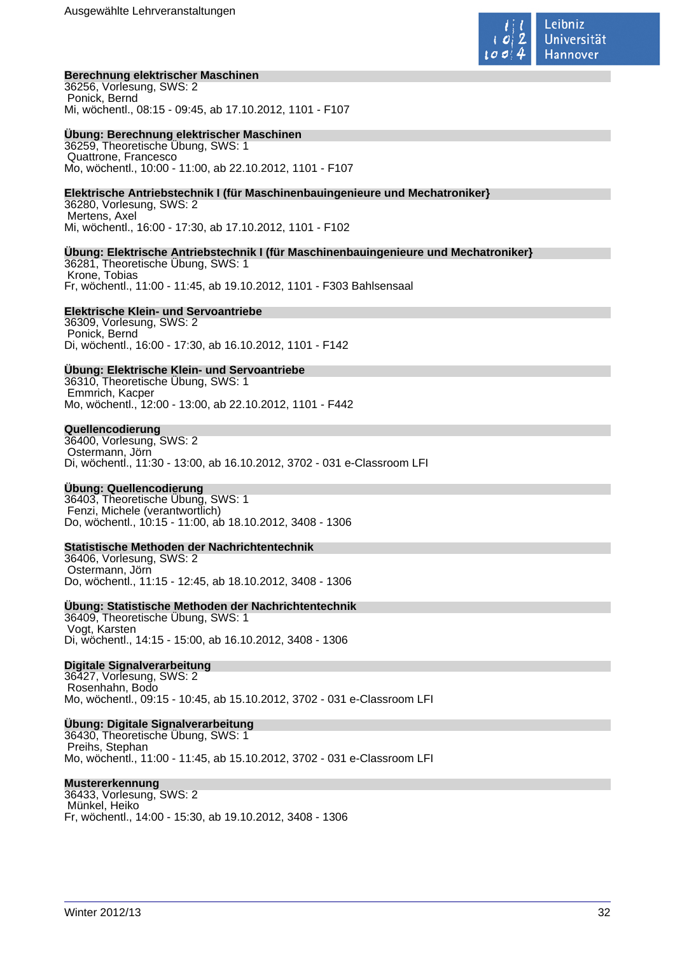

### **Berechnung elektrischer Maschinen**

36256, Vorlesung, SWS: 2 Ponick, Bernd Mi, wöchentl., 08:15 - 09:45, ab 17.10.2012, 1101 - F107

### **Übung: Berechnung elektrischer Maschinen**

36259, Theoretische Übung, SWS: 1 Quattrone, Francesco Mo, wöchentl., 10:00 - 11:00, ab 22.10.2012, 1101 - F107

### **Elektrische Antriebstechnik I (für Maschinenbauingenieure und Mechatroniker}**

36280, Vorlesung, SWS: 2 Mertens, Axel Mi, wöchentl., 16:00 - 17:30, ab 17.10.2012, 1101 - F102

### **Übung: Elektrische Antriebstechnik I (für Maschinenbauingenieure und Mechatroniker}**

36281, Theoretische Übung, SWS: 1 Krone, Tobias Fr, wöchentl., 11:00 - 11:45, ab 19.10.2012, 1101 - F303 Bahlsensaal

### **Elektrische Klein- und Servoantriebe**

36309, Vorlesung, SWS: 2 Ponick, Bernd Di, wöchentl., 16:00 - 17:30, ab 16.10.2012, 1101 - F142

### **Übung: Elektrische Klein- und Servoantriebe**

36310, Theoretische Übung, SWS: 1 Emmrich, Kacper Mo, wöchentl., 12:00 - 13:00, ab 22.10.2012, 1101 - F442

### **Quellencodierung**

36400, Vorlesung, SWS: 2 Ostermann, Jörn Di, wöchentl., 11:30 - 13:00, ab 16.10.2012, 3702 - 031 e-Classroom LFI

### **Übung: Quellencodierung**

36403, Theoretische Übung, SWS: 1 Fenzi, Michele (verantwortlich) Do, wöchentl., 10:15 - 11:00, ab 18.10.2012, 3408 - 1306

### **Statistische Methoden der Nachrichtentechnik**

36406, Vorlesung, SWS: 2 Ostermann, Jörn Do, wöchentl., 11:15 - 12:45, ab 18.10.2012, 3408 - 1306

### **Übung: Statistische Methoden der Nachrichtentechnik**

36409, Theoretische Übung, SWS: 1 Vogt, Karsten Di, wöchentl., 14:15 - 15:00, ab 16.10.2012, 3408 - 1306

### **Digitale Signalverarbeitung**

36427, Vorlesung, SWS: 2 Rosenhahn, Bodo Mo, wöchentl., 09:15 - 10:45, ab 15.10.2012, 3702 - 031 e-Classroom LFI

### **Übung: Digitale Signalverarbeitung**

36430, Theoretische Übung, SWS: 1 Preihs, Stephan Mo, wöchentl., 11:00 - 11:45, ab 15.10.2012, 3702 - 031 e-Classroom LFI

#### **Mustererkennung**

36433, Vorlesung, SWS: 2 Münkel, Heiko Fr, wöchentl., 14:00 - 15:30, ab 19.10.2012, 3408 - 1306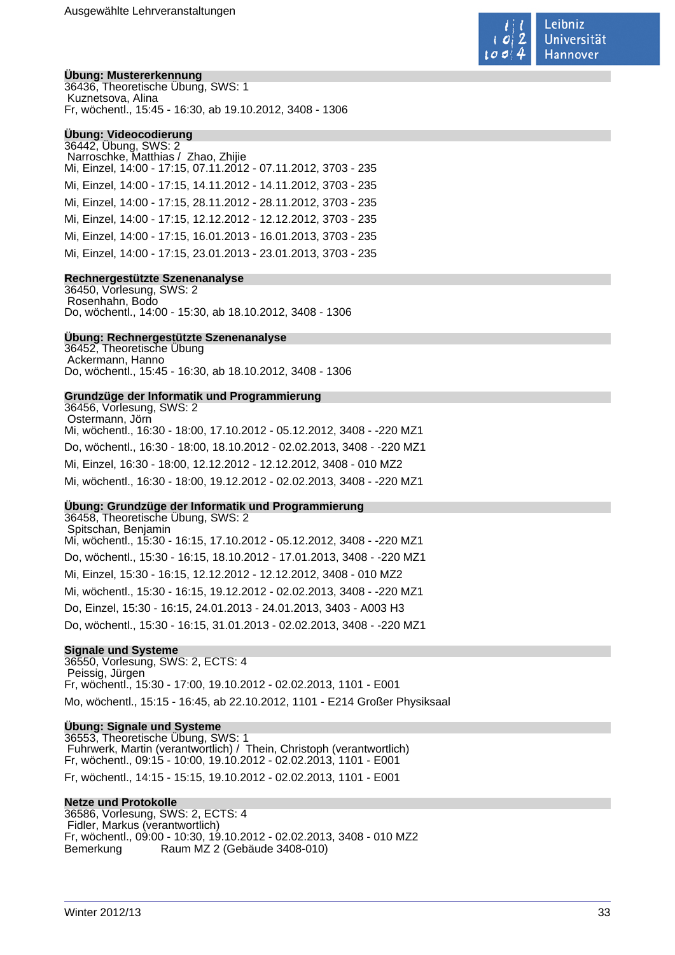

#### **Übung: Mustererkennung**

36436, Theoretische Übung, SWS: 1 Kuznetsova, Alina Fr, wöchentl., 15:45 - 16:30, ab 19.10.2012, 3408 - 1306

### **Übung: Videocodierung**

36442, Übung, SWS: 2 Narroschke, Matthias / Zhao, Zhijie Mi, Einzel, 14:00 - 17:15, 07.11.2012 - 07.11.2012, 3703 - 235 Mi, Einzel, 14:00 - 17:15, 14.11.2012 - 14.11.2012, 3703 - 235 Mi, Einzel, 14:00 - 17:15, 28.11.2012 - 28.11.2012, 3703 - 235 Mi, Einzel, 14:00 - 17:15, 12.12.2012 - 12.12.2012, 3703 - 235 Mi, Einzel, 14:00 - 17:15, 16.01.2013 - 16.01.2013, 3703 - 235 Mi, Einzel, 14:00 - 17:15, 23.01.2013 - 23.01.2013, 3703 - 235

### **Rechnergestützte Szenenanalyse**

36450, Vorlesung, SWS: 2 Rosenhahn, Bodo Do, wöchentl., 14:00 - 15:30, ab 18.10.2012, 3408 - 1306

#### **Übung: Rechnergestützte Szenenanalyse**

36452, Theoretische Übung Ackermann, Hanno Do, wöchentl., 15:45 - 16:30, ab 18.10.2012, 3408 - 1306

#### **Grundzüge der Informatik und Programmierung**

36456, Vorlesung, SWS: 2 Ostermann, Jörn Mi, wöchentl., 16:30 - 18:00, 17.10.2012 - 05.12.2012, 3408 - -220 MZ1 Do, wöchentl., 16:30 - 18:00, 18.10.2012 - 02.02.2013, 3408 - -220 MZ1 Mi, Einzel, 16:30 - 18:00, 12.12.2012 - 12.12.2012, 3408 - 010 MZ2 Mi, wöchentl., 16:30 - 18:00, 19.12.2012 - 02.02.2013, 3408 - -220 MZ1

### **Übung: Grundzüge der Informatik und Programmierung**

36458, Theoretische Übung, SWS: 2 Spitschan, Benjamin Mi, wöchentl., 15:30 - 16:15, 17.10.2012 - 05.12.2012, 3408 - -220 MZ1 Do, wöchentl., 15:30 - 16:15, 18.10.2012 - 17.01.2013, 3408 - -220 MZ1 Mi, Einzel, 15:30 - 16:15, 12.12.2012 - 12.12.2012, 3408 - 010 MZ2 Mi, wöchentl., 15:30 - 16:15, 19.12.2012 - 02.02.2013, 3408 - -220 MZ1 Do, Einzel, 15:30 - 16:15, 24.01.2013 - 24.01.2013, 3403 - A003 H3 Do, wöchentl., 15:30 - 16:15, 31.01.2013 - 02.02.2013, 3408 - -220 MZ1

#### **Signale und Systeme**

36550, Vorlesung, SWS: 2, ECTS: 4 Peissig, Jürgen Fr, wöchentl., 15:30 - 17:00, 19.10.2012 - 02.02.2013, 1101 - E001 Mo, wöchentl., 15:15 - 16:45, ab 22.10.2012, 1101 - E214 Großer Physiksaal

### **Übung: Signale und Systeme**

36553, Theoretische Übung, SWS: 1 Fuhrwerk, Martin (verantwortlich) / Thein, Christoph (verantwortlich) Fr, wöchentl., 09:15 - 10:00, 19.10.2012 - 02.02.2013, 1101 - E001 Fr, wöchentl., 14:15 - 15:15, 19.10.2012 - 02.02.2013, 1101 - E001

#### **Netze und Protokolle**

36586, Vorlesung, SWS: 2, ECTS: 4 Fidler, Markus (verantwortlich) Fr, wöchentl., 09:00 - 10:30, 19.10.2012 - 02.02.2013, 3408 - 010 MZ2 Bemerkung Raum MZ 2 (Gebäude 3408-010)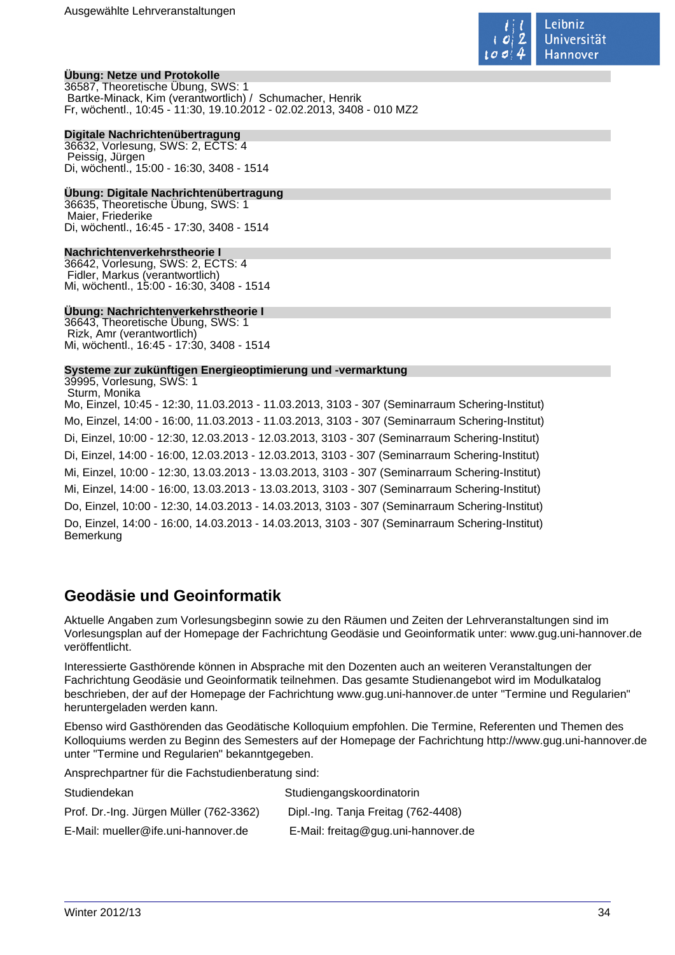

### **Übung: Netze und Protokolle**

36587, Theoretische Übung, SWS: 1 Bartke-Minack, Kim (verantwortlich) / Schumacher, Henrik Fr, wöchentl., 10:45 - 11:30, 19.10.2012 - 02.02.2013, 3408 - 010 MZ2

### **Digitale Nachrichtenübertragung**

36632, Vorlesung, SWS: 2, ECTS: 4 Peissig, Jürgen Di, wöchentl., 15:00 - 16:30, 3408 - 1514

### **Übung: Digitale Nachrichtenübertragung**

36635, Theoretische Übung, SWS: 1 Maier, Friederike Di, wöchentl., 16:45 - 17:30, 3408 - 1514

### **Nachrichtenverkehrstheorie I**

36642, Vorlesung, SWS: 2, ECTS: 4 Fidler, Markus (verantwortlich) Mi, wöchentl., 15:00 - 16:30, 3408 - 1514

### **Übung: Nachrichtenverkehrstheorie I**

36643, Theoretische Übung, SWS: 1 Rizk, Amr (verantwortlich) Mi, wöchentl., 16:45 - 17:30, 3408 - 1514

### **Systeme zur zukünftigen Energieoptimierung und -vermarktung**

39995, Vorlesung, SWS: 1 Sturm, Monika Mo, Einzel, 10:45 - 12:30, 11.03.2013 - 11.03.2013, 3103 - 307 (Seminarraum Schering-Institut) Mo, Einzel, 14:00 - 16:00, 11.03.2013 - 11.03.2013, 3103 - 307 (Seminarraum Schering-Institut) Di, Einzel, 10:00 - 12:30, 12.03.2013 - 12.03.2013, 3103 - 307 (Seminarraum Schering-Institut) Di, Einzel, 14:00 - 16:00, 12.03.2013 - 12.03.2013, 3103 - 307 (Seminarraum Schering-Institut) Mi, Einzel, 10:00 - 12:30, 13.03.2013 - 13.03.2013, 3103 - 307 (Seminarraum Schering-Institut) Mi, Einzel, 14:00 - 16:00, 13.03.2013 - 13.03.2013, 3103 - 307 (Seminarraum Schering-Institut) Do, Einzel, 10:00 - 12:30, 14.03.2013 - 14.03.2013, 3103 - 307 (Seminarraum Schering-Institut) Do, Einzel, 14:00 - 16:00, 14.03.2013 - 14.03.2013, 3103 - 307 (Seminarraum Schering-Institut) Bemerkung

## **Geodäsie und Geoinformatik**

Aktuelle Angaben zum Vorlesungsbeginn sowie zu den Räumen und Zeiten der Lehrveranstaltungen sind im Vorlesungsplan auf der Homepage der Fachrichtung Geodäsie und Geoinformatik unter: www.gug.uni-hannover.de veröffentlicht.

Interessierte Gasthörende können in Absprache mit den Dozenten auch an weiteren Veranstaltungen der Fachrichtung Geodäsie und Geoinformatik teilnehmen. Das gesamte Studienangebot wird im Modulkatalog beschrieben, der auf der Homepage der Fachrichtung www.gug.uni-hannover.de unter "Termine und Regularien" heruntergeladen werden kann.

Ebenso wird Gasthörenden das Geodätische Kolloquium empfohlen. Die Termine, Referenten und Themen des Kolloquiums werden zu Beginn des Semesters auf der Homepage der Fachrichtung http://www.gug.uni-hannover.de unter "Termine und Regularien" bekanntgegeben.

Ansprechpartner für die Fachstudienberatung sind:

| Studiendekan                            | Studiengangskoordinatorin           |
|-----------------------------------------|-------------------------------------|
| Prof. Dr.-Ing. Jürgen Müller (762-3362) | Dipl.-Ing. Tanja Freitag (762-4408) |
| E-Mail: mueller@ife.uni-hannover.de     | E-Mail: freitag@gug.uni-hannover.de |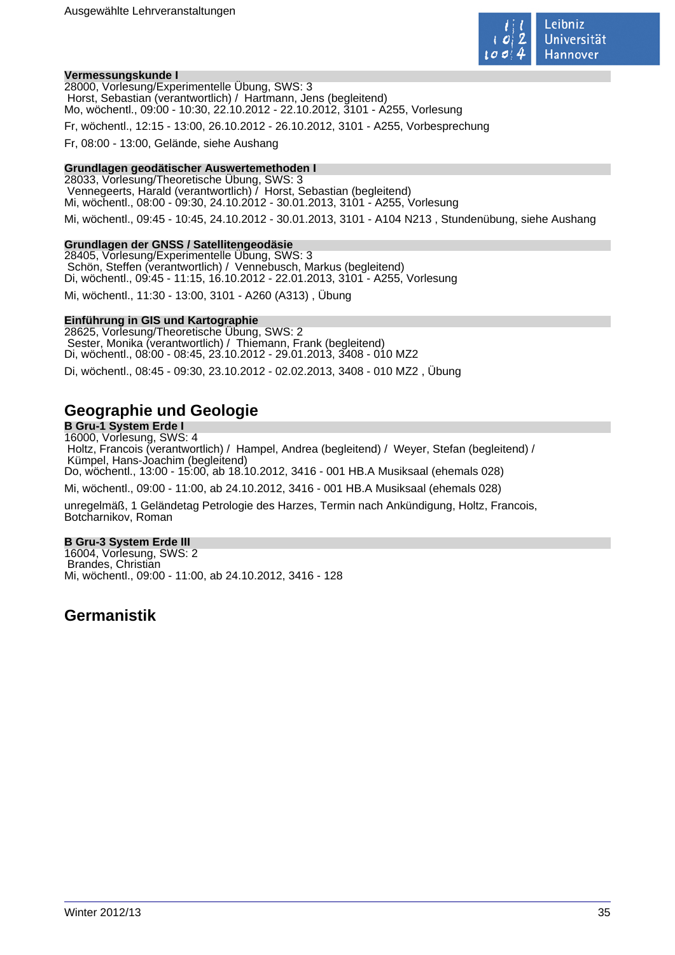

### **Vermessungskunde I**

28000, Vorlesung/Experimentelle Übung, SWS: 3 Horst, Sebastian (verantwortlich) / Hartmann, Jens (begleitend) Mo, wöchentl., 09:00 - 10:30, 22.10.2012 - 22.10.2012, 3101 - A255, Vorlesung

Fr, wöchentl., 12:15 - 13:00, 26.10.2012 - 26.10.2012, 3101 - A255, Vorbesprechung

Fr, 08:00 - 13:00, Gelände, siehe Aushang

### **Grundlagen geodätischer Auswertemethoden I**

28033, Vorlesung/Theoretische Übung, SWS: 3 Vennegeerts, Harald (verantwortlich) / Horst, Sebastian (begleitend) Mi, wöchentl., 08:00 - 09:30, 24.10.2012 - 30.01.2013, 3101 - A255, Vorlesung

Mi, wöchentl., 09:45 - 10:45, 24.10.2012 - 30.01.2013, 3101 - A104 N213 , Stundenübung, siehe Aushang

#### **Grundlagen der GNSS / Satellitengeodäsie**

28405, Vorlesung/Experimentelle Übung, SWS: 3 Schön, Steffen (verantwortlich) / Vennebusch, Markus (begleitend) Di, wöchentl., 09:45 - 11:15, 16.10.2012 - 22.01.2013, 3101 - A255, Vorlesung

Mi, wöchentl., 11:30 - 13:00, 3101 - A260 (A313) , Übung

#### **Einführung in GIS und Kartographie**

28625, Vorlesung/Theoretische Übung, SWS: 2 Sester, Monika (verantwortlich) / Thiemann, Frank (begleitend) Di, wöchentl., 08:00 - 08:45, 23.10.2012 - 29.01.2013, 3408 - 010 MZ2 Di, wöchentl., 08:45 - 09:30, 23.10.2012 - 02.02.2013, 3408 - 010 MZ2 , Übung

## **Geographie und Geologie**

**B Gru-1 System Erde I** 16000, Vorlesung, SWS: 4 Holtz, Francois (verantwortlich) / Hampel, Andrea (begleitend) / Weyer, Stefan (begleitend) / Kümpel, Hans-Joachim (begleitend) Do, wöchentl., 13:00 - 15:00, ab 18.10.2012, 3416 - 001 HB.A Musiksaal (ehemals 028) Mi, wöchentl., 09:00 - 11:00, ab 24.10.2012, 3416 - 001 HB.A Musiksaal (ehemals 028)

unregelmäß, 1 Geländetag Petrologie des Harzes, Termin nach Ankündigung, Holtz, Francois, Botcharnikov, Roman

### **B Gru-3 System Erde III**

16004, Vorlesung, SWS: 2 Brandes, Christian Mi, wöchentl., 09:00 - 11:00, ab 24.10.2012, 3416 - 128

## **Germanistik**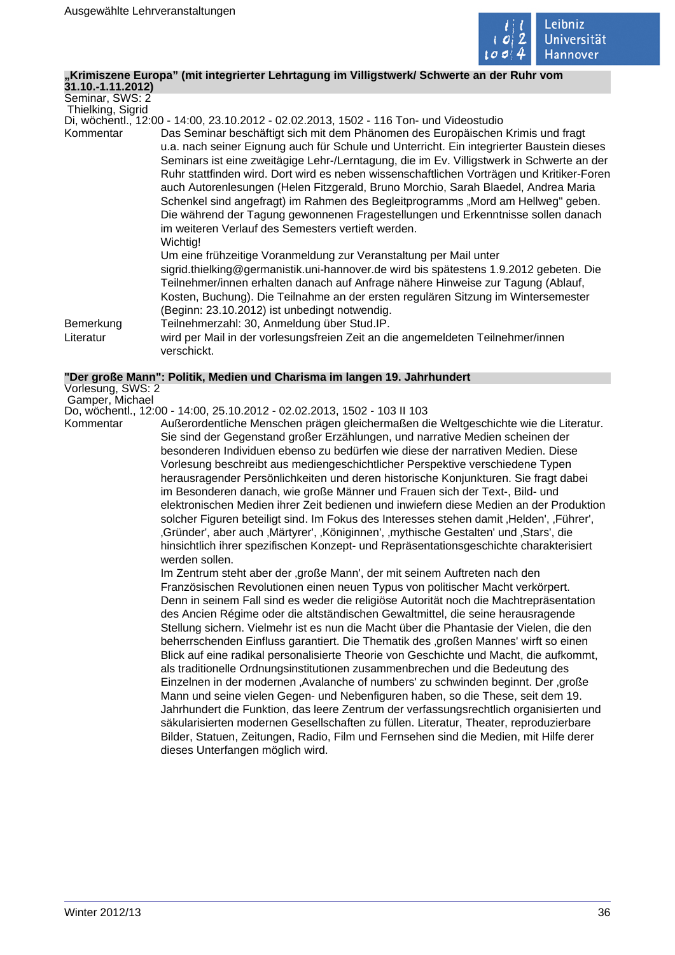

### **"Krimiszene Europa" (mit integrierter Lehrtagung im Villigstwerk/ Schwerte an der Ruhr vom**

**31.10.-1.11.2012)** Seminar, SWS: 2

Thielking, Sigrid

Di, wöchentl., 12:00 - 14:00, 23.10.2012 - 02.02.2013, 1502 - 116 Ton- und Videostudio

Kommentar Das Seminar beschäftigt sich mit dem Phänomen des Europäischen Krimis und fragt u.a. nach seiner Eignung auch für Schule und Unterricht. Ein integrierter Baustein dieses Seminars ist eine zweitägige Lehr-/Lerntagung, die im Ev. Villigstwerk in Schwerte an der Ruhr stattfinden wird. Dort wird es neben wissenschaftlichen Vorträgen und Kritiker-Foren auch Autorenlesungen (Helen Fitzgerald, Bruno Morchio, Sarah Blaedel, Andrea Maria Schenkel sind angefragt) im Rahmen des Begleitprogramms "Mord am Hellweg" geben. Die während der Tagung gewonnenen Fragestellungen und Erkenntnisse sollen danach im weiteren Verlauf des Semesters vertieft werden. Wichtig!

Um eine frühzeitige Voranmeldung zur Veranstaltung per Mail unter

sigrid.thielking@germanistik.uni-hannover.de wird bis spätestens 1.9.2012 gebeten. Die Teilnehmer/innen erhalten danach auf Anfrage nähere Hinweise zur Tagung (Ablauf, Kosten, Buchung). Die Teilnahme an der ersten regulären Sitzung im Wintersemester (Beginn: 23.10.2012) ist unbedingt notwendig.

Bemerkung Teilnehmerzahl: 30, Anmeldung über Stud.IP. Literatur wird per Mail in der vorlesungsfreien Zeit an die angemeldeten Teilnehmer/innen verschickt.

### **"Der große Mann": Politik, Medien und Charisma im langen 19. Jahrhundert**

Vorlesung, SWS: 2 Gamper, Michael

Do, wöchentl., 12:00 - 14:00, 25.10.2012 - 02.02.2013, 1502 - 103 II 103

Kommentar Außerordentliche Menschen prägen gleichermaßen die Weltgeschichte wie die Literatur. Sie sind der Gegenstand großer Erzählungen, und narrative Medien scheinen der besonderen Individuen ebenso zu bedürfen wie diese der narrativen Medien. Diese Vorlesung beschreibt aus mediengeschichtlicher Perspektive verschiedene Typen herausragender Persönlichkeiten und deren historische Konjunkturen. Sie fragt dabei im Besonderen danach, wie große Männer und Frauen sich der Text-, Bild- und elektronischen Medien ihrer Zeit bedienen und inwiefern diese Medien an der Produktion solcher Figuren beteiligt sind. Im Fokus des Interesses stehen damit 'Helden', 'Führer', Gründer', aber auch , Märtyrer', , Königinnen', , mythische Gestalten' und , Stars', die hinsichtlich ihrer spezifischen Konzept- und Repräsentationsgeschichte charakterisiert werden sollen.

> Im Zentrum steht aber der 'große Mann', der mit seinem Auftreten nach den Französischen Revolutionen einen neuen Typus von politischer Macht verkörpert. Denn in seinem Fall sind es weder die religiöse Autorität noch die Machtrepräsentation des Ancien Régime oder die altständischen Gewaltmittel, die seine herausragende Stellung sichern. Vielmehr ist es nun die Macht über die Phantasie der Vielen, die den beherrschenden Einfluss garantiert. Die Thematik des 'großen Mannes' wirft so einen Blick auf eine radikal personalisierte Theorie von Geschichte und Macht, die aufkommt, als traditionelle Ordnungsinstitutionen zusammenbrechen und die Bedeutung des Einzelnen in der modernen ,Avalanche of numbers' zu schwinden beginnt. Der ,große Mann und seine vielen Gegen- und Nebenfiguren haben, so die These, seit dem 19. Jahrhundert die Funktion, das leere Zentrum der verfassungsrechtlich organisierten und säkularisierten modernen Gesellschaften zu füllen. Literatur, Theater, reproduzierbare Bilder, Statuen, Zeitungen, Radio, Film und Fernsehen sind die Medien, mit Hilfe derer dieses Unterfangen möglich wird.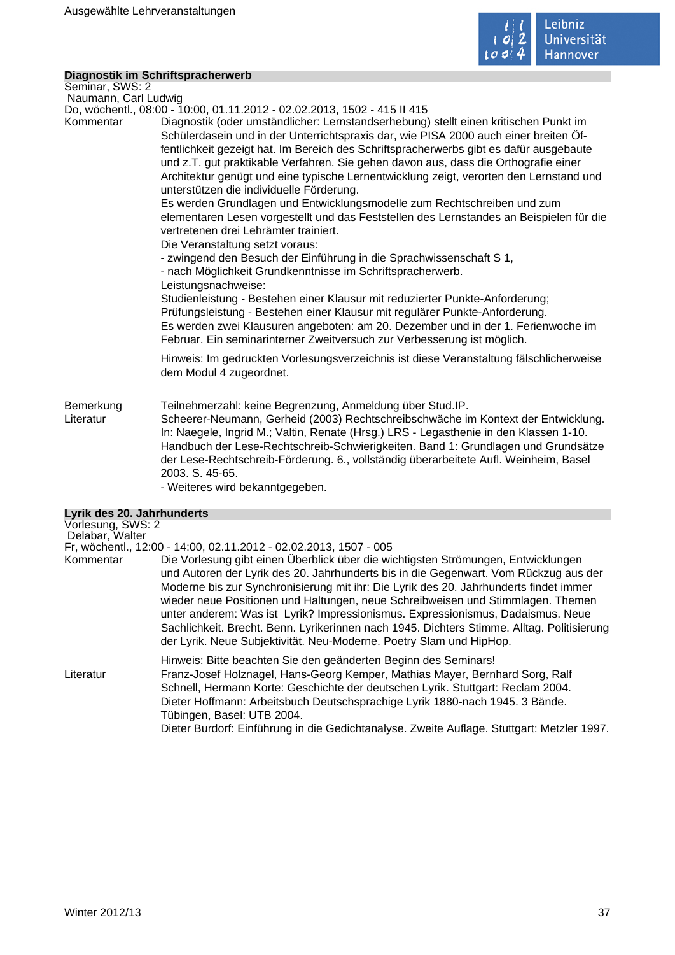

# **Diagnostik im Schriftspracherwerb**

Seminar, SWS: 2 Naumann, Carl Ludwig

Do, wöchentl., 08:00 - 10:00, 01.11.2012 - 02.02.2013, 1502 - 415 II 415

Kommentar Diagnostik (oder umständlicher: Lernstandserhebung) stellt einen kritischen Punkt im Schülerdasein und in der Unterrichtspraxis dar, wie PISA 2000 auch einer breiten Öffentlichkeit gezeigt hat. Im Bereich des Schriftspracherwerbs gibt es dafür ausgebaute und z.T. gut praktikable Verfahren. Sie gehen davon aus, dass die Orthografie einer Architektur genügt und eine typische Lernentwicklung zeigt, verorten den Lernstand und unterstützen die individuelle Förderung.

Es werden Grundlagen und Entwicklungsmodelle zum Rechtschreiben und zum elementaren Lesen vorgestellt und das Feststellen des Lernstandes an Beispielen für die vertretenen drei Lehrämter trainiert.

Die Veranstaltung setzt voraus:

- zwingend den Besuch der Einführung in die Sprachwissenschaft S 1,

- nach Möglichkeit Grundkenntnisse im Schriftspracherwerb.

Leistungsnachweise:

Studienleistung - Bestehen einer Klausur mit reduzierter Punkte-Anforderung; Prüfungsleistung - Bestehen einer Klausur mit regulärer Punkte-Anforderung. Es werden zwei Klausuren angeboten: am 20. Dezember und in der 1. Ferienwoche im Februar. Ein seminarinterner Zweitversuch zur Verbesserung ist möglich.

Hinweis: Im gedruckten Vorlesungsverzeichnis ist diese Veranstaltung fälschlicherweise dem Modul 4 zugeordnet.

# Bemerkung Teilnehmerzahl: keine Begrenzung, Anmeldung über Stud.IP.<br>Literatur Scheerer-Neumann, Gerheid (2003) Rechtschreibschwäche in

Scheerer-Neumann, Gerheid (2003) Rechtschreibschwäche im Kontext der Entwicklung. In: Naegele, Ingrid M.; Valtin, Renate (Hrsg.) LRS - Legasthenie in den Klassen 1-10. Handbuch der Lese-Rechtschreib-Schwierigkeiten. Band 1: Grundlagen und Grundsätze der Lese-Rechtschreib-Förderung. 6., vollständig überarbeitete Aufl. Weinheim, Basel 2003. S. 45-65.

- Weiteres wird bekanntgegeben.

# **Lyrik des 20. Jahrhunderts**

| Vorlesung, SWS: 2                                                                                                                                                                                                                                                                                                                                                                                                                                                                                                                                                                                             |
|---------------------------------------------------------------------------------------------------------------------------------------------------------------------------------------------------------------------------------------------------------------------------------------------------------------------------------------------------------------------------------------------------------------------------------------------------------------------------------------------------------------------------------------------------------------------------------------------------------------|
| Fr, wöchentl., 12:00 - 14:00, 02.11.2012 - 02.02.2013, 1507 - 005                                                                                                                                                                                                                                                                                                                                                                                                                                                                                                                                             |
| Die Vorlesung gibt einen Überblick über die wichtigsten Strömungen, Entwicklungen<br>und Autoren der Lyrik des 20. Jahrhunderts bis in die Gegenwart. Vom Rückzug aus der<br>Moderne bis zur Synchronisierung mit ihr: Die Lyrik des 20. Jahrhunderts findet immer<br>wieder neue Positionen und Haltungen, neue Schreibweisen und Stimmlagen. Themen<br>unter anderem: Was ist Lyrik? Impressionismus. Expressionismus, Dadaismus. Neue<br>Sachlichkeit. Brecht. Benn. Lyrikerinnen nach 1945. Dichters Stimme. Alltag. Politisierung<br>der Lyrik. Neue Subjektivität. Neu-Moderne. Poetry Slam und HipHop. |
| Hinweis: Bitte beachten Sie den geänderten Beginn des Seminars!<br>Franz-Josef Holznagel, Hans-Georg Kemper, Mathias Mayer, Bernhard Sorg, Ralf<br>Schnell, Hermann Korte: Geschichte der deutschen Lyrik. Stuttgart: Reclam 2004.<br>Dieter Hoffmann: Arbeitsbuch Deutschsprachige Lyrik 1880-nach 1945. 3 Bände.<br>Tübingen, Basel: UTB 2004.<br>Dieter Burdorf: Einführung in die Gedichtanalyse. Zweite Auflage. Stuttgart: Metzler 1997.                                                                                                                                                                |
|                                                                                                                                                                                                                                                                                                                                                                                                                                                                                                                                                                                                               |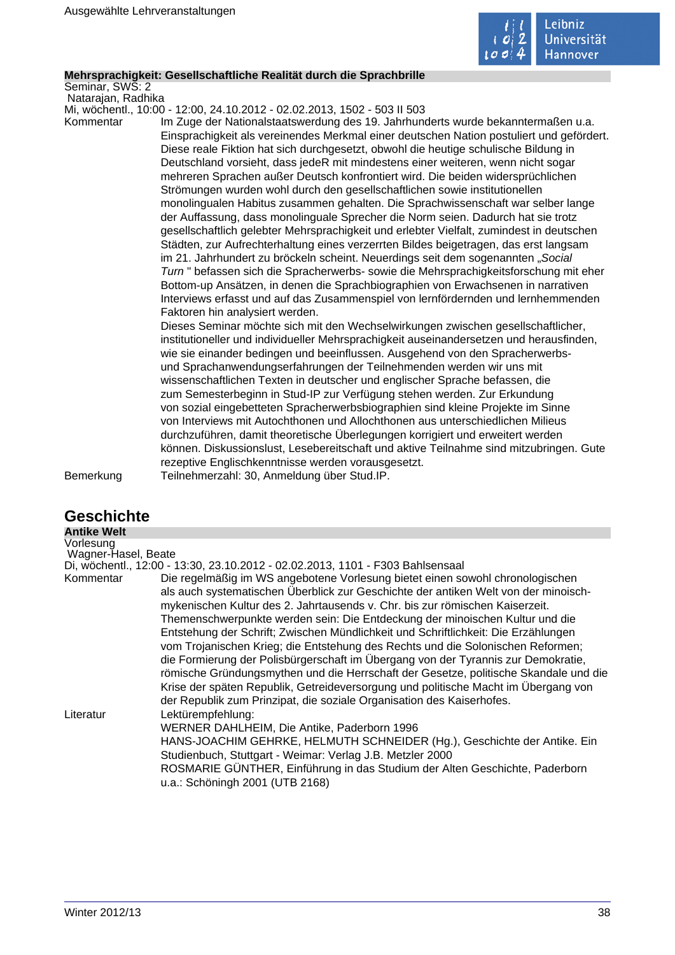

# **Mehrsprachigkeit: Gesellschaftliche Realität durch die Sprachbrille**

Seminar, SWS: 2 Natarajan, Radhika

Mi, wöchentl., 10:00 - 12:00, 24.10.2012 - 02.02.2013, 1502 - 503 II 503

Kommentar Im Zuge der Nationalstaatswerdung des 19. Jahrhunderts wurde bekanntermaßen u.a. Einsprachigkeit als vereinendes Merkmal einer deutschen Nation postuliert und gefördert. Diese reale Fiktion hat sich durchgesetzt, obwohl die heutige schulische Bildung in Deutschland vorsieht, dass jedeR mit mindestens einer weiteren, wenn nicht sogar mehreren Sprachen außer Deutsch konfrontiert wird. Die beiden widersprüchlichen Strömungen wurden wohl durch den gesellschaftlichen sowie institutionellen monolingualen Habitus zusammen gehalten. Die Sprachwissenschaft war selber lange der Auffassung, dass monolinguale Sprecher die Norm seien. Dadurch hat sie trotz gesellschaftlich gelebter Mehrsprachigkeit und erlebter Vielfalt, zumindest in deutschen Städten, zur Aufrechterhaltung eines verzerrten Bildes beigetragen, das erst langsam im 21. Jahrhundert zu bröckeln scheint. Neuerdings seit dem sogenannten "Social Turn " befassen sich die Spracherwerbs- sowie die Mehrsprachigkeitsforschung mit eher Bottom-up Ansätzen, in denen die Sprachbiographien von Erwachsenen in narrativen Interviews erfasst und auf das Zusammenspiel von lernfördernden und lernhemmenden Faktoren hin analysiert werden.

Dieses Seminar möchte sich mit den Wechselwirkungen zwischen gesellschaftlicher, institutioneller und individueller Mehrsprachigkeit auseinandersetzen und herausfinden, wie sie einander bedingen und beeinflussen. Ausgehend von den Spracherwerbsund Sprachanwendungserfahrungen der Teilnehmenden werden wir uns mit wissenschaftlichen Texten in deutscher und englischer Sprache befassen, die zum Semesterbeginn in Stud-IP zur Verfügung stehen werden. Zur Erkundung von sozial eingebetteten Spracherwerbsbiographien sind kleine Projekte im Sinne von Interviews mit Autochthonen und Allochthonen aus unterschiedlichen Milieus durchzuführen, damit theoretische Überlegungen korrigiert und erweitert werden können. Diskussionslust, Lesebereitschaft und aktive Teilnahme sind mitzubringen. Gute rezeptive Englischkenntnisse werden vorausgesetzt. Bemerkung Teilnehmerzahl: 30, Anmeldung über Stud.IP.

| <b>Geschichte</b>                |                                                                                                                                                                                                                                                                                                                                                                                                                                                                                                                                                                                                                                                                                                                                                                                                                                                                                                                                             |
|----------------------------------|---------------------------------------------------------------------------------------------------------------------------------------------------------------------------------------------------------------------------------------------------------------------------------------------------------------------------------------------------------------------------------------------------------------------------------------------------------------------------------------------------------------------------------------------------------------------------------------------------------------------------------------------------------------------------------------------------------------------------------------------------------------------------------------------------------------------------------------------------------------------------------------------------------------------------------------------|
| <b>Antike Welt</b>               |                                                                                                                                                                                                                                                                                                                                                                                                                                                                                                                                                                                                                                                                                                                                                                                                                                                                                                                                             |
| Vorlesung<br>Wagner-Hasel, Beate |                                                                                                                                                                                                                                                                                                                                                                                                                                                                                                                                                                                                                                                                                                                                                                                                                                                                                                                                             |
| Kommentar                        | Di, wöchentl., 12:00 - 13:30, 23.10.2012 - 02.02.2013, 1101 - F303 Bahlsensaal<br>Die regelmäßig im WS angebotene Vorlesung bietet einen sowohl chronologischen<br>als auch systematischen Überblick zur Geschichte der antiken Welt von der minoisch-<br>mykenischen Kultur des 2. Jahrtausends v. Chr. bis zur römischen Kaiserzeit.<br>Themenschwerpunkte werden sein: Die Entdeckung der minoischen Kultur und die<br>Entstehung der Schrift; Zwischen Mündlichkeit und Schriftlichkeit: Die Erzählungen<br>vom Trojanischen Krieg; die Entstehung des Rechts und die Solonischen Reformen;<br>die Formierung der Polisbürgerschaft im Übergang von der Tyrannis zur Demokratie,<br>römische Gründungsmythen und die Herrschaft der Gesetze, politische Skandale und die<br>Krise der späten Republik, Getreideversorgung und politische Macht im Übergang von<br>der Republik zum Prinzipat, die soziale Organisation des Kaiserhofes. |
| Literatur                        | Lektürempfehlung:<br>WERNER DAHLHEIM, Die Antike, Paderborn 1996<br>HANS-JOACHIM GEHRKE, HELMUTH SCHNEIDER (Hg.), Geschichte der Antike. Ein<br>Studienbuch, Stuttgart - Weimar: Verlag J.B. Metzler 2000<br>ROSMARIE GÜNTHER, Einführung in das Studium der Alten Geschichte, Paderborn<br>u.a.: Schöningh 2001 (UTB 2168)                                                                                                                                                                                                                                                                                                                                                                                                                                                                                                                                                                                                                 |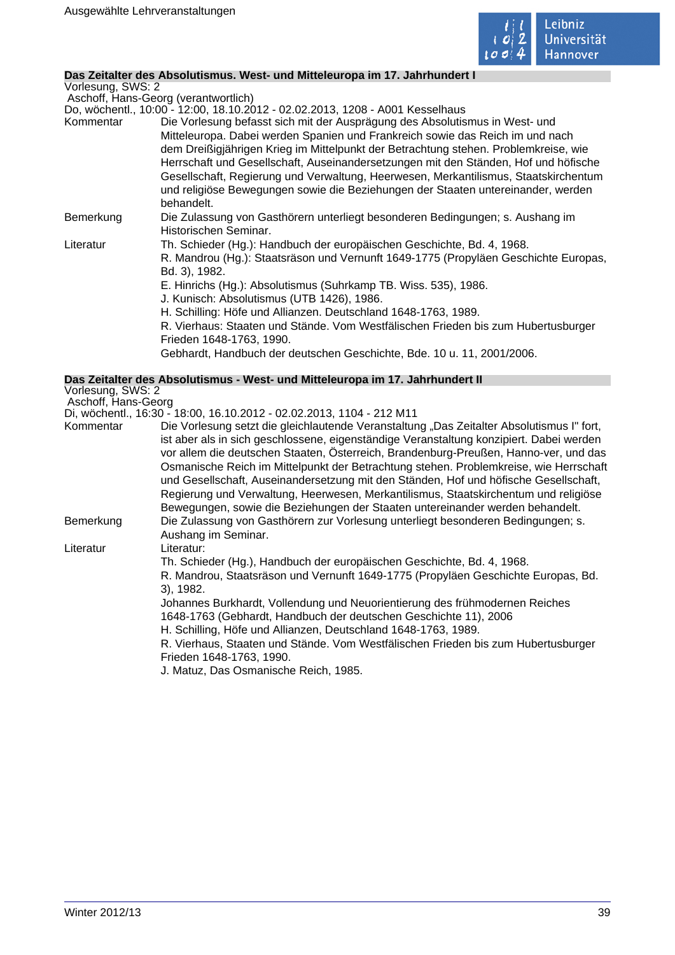

# **Das Zeitalter des Absolutismus. West- und Mitteleuropa im 17. Jahrhundert I**

Vorlesung, SWS: 2

 Aschoff, Hans-Georg (verantwortlich) Do, wöchentl., 10:00 - 12:00, 18.10.2012 - 02.02.2013, 1208 - A001 Kesselhaus

|           | Do, wochenti., 10:00 - 12:00, 18.10.2012 - 02.02.2013, 1208 - A001 Kesselhaus       |
|-----------|-------------------------------------------------------------------------------------|
| Kommentar | Die Vorlesung befasst sich mit der Ausprägung des Absolutismus in West- und         |
|           | Mitteleuropa. Dabei werden Spanien und Frankreich sowie das Reich im und nach       |
|           | dem Dreißigjährigen Krieg im Mittelpunkt der Betrachtung stehen. Problemkreise, wie |
|           | Herrschaft und Gesellschaft, Auseinandersetzungen mit den Ständen, Hof und höfische |
|           | Gesellschaft, Regierung und Verwaltung, Heerwesen, Merkantilismus, Staatskirchentum |
|           | und religiöse Bewegungen sowie die Beziehungen der Staaten untereinander, werden    |
|           | behandelt.                                                                          |
| Bemerkung | Die Zulassung von Gasthörern unterliegt besonderen Bedingungen; s. Aushang im       |
|           | Historischen Seminar.                                                               |
| Literatur | Th. Schieder (Hg.): Handbuch der europäischen Geschichte, Bd. 4, 1968.              |
|           | R. Mandrou (Hg.): Staatsräson und Vernunft 1649-1775 (Propyläen Geschichte Europas, |
|           | Bd. 3), 1982.                                                                       |
|           | E. Hinrichs (Hg.): Absolutismus (Suhrkamp TB. Wiss. 535), 1986.                     |
|           | J. Kunisch: Absolutismus (UTB 1426), 1986.                                          |
|           | H. Schilling: Höfe und Allianzen. Deutschland 1648-1763, 1989.                      |
|           | R. Vierhaus: Staaten und Stände. Vom Westfälischen Frieden bis zum Hubertusburger   |
|           | Frieden 1648-1763, 1990.                                                            |
|           | Gebhardt, Handbuch der deutschen Geschichte, Bde. 10 u. 11, 2001/2006.              |

#### **Das Zeitalter des Absolutismus - West- und Mitteleuropa im 17. Jahrhundert II** Vorlesung, SWS: 2

Aschoff, Hans-Georg

Di, wöchentl., 16:30 - 18:00, 16.10.2012 - 02.02.2013, 1104 - 212 M11

| Kommentar | Die Vorlesung setzt die gleichlautende Veranstaltung "Das Zeitalter Absolutismus I" fort, |
|-----------|-------------------------------------------------------------------------------------------|
|           | ist aber als in sich geschlossene, eigenständige Veranstaltung konzipiert. Dabei werden   |
|           | vor allem die deutschen Staaten, Österreich, Brandenburg-Preußen, Hanno-ver, und das      |
|           | Osmanische Reich im Mittelpunkt der Betrachtung stehen. Problemkreise, wie Herrschaft     |
|           | und Gesellschaft, Auseinandersetzung mit den Ständen, Hof und höfische Gesellschaft,      |
|           | Regierung und Verwaltung, Heerwesen, Merkantilismus, Staatskirchentum und religiöse       |
|           | Bewegungen, sowie die Beziehungen der Staaten untereinander werden behandelt.             |
| Bemerkung | Die Zulassung von Gasthörern zur Vorlesung unterliegt besonderen Bedingungen; s.          |
|           | Aushang im Seminar.                                                                       |
| Literatur | Literatur:                                                                                |
|           | Th. Schieder (Hg.), Handbuch der europäischen Geschichte, Bd. 4, 1968.                    |
|           | R. Mandrou, Staatsräson und Vernunft 1649-1775 (Propyläen Geschichte Europas, Bd.         |
|           | 3), 1982.                                                                                 |
|           | Johannes Burkhardt, Vollendung und Neuorientierung des frühmodernen Reiches               |
|           | 1648-1763 (Gebhardt, Handbuch der deutschen Geschichte 11), 2006                          |
|           | H. Schilling, Höfe und Allianzen, Deutschland 1648-1763, 1989.                            |
|           | R. Vierhaus, Staaten und Stände. Vom Westfälischen Frieden bis zum Hubertusburger         |
|           | Frieden 1648-1763, 1990.                                                                  |
|           | J. Matuz, Das Osmanische Reich, 1985.                                                     |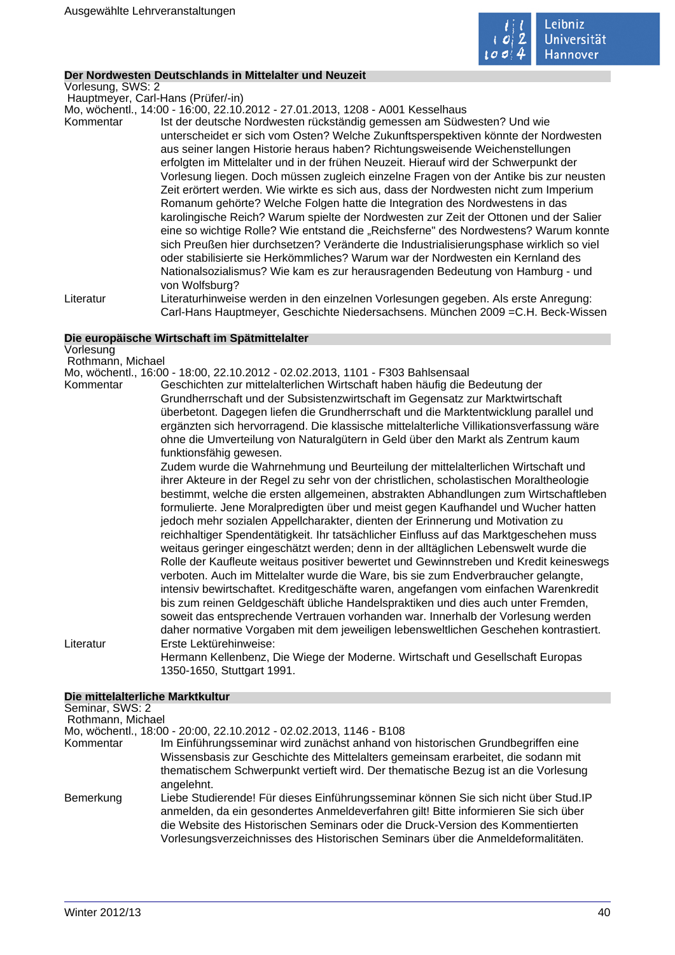

## **Der Nordwesten Deutschlands in Mittelalter und Neuzeit**

Vorlesung, SWS: 2

Hauptmeyer, Carl-Hans (Prüfer/-in)

Mo, wöchentl., 14:00 - 16:00, 22.10.2012 - 27.01.2013, 1208 - A001 Kesselhaus

Kommentar Ist der deutsche Nordwesten rückständig gemessen am Südwesten? Und wie unterscheidet er sich vom Osten? Welche Zukunftsperspektiven könnte der Nordwesten aus seiner langen Historie heraus haben? Richtungsweisende Weichenstellungen erfolgten im Mittelalter und in der frühen Neuzeit. Hierauf wird der Schwerpunkt der Vorlesung liegen. Doch müssen zugleich einzelne Fragen von der Antike bis zur neusten Zeit erörtert werden. Wie wirkte es sich aus, dass der Nordwesten nicht zum Imperium Romanum gehörte? Welche Folgen hatte die Integration des Nordwestens in das karolingische Reich? Warum spielte der Nordwesten zur Zeit der Ottonen und der Salier eine so wichtige Rolle? Wie entstand die "Reichsferne" des Nordwestens? Warum konnte sich Preußen hier durchsetzen? Veränderte die Industrialisierungsphase wirklich so viel oder stabilisierte sie Herkömmliches? Warum war der Nordwesten ein Kernland des Nationalsozialismus? Wie kam es zur herausragenden Bedeutung von Hamburg - und von Wolfsburg?

Literatur Literaturhinweise werden in den einzelnen Vorlesungen gegeben. Als erste Anregung: Carl-Hans Hauptmeyer, Geschichte Niedersachsens. München 2009 =C.H. Beck-Wissen

### **Die europäische Wirtschaft im Spätmittelalter**

Vorlesung Rothmann, Michael

Mo, wöchentl., 16:00 - 18:00, 22.10.2012 - 02.02.2013, 1101 - F303 Bahlsensaal

Kommentar Geschichten zur mittelalterlichen Wirtschaft haben häufig die Bedeutung der Grundherrschaft und der Subsistenzwirtschaft im Gegensatz zur Marktwirtschaft überbetont. Dagegen liefen die Grundherrschaft und die Marktentwicklung parallel und ergänzten sich hervorragend. Die klassische mittelalterliche Villikationsverfassung wäre ohne die Umverteilung von Naturalgütern in Geld über den Markt als Zentrum kaum funktionsfähig gewesen.

Zudem wurde die Wahrnehmung und Beurteilung der mittelalterlichen Wirtschaft und ihrer Akteure in der Regel zu sehr von der christlichen, scholastischen Moraltheologie bestimmt, welche die ersten allgemeinen, abstrakten Abhandlungen zum Wirtschaftleben formulierte. Jene Moralpredigten über und meist gegen Kaufhandel und Wucher hatten jedoch mehr sozialen Appellcharakter, dienten der Erinnerung und Motivation zu reichhaltiger Spendentätigkeit. Ihr tatsächlicher Einfluss auf das Marktgeschehen muss weitaus geringer eingeschätzt werden; denn in der alltäglichen Lebenswelt wurde die Rolle der Kaufleute weitaus positiver bewertet und Gewinnstreben und Kredit keineswegs verboten. Auch im Mittelalter wurde die Ware, bis sie zum Endverbraucher gelangte, intensiv bewirtschaftet. Kreditgeschäfte waren, angefangen vom einfachen Warenkredit bis zum reinen Geldgeschäft übliche Handelspraktiken und dies auch unter Fremden, soweit das entsprechende Vertrauen vorhanden war. Innerhalb der Vorlesung werden daher normative Vorgaben mit dem jeweiligen lebensweltlichen Geschehen kontrastiert. Literatur Erste Lektürehinweise:

> Hermann Kellenbenz, Die Wiege der Moderne. Wirtschaft und Gesellschaft Europas 1350-1650, Stuttgart 1991.

### **Die mittelalterliche Marktkultur**

| Seminar, SWS: 2   |                                                                                                                                                                                                                                                                                                                                                   |
|-------------------|---------------------------------------------------------------------------------------------------------------------------------------------------------------------------------------------------------------------------------------------------------------------------------------------------------------------------------------------------|
| Rothmann, Michael |                                                                                                                                                                                                                                                                                                                                                   |
|                   | Mo, wöchentl., 18:00 - 20:00, 22.10.2012 - 02.02.2013, 1146 - B108                                                                                                                                                                                                                                                                                |
| Kommentar         | Im Einführungsseminar wird zunächst anhand von historischen Grundbegriffen eine<br>Wissensbasis zur Geschichte des Mittelalters gemeinsam erarbeitet, die sodann mit<br>thematischem Schwerpunkt vertieft wird. Der thematische Bezug ist an die Vorlesung<br>angelehnt.                                                                          |
| Bemerkung         | Liebe Studierende! Für dieses Einführungsseminar können Sie sich nicht über Stud. IP<br>anmelden, da ein gesondertes Anmeldeverfahren gilt! Bitte informieren Sie sich über<br>die Website des Historischen Seminars oder die Druck-Version des Kommentierten<br>Vorlesungsverzeichnisses des Historischen Seminars über die Anmeldeformalitäten. |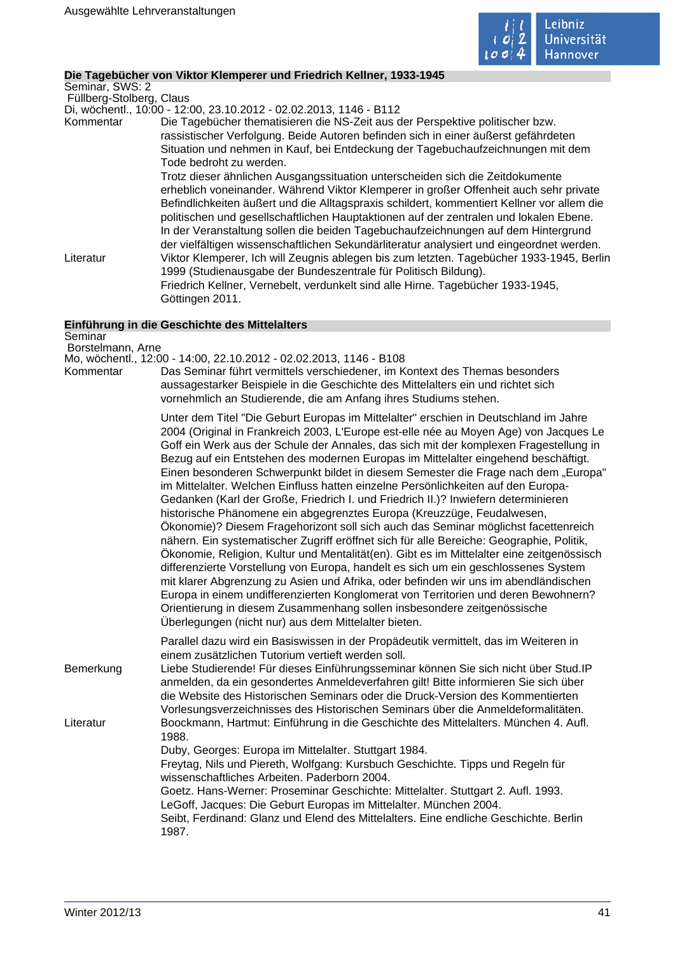

# **Die Tagebücher von Viktor Klemperer und Friedrich Kellner, 1933-1945**

Seminar, SWS: 2 Füllberg-Stolberg, Claus

Di, wöchentl., 10:00 - 12:00, 23.10.2012 - 02.02.2013, 1146 - B112

Kommentar Die Tagebücher thematisieren die NS-Zeit aus der Perspektive politischer bzw. rassistischer Verfolgung. Beide Autoren befinden sich in einer äußerst gefährdeten Situation und nehmen in Kauf, bei Entdeckung der Tagebuchaufzeichnungen mit dem Tode bedroht zu werden.

Trotz dieser ähnlichen Ausgangssituation unterscheiden sich die Zeitdokumente erheblich voneinander. Während Viktor Klemperer in großer Offenheit auch sehr private Befindlichkeiten äußert und die Alltagspraxis schildert, kommentiert Kellner vor allem die politischen und gesellschaftlichen Hauptaktionen auf der zentralen und lokalen Ebene. In der Veranstaltung sollen die beiden Tagebuchaufzeichnungen auf dem Hintergrund der vielfältigen wissenschaftlichen Sekundärliteratur analysiert und eingeordnet werden. Literatur Viktor Klemperer, Ich will Zeugnis ablegen bis zum letzten. Tagebücher 1933-1945, Berlin 1999 (Studienausgabe der Bundeszentrale für Politisch Bildung). Friedrich Kellner, Vernebelt, verdunkelt sind alle Hirne. Tagebücher 1933-1945,

# **Einführung in die Geschichte des Mittelalters**

Göttingen 2011.

|                                           | Ellinum ung in die Geschichte des Mittelalters                                                                                                                                                                                                                                                                                                                                                                                                                                                                                                                                                                                                                                                                                                                                                                                                                                                                                                                                                                                                                                                                                                                                                                                                                                                                                                                                               |
|-------------------------------------------|----------------------------------------------------------------------------------------------------------------------------------------------------------------------------------------------------------------------------------------------------------------------------------------------------------------------------------------------------------------------------------------------------------------------------------------------------------------------------------------------------------------------------------------------------------------------------------------------------------------------------------------------------------------------------------------------------------------------------------------------------------------------------------------------------------------------------------------------------------------------------------------------------------------------------------------------------------------------------------------------------------------------------------------------------------------------------------------------------------------------------------------------------------------------------------------------------------------------------------------------------------------------------------------------------------------------------------------------------------------------------------------------|
| Seminar<br>Borstelmann, Arne<br>Kommentar | Mo, wöchentl., 12:00 - 14:00, 22.10.2012 - 02.02.2013, 1146 - B108<br>Das Seminar führt vermittels verschiedener, im Kontext des Themas besonders<br>aussagestarker Beispiele in die Geschichte des Mittelalters ein und richtet sich<br>vornehmlich an Studierende, die am Anfang ihres Studiums stehen.                                                                                                                                                                                                                                                                                                                                                                                                                                                                                                                                                                                                                                                                                                                                                                                                                                                                                                                                                                                                                                                                                    |
|                                           | Unter dem Titel "Die Geburt Europas im Mittelalter" erschien in Deutschland im Jahre<br>2004 (Original in Frankreich 2003, L'Europe est-elle née au Moyen Age) von Jacques Le<br>Goff ein Werk aus der Schule der Annales, das sich mit der komplexen Fragestellung in<br>Bezug auf ein Entstehen des modernen Europas im Mittelalter eingehend beschäftigt.<br>Einen besonderen Schwerpunkt bildet in diesem Semester die Frage nach dem "Europa"<br>im Mittelalter. Welchen Einfluss hatten einzelne Persönlichkeiten auf den Europa-<br>Gedanken (Karl der Große, Friedrich I. und Friedrich II.)? Inwiefern determinieren<br>historische Phänomene ein abgegrenztes Europa (Kreuzzüge, Feudalwesen,<br>Ökonomie)? Diesem Fragehorizont soll sich auch das Seminar möglichst facettenreich<br>nähern. Ein systematischer Zugriff eröffnet sich für alle Bereiche: Geographie, Politik,<br>Ökonomie, Religion, Kultur und Mentalität(en). Gibt es im Mittelalter eine zeitgenössisch<br>differenzierte Vorstellung von Europa, handelt es sich um ein geschlossenes System<br>mit klarer Abgrenzung zu Asien und Afrika, oder befinden wir uns im abendländischen<br>Europa in einem undifferenzierten Konglomerat von Territorien und deren Bewohnern?<br>Orientierung in diesem Zusammenhang sollen insbesondere zeitgenössische<br>Überlegungen (nicht nur) aus dem Mittelalter bieten. |
| Bemerkung                                 | Parallel dazu wird ein Basiswissen in der Propädeutik vermittelt, das im Weiteren in<br>einem zusätzlichen Tutorium vertieft werden soll.<br>Liebe Studierende! Für dieses Einführungsseminar können Sie sich nicht über Stud.IP<br>anmelden, da ein gesondertes Anmeldeverfahren gilt! Bitte informieren Sie sich über<br>die Website des Historischen Seminars oder die Druck-Version des Kommentierten<br>Vorlesungsverzeichnisses des Historischen Seminars über die Anmeldeformalitäten.                                                                                                                                                                                                                                                                                                                                                                                                                                                                                                                                                                                                                                                                                                                                                                                                                                                                                                |
| Literatur                                 | Boockmann, Hartmut: Einführung in die Geschichte des Mittelalters. München 4. Aufl.<br>1988.<br>Duby, Georges: Europa im Mittelalter. Stuttgart 1984.<br>Freytag, Nils und Piereth, Wolfgang: Kursbuch Geschichte. Tipps und Regeln für<br>wissenschaftliches Arbeiten. Paderborn 2004.<br>Goetz. Hans-Werner: Proseminar Geschichte: Mittelalter. Stuttgart 2. Aufl. 1993.<br>LeGoff, Jacques: Die Geburt Europas im Mittelalter. München 2004.<br>Seibt, Ferdinand: Glanz und Elend des Mittelalters. Eine endliche Geschichte. Berlin<br>1987.                                                                                                                                                                                                                                                                                                                                                                                                                                                                                                                                                                                                                                                                                                                                                                                                                                            |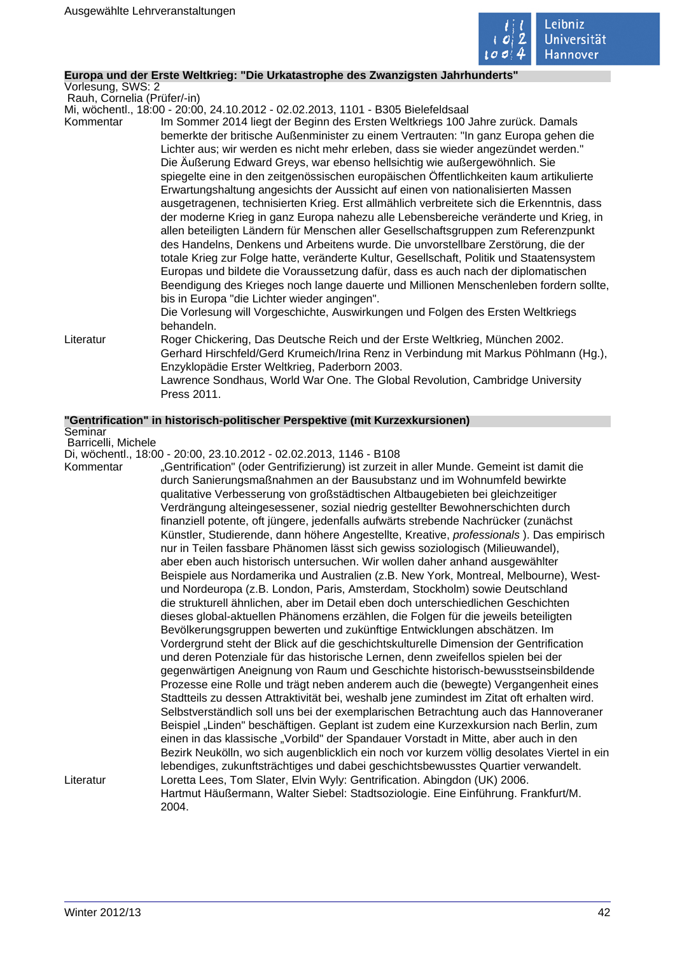

## **Europa und der Erste Weltkrieg: "Die Urkatastrophe des Zwanzigsten Jahrhunderts"**

Vorlesung, SWS: 2 Rauh, Cornelia (Prüfer/-in)

Mi, wöchentl., 18:00 - 20:00, 24.10.2012 - 02.02.2013, 1101 - B305 Bielefeldsaal

Kommentar Im Sommer 2014 liegt der Beginn des Ersten Weltkriegs 100 Jahre zurück. Damals bemerkte der britische Außenminister zu einem Vertrauten: "In ganz Europa gehen die Lichter aus; wir werden es nicht mehr erleben, dass sie wieder angezündet werden." Die Äußerung Edward Greys, war ebenso hellsichtig wie außergewöhnlich. Sie spiegelte eine in den zeitgenössischen europäischen Öffentlichkeiten kaum artikulierte Erwartungshaltung angesichts der Aussicht auf einen von nationalisierten Massen ausgetragenen, technisierten Krieg. Erst allmählich verbreitete sich die Erkenntnis, dass der moderne Krieg in ganz Europa nahezu alle Lebensbereiche veränderte und Krieg, in allen beteiligten Ländern für Menschen aller Gesellschaftsgruppen zum Referenzpunkt des Handelns, Denkens und Arbeitens wurde. Die unvorstellbare Zerstörung, die der totale Krieg zur Folge hatte, veränderte Kultur, Gesellschaft, Politik und Staatensystem Europas und bildete die Voraussetzung dafür, dass es auch nach der diplomatischen Beendigung des Krieges noch lange dauerte und Millionen Menschenleben fordern sollte, bis in Europa "die Lichter wieder angingen". Die Vorlesung will Vorgeschichte, Auswirkungen und Folgen des Ersten Weltkriegs behandeln. Literatur Roger Chickering, Das Deutsche Reich und der Erste Weltkrieg, München 2002. Gerhard Hirschfeld/Gerd Krumeich/Irina Renz in Verbindung mit Markus Pöhlmann (Hg.),

> Enzyklopädie Erster Weltkrieg, Paderborn 2003. Lawrence Sondhaus, World War One. The Global Revolution, Cambridge University Press 2011.

### **"Gentrification" in historisch-politischer Perspektive (mit Kurzexkursionen)**

Seminar Barricelli, Michele

Di, wöchentl., 18:00 - 20:00, 23.10.2012 - 02.02.2013, 1146 - B108

Kommentar "Gentrification" (oder Gentrifizierung) ist zurzeit in aller Munde. Gemeint ist damit die durch Sanierungsmaßnahmen an der Bausubstanz und im Wohnumfeld bewirkte qualitative Verbesserung von großstädtischen Altbaugebieten bei gleichzeitiger Verdrängung alteingesessener, sozial niedrig gestellter Bewohnerschichten durch finanziell potente, oft jüngere, jedenfalls aufwärts strebende Nachrücker (zunächst Künstler, Studierende, dann höhere Angestellte, Kreative, professionals ). Das empirisch nur in Teilen fassbare Phänomen lässt sich gewiss soziologisch (Milieuwandel), aber eben auch historisch untersuchen. Wir wollen daher anhand ausgewählter Beispiele aus Nordamerika und Australien (z.B. New York, Montreal, Melbourne), Westund Nordeuropa (z.B. London, Paris, Amsterdam, Stockholm) sowie Deutschland die strukturell ähnlichen, aber im Detail eben doch unterschiedlichen Geschichten dieses global-aktuellen Phänomens erzählen, die Folgen für die jeweils beteiligten Bevölkerungsgruppen bewerten und zukünftige Entwicklungen abschätzen. Im Vordergrund steht der Blick auf die geschichtskulturelle Dimension der Gentrification und deren Potenziale für das historische Lernen, denn zweifellos spielen bei der gegenwärtigen Aneignung von Raum und Geschichte historisch-bewusstseinsbildende Prozesse eine Rolle und trägt neben anderem auch die (bewegte) Vergangenheit eines Stadtteils zu dessen Attraktivität bei, weshalb jene zumindest im Zitat oft erhalten wird. Selbstverständlich soll uns bei der exemplarischen Betrachtung auch das Hannoveraner Beispiel "Linden" beschäftigen. Geplant ist zudem eine Kurzexkursion nach Berlin, zum einen in das klassische "Vorbild" der Spandauer Vorstadt in Mitte, aber auch in den Bezirk Neukölln, wo sich augenblicklich ein noch vor kurzem völlig desolates Viertel in ein lebendiges, zukunftsträchtiges und dabei geschichtsbewusstes Quartier verwandelt. Literatur Loretta Lees, Tom Slater, Elvin Wyly: Gentrification. Abingdon (UK) 2006. Hartmut Häußermann, Walter Siebel: Stadtsoziologie. Eine Einführung. Frankfurt/M. 2004.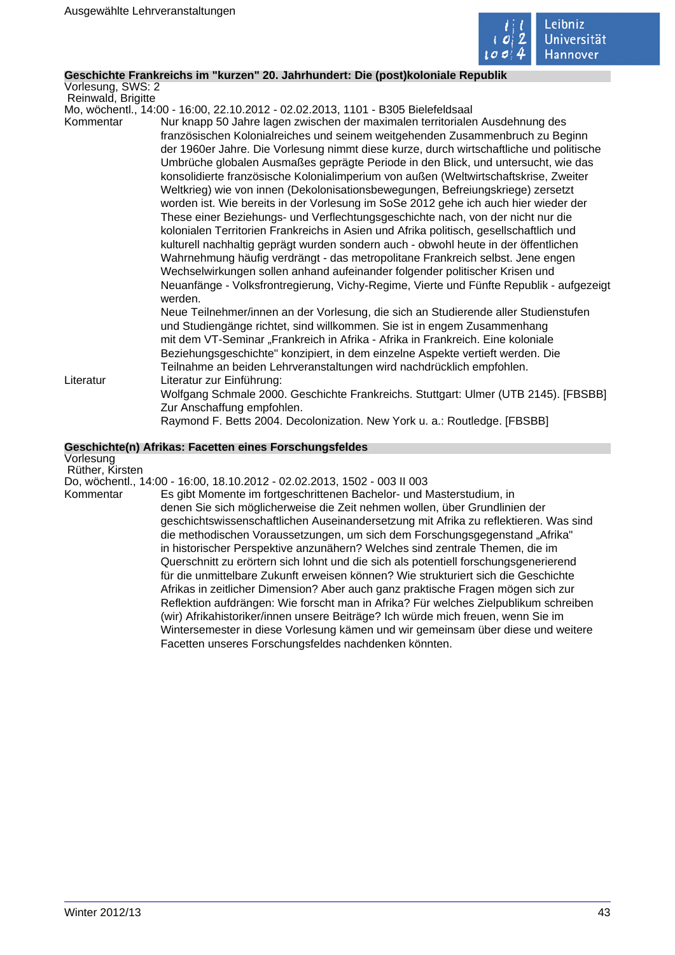

# **Geschichte Frankreichs im "kurzen" 20. Jahrhundert: Die (post)koloniale Republik**

Vorlesung, SWS: 2 Reinwald, Brigitte

Mo, wöchentl., 14:00 - 16:00, 22.10.2012 - 02.02.2013, 1101 - B305 Bielefeldsaal

- Kommentar Nur knapp 50 Jahre lagen zwischen der maximalen territorialen Ausdehnung des französischen Kolonialreiches und seinem weitgehenden Zusammenbruch zu Beginn der 1960er Jahre. Die Vorlesung nimmt diese kurze, durch wirtschaftliche und politische Umbrüche globalen Ausmaßes geprägte Periode in den Blick, und untersucht, wie das konsolidierte französische Kolonialimperium von außen (Weltwirtschaftskrise, Zweiter Weltkrieg) wie von innen (Dekolonisationsbewegungen, Befreiungskriege) zersetzt worden ist. Wie bereits in der Vorlesung im SoSe 2012 gehe ich auch hier wieder der These einer Beziehungs- und Verflechtungsgeschichte nach, von der nicht nur die kolonialen Territorien Frankreichs in Asien und Afrika politisch, gesellschaftlich und kulturell nachhaltig geprägt wurden sondern auch - obwohl heute in der öffentlichen Wahrnehmung häufig verdrängt - das metropolitane Frankreich selbst. Jene engen Wechselwirkungen sollen anhand aufeinander folgender politischer Krisen und Neuanfänge - Volksfrontregierung, Vichy-Regime, Vierte und Fünfte Republik - aufgezeigt werden. Neue Teilnehmer/innen an der Vorlesung, die sich an Studierende aller Studienstufen und Studiengänge richtet, sind willkommen. Sie ist in engem Zusammenhang mit dem VT-Seminar "Frankreich in Afrika - Afrika in Frankreich. Eine koloniale Beziehungsgeschichte" konzipiert, in dem einzelne Aspekte vertieft werden. Die Teilnahme an beiden Lehrveranstaltungen wird nachdrücklich empfohlen. Literatur Literatur zur Einführung:
	- Wolfgang Schmale 2000. Geschichte Frankreichs. Stuttgart: Ulmer (UTB 2145). [FBSBB] Zur Anschaffung empfohlen.
		- Raymond F. Betts 2004. Decolonization. New York u. a.: Routledge. [FBSBB]

# **Geschichte(n) Afrikas: Facetten eines Forschungsfeldes**

Vorlesung Rüther, Kirsten

Do, wöchentl., 14:00 - 16:00, 18.10.2012 - 02.02.2013, 1502 - 003 II 003 Kommentar Es gibt Momente im fortgeschrittenen Bachelor- und Masterstudium, in denen Sie sich möglicherweise die Zeit nehmen wollen, über Grundlinien der geschichtswissenschaftlichen Auseinandersetzung mit Afrika zu reflektieren. Was sind die methodischen Voraussetzungen, um sich dem Forschungsgegenstand "Afrika" in historischer Perspektive anzunähern? Welches sind zentrale Themen, die im Querschnitt zu erörtern sich lohnt und die sich als potentiell forschungsgenerierend für die unmittelbare Zukunft erweisen können? Wie strukturiert sich die Geschichte Afrikas in zeitlicher Dimension? Aber auch ganz praktische Fragen mögen sich zur Reflektion aufdrängen: Wie forscht man in Afrika? Für welches Zielpublikum schreiben (wir) Afrikahistoriker/innen unsere Beiträge? Ich würde mich freuen, wenn Sie im Wintersemester in diese Vorlesung kämen und wir gemeinsam über diese und weitere Facetten unseres Forschungsfeldes nachdenken könnten.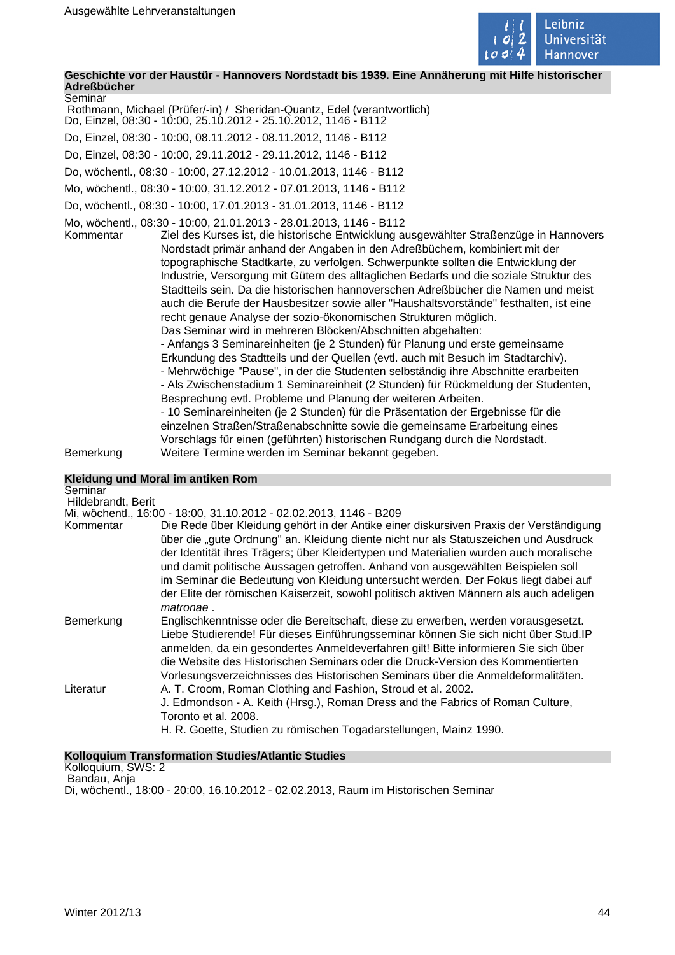

**Geschichte vor der Haustür - Hannovers Nordstadt bis 1939. Eine Annäherung mit Hilfe historischer Adreßbücher** Seminar

| --------- |  |  |  |  |                                                                         |  |
|-----------|--|--|--|--|-------------------------------------------------------------------------|--|
|           |  |  |  |  | Rothmann, Michael (Prüfer/-in) / Sheridan-Quantz, Edel (verantwortlich) |  |
|           |  |  |  |  |                                                                         |  |

Do, Einzel, 08:30 - 10:00, 25.10.2012 - 25.10.2012, 1146 - B112

Do, Einzel, 08:30 - 10:00, 08.11.2012 - 08.11.2012, 1146 - B112

Do, Einzel, 08:30 - 10:00, 29.11.2012 - 29.11.2012, 1146 - B112

Do, wöchentl., 08:30 - 10:00, 27.12.2012 - 10.01.2013, 1146 - B112

Mo, wöchentl., 08:30 - 10:00, 31.12.2012 - 07.01.2013, 1146 - B112

Do, wöchentl., 08:30 - 10:00, 17.01.2013 - 31.01.2013, 1146 - B112

Mo, wöchentl., 08:30 - 10:00, 21.01.2013 - 28.01.2013, 1146 - B112 Kommentar Ziel des Kurses ist, die historische Entwicklung ausgewählter Straßenzüge in Hannovers Nordstadt primär anhand der Angaben in den Adreßbüchern, kombiniert mit der topographische Stadtkarte, zu verfolgen. Schwerpunkte sollten die Entwicklung der Industrie, Versorgung mit Gütern des alltäglichen Bedarfs und die soziale Struktur des Stadtteils sein. Da die historischen hannoverschen Adreßbücher die Namen und meist auch die Berufe der Hausbesitzer sowie aller "Haushaltsvorstände" festhalten, ist eine recht genaue Analyse der sozio-ökonomischen Strukturen möglich. Das Seminar wird in mehreren Blöcken/Abschnitten abgehalten: - Anfangs 3 Seminareinheiten (je 2 Stunden) für Planung und erste gemeinsame

Erkundung des Stadtteils und der Quellen (evtl. auch mit Besuch im Stadtarchiv). - Mehrwöchige "Pause", in der die Studenten selbständig ihre Abschnitte erarbeiten - Als Zwischenstadium 1 Seminareinheit (2 Stunden) für Rückmeldung der Studenten, Besprechung evtl. Probleme und Planung der weiteren Arbeiten.

- 10 Seminareinheiten (je 2 Stunden) für die Präsentation der Ergebnisse für die einzelnen Straßen/Straßenabschnitte sowie die gemeinsame Erarbeitung eines Vorschlags für einen (geführten) historischen Rundgang durch die Nordstadt. Bemerkung Weitere Termine werden im Seminar bekannt gegeben.

| Kleidung und Moral im antiken Rom |  |  |  |
|-----------------------------------|--|--|--|
| Seminar                           |  |  |  |

| Seminar            |                                                                                                                                                                                                                                                                                                                                                                                                                                                                                                                                                          |
|--------------------|----------------------------------------------------------------------------------------------------------------------------------------------------------------------------------------------------------------------------------------------------------------------------------------------------------------------------------------------------------------------------------------------------------------------------------------------------------------------------------------------------------------------------------------------------------|
| Hildebrandt, Berit |                                                                                                                                                                                                                                                                                                                                                                                                                                                                                                                                                          |
|                    | Mi, wöchentl., 16:00 - 18:00, 31.10.2012 - 02.02.2013, 1146 - B209                                                                                                                                                                                                                                                                                                                                                                                                                                                                                       |
| Kommentar          | Die Rede über Kleidung gehört in der Antike einer diskursiven Praxis der Verständigung<br>über die "gute Ordnung" an. Kleidung diente nicht nur als Statuszeichen und Ausdruck<br>der Identität ihres Trägers; über Kleidertypen und Materialien wurden auch moralische<br>und damit politische Aussagen getroffen. Anhand von ausgewählten Beispielen soll<br>im Seminar die Bedeutung von Kleidung untersucht werden. Der Fokus liegt dabei auf<br>der Elite der römischen Kaiserzeit, sowohl politisch aktiven Männern als auch adeligen<br>matronae. |
| Bemerkung          | Englischkenntnisse oder die Bereitschaft, diese zu erwerben, werden vorausgesetzt.<br>Liebe Studierende! Für dieses Einführungsseminar können Sie sich nicht über Stud.IP<br>anmelden, da ein gesondertes Anmeldeverfahren gilt! Bitte informieren Sie sich über<br>die Website des Historischen Seminars oder die Druck-Version des Kommentierten<br>Vorlesungsverzeichnisses des Historischen Seminars über die Anmeldeformalitäten.                                                                                                                   |
| Literatur          | A. T. Croom, Roman Clothing and Fashion, Stroud et al. 2002.<br>J. Edmondson - A. Keith (Hrsg.), Roman Dress and the Fabrics of Roman Culture,<br>Toronto et al. 2008.<br>H. R. Goette, Studien zu römischen Togadarstellungen, Mainz 1990.                                                                                                                                                                                                                                                                                                              |

### **Kolloquium Transformation Studies/Atlantic Studies**

Kolloquium, SWS: 2 Bandau, Anja

Di, wöchentl., 18:00 - 20:00, 16.10.2012 - 02.02.2013, Raum im Historischen Seminar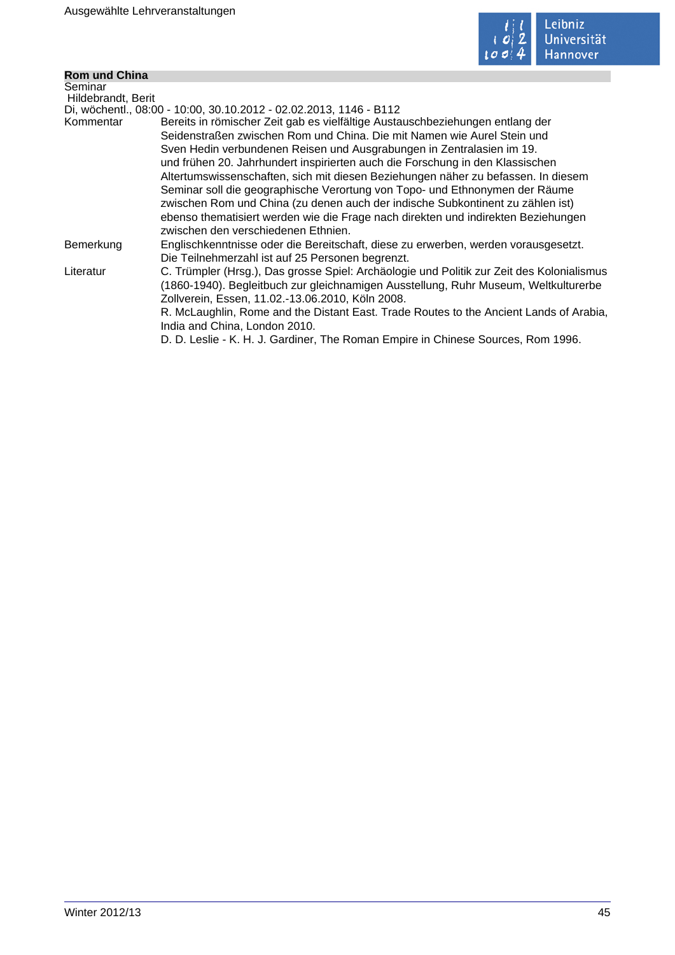

# **Rom und China**

| <b>Rom und China</b> |                                                                                           |
|----------------------|-------------------------------------------------------------------------------------------|
| Seminar              |                                                                                           |
| Hildebrandt, Berit   |                                                                                           |
|                      | Di, wöchentl., 08:00 - 10:00, 30.10.2012 - 02.02.2013, 1146 - B112                        |
| Kommentar            | Bereits in römischer Zeit gab es vielfältige Austauschbeziehungen entlang der             |
|                      | Seidenstraßen zwischen Rom und China. Die mit Namen wie Aurel Stein und                   |
|                      | Sven Hedin verbundenen Reisen und Ausgrabungen in Zentralasien im 19.                     |
|                      | und frühen 20. Jahrhundert inspirierten auch die Forschung in den Klassischen             |
|                      | Altertumswissenschaften, sich mit diesen Beziehungen näher zu befassen. In diesem         |
|                      | Seminar soll die geographische Verortung von Topo- und Ethnonymen der Räume               |
|                      | zwischen Rom und China (zu denen auch der indische Subkontinent zu zählen ist)            |
|                      | ebenso thematisiert werden wie die Frage nach direkten und indirekten Beziehungen         |
|                      | zwischen den verschiedenen Ethnien.                                                       |
| Bemerkung            | Englischkenntnisse oder die Bereitschaft, diese zu erwerben, werden vorausgesetzt.        |
|                      | Die Teilnehmerzahl ist auf 25 Personen begrenzt.                                          |
| Literatur            | C. Trümpler (Hrsg.), Das grosse Spiel: Archäologie und Politik zur Zeit des Kolonialismus |
|                      | (1860-1940). Begleitbuch zur gleichnamigen Ausstellung, Ruhr Museum, Weltkulturerbe       |
|                      | Zollverein, Essen, 11.02.-13.06.2010, Köln 2008.                                          |
|                      | R. McLaughlin, Rome and the Distant East. Trade Routes to the Ancient Lands of Arabia,    |
|                      | India and China, London 2010.                                                             |
|                      | D. D. Leslie - K. H. J. Gardiner, The Roman Empire in Chinese Sources, Rom 1996.          |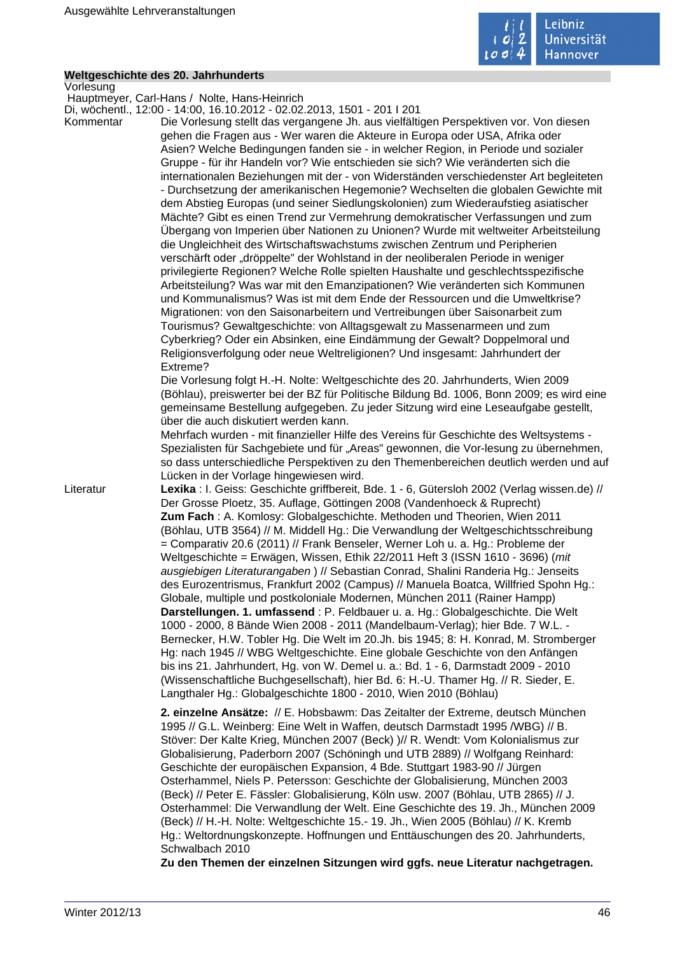

## **Weltgeschichte des 20. Jahrhunderts**

Vorlesung Hauptmeyer, Carl-Hans / Nolte, Hans-Heinrich Di, wöchentl., 12:00 - 14:00, 16.10.2012 - 02.02.2013, 1501 - 201 I 201 Kommentar Die Vorlesung stellt das vergangene Jh. aus vielfältigen Perspektiven vor. Von diesen gehen die Fragen aus - Wer waren die Akteure in Europa oder USA, Afrika oder Asien? Welche Bedingungen fanden sie - in welcher Region, in Periode und sozialer Gruppe - für ihr Handeln vor? Wie entschieden sie sich? Wie veränderten sich die internationalen Beziehungen mit der - von Widerständen verschiedenster Art begleiteten - Durchsetzung der amerikanischen Hegemonie? Wechselten die globalen Gewichte mit dem Abstieg Europas (und seiner Siedlungskolonien) zum Wiederaufstieg asiatischer Mächte? Gibt es einen Trend zur Vermehrung demokratischer Verfassungen und zum Übergang von Imperien über Nationen zu Unionen? Wurde mit weltweiter Arbeitsteilung die Ungleichheit des Wirtschaftswachstums zwischen Zentrum und Peripherien verschärft oder "dröppelte" der Wohlstand in der neoliberalen Periode in weniger privilegierte Regionen? Welche Rolle spielten Haushalte und geschlechtsspezifische Arbeitsteilung? Was war mit den Emanzipationen? Wie veränderten sich Kommunen und Kommunalismus? Was ist mit dem Ende der Ressourcen und die Umweltkrise? Migrationen: von den Saisonarbeitern und Vertreibungen über Saisonarbeit zum Tourismus? Gewaltgeschichte: von Alltagsgewalt zu Massenarmeen und zum Cyberkrieg? Oder ein Absinken, eine Eindämmung der Gewalt? Doppelmoral und Religionsverfolgung oder neue Weltreligionen? Und insgesamt: Jahrhundert der Extreme? Die Vorlesung folgt H.-H. Nolte: Weltgeschichte des 20. Jahrhunderts, Wien 2009 (Böhlau), preiswerter bei der BZ für Politische Bildung Bd. 1006, Bonn 2009; es wird eine gemeinsame Bestellung aufgegeben. Zu jeder Sitzung wird eine Leseaufgabe gestellt, über die auch diskutiert werden kann. Mehrfach wurden - mit finanzieller Hilfe des Vereins für Geschichte des Weltsystems - Spezialisten für Sachgebiete und für "Areas" gewonnen, die Vor-lesung zu übernehmen, so dass unterschiedliche Perspektiven zu den Themenbereichen deutlich werden und auf Lücken in der Vorlage hingewiesen wird. Literatur **Lexika** : I. Geiss: Geschichte griffbereit, Bde. 1 - 6, Gütersloh 2002 (Verlag wissen.de) // Der Grosse Ploetz, 35. Auflage, Göttingen 2008 (Vandenhoeck & Ruprecht) **Zum Fach** : A. Komlosy: Globalgeschichte. Methoden und Theorien, Wien 2011 (Böhlau, UTB 3564) // M. Middell Hg.: Die Verwandlung der Weltgeschichtsschreibung = Comparativ 20.6 (2011) // Frank Benseler, Werner Loh u. a. Hg.: Probleme der Weltgeschichte = Erwägen, Wissen, Ethik 22/2011 Heft 3 (ISSN 1610 - 3696) (mit ausgiebigen Literaturangaben ) // Sebastian Conrad, Shalini Randeria Hg.: Jenseits des Eurozentrismus, Frankfurt 2002 (Campus) // Manuela Boatca, Willfried Spohn Hg.: Globale, multiple und postkoloniale Modernen, München 2011 (Rainer Hampp) **Darstellungen. 1. umfassend** : P. Feldbauer u. a. Hg.: Globalgeschichte. Die Welt 1000 - 2000, 8 Bände Wien 2008 - 2011 (Mandelbaum-Verlag); hier Bde. 7 W.L. - Bernecker, H.W. Tobler Hg. Die Welt im 20.Jh. bis 1945; 8: H. Konrad, M. Stromberger Hg: nach 1945 // WBG Weltgeschichte. Eine globale Geschichte von den Anfängen bis ins 21. Jahrhundert, Hg. von W. Demel u. a.: Bd. 1 - 6, Darmstadt 2009 - 2010 (Wissenschaftliche Buchgesellschaft), hier Bd. 6: H.-U. Thamer Hg. // R. Sieder, E. Langthaler Hg.: Globalgeschichte 1800 - 2010, Wien 2010 (Böhlau) **2. einzelne Ansätze:** // E. Hobsbawm: Das Zeitalter der Extreme, deutsch München 1995 // G.L. Weinberg: Eine Welt in Waffen, deutsch Darmstadt 1995 /WBG) // B. Stöver: Der Kalte Krieg, München 2007 (Beck) )// R. Wendt: Vom Kolonialismus zur Globalisierung, Paderborn 2007 (Schöningh und UTB 2889) // Wolfgang Reinhard: Geschichte der europäischen Expansion, 4 Bde. Stuttgart 1983-90 // Jürgen Osterhammel, Niels P. Petersson: Geschichte der Globalisierung, München 2003 (Beck) // Peter E. Fässler: Globalisierung, Köln usw. 2007 (Böhlau, UTB 2865) // J. Osterhammel: Die Verwandlung der Welt. Eine Geschichte des 19. Jh., München 2009

> Hg.: Weltordnungskonzepte. Hoffnungen und Enttäuschungen des 20. Jahrhunderts, Schwalbach 2010 **Zu den Themen der einzelnen Sitzungen wird ggfs. neue Literatur nachgetragen.**

(Beck) // H.-H. Nolte: Weltgeschichte 15.- 19. Jh., Wien 2005 (Böhlau) // K. Kremb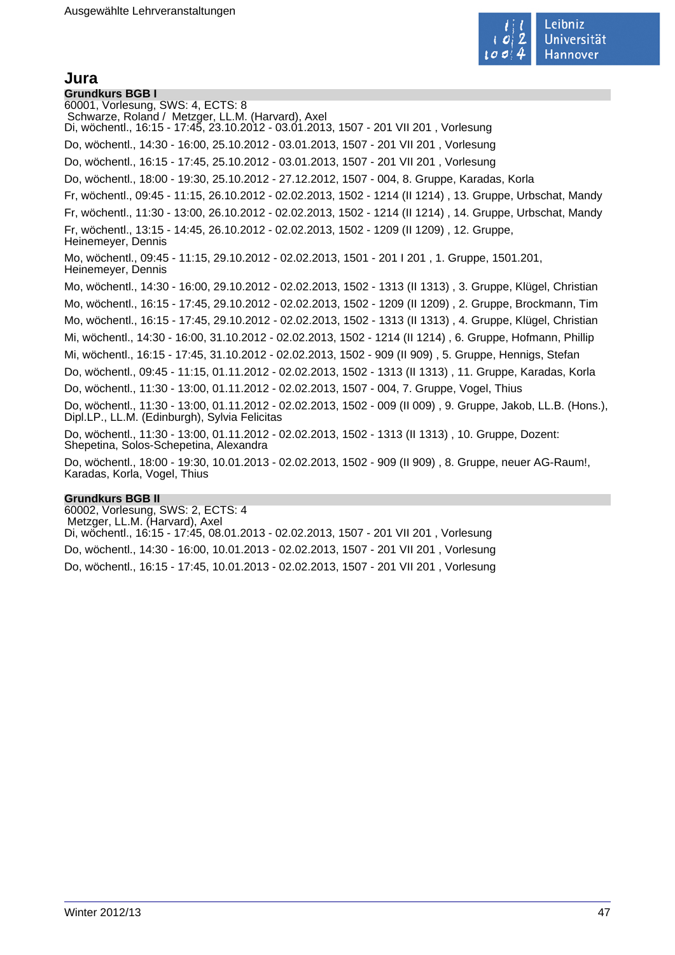

# **Jura**

**Grundkurs BGB I** 60001, Vorlesung, SWS: 4, ECTS: 8 Schwarze, Roland / Metzger, LL.M. (Harvard), Axel Di, wöchentl., 16:15 - 17:45, 23.10.2012 - 03.01.2013, 1507 - 201 VII 201 , Vorlesung Do, wöchentl., 14:30 - 16:00, 25.10.2012 - 03.01.2013, 1507 - 201 VII 201 , Vorlesung Do, wöchentl., 16:15 - 17:45, 25.10.2012 - 03.01.2013, 1507 - 201 VII 201 , Vorlesung Do, wöchentl., 18:00 - 19:30, 25.10.2012 - 27.12.2012, 1507 - 004, 8. Gruppe, Karadas, Korla Fr, wöchentl., 09:45 - 11:15, 26.10.2012 - 02.02.2013, 1502 - 1214 (II 1214) , 13. Gruppe, Urbschat, Mandy Fr, wöchentl., 11:30 - 13:00, 26.10.2012 - 02.02.2013, 1502 - 1214 (II 1214) , 14. Gruppe, Urbschat, Mandy Fr, wöchentl., 13:15 - 14:45, 26.10.2012 - 02.02.2013, 1502 - 1209 (II 1209) , 12. Gruppe, Heinemeyer, Dennis Mo, wöchentl., 09:45 - 11:15, 29.10.2012 - 02.02.2013, 1501 - 201 I 201 , 1. Gruppe, 1501.201, Heinemeyer, Dennis Mo, wöchentl., 14:30 - 16:00, 29.10.2012 - 02.02.2013, 1502 - 1313 (II 1313) , 3. Gruppe, Klügel, Christian Mo, wöchentl., 16:15 - 17:45, 29.10.2012 - 02.02.2013, 1502 - 1209 (II 1209) , 2. Gruppe, Brockmann, Tim Mo, wöchentl., 16:15 - 17:45, 29.10.2012 - 02.02.2013, 1502 - 1313 (II 1313) , 4. Gruppe, Klügel, Christian Mi, wöchentl., 14:30 - 16:00, 31.10.2012 - 02.02.2013, 1502 - 1214 (II 1214) , 6. Gruppe, Hofmann, Phillip Mi, wöchentl., 16:15 - 17:45, 31.10.2012 - 02.02.2013, 1502 - 909 (II 909) , 5. Gruppe, Hennigs, Stefan Do, wöchentl., 09:45 - 11:15, 01.11.2012 - 02.02.2013, 1502 - 1313 (II 1313) , 11. Gruppe, Karadas, Korla Do, wöchentl., 11:30 - 13:00, 01.11.2012 - 02.02.2013, 1507 - 004, 7. Gruppe, Vogel, Thius Do, wöchentl., 11:30 - 13:00, 01.11.2012 - 02.02.2013, 1502 - 009 (II 009) , 9. Gruppe, Jakob, LL.B. (Hons.), Dipl.LP., LL.M. (Edinburgh), Sylvia Felicitas Do, wöchentl., 11:30 - 13:00, 01.11.2012 - 02.02.2013, 1502 - 1313 (II 1313) , 10. Gruppe, Dozent: Shepetina, Solos-Schepetina, Alexandra Do, wöchentl., 18:00 - 19:30, 10.01.2013 - 02.02.2013, 1502 - 909 (II 909) , 8. Gruppe, neuer AG-Raum!, Karadas, Korla, Vogel, Thius

# **Grundkurs BGB II**

60002, Vorlesung, SWS: 2, ECTS: 4 Metzger, LL.M. (Harvard), Axel Di, wöchentl., 16:15 - 17:45, 08.01.2013 - 02.02.2013, 1507 - 201 VII 201 , Vorlesung Do, wöchentl., 14:30 - 16:00, 10.01.2013 - 02.02.2013, 1507 - 201 VII 201 , Vorlesung Do, wöchentl., 16:15 - 17:45, 10.01.2013 - 02.02.2013, 1507 - 201 VII 201 , Vorlesung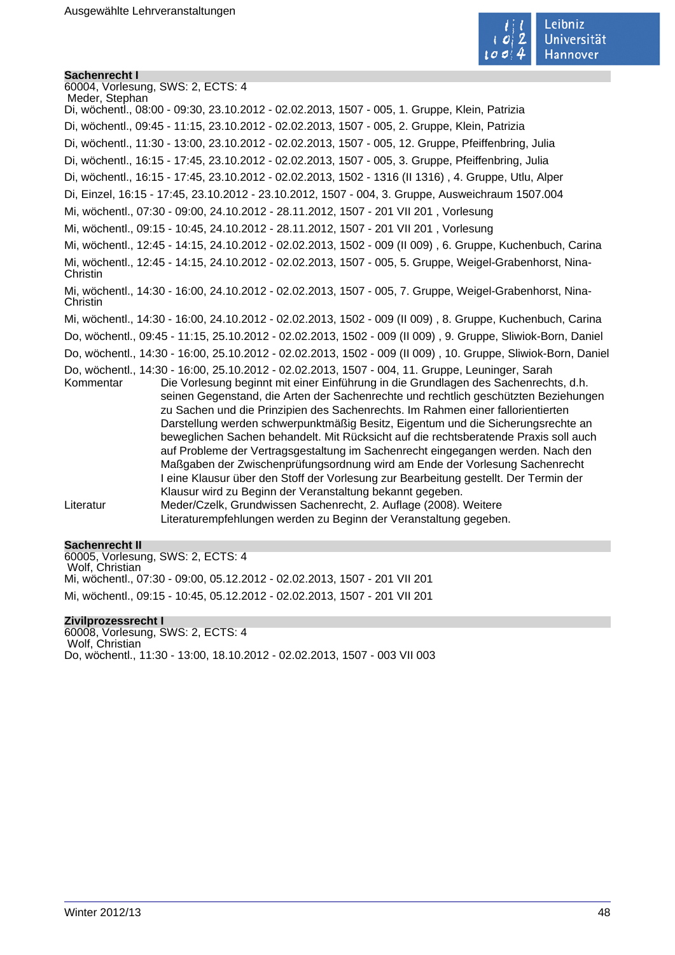

#### **Sachenrecht I**

60004, Vorlesung, SWS: 2, ECTS: 4 Meder, Stephan Di, wöchentl., 08:00 - 09:30, 23.10.2012 - 02.02.2013, 1507 - 005, 1. Gruppe, Klein, Patrizia Di, wöchentl., 09:45 - 11:15, 23.10.2012 - 02.02.2013, 1507 - 005, 2. Gruppe, Klein, Patrizia Di, wöchentl., 11:30 - 13:00, 23.10.2012 - 02.02.2013, 1507 - 005, 12. Gruppe, Pfeiffenbring, Julia Di, wöchentl., 16:15 - 17:45, 23.10.2012 - 02.02.2013, 1507 - 005, 3. Gruppe, Pfeiffenbring, Julia Di, wöchentl., 16:15 - 17:45, 23.10.2012 - 02.02.2013, 1502 - 1316 (II 1316) , 4. Gruppe, Utlu, Alper Di, Einzel, 16:15 - 17:45, 23.10.2012 - 23.10.2012, 1507 - 004, 3. Gruppe, Ausweichraum 1507.004 Mi, wöchentl., 07:30 - 09:00, 24.10.2012 - 28.11.2012, 1507 - 201 VII 201 , Vorlesung Mi, wöchentl., 09:15 - 10:45, 24.10.2012 - 28.11.2012, 1507 - 201 VII 201 , Vorlesung Mi, wöchentl., 12:45 - 14:15, 24.10.2012 - 02.02.2013, 1502 - 009 (II 009) , 6. Gruppe, Kuchenbuch, Carina Mi, wöchentl., 12:45 - 14:15, 24.10.2012 - 02.02.2013, 1507 - 005, 5. Gruppe, Weigel-Grabenhorst, Nina-Christin Mi, wöchentl., 14:30 - 16:00, 24.10.2012 - 02.02.2013, 1507 - 005, 7. Gruppe, Weigel-Grabenhorst, Nina-**Christin** Mi, wöchentl., 14:30 - 16:00, 24.10.2012 - 02.02.2013, 1502 - 009 (II 009) , 8. Gruppe, Kuchenbuch, Carina Do, wöchentl., 09:45 - 11:15, 25.10.2012 - 02.02.2013, 1502 - 009 (II 009) , 9. Gruppe, Sliwiok-Born, Daniel Do, wöchentl., 14:30 - 16:00, 25.10.2012 - 02.02.2013, 1502 - 009 (II 009) , 10. Gruppe, Sliwiok-Born, Daniel Do, wöchentl., 14:30 - 16:00, 25.10.2012 - 02.02.2013, 1507 - 004, 11. Gruppe, Leuninger, Sarah Kommentar Die Vorlesung beginnt mit einer Einführung in die Grundlagen des Sachenrechts, d.h. seinen Gegenstand, die Arten der Sachenrechte und rechtlich geschützten Beziehungen zu Sachen und die Prinzipien des Sachenrechts. Im Rahmen einer fallorientierten Darstellung werden schwerpunktmäßig Besitz, Eigentum und die Sicherungsrechte an beweglichen Sachen behandelt. Mit Rücksicht auf die rechtsberatende Praxis soll auch auf Probleme der Vertragsgestaltung im Sachenrecht eingegangen werden. Nach den Maßgaben der Zwischenprüfungsordnung wird am Ende der Vorlesung Sachenrecht I eine Klausur über den Stoff der Vorlesung zur Bearbeitung gestellt. Der Termin der Klausur wird zu Beginn der Veranstaltung bekannt gegeben. Literatur Meder/Czelk, Grundwissen Sachenrecht, 2. Auflage (2008). Weitere Literaturempfehlungen werden zu Beginn der Veranstaltung gegeben.

#### **Sachenrecht II**

60005, Vorlesung, SWS: 2, ECTS: 4 Wolf, Christian Mi, wöchentl., 07:30 - 09:00, 05.12.2012 - 02.02.2013, 1507 - 201 VII 201 Mi, wöchentl., 09:15 - 10:45, 05.12.2012 - 02.02.2013, 1507 - 201 VII 201

#### **Zivilprozessrecht I**

60008, Vorlesung, SWS: 2, ECTS: 4 Wolf, Christian Do, wöchentl., 11:30 - 13:00, 18.10.2012 - 02.02.2013, 1507 - 003 VII 003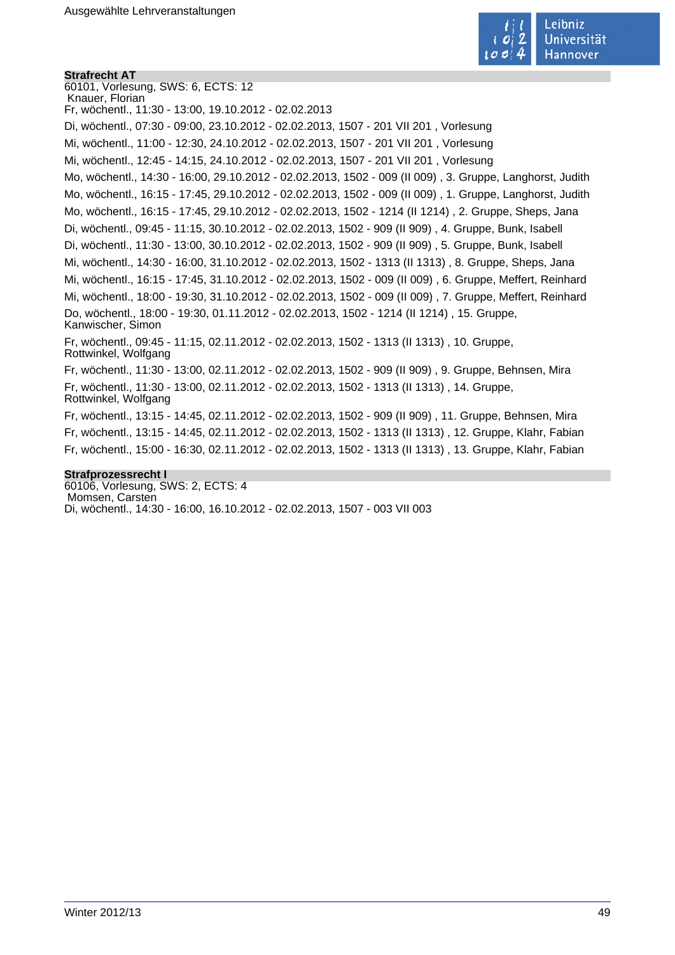

#### **Strafrecht AT**

60101, Vorlesung, SWS: 6, ECTS: 12 Knauer, Florian Fr, wöchentl., 11:30 - 13:00, 19.10.2012 - 02.02.2013 Di, wöchentl., 07:30 - 09:00, 23.10.2012 - 02.02.2013, 1507 - 201 VII 201 , Vorlesung Mi, wöchentl., 11:00 - 12:30, 24.10.2012 - 02.02.2013, 1507 - 201 VII 201 , Vorlesung Mi, wöchentl., 12:45 - 14:15, 24.10.2012 - 02.02.2013, 1507 - 201 VII 201 , Vorlesung Mo, wöchentl., 14:30 - 16:00, 29.10.2012 - 02.02.2013, 1502 - 009 (II 009) , 3. Gruppe, Langhorst, Judith Mo, wöchentl., 16:15 - 17:45, 29.10.2012 - 02.02.2013, 1502 - 009 (II 009) , 1. Gruppe, Langhorst, Judith Mo, wöchentl., 16:15 - 17:45, 29.10.2012 - 02.02.2013, 1502 - 1214 (II 1214) , 2. Gruppe, Sheps, Jana Di, wöchentl., 09:45 - 11:15, 30.10.2012 - 02.02.2013, 1502 - 909 (II 909) , 4. Gruppe, Bunk, Isabell Di, wöchentl., 11:30 - 13:00, 30.10.2012 - 02.02.2013, 1502 - 909 (II 909) , 5. Gruppe, Bunk, Isabell Mi, wöchentl., 14:30 - 16:00, 31.10.2012 - 02.02.2013, 1502 - 1313 (II 1313) , 8. Gruppe, Sheps, Jana Mi, wöchentl., 16:15 - 17:45, 31.10.2012 - 02.02.2013, 1502 - 009 (II 009) , 6. Gruppe, Meffert, Reinhard Mi, wöchentl., 18:00 - 19:30, 31.10.2012 - 02.02.2013, 1502 - 009 (II 009) , 7. Gruppe, Meffert, Reinhard Do, wöchentl., 18:00 - 19:30, 01.11.2012 - 02.02.2013, 1502 - 1214 (II 1214) , 15. Gruppe, Kanwischer, Simon Fr, wöchentl., 09:45 - 11:15, 02.11.2012 - 02.02.2013, 1502 - 1313 (II 1313) , 10. Gruppe, Rottwinkel, Wolfgang Fr, wöchentl., 11:30 - 13:00, 02.11.2012 - 02.02.2013, 1502 - 909 (II 909) , 9. Gruppe, Behnsen, Mira Fr, wöchentl., 11:30 - 13:00, 02.11.2012 - 02.02.2013, 1502 - 1313 (II 1313) , 14. Gruppe, Rottwinkel, Wolfgang Fr, wöchentl., 13:15 - 14:45, 02.11.2012 - 02.02.2013, 1502 - 909 (II 909) , 11. Gruppe, Behnsen, Mira Fr, wöchentl., 13:15 - 14:45, 02.11.2012 - 02.02.2013, 1502 - 1313 (II 1313) , 12. Gruppe, Klahr, Fabian Fr, wöchentl., 15:00 - 16:30, 02.11.2012 - 02.02.2013, 1502 - 1313 (II 1313) , 13. Gruppe, Klahr, Fabian **Strafprozessrecht I**

60106, Vorlesung, SWS: 2, ECTS: 4 Momsen, Carsten Di, wöchentl., 14:30 - 16:00, 16.10.2012 - 02.02.2013, 1507 - 003 VII 003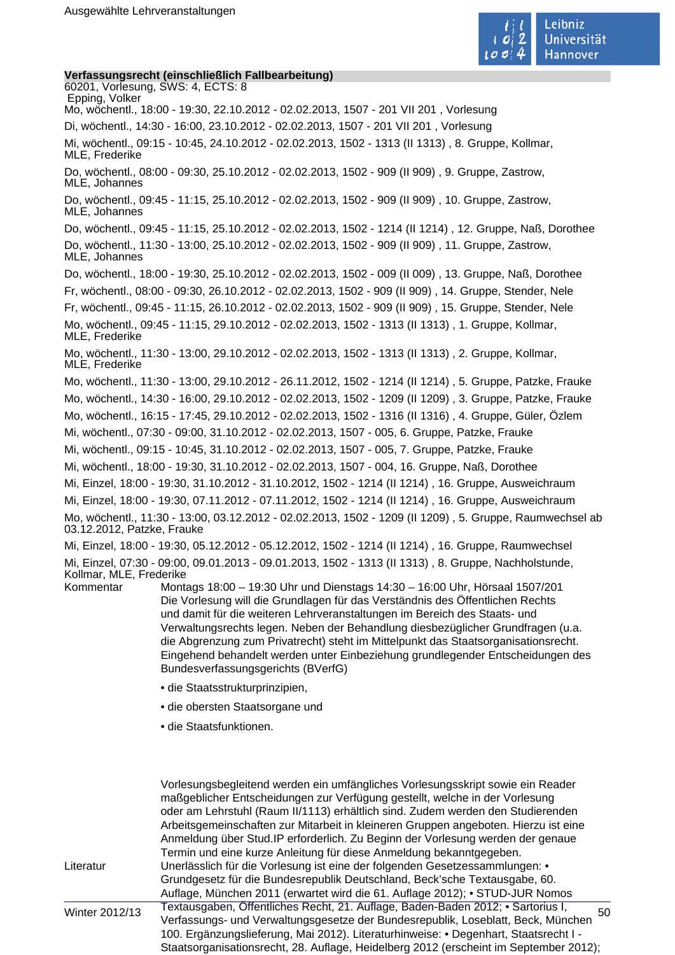

#### **Verfassungsrecht (einschließlich Fallbearbeitung)**

60201, Vorlesung, SWS: 4, ECTS: 8 Epping, Volker Mo, wöchentl., 18:00 - 19:30, 22.10.2012 - 02.02.2013, 1507 - 201 VII 201 , Vorlesung Di, wöchentl., 14:30 - 16:00, 23.10.2012 - 02.02.2013, 1507 - 201 VII 201 , Vorlesung Mi, wöchentl., 09:15 - 10:45, 24.10.2012 - 02.02.2013, 1502 - 1313 (II 1313) , 8. Gruppe, Kollmar, MLE, Frederike Do, wöchentl., 08:00 - 09:30, 25.10.2012 - 02.02.2013, 1502 - 909 (II 909) , 9. Gruppe, Zastrow, MLE, Johannes Do, wöchentl., 09:45 - 11:15, 25.10.2012 - 02.02.2013, 1502 - 909 (II 909) , 10. Gruppe, Zastrow, MLE, Johannes Do, wöchentl., 09:45 - 11:15, 25.10.2012 - 02.02.2013, 1502 - 1214 (II 1214) , 12. Gruppe, Naß, Dorothee Do, wöchentl., 11:30 - 13:00, 25.10.2012 - 02.02.2013, 1502 - 909 (II 909) , 11. Gruppe, Zastrow, MLE, Johannes Do, wöchentl., 18:00 - 19:30, 25.10.2012 - 02.02.2013, 1502 - 009 (II 009) , 13. Gruppe, Naß, Dorothee Fr, wöchentl., 08:00 - 09:30, 26.10.2012 - 02.02.2013, 1502 - 909 (II 909) , 14. Gruppe, Stender, Nele Fr, wöchentl., 09:45 - 11:15, 26.10.2012 - 02.02.2013, 1502 - 909 (II 909) , 15. Gruppe, Stender, Nele Mo, wöchentl., 09:45 - 11:15, 29.10.2012 - 02.02.2013, 1502 - 1313 (II 1313) , 1. Gruppe, Kollmar, MLE, Frederike Mo, wöchentl., 11:30 - 13:00, 29.10.2012 - 02.02.2013, 1502 - 1313 (II 1313) , 2. Gruppe, Kollmar, MLE, Frederike Mo, wöchentl., 11:30 - 13:00, 29.10.2012 - 26.11.2012, 1502 - 1214 (II 1214) , 5. Gruppe, Patzke, Frauke Mo, wöchentl., 14:30 - 16:00, 29.10.2012 - 02.02.2013, 1502 - 1209 (II 1209) , 3. Gruppe, Patzke, Frauke Mo, wöchentl., 16:15 - 17:45, 29.10.2012 - 02.02.2013, 1502 - 1316 (II 1316) , 4. Gruppe, Güler, Özlem Mi, wöchentl., 07:30 - 09:00, 31.10.2012 - 02.02.2013, 1507 - 005, 6. Gruppe, Patzke, Frauke Mi, wöchentl., 09:15 - 10:45, 31.10.2012 - 02.02.2013, 1507 - 005, 7. Gruppe, Patzke, Frauke Mi, wöchentl., 18:00 - 19:30, 31.10.2012 - 02.02.2013, 1507 - 004, 16. Gruppe, Naß, Dorothee Mi, Einzel, 18:00 - 19:30, 31.10.2012 - 31.10.2012, 1502 - 1214 (II 1214) , 16. Gruppe, Ausweichraum Mi, Einzel, 18:00 - 19:30, 07.11.2012 - 07.11.2012, 1502 - 1214 (II 1214) , 16. Gruppe, Ausweichraum Mo, wöchentl., 11:30 - 13:00, 03.12.2012 - 02.02.2013, 1502 - 1209 (II 1209) , 5. Gruppe, Raumwechsel ab 03.12.2012, Patzke, Frauke Mi, Einzel, 18:00 - 19:30, 05.12.2012 - 05.12.2012, 1502 - 1214 (II 1214) , 16. Gruppe, Raumwechsel Mi, Einzel, 07:30 - 09:00, 09.01.2013 - 09.01.2013, 1502 - 1313 (II 1313) , 8. Gruppe, Nachholstunde, Kollmar, MLE, Frederike Kommentar Montags 18:00 – 19:30 Uhr und Dienstags 14:30 – 16:00 Uhr, Hörsaal 1507/201 Die Vorlesung will die Grundlagen für das Verständnis des Öffentlichen Rechts

und damit für die weiteren Lehrveranstaltungen im Bereich des Staats- und Verwaltungsrechts legen. Neben der Behandlung diesbezüglicher Grundfragen (u.a. die Abgrenzung zum Privatrecht) steht im Mittelpunkt das Staatsorganisationsrecht. Eingehend behandelt werden unter Einbeziehung grundlegender Entscheidungen des Bundesverfassungsgerichts (BVerfG)

- die Staatsstrukturprinzipien,
- die obersten Staatsorgane und
- die Staatsfunktionen.

|                | Vorlesungsbegleitend werden ein umfängliches Vorlesungsskript sowie ein Reader        |    |
|----------------|---------------------------------------------------------------------------------------|----|
|                | maßgeblicher Entscheidungen zur Verfügung gestellt, welche in der Vorlesung           |    |
|                | oder am Lehrstuhl (Raum II/1113) erhältlich sind. Zudem werden den Studierenden       |    |
|                | Arbeitsgemeinschaften zur Mitarbeit in kleineren Gruppen angeboten. Hierzu ist eine   |    |
|                | Anmeldung über Stud. IP erforderlich. Zu Beginn der Vorlesung werden der genaue       |    |
|                | Termin und eine kurze Anleitung für diese Anmeldung bekanntgegeben.                   |    |
| Literatur      | Unerlässlich für die Vorlesung ist eine der folgenden Gesetzessammlungen: •           |    |
|                | Grundgesetz für die Bundesrepublik Deutschland, Beck'sche Textausgabe, 60.            |    |
|                | Auflage, München 2011 (erwartet wird die 61. Auflage 2012); • STUD-JUR Nomos          |    |
| Winter 2012/13 | Textausgaben, Öffentliches Recht, 21. Auflage, Baden-Baden 2012; • Sartorius I,       | 50 |
|                | Verfassungs- und Verwaltungsgesetze der Bundesrepublik, Loseblatt, Beck, München      |    |
|                | 100. Ergänzungslieferung, Mai 2012). Literaturhinweise: • Degenhart, Staatsrecht I -  |    |
|                | Staatsorganisationsrecht, 28. Auflage, Heidelberg 2012 (erscheint im September 2012); |    |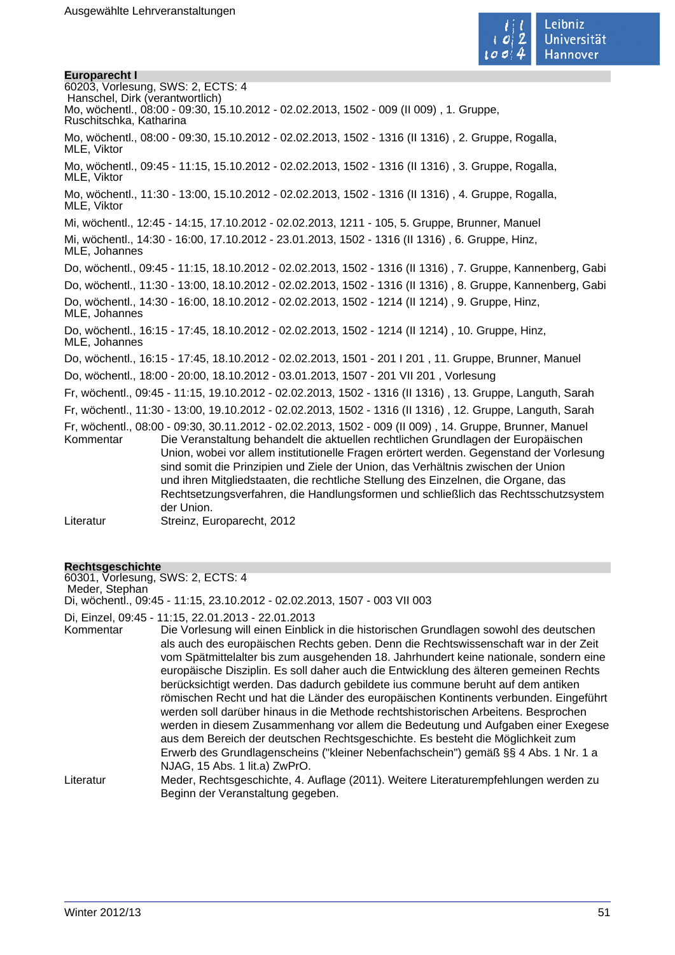**Europarecht I**



60203, Vorlesung, SWS: 2, ECTS: 4 Hanschel, Dirk (verantwortlich) Mo, wöchentl., 08:00 - 09:30, 15.10.2012 - 02.02.2013, 1502 - 009 (II 009) , 1. Gruppe, Ruschitschka, Katharina Mo, wöchentl., 08:00 - 09:30, 15.10.2012 - 02.02.2013, 1502 - 1316 (II 1316) , 2. Gruppe, Rogalla, MLE, Viktor Mo, wöchentl., 09:45 - 11:15, 15.10.2012 - 02.02.2013, 1502 - 1316 (II 1316) , 3. Gruppe, Rogalla, MLE, Viktor Mo, wöchentl., 11:30 - 13:00, 15.10.2012 - 02.02.2013, 1502 - 1316 (II 1316) , 4. Gruppe, Rogalla, MLE, Viktor Mi, wöchentl., 12:45 - 14:15, 17.10.2012 - 02.02.2013, 1211 - 105, 5. Gruppe, Brunner, Manuel Mi, wöchentl., 14:30 - 16:00, 17.10.2012 - 23.01.2013, 1502 - 1316 (II 1316) , 6. Gruppe, Hinz, MLE, Johannes Do, wöchentl., 09:45 - 11:15, 18.10.2012 - 02.02.2013, 1502 - 1316 (II 1316) , 7. Gruppe, Kannenberg, Gabi Do, wöchentl., 11:30 - 13:00, 18.10.2012 - 02.02.2013, 1502 - 1316 (II 1316) , 8. Gruppe, Kannenberg, Gabi Do, wöchentl., 14:30 - 16:00, 18.10.2012 - 02.02.2013, 1502 - 1214 (II 1214) , 9. Gruppe, Hinz, MLE, Johannes Do, wöchentl., 16:15 - 17:45, 18.10.2012 - 02.02.2013, 1502 - 1214 (II 1214) , 10. Gruppe, Hinz, MLE, Johannes Do, wöchentl., 16:15 - 17:45, 18.10.2012 - 02.02.2013, 1501 - 201 I 201 , 11. Gruppe, Brunner, Manuel Do, wöchentl., 18:00 - 20:00, 18.10.2012 - 03.01.2013, 1507 - 201 VII 201 , Vorlesung Fr, wöchentl., 09:45 - 11:15, 19.10.2012 - 02.02.2013, 1502 - 1316 (II 1316) , 13. Gruppe, Languth, Sarah Fr, wöchentl., 11:30 - 13:00, 19.10.2012 - 02.02.2013, 1502 - 1316 (II 1316) , 12. Gruppe, Languth, Sarah Fr, wöchentl., 08:00 - 09:30, 30.11.2012 - 02.02.2013, 1502 - 009 (II 009) , 14. Gruppe, Brunner, Manuel Die Veranstaltung behandelt die aktuellen rechtlichen Grundlagen der Europäischen Union, wobei vor allem institutionelle Fragen erörtert werden. Gegenstand der Vorlesung sind somit die Prinzipien und Ziele der Union, das Verhältnis zwischen der Union und ihren Mitgliedstaaten, die rechtliche Stellung des Einzelnen, die Organe, das Rechtsetzungsverfahren, die Handlungsformen und schließlich das Rechtsschutzsystem der Union. Literatur Streinz, Europarecht, 2012

#### **Rechtsgeschichte**

60301, Vorlesung, SWS: 2, ECTS: 4 Meder, Stephan Di, wöchentl., 09:45 - 11:15, 23.10.2012 - 02.02.2013, 1507 - 003 VII 003

Di, Einzel, 09:45 - 11:15, 22.01.2013 - 22.01.2013

Kommentar Die Vorlesung will einen Einblick in die historischen Grundlagen sowohl des deutschen als auch des europäischen Rechts geben. Denn die Rechtswissenschaft war in der Zeit vom Spätmittelalter bis zum ausgehenden 18. Jahrhundert keine nationale, sondern eine europäische Disziplin. Es soll daher auch die Entwicklung des älteren gemeinen Rechts berücksichtigt werden. Das dadurch gebildete ius commune beruht auf dem antiken römischen Recht und hat die Länder des europäischen Kontinents verbunden. Eingeführt werden soll darüber hinaus in die Methode rechtshistorischen Arbeitens. Besprochen werden in diesem Zusammenhang vor allem die Bedeutung und Aufgaben einer Exegese aus dem Bereich der deutschen Rechtsgeschichte. Es besteht die Möglichkeit zum Erwerb des Grundlagenscheins ("kleiner Nebenfachschein") gemäß §§ 4 Abs. 1 Nr. 1 a NJAG, 15 Abs. 1 lit.a) ZwPrO. Literatur Meder, Rechtsgeschichte, 4. Auflage (2011). Weitere Literaturempfehlungen werden zu

Beginn der Veranstaltung gegeben.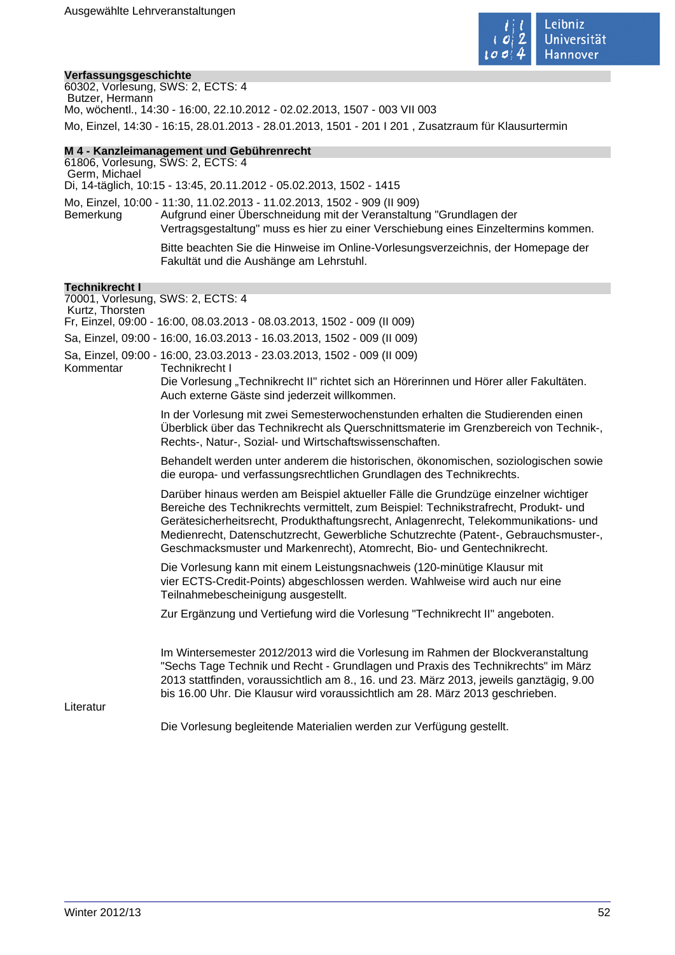

#### **Verfassungsgeschichte**

60302, Vorlesung, SWS: 2, ECTS: 4 Butzer, Hermann Mo, wöchentl., 14:30 - 16:00, 22.10.2012 - 02.02.2013, 1507 - 003 VII 003 Mo, Einzel, 14:30 - 16:15, 28.01.2013 - 28.01.2013, 1501 - 201 I 201 , Zusatzraum für Klausurtermin

#### **M 4 - Kanzleimanagement und Gebührenrecht**

61806, Vorlesung, SWS: 2, ECTS: 4 Germ, Michael Di, 14-täglich, 10:15 - 13:45, 20.11.2012 - 05.02.2013, 1502 - 1415 Mo, Einzel, 10:00 - 11:30, 11.02.2013 - 11.02.2013, 1502 - 909 (II 909) Bemerkung Aufgrund einer Überschneidung mit der Veranstaltung "Grundlagen der Vertragsgestaltung" muss es hier zu einer Verschiebung eines Einzeltermins kommen.

Bitte beachten Sie die Hinweise im Online-Vorlesungsverzeichnis, der Homepage der Fakultät und die Aushänge am Lehrstuhl.

#### **Technikrecht I**

70001, Vorlesung, SWS: 2, ECTS: 4 Kurtz, Thorsten Fr, Einzel, 09:00 - 16:00, 08.03.2013 - 08.03.2013, 1502 - 009 (II 009) Sa, Einzel, 09:00 - 16:00, 16.03.2013 - 16.03.2013, 1502 - 009 (II 009) Sa, Einzel, 09:00 - 16:00, 23.03.2013 - 23.03.2013, 1502 - 009 (II 009) Technikrecht I Die Vorlesung "Technikrecht II" richtet sich an Hörerinnen und Hörer aller Fakultäten. Auch externe Gäste sind jederzeit willkommen. In der Vorlesung mit zwei Semesterwochenstunden erhalten die Studierenden einen Überblick über das Technikrecht als Querschnittsmaterie im Grenzbereich von Technik-, Rechts-, Natur-, Sozial- und Wirtschaftswissenschaften. Behandelt werden unter anderem die historischen, ökonomischen, soziologischen sowie die europa- und verfassungsrechtlichen Grundlagen des Technikrechts. Darüber hinaus werden am Beispiel aktueller Fälle die Grundzüge einzelner wichtiger Bereiche des Technikrechts vermittelt, zum Beispiel: Technikstrafrecht, Produkt- und Gerätesicherheitsrecht, Produkthaftungsrecht, Anlagenrecht, Telekommunikations- und Medienrecht, Datenschutzrecht, Gewerbliche Schutzrechte (Patent-, Gebrauchsmuster-, Geschmacksmuster und Markenrecht), Atomrecht, Bio- und Gentechnikrecht. Die Vorlesung kann mit einem Leistungsnachweis (120-minütige Klausur mit vier ECTS-Credit-Points) abgeschlossen werden. Wahlweise wird auch nur eine Teilnahmebescheinigung ausgestellt. Zur Ergänzung und Vertiefung wird die Vorlesung "Technikrecht II" angeboten. Im Wintersemester 2012/2013 wird die Vorlesung im Rahmen der Blockveranstaltung "Sechs Tage Technik und Recht - Grundlagen und Praxis des Technikrechts" im März 2013 stattfinden, voraussichtlich am 8., 16. und 23. März 2013, jeweils ganztägig, 9.00 bis 16.00 Uhr. Die Klausur wird voraussichtlich am 28. März 2013 geschrieben. Literatur Die Vorlesung begleitende Materialien werden zur Verfügung gestellt.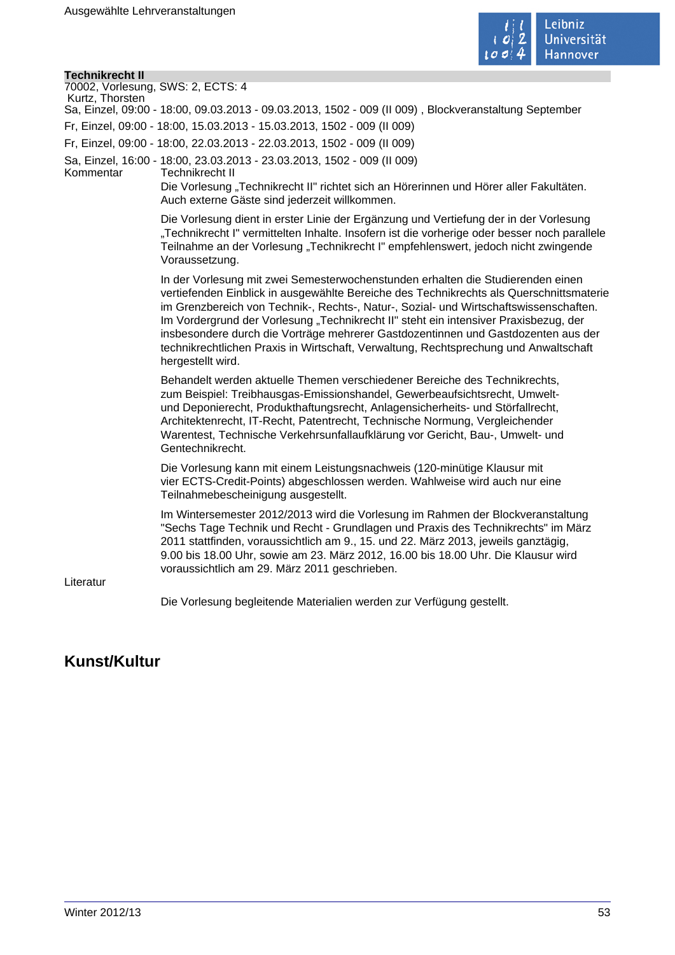

| <b>Technikrecht II</b>                               |                                                                                                                                                                                                                                                                                                                                                                                                                                                                                                                                                               |
|------------------------------------------------------|---------------------------------------------------------------------------------------------------------------------------------------------------------------------------------------------------------------------------------------------------------------------------------------------------------------------------------------------------------------------------------------------------------------------------------------------------------------------------------------------------------------------------------------------------------------|
| 70002, Vorlesung, SWS: 2, ECTS: 4<br>Kurtz, Thorsten |                                                                                                                                                                                                                                                                                                                                                                                                                                                                                                                                                               |
|                                                      | Sa, Einzel, 09:00 - 18:00, 09.03.2013 - 09.03.2013, 1502 - 009 (II 009), Blockveranstaltung September                                                                                                                                                                                                                                                                                                                                                                                                                                                         |
|                                                      | Fr, Einzel, 09:00 - 18:00, 15.03.2013 - 15.03.2013, 1502 - 009 (II 009)                                                                                                                                                                                                                                                                                                                                                                                                                                                                                       |
|                                                      | Fr, Einzel, 09:00 - 18:00, 22.03.2013 - 22.03.2013, 1502 - 009 (II 009)                                                                                                                                                                                                                                                                                                                                                                                                                                                                                       |
| Kommentar                                            | Sa, Einzel, 16:00 - 18:00, 23.03.2013 - 23.03.2013, 1502 - 009 (II 009)<br>Technikrecht II<br>Die Vorlesung "Technikrecht II" richtet sich an Hörerinnen und Hörer aller Fakultäten.<br>Auch externe Gäste sind jederzeit willkommen.                                                                                                                                                                                                                                                                                                                         |
|                                                      | Die Vorlesung dient in erster Linie der Ergänzung und Vertiefung der in der Vorlesung<br>"Technikrecht I" vermittelten Inhalte. Insofern ist die vorherige oder besser noch parallele<br>Teilnahme an der Vorlesung "Technikrecht I" empfehlenswert, jedoch nicht zwingende<br>Voraussetzung.                                                                                                                                                                                                                                                                 |
|                                                      | In der Vorlesung mit zwei Semesterwochenstunden erhalten die Studierenden einen<br>vertiefenden Einblick in ausgewählte Bereiche des Technikrechts als Querschnittsmaterie<br>im Grenzbereich von Technik-, Rechts-, Natur-, Sozial- und Wirtschaftswissenschaften.<br>Im Vordergrund der Vorlesung "Technikrecht II" steht ein intensiver Praxisbezug, der<br>insbesondere durch die Vorträge mehrerer Gastdozentinnen und Gastdozenten aus der<br>technikrechtlichen Praxis in Wirtschaft, Verwaltung, Rechtsprechung und Anwaltschaft<br>hergestellt wird. |
|                                                      | Behandelt werden aktuelle Themen verschiedener Bereiche des Technikrechts,<br>zum Beispiel: Treibhausgas-Emissionshandel, Gewerbeaufsichtsrecht, Umwelt-<br>und Deponierecht, Produkthaftungsrecht, Anlagensicherheits- und Störfallrecht,<br>Architektenrecht, IT-Recht, Patentrecht, Technische Normung, Vergleichender<br>Warentest, Technische Verkehrsunfallaufklärung vor Gericht, Bau-, Umwelt- und<br>Gentechnikrecht.                                                                                                                                |
|                                                      | Die Vorlesung kann mit einem Leistungsnachweis (120-minütige Klausur mit<br>vier ECTS-Credit-Points) abgeschlossen werden. Wahlweise wird auch nur eine<br>Teilnahmebescheinigung ausgestellt.                                                                                                                                                                                                                                                                                                                                                                |
|                                                      | Im Wintersemester 2012/2013 wird die Vorlesung im Rahmen der Blockveranstaltung<br>"Sechs Tage Technik und Recht - Grundlagen und Praxis des Technikrechts" im März<br>2011 stattfinden, voraussichtlich am 9., 15. und 22. März 2013, jeweils ganztägig,<br>9.00 bis 18.00 Uhr, sowie am 23. März 2012, 16.00 bis 18.00 Uhr. Die Klausur wird<br>voraussichtlich am 29. März 2011 geschrieben.                                                                                                                                                               |
| Literatur                                            |                                                                                                                                                                                                                                                                                                                                                                                                                                                                                                                                                               |
|                                                      | Die Vorlesung begleitende Materialien werden zur Verfügung gestellt.                                                                                                                                                                                                                                                                                                                                                                                                                                                                                          |

# **Kunst/Kultur**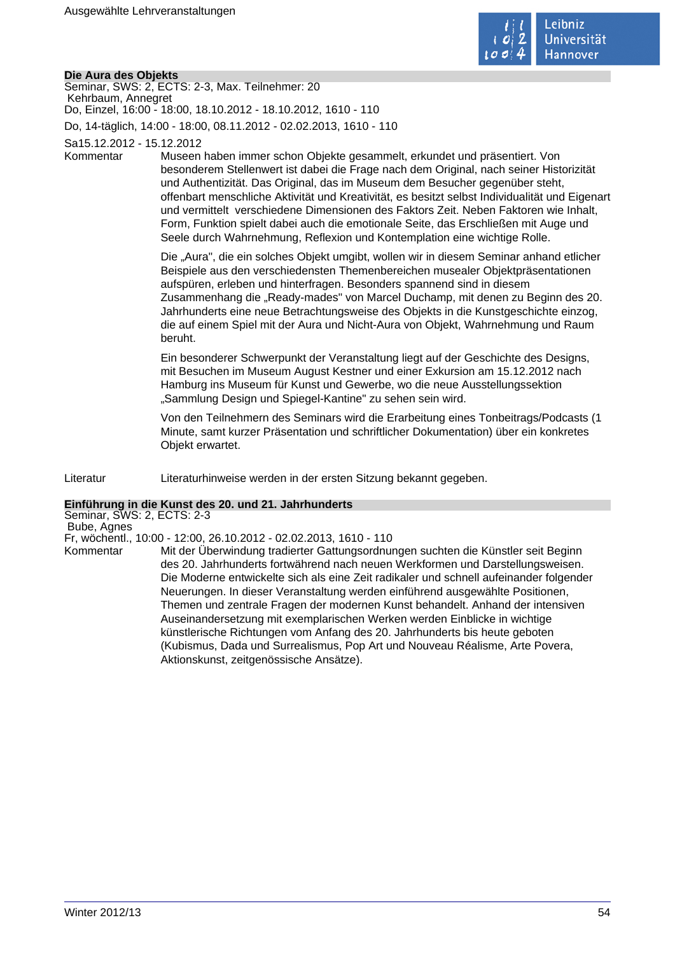

## **Die Aura des Objekts**

Seminar, SWS: 2, ECTS: 2-3, Max. Teilnehmer: 20 Kehrbaum, Annegret Do, Einzel, 16:00 - 18:00, 18.10.2012 - 18.10.2012, 1610 - 110 Do, 14-täglich, 14:00 - 18:00, 08.11.2012 - 02.02.2013, 1610 - 110

Sa15.12.2012 - 15.12.2012

Kommentar Museen haben immer schon Objekte gesammelt, erkundet und präsentiert. Von besonderem Stellenwert ist dabei die Frage nach dem Original, nach seiner Historizität und Authentizität. Das Original, das im Museum dem Besucher gegenüber steht, offenbart menschliche Aktivität und Kreativität, es besitzt selbst Individualität und Eigenart und vermittelt verschiedene Dimensionen des Faktors Zeit. Neben Faktoren wie Inhalt, Form, Funktion spielt dabei auch die emotionale Seite, das Erschließen mit Auge und Seele durch Wahrnehmung, Reflexion und Kontemplation eine wichtige Rolle.

> Die "Aura", die ein solches Objekt umgibt, wollen wir in diesem Seminar anhand etlicher Beispiele aus den verschiedensten Themenbereichen musealer Objektpräsentationen aufspüren, erleben und hinterfragen. Besonders spannend sind in diesem Zusammenhang die "Ready-mades" von Marcel Duchamp, mit denen zu Beginn des 20. Jahrhunderts eine neue Betrachtungsweise des Objekts in die Kunstgeschichte einzog, die auf einem Spiel mit der Aura und Nicht-Aura von Objekt, Wahrnehmung und Raum beruht.

Ein besonderer Schwerpunkt der Veranstaltung liegt auf der Geschichte des Designs, mit Besuchen im Museum August Kestner und einer Exkursion am 15.12.2012 nach Hamburg ins Museum für Kunst und Gewerbe, wo die neue Ausstellungssektion "Sammlung Design und Spiegel-Kantine" zu sehen sein wird.

Von den Teilnehmern des Seminars wird die Erarbeitung eines Tonbeitrags/Podcasts (1 Minute, samt kurzer Präsentation und schriftlicher Dokumentation) über ein konkretes Objekt erwartet.

Literatur Literaturhinweise werden in der ersten Sitzung bekannt gegeben.

# **Einführung in die Kunst des 20. und 21. Jahrhunderts**

Seminar, SWS: 2, ECTS: 2-3 Bube, Agnes

Fr, wöchentl., 10:00 - 12:00, 26.10.2012 - 02.02.2013, 1610 - 110

Mit der Überwindung tradierter Gattungsordnungen suchten die Künstler seit Beginn des 20. Jahrhunderts fortwährend nach neuen Werkformen und Darstellungsweisen. Die Moderne entwickelte sich als eine Zeit radikaler und schnell aufeinander folgender Neuerungen. In dieser Veranstaltung werden einführend ausgewählte Positionen, Themen und zentrale Fragen der modernen Kunst behandelt. Anhand der intensiven Auseinandersetzung mit exemplarischen Werken werden Einblicke in wichtige künstlerische Richtungen vom Anfang des 20. Jahrhunderts bis heute geboten (Kubismus, Dada und Surrealismus, Pop Art und Nouveau Réalisme, Arte Povera, Aktionskunst, zeitgenössische Ansätze).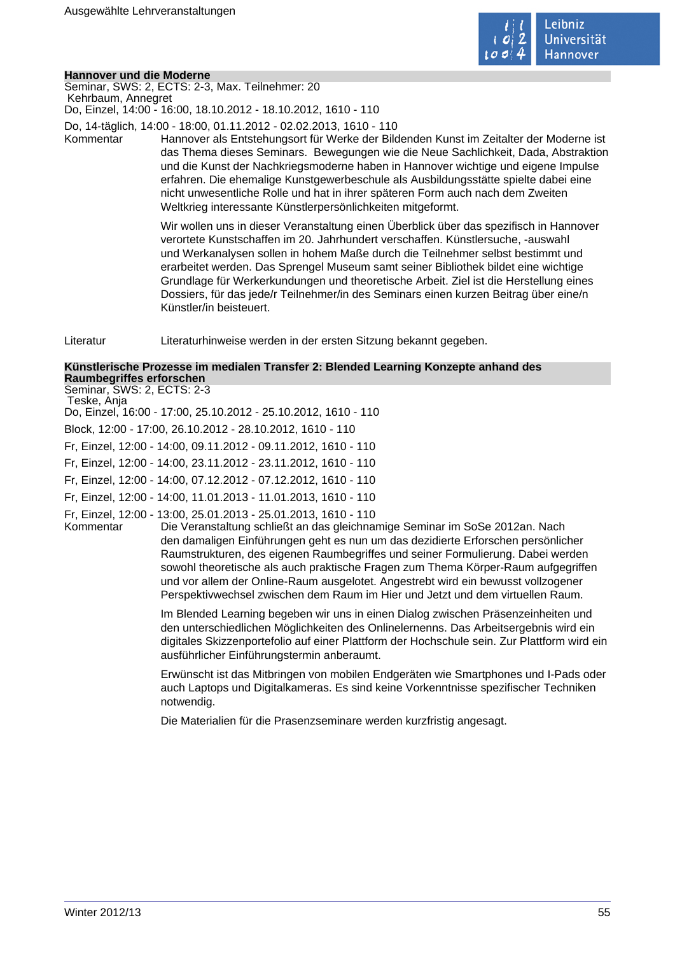

#### **Hannover und die Moderne**

Seminar, SWS: 2, ECTS: 2-3, Max. Teilnehmer: 20 Kehrbaum, Annegret Do, Einzel, 14:00 - 16:00, 18.10.2012 - 18.10.2012, 1610 - 110

Do, 14-täglich, 14:00 - 18:00, 01.11.2012 - 02.02.2013, 1610 - 110

Kommentar Hannover als Entstehungsort für Werke der Bildenden Kunst im Zeitalter der Moderne ist das Thema dieses Seminars. Bewegungen wie die Neue Sachlichkeit, Dada, Abstraktion und die Kunst der Nachkriegsmoderne haben in Hannover wichtige und eigene Impulse erfahren. Die ehemalige Kunstgewerbeschule als Ausbildungsstätte spielte dabei eine nicht unwesentliche Rolle und hat in ihrer späteren Form auch nach dem Zweiten Weltkrieg interessante Künstlerpersönlichkeiten mitgeformt.

> Wir wollen uns in dieser Veranstaltung einen Überblick über das spezifisch in Hannover verortete Kunstschaffen im 20. Jahrhundert verschaffen. Künstlersuche, -auswahl und Werkanalysen sollen in hohem Maße durch die Teilnehmer selbst bestimmt und erarbeitet werden. Das Sprengel Museum samt seiner Bibliothek bildet eine wichtige Grundlage für Werkerkundungen und theoretische Arbeit. Ziel ist die Herstellung eines Dossiers, für das jede/r Teilnehmer/in des Seminars einen kurzen Beitrag über eine/n Künstler/in beisteuert.

Literatur Literaturhinweise werden in der ersten Sitzung bekannt gegeben.

#### **Künstlerische Prozesse im medialen Transfer 2: Blended Learning Konzepte anhand des Raumbegriffes erforschen** Seminar, SWS: 2, ECTS: 2-3

Teske, Anja

Do, Einzel, 16:00 - 17:00, 25.10.2012 - 25.10.2012, 1610 - 110

Block, 12:00 - 17:00, 26.10.2012 - 28.10.2012, 1610 - 110

Fr, Einzel, 12:00 - 14:00, 09.11.2012 - 09.11.2012, 1610 - 110

Fr, Einzel, 12:00 - 14:00, 23.11.2012 - 23.11.2012, 1610 - 110

Fr, Einzel, 12:00 - 14:00, 07.12.2012 - 07.12.2012, 1610 - 110

Fr, Einzel, 12:00 - 14:00, 11.01.2013 - 11.01.2013, 1610 - 110

Fr, Einzel, 12:00 - 13:00, 25.01.2013 - 25.01.2013, 1610 - 110

Die Veranstaltung schließt an das gleichnamige Seminar im SoSe 2012an. Nach den damaligen Einführungen geht es nun um das dezidierte Erforschen persönlicher Raumstrukturen, des eigenen Raumbegriffes und seiner Formulierung. Dabei werden sowohl theoretische als auch praktische Fragen zum Thema Körper-Raum aufgegriffen und vor allem der Online-Raum ausgelotet. Angestrebt wird ein bewusst vollzogener Perspektivwechsel zwischen dem Raum im Hier und Jetzt und dem virtuellen Raum.

Im Blended Learning begeben wir uns in einen Dialog zwischen Präsenzeinheiten und den unterschiedlichen Möglichkeiten des Onlinelernenns. Das Arbeitsergebnis wird ein digitales Skizzenportefolio auf einer Plattform der Hochschule sein. Zur Plattform wird ein ausführlicher Einführungstermin anberaumt.

Erwünscht ist das Mitbringen von mobilen Endgeräten wie Smartphones und I-Pads oder auch Laptops und Digitalkameras. Es sind keine Vorkenntnisse spezifischer Techniken notwendig.

Die Materialien für die Prasenzseminare werden kurzfristig angesagt.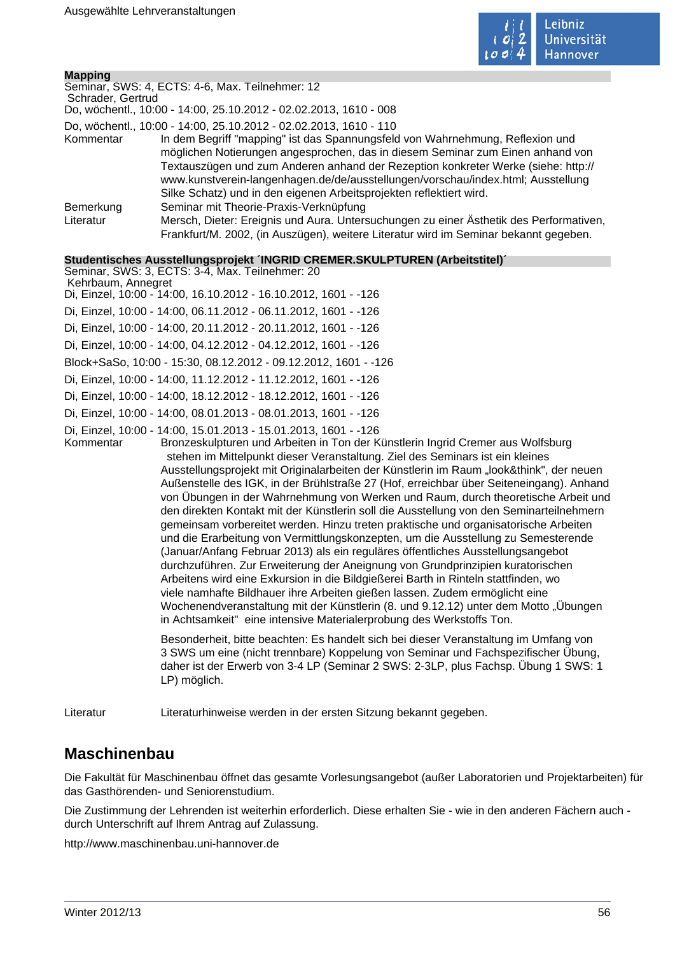

| <b>Mapping</b>     |                                                                                                                                                                                                                                                                                                                                                                                                                                                                                                                                                                                                                                                                                                                                                                                                                                                                                                                                                                                                                                                                                                                                                                                                                                                                                                |  |  |
|--------------------|------------------------------------------------------------------------------------------------------------------------------------------------------------------------------------------------------------------------------------------------------------------------------------------------------------------------------------------------------------------------------------------------------------------------------------------------------------------------------------------------------------------------------------------------------------------------------------------------------------------------------------------------------------------------------------------------------------------------------------------------------------------------------------------------------------------------------------------------------------------------------------------------------------------------------------------------------------------------------------------------------------------------------------------------------------------------------------------------------------------------------------------------------------------------------------------------------------------------------------------------------------------------------------------------|--|--|
|                    | Seminar, SWS: 4, ECTS: 4-6, Max. Teilnehmer: 12                                                                                                                                                                                                                                                                                                                                                                                                                                                                                                                                                                                                                                                                                                                                                                                                                                                                                                                                                                                                                                                                                                                                                                                                                                                |  |  |
|                    | Schrader, Gertrud<br>Do, wöchentl., 10:00 - 14:00, 25.10.2012 - 02.02.2013, 1610 - 008                                                                                                                                                                                                                                                                                                                                                                                                                                                                                                                                                                                                                                                                                                                                                                                                                                                                                                                                                                                                                                                                                                                                                                                                         |  |  |
|                    | Do, wöchentl., 10:00 - 14:00, 25.10.2012 - 02.02.2013, 1610 - 110                                                                                                                                                                                                                                                                                                                                                                                                                                                                                                                                                                                                                                                                                                                                                                                                                                                                                                                                                                                                                                                                                                                                                                                                                              |  |  |
| Kommentar          | In dem Begriff "mapping" ist das Spannungsfeld von Wahrnehmung, Reflexion und<br>möglichen Notierungen angesprochen, das in diesem Seminar zum Einen anhand von<br>Textauszügen und zum Anderen anhand der Rezeption konkreter Werke (siehe: http://<br>www.kunstverein-langenhagen.de/de/ausstellungen/vorschau/index.html; Ausstellung<br>Silke Schatz) und in den eigenen Arbeitsprojekten reflektiert wird.                                                                                                                                                                                                                                                                                                                                                                                                                                                                                                                                                                                                                                                                                                                                                                                                                                                                                |  |  |
| Bemerkung          | Seminar mit Theorie-Praxis-Verknüpfung                                                                                                                                                                                                                                                                                                                                                                                                                                                                                                                                                                                                                                                                                                                                                                                                                                                                                                                                                                                                                                                                                                                                                                                                                                                         |  |  |
| Literatur          | Mersch, Dieter: Ereignis und Aura. Untersuchungen zu einer Ästhetik des Performativen,<br>Frankfurt/M. 2002, (in Auszügen), weitere Literatur wird im Seminar bekannt gegeben.                                                                                                                                                                                                                                                                                                                                                                                                                                                                                                                                                                                                                                                                                                                                                                                                                                                                                                                                                                                                                                                                                                                 |  |  |
|                    | Studentisches Ausstellungsprojekt INGRID CREMER.SKULPTUREN (Arbeitstitel)                                                                                                                                                                                                                                                                                                                                                                                                                                                                                                                                                                                                                                                                                                                                                                                                                                                                                                                                                                                                                                                                                                                                                                                                                      |  |  |
|                    | Seminar, SWS: 3, ECTS: 3-4, Max. Teilnehmer: 20                                                                                                                                                                                                                                                                                                                                                                                                                                                                                                                                                                                                                                                                                                                                                                                                                                                                                                                                                                                                                                                                                                                                                                                                                                                |  |  |
| Kehrbaum, Annegret | Di, Einzel, 10:00 - 14:00, 16.10.2012 - 16.10.2012, 1601 - -126                                                                                                                                                                                                                                                                                                                                                                                                                                                                                                                                                                                                                                                                                                                                                                                                                                                                                                                                                                                                                                                                                                                                                                                                                                |  |  |
|                    | Di, Einzel, 10:00 - 14:00, 06.11.2012 - 06.11.2012, 1601 - -126                                                                                                                                                                                                                                                                                                                                                                                                                                                                                                                                                                                                                                                                                                                                                                                                                                                                                                                                                                                                                                                                                                                                                                                                                                |  |  |
|                    | Di, Einzel, 10:00 - 14:00, 20.11.2012 - 20.11.2012, 1601 - -126                                                                                                                                                                                                                                                                                                                                                                                                                                                                                                                                                                                                                                                                                                                                                                                                                                                                                                                                                                                                                                                                                                                                                                                                                                |  |  |
|                    | Di, Einzel, 10:00 - 14:00, 04.12.2012 - 04.12.2012, 1601 - -126                                                                                                                                                                                                                                                                                                                                                                                                                                                                                                                                                                                                                                                                                                                                                                                                                                                                                                                                                                                                                                                                                                                                                                                                                                |  |  |
|                    | Block+SaSo, 10:00 - 15:30, 08.12.2012 - 09.12.2012, 1601 - -126                                                                                                                                                                                                                                                                                                                                                                                                                                                                                                                                                                                                                                                                                                                                                                                                                                                                                                                                                                                                                                                                                                                                                                                                                                |  |  |
|                    | Di, Einzel, 10:00 - 14:00, 11.12.2012 - 11.12.2012, 1601 - -126                                                                                                                                                                                                                                                                                                                                                                                                                                                                                                                                                                                                                                                                                                                                                                                                                                                                                                                                                                                                                                                                                                                                                                                                                                |  |  |
|                    | Di, Einzel, 10:00 - 14:00, 18.12.2012 - 18.12.2012, 1601 - -126                                                                                                                                                                                                                                                                                                                                                                                                                                                                                                                                                                                                                                                                                                                                                                                                                                                                                                                                                                                                                                                                                                                                                                                                                                |  |  |
|                    | Di, Einzel, 10:00 - 14:00, 08.01.2013 - 08.01.2013, 1601 - -126                                                                                                                                                                                                                                                                                                                                                                                                                                                                                                                                                                                                                                                                                                                                                                                                                                                                                                                                                                                                                                                                                                                                                                                                                                |  |  |
| Kommentar          | Di, Einzel, 10:00 - 14:00, 15.01.2013 - 15.01.2013, 1601 - -126<br>Bronzeskulpturen und Arbeiten in Ton der Künstlerin Ingrid Cremer aus Wolfsburg<br>stehen im Mittelpunkt dieser Veranstaltung. Ziel des Seminars ist ein kleines<br>Ausstellungsprojekt mit Originalarbeiten der Künstlerin im Raum "look&think", der neuen<br>Außenstelle des IGK, in der Brühlstraße 27 (Hof, erreichbar über Seiteneingang). Anhand<br>von Übungen in der Wahrnehmung von Werken und Raum, durch theoretische Arbeit und<br>den direkten Kontakt mit der Künstlerin soll die Ausstellung von den Seminarteilnehmern<br>gemeinsam vorbereitet werden. Hinzu treten praktische und organisatorische Arbeiten<br>und die Erarbeitung von Vermittlungskonzepten, um die Ausstellung zu Semesterende<br>(Januar/Anfang Februar 2013) als ein reguläres öffentliches Ausstellungsangebot<br>durchzuführen. Zur Erweiterung der Aneignung von Grundprinzipien kuratorischen<br>Arbeitens wird eine Exkursion in die Bildgießerei Barth in Rinteln stattfinden, wo<br>viele namhafte Bildhauer ihre Arbeiten gießen lassen. Zudem ermöglicht eine<br>Wochenendveranstaltung mit der Künstlerin (8. und 9.12.12) unter dem Motto "Übungen<br>in Achtsamkeit" eine intensive Materialerprobung des Werkstoffs Ton. |  |  |
|                    | Besonderheit, bitte beachten: Es handelt sich bei dieser Veranstaltung im Umfang von<br>3 SWS um eine (nicht trennbare) Koppelung von Seminar und Fachspezifischer Übung,<br>daher ist der Erwerb von 3-4 LP (Seminar 2 SWS: 2-3LP, plus Fachsp. Übung 1 SWS: 1<br>LP) möglich.                                                                                                                                                                                                                                                                                                                                                                                                                                                                                                                                                                                                                                                                                                                                                                                                                                                                                                                                                                                                                |  |  |
| Literatur          | Literaturhinweise werden in der ersten Sitzung bekannt gegeben.                                                                                                                                                                                                                                                                                                                                                                                                                                                                                                                                                                                                                                                                                                                                                                                                                                                                                                                                                                                                                                                                                                                                                                                                                                |  |  |

# **Maschinenbau**

Die Fakultät für Maschinenbau öffnet das gesamte Vorlesungsangebot (außer Laboratorien und Projektarbeiten) für das Gasthörenden- und Seniorenstudium.

Die Zustimmung der Lehrenden ist weiterhin erforderlich. Diese erhalten Sie - wie in den anderen Fächern auch durch Unterschrift auf Ihrem Antrag auf Zulassung.

http://www.maschinenbau.uni-hannover.de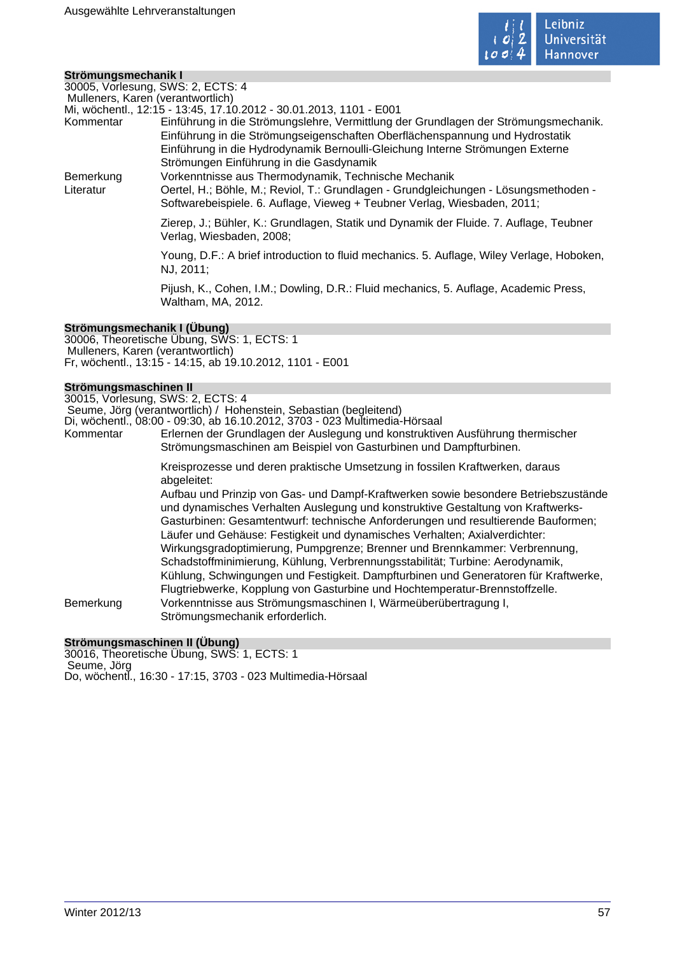

## **Strömungsmechanik I**

30005, Vorlesung, SWS: 2, ECTS: 4

Mulleners, Karen (verantwortlich)

|  |  |  | Mi, wöchentl., 12:15 - 13:45, 17.10.2012 - 30.01.2013, 1101 - E001 |
|--|--|--|--------------------------------------------------------------------|
|  |  |  |                                                                    |

| Kommentar | Einführung in die Strömungslehre, Vermittlung der Grundlagen der Strömungsmechanik. |
|-----------|-------------------------------------------------------------------------------------|
|           | Einführung in die Strömungseigenschaften Oberflächenspannung und Hydrostatik        |
|           | Einführung in die Hydrodynamik Bernoulli-Gleichung Interne Strömungen Externe       |
|           | Strömungen Einführung in die Gasdynamik                                             |

Bemerkung Vorkenntnisse aus Thermodynamik, Technische Mechanik

Literatur Oertel, H.; Böhle, M.; Reviol, T.: Grundlagen - Grundgleichungen - Lösungsmethoden -Softwarebeispiele. 6. Auflage, Vieweg + Teubner Verlag, Wiesbaden, 2011;

> Zierep, J.; Bühler, K.: Grundlagen, Statik und Dynamik der Fluide. 7. Auflage, Teubner Verlag, Wiesbaden, 2008;

Young, D.F.: A brief introduction to fluid mechanics. 5. Auflage, Wiley Verlage, Hoboken, NJ, 2011;

Pijush, K., Cohen, I.M.; Dowling, D.R.: Fluid mechanics, 5. Auflage, Academic Press, Waltham, MA, 2012.

# **Strömungsmechanik I (Übung)**

30006, Theoretische Übung, SWS: 1, ECTS: 1 Mulleners, Karen (verantwortlich) Fr, wöchentl., 13:15 - 14:15, ab 19.10.2012, 1101 - E001

### **Strömungsmaschinen II**

30015, Vorlesung, SWS: 2, ECTS: 4 Seume, Jörg (verantwortlich) / Hohenstein, Sebastian (begleitend)

Di, wöchentl., 08:00 - 09:30, ab 16.10.2012, 3703 - 023 Multimedia-Hörsaal

Kommentar Erlernen der Grundlagen der Auslegung und konstruktiven Ausführung thermischer Strömungsmaschinen am Beispiel von Gasturbinen und Dampfturbinen.

> Kreisprozesse und deren praktische Umsetzung in fossilen Kraftwerken, daraus abgeleitet:

Aufbau und Prinzip von Gas- und Dampf-Kraftwerken sowie besondere Betriebszustände und dynamisches Verhalten Auslegung und konstruktive Gestaltung von Kraftwerks-Gasturbinen: Gesamtentwurf: technische Anforderungen und resultierende Bauformen; Läufer und Gehäuse: Festigkeit und dynamisches Verhalten; Axialverdichter: Wirkungsgradoptimierung, Pumpgrenze; Brenner und Brennkammer: Verbrennung, Schadstoffminimierung, Kühlung, Verbrennungsstabilität; Turbine: Aerodynamik, Kühlung, Schwingungen und Festigkeit. Dampfturbinen und Generatoren für Kraftwerke, Flugtriebwerke, Kopplung von Gasturbine und Hochtemperatur-Brennstoffzelle. Bemerkung Vorkenntnisse aus Strömungsmaschinen I, Wärmeüberübertragung I, Strömungsmechanik erforderlich.

### **Strömungsmaschinen II (Übung)**

30016, Theoretische Übung, SWS: 1, ECTS: 1 Seume, Jörg Do, wöchentl., 16:30 - 17:15, 3703 - 023 Multimedia-Hörsaal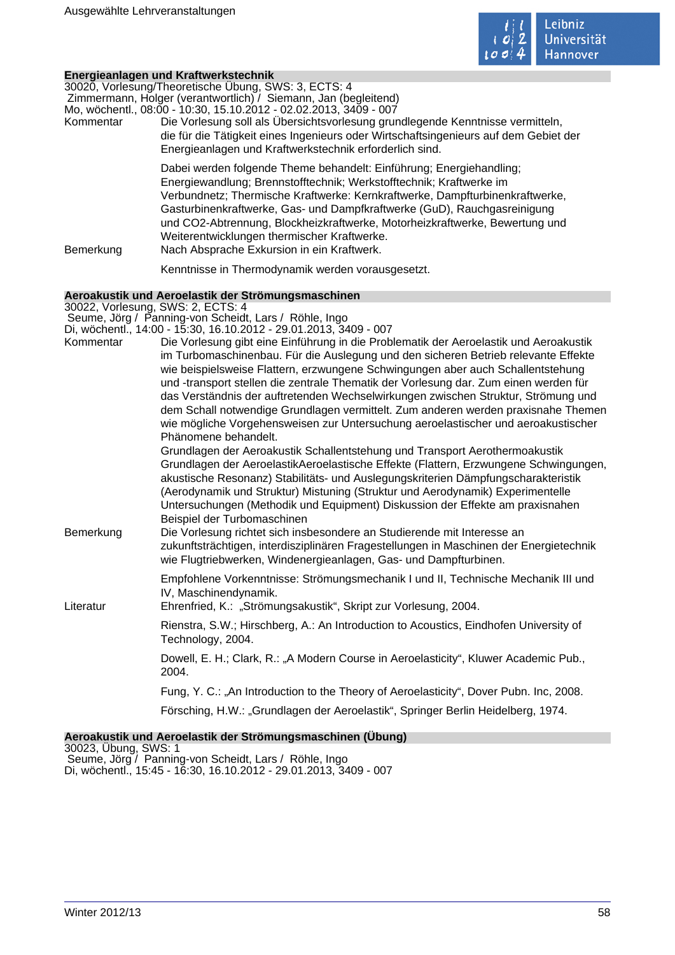

|                                   | Energieanlagen und Kraftwerkstechnik                                                                                                                                   |
|-----------------------------------|------------------------------------------------------------------------------------------------------------------------------------------------------------------------|
|                                   | 30020, Vorlesung/Theoretische Übung, SWS: 3, ECTS: 4<br>Zimmermann, Holger (verantwortlich) / Siemann, Jan (begleitend)                                                |
|                                   | Mo, wöchentl., 08:00 - 10:30, 15.10.2012 - 02.02.2013, 3409 - 007                                                                                                      |
| Kommentar                         | Die Vorlesung soll als Übersichtsvorlesung grundlegende Kenntnisse vermitteln,                                                                                         |
|                                   | die für die Tätigkeit eines Ingenieurs oder Wirtschaftsingenieurs auf dem Gebiet der                                                                                   |
|                                   | Energieanlagen und Kraftwerkstechnik erforderlich sind.                                                                                                                |
|                                   | Dabei werden folgende Theme behandelt: Einführung; Energiehandling;                                                                                                    |
|                                   | Energiewandlung; Brennstofftechnik; Werkstofftechnik; Kraftwerke im<br>Verbundnetz; Thermische Kraftwerke: Kernkraftwerke, Dampfturbinenkraftwerke,                    |
|                                   | Gasturbinenkraftwerke, Gas- und Dampfkraftwerke (GuD), Rauchgasreinigung                                                                                               |
|                                   | und CO2-Abtrennung, Blockheizkraftwerke, Motorheizkraftwerke, Bewertung und                                                                                            |
|                                   | Weiterentwicklungen thermischer Kraftwerke.                                                                                                                            |
| Bemerkung                         | Nach Absprache Exkursion in ein Kraftwerk.                                                                                                                             |
|                                   | Kenntnisse in Thermodynamik werden vorausgesetzt.                                                                                                                      |
|                                   | Aeroakustik und Aeroelastik der Strömungsmaschinen                                                                                                                     |
| 30022, Vorlesung, SWS: 2, ECTS: 4 | Seume, Jörg / Panning-von Scheidt, Lars / Röhle, Ingo                                                                                                                  |
|                                   | Di, wöchentl., 14:00 - 15:30, 16.10.2012 - 29.01.2013, 3409 - 007                                                                                                      |
| Kommentar                         | Die Vorlesung gibt eine Einführung in die Problematik der Aeroelastik und Aeroakustik                                                                                  |
|                                   | im Turbomaschinenbau. Für die Auslegung und den sicheren Betrieb relevante Effekte                                                                                     |
|                                   | wie beispielsweise Flattern, erzwungene Schwingungen aber auch Schallentstehung                                                                                        |
|                                   | und -transport stellen die zentrale Thematik der Vorlesung dar. Zum einen werden für                                                                                   |
|                                   | das Verständnis der auftretenden Wechselwirkungen zwischen Struktur, Strömung und<br>dem Schall notwendige Grundlagen vermittelt. Zum anderen werden praxisnahe Themen |
|                                   | wie mögliche Vorgehensweisen zur Untersuchung aeroelastischer und aeroakustischer                                                                                      |
|                                   | Phänomene behandelt.                                                                                                                                                   |
|                                   | Grundlagen der Aeroakustik Schallentstehung und Transport Aerothermoakustik                                                                                            |
|                                   | Grundlagen der AeroelastikAeroelastische Effekte (Flattern, Erzwungene Schwingungen,                                                                                   |
|                                   | akustische Resonanz) Stabilitäts- und Auslegungskriterien Dämpfungscharakteristik<br>(Aerodynamik und Struktur) Mistuning (Struktur und Aerodynamik) Experimentelle    |
|                                   | Untersuchungen (Methodik und Equipment) Diskussion der Effekte am praxisnahen                                                                                          |
|                                   | Beispiel der Turbomaschinen                                                                                                                                            |
| Bemerkung                         | Die Vorlesung richtet sich insbesondere an Studierende mit Interesse an                                                                                                |
|                                   | zukunftsträchtigen, interdisziplinären Fragestellungen in Maschinen der Energietechnik                                                                                 |
|                                   | wie Flugtriebwerken, Windenergieanlagen, Gas- und Dampfturbinen.                                                                                                       |
|                                   | Empfohlene Vorkenntnisse: Strömungsmechanik I und II, Technische Mechanik III und                                                                                      |
|                                   | IV, Maschinendynamik.                                                                                                                                                  |
| Literatur                         | Ehrenfried, K.: "Strömungsakustik", Skript zur Vorlesung, 2004.                                                                                                        |
|                                   | Rienstra, S.W.; Hirschberg, A.: An Introduction to Acoustics, Eindhofen University of<br>Technology, 2004.                                                             |
|                                   | Dowell, E. H.; Clark, R.: "A Modern Course in Aeroelasticity", Kluwer Academic Pub.,<br>2004.                                                                          |
|                                   | Fung, Y. C.: "An Introduction to the Theory of Aeroelasticity", Dover Pubn. Inc, 2008.                                                                                 |
|                                   | Försching, H.W.: "Grundlagen der Aeroelastik", Springer Berlin Heidelberg, 1974.                                                                                       |
|                                   |                                                                                                                                                                        |

**Aeroakustik und Aeroelastik der Strömungsmaschinen (Übung)** 30023, Übung, SWS: 1

 Seume, Jörg / Panning-von Scheidt, Lars / Röhle, Ingo Di, wöchentl., 15:45 - 16:30, 16.10.2012 - 29.01.2013, 3409 - 007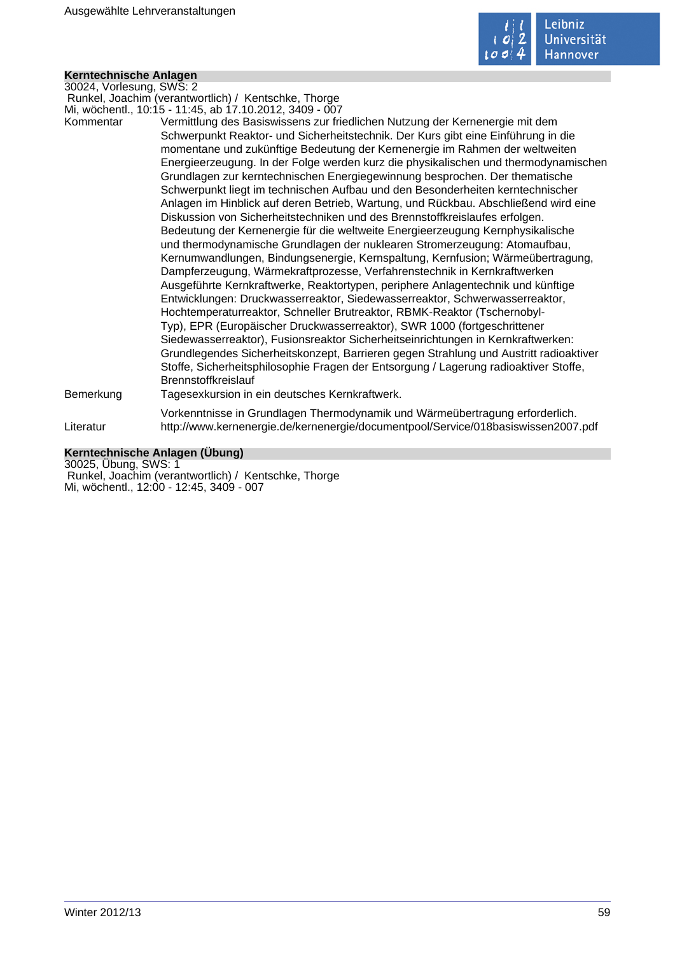

# **Kerntechnische Anlagen**

30024, Vorlesung, SWS: 2 Runkel, Joachim (verantwortlich) / Kentschke, Thorge Mi, wöchentl., 10:15 - 11:45, ab 17.10.2012, 3409 - 007

Kommentar Vermittlung des Basiswissens zur friedlichen Nutzung der Kernenergie mit dem Schwerpunkt Reaktor- und Sicherheitstechnik. Der Kurs gibt eine Einführung in die momentane und zukünftige Bedeutung der Kernenergie im Rahmen der weltweiten Energieerzeugung. In der Folge werden kurz die physikalischen und thermodynamischen Grundlagen zur kerntechnischen Energiegewinnung besprochen. Der thematische Schwerpunkt liegt im technischen Aufbau und den Besonderheiten kerntechnischer Anlagen im Hinblick auf deren Betrieb, Wartung, und Rückbau. Abschließend wird eine Diskussion von Sicherheitstechniken und des Brennstoffkreislaufes erfolgen. Bedeutung der Kernenergie für die weltweite Energieerzeugung Kernphysikalische und thermodynamische Grundlagen der nuklearen Stromerzeugung: Atomaufbau, Kernumwandlungen, Bindungsenergie, Kernspaltung, Kernfusion; Wärmeübertragung, Dampferzeugung, Wärmekraftprozesse, Verfahrenstechnik in Kernkraftwerken Ausgeführte Kernkraftwerke, Reaktortypen, periphere Anlagentechnik und künftige Entwicklungen: Druckwasserreaktor, Siedewasserreaktor, Schwerwasserreaktor, Hochtemperaturreaktor, Schneller Brutreaktor, RBMK-Reaktor (Tschernobyl-Typ), EPR (Europäischer Druckwasserreaktor), SWR 1000 (fortgeschrittener Siedewasserreaktor), Fusionsreaktor Sicherheitseinrichtungen in Kernkraftwerken: Grundlegendes Sicherheitskonzept, Barrieren gegen Strahlung und Austritt radioaktiver Stoffe, Sicherheitsphilosophie Fragen der Entsorgung / Lagerung radioaktiver Stoffe, Brennstoffkreislauf Bemerkung Tagesexkursion in ein deutsches Kernkraftwerk. Vorkenntnisse in Grundlagen Thermodynamik und Wärmeübertragung erforderlich. Literatur http://www.kernenergie.de/kernenergie/documentpool/Service/018basiswissen2007.pdf

# **Kerntechnische Anlagen (Übung)**

30025, Übung, SWS: 1 Runkel, Joachim (verantwortlich) / Kentschke, Thorge Mi, wöchentl., 12:00 - 12:45, 3409 - 007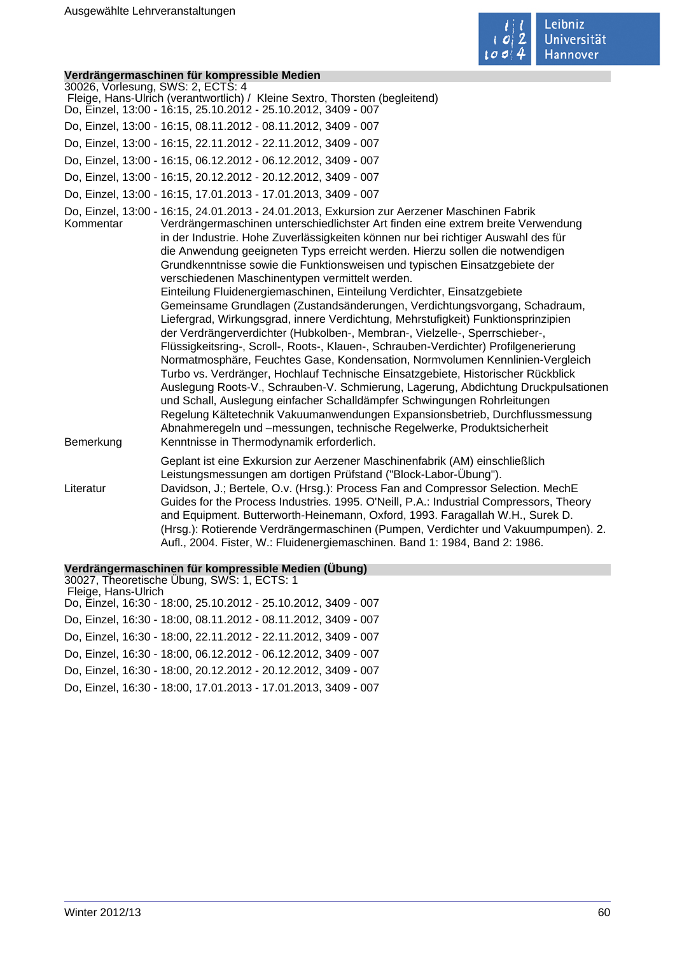

# **Verdrängermaschinen für kompressible Medien**

|                                   | <u>veruraligerinaschmen für Kompressible medien</u>                                                                                                                                                                                                                                                                                                                                                                                                                                                                                                                                                                                                                                                                                                                                                                                                                                                                                                                                                                                                                                                                                                                                                                                                                                                                                                                                                                                                      |
|-----------------------------------|----------------------------------------------------------------------------------------------------------------------------------------------------------------------------------------------------------------------------------------------------------------------------------------------------------------------------------------------------------------------------------------------------------------------------------------------------------------------------------------------------------------------------------------------------------------------------------------------------------------------------------------------------------------------------------------------------------------------------------------------------------------------------------------------------------------------------------------------------------------------------------------------------------------------------------------------------------------------------------------------------------------------------------------------------------------------------------------------------------------------------------------------------------------------------------------------------------------------------------------------------------------------------------------------------------------------------------------------------------------------------------------------------------------------------------------------------------|
| 30026, Vorlesung, SWS: 2, ECTS: 4 | Fleige, Hans-Ulrich (verantwortlich) / Kleine Sextro, Thorsten (begleitend)                                                                                                                                                                                                                                                                                                                                                                                                                                                                                                                                                                                                                                                                                                                                                                                                                                                                                                                                                                                                                                                                                                                                                                                                                                                                                                                                                                              |
|                                   | Do, Einzel, 13:00 - 16:15, 25.10.2012 - 25.10.2012, 3409 - 007                                                                                                                                                                                                                                                                                                                                                                                                                                                                                                                                                                                                                                                                                                                                                                                                                                                                                                                                                                                                                                                                                                                                                                                                                                                                                                                                                                                           |
|                                   | Do, Einzel, 13:00 - 16:15, 08.11.2012 - 08.11.2012, 3409 - 007                                                                                                                                                                                                                                                                                                                                                                                                                                                                                                                                                                                                                                                                                                                                                                                                                                                                                                                                                                                                                                                                                                                                                                                                                                                                                                                                                                                           |
|                                   | Do, Einzel, 13:00 - 16:15, 22.11.2012 - 22.11.2012, 3409 - 007                                                                                                                                                                                                                                                                                                                                                                                                                                                                                                                                                                                                                                                                                                                                                                                                                                                                                                                                                                                                                                                                                                                                                                                                                                                                                                                                                                                           |
|                                   | Do, Einzel, 13:00 - 16:15, 06.12.2012 - 06.12.2012, 3409 - 007                                                                                                                                                                                                                                                                                                                                                                                                                                                                                                                                                                                                                                                                                                                                                                                                                                                                                                                                                                                                                                                                                                                                                                                                                                                                                                                                                                                           |
|                                   | Do, Einzel, 13:00 - 16:15, 20.12.2012 - 20.12.2012, 3409 - 007                                                                                                                                                                                                                                                                                                                                                                                                                                                                                                                                                                                                                                                                                                                                                                                                                                                                                                                                                                                                                                                                                                                                                                                                                                                                                                                                                                                           |
|                                   | Do, Einzel, 13:00 - 16:15, 17.01.2013 - 17.01.2013, 3409 - 007                                                                                                                                                                                                                                                                                                                                                                                                                                                                                                                                                                                                                                                                                                                                                                                                                                                                                                                                                                                                                                                                                                                                                                                                                                                                                                                                                                                           |
| Kommentar<br>Bemerkung            | Do, Einzel, 13:00 - 16:15, 24.01.2013 - 24.01.2013, Exkursion zur Aerzener Maschinen Fabrik<br>Verdrängermaschinen unterschiedlichster Art finden eine extrem breite Verwendung<br>in der Industrie. Hohe Zuverlässigkeiten können nur bei richtiger Auswahl des für<br>die Anwendung geeigneten Typs erreicht werden. Hierzu sollen die notwendigen<br>Grundkenntnisse sowie die Funktionsweisen und typischen Einsatzgebiete der<br>verschiedenen Maschinentypen vermittelt werden.<br>Einteilung Fluidenergiemaschinen, Einteilung Verdichter, Einsatzgebiete<br>Gemeinsame Grundlagen (Zustandsänderungen, Verdichtungsvorgang, Schadraum,<br>Liefergrad, Wirkungsgrad, innere Verdichtung, Mehrstufigkeit) Funktionsprinzipien<br>der Verdrängerverdichter (Hubkolben-, Membran-, Vielzelle-, Sperrschieber-,<br>Flüssigkeitsring-, Scroll-, Roots-, Klauen-, Schrauben-Verdichter) Profilgenerierung<br>Normatmosphäre, Feuchtes Gase, Kondensation, Normvolumen Kennlinien-Vergleich<br>Turbo vs. Verdränger, Hochlauf Technische Einsatzgebiete, Historischer Rückblick<br>Auslegung Roots-V., Schrauben-V. Schmierung, Lagerung, Abdichtung Druckpulsationen<br>und Schall, Auslegung einfacher Schalldämpfer Schwingungen Rohrleitungen<br>Regelung Kältetechnik Vakuumanwendungen Expansionsbetrieb, Durchflussmessung<br>Abnahmeregeln und -messungen, technische Regelwerke, Produktsicherheit<br>Kenntnisse in Thermodynamik erforderlich. |
|                                   | Geplant ist eine Exkursion zur Aerzener Maschinenfabrik (AM) einschließlich                                                                                                                                                                                                                                                                                                                                                                                                                                                                                                                                                                                                                                                                                                                                                                                                                                                                                                                                                                                                                                                                                                                                                                                                                                                                                                                                                                              |
| Literatur                         | Leistungsmessungen am dortigen Prüfstand ("Block-Labor-Übung").<br>Davidson, J.; Bertele, O.v. (Hrsg.): Process Fan and Compressor Selection. MechE<br>Guides for the Process Industries. 1995. O'Neill, P.A.: Industrial Compressors, Theory<br>and Equipment. Butterworth-Heinemann, Oxford, 1993. Faragallah W.H., Surek D.<br>(Hrsg.): Rotierende Verdrängermaschinen (Pumpen, Verdichter und Vakuumpumpen). 2.<br>Aufl., 2004. Fister, W.: Fluidenergiemaschinen. Band 1: 1984, Band 2: 1986.                                                                                                                                                                                                                                                                                                                                                                                                                                                                                                                                                                                                                                                                                                                                                                                                                                                                                                                                                       |

#### **Verdrängermaschinen für kompressible Medien (Übung)**

30027, Theoretische Übung, SWS: 1, ECTS: 1 Fleige, Hans-Ulrich Do, Einzel, 16:30 - 18:00, 25.10.2012 - 25.10.2012, 3409 - 007 Do, Einzel, 16:30 - 18:00, 08.11.2012 - 08.11.2012, 3409 - 007 Do, Einzel, 16:30 - 18:00, 22.11.2012 - 22.11.2012, 3409 - 007 Do, Einzel, 16:30 - 18:00, 06.12.2012 - 06.12.2012, 3409 - 007 Do, Einzel, 16:30 - 18:00, 20.12.2012 - 20.12.2012, 3409 - 007 Do, Einzel, 16:30 - 18:00, 17.01.2013 - 17.01.2013, 3409 - 007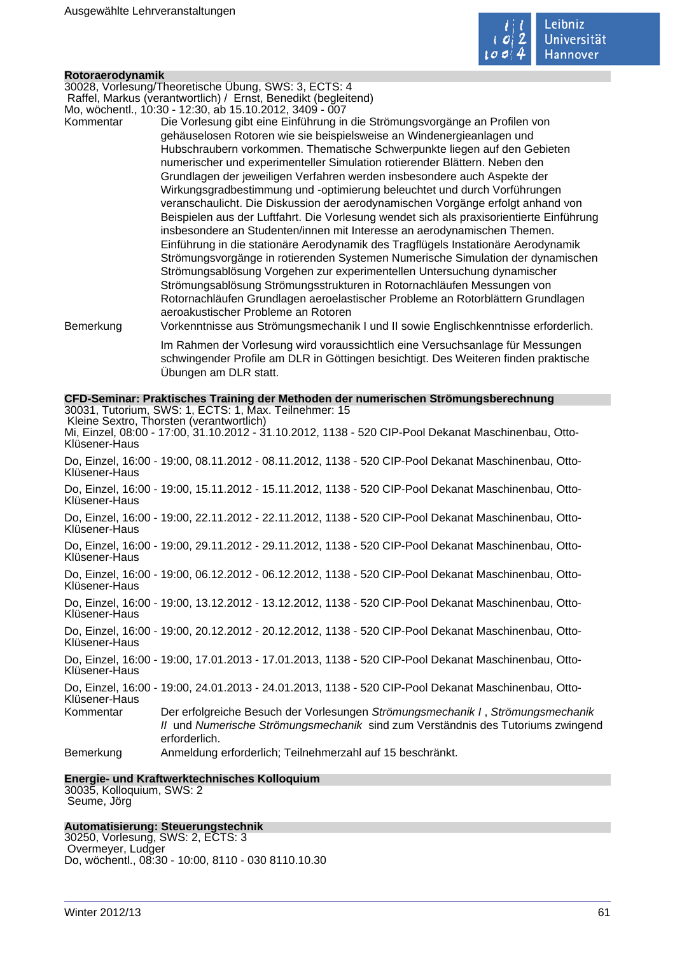

#### **Rotoraerodynamik**

30028, Vorlesung/Theoretische Übung, SWS: 3, ECTS: 4 Raffel, Markus (verantwortlich) / Ernst, Benedikt (begleitend) Mo, wöchentl., 10:30 - 12:30, ab 15.10.2012, 3409 - 007

Kommentar Die Vorlesung gibt eine Einführung in die Strömungsvorgänge an Profilen von gehäuselosen Rotoren wie sie beispielsweise an Windenergieanlagen und Hubschraubern vorkommen. Thematische Schwerpunkte liegen auf den Gebieten numerischer und experimenteller Simulation rotierender Blättern. Neben den Grundlagen der jeweiligen Verfahren werden insbesondere auch Aspekte der Wirkungsgradbestimmung und -optimierung beleuchtet und durch Vorführungen veranschaulicht. Die Diskussion der aerodynamischen Vorgänge erfolgt anhand von Beispielen aus der Luftfahrt. Die Vorlesung wendet sich als praxisorientierte Einführung insbesondere an Studenten/innen mit Interesse an aerodynamischen Themen. Einführung in die stationäre Aerodynamik des Tragflügels Instationäre Aerodynamik Strömungsvorgänge in rotierenden Systemen Numerische Simulation der dynamischen Strömungsablösung Vorgehen zur experimentellen Untersuchung dynamischer Strömungsablösung Strömungsstrukturen in Rotornachläufen Messungen von Rotornachläufen Grundlagen aeroelastischer Probleme an Rotorblättern Grundlagen aeroakustischer Probleme an Rotoren

Bemerkung Vorkenntnisse aus Strömungsmechanik I und II sowie Englischkenntnisse erforderlich.

Im Rahmen der Vorlesung wird voraussichtlich eine Versuchsanlage für Messungen schwingender Profile am DLR in Göttingen besichtigt. Des Weiteren finden praktische Übungen am DLR statt.

# **CFD-Seminar: Praktisches Training der Methoden der numerischen Strömungsberechnung**

|               | 30031, Tutorium, SWS: 1, ECTS: 1, Max. Teilnehmer: 15<br>Kleine Sextro, Thorsten (verantwortlich)                                                                                  |
|---------------|------------------------------------------------------------------------------------------------------------------------------------------------------------------------------------|
| Klüsener-Haus | Mi, Einzel, 08:00 - 17:00, 31.10.2012 - 31.10.2012, 1138 - 520 CIP-Pool Dekanat Maschinenbau, Otto-                                                                                |
| Klüsener-Haus | Do, Einzel, 16:00 - 19:00, 08.11.2012 - 08.11.2012, 1138 - 520 CIP-Pool Dekanat Maschinenbau, Otto-                                                                                |
| Klüsener-Haus | Do, Einzel, 16:00 - 19:00, 15.11.2012 - 15.11.2012, 1138 - 520 CIP-Pool Dekanat Maschinenbau, Otto-                                                                                |
| Klüsener-Haus | Do, Einzel, 16:00 - 19:00, 22.11.2012 - 22.11.2012, 1138 - 520 CIP-Pool Dekanat Maschinenbau, Otto-                                                                                |
| Klüsener-Haus | Do, Einzel, 16:00 - 19:00, 29.11.2012 - 29.11.2012, 1138 - 520 CIP-Pool Dekanat Maschinenbau, Otto-                                                                                |
| Klüsener-Haus | Do, Einzel, 16:00 - 19:00, 06.12.2012 - 06.12.2012, 1138 - 520 CIP-Pool Dekanat Maschinenbau, Otto-                                                                                |
| Klüsener-Haus | Do, Einzel, 16:00 - 19:00, 13.12.2012 - 13.12.2012, 1138 - 520 CIP-Pool Dekanat Maschinenbau, Otto-                                                                                |
| Klüsener-Haus | Do, Einzel, 16:00 - 19:00, 20.12.2012 - 20.12.2012, 1138 - 520 CIP-Pool Dekanat Maschinenbau, Otto-                                                                                |
| Klüsener-Haus | Do, Einzel, 16:00 - 19:00, 17.01.2013 - 17.01.2013, 1138 - 520 CIP-Pool Dekanat Maschinenbau, Otto-                                                                                |
| Klüsener-Haus | Do, Einzel, 16:00 - 19:00, 24.01.2013 - 24.01.2013, 1138 - 520 CIP-Pool Dekanat Maschinenbau, Otto-                                                                                |
| Kommentar     | Der erfolgreiche Besuch der Vorlesungen Strömungsmechanik I, Strömungsmechanik<br>II und Numerische Strömungsmechanik sind zum Verständnis des Tutoriums zwingend<br>erforderlich. |
| Bemerkung     | Anmeldung erforderlich; Teilnehmerzahl auf 15 beschränkt.                                                                                                                          |
|               |                                                                                                                                                                                    |

# **Energie- und Kraftwerktechnisches Kolloquium**

30035, Kolloquium, SWS: 2 Seume, Jörg

### **Automatisierung: Steuerungstechnik**

30250, Vorlesung, SWS: 2, ECTS: 3 Overmeyer, Ludger Do, wöchentl., 08:30 - 10:00, 8110 - 030 8110.10.30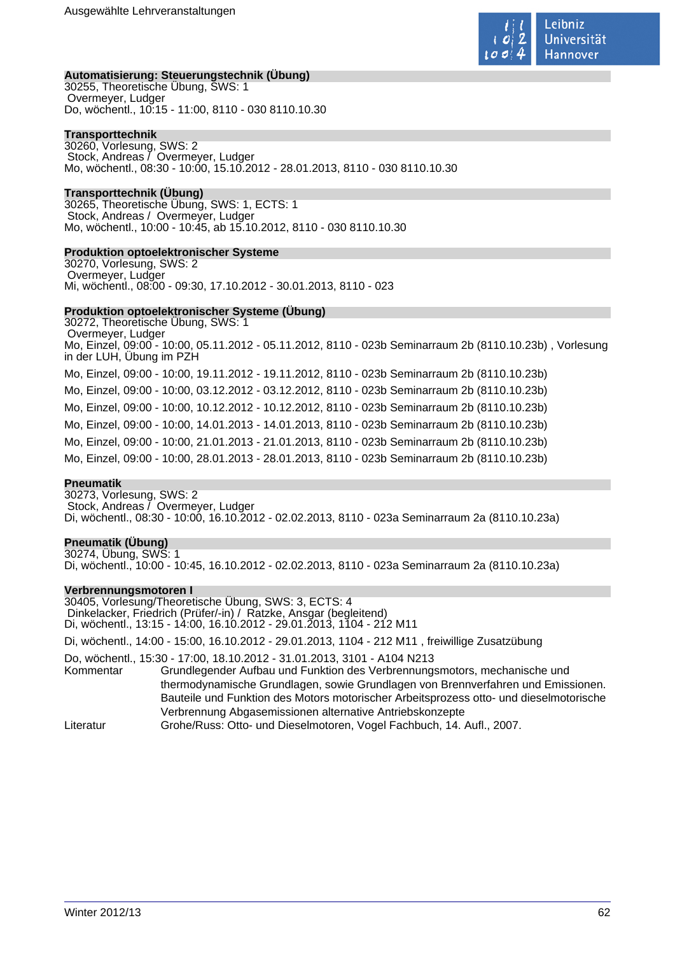

# **Automatisierung: Steuerungstechnik (Übung)**

30255, Theoretische Übung, SWS: 1 Overmeyer, Ludger Do, wöchentl., 10:15 - 11:00, 8110 - 030 8110.10.30

## **Transporttechnik**

30260, Vorlesung, SWS: 2 Stock, Andreas / Overmeyer, Ludger Mo, wöchentl., 08:30 - 10:00, 15.10.2012 - 28.01.2013, 8110 - 030 8110.10.30

# **Transporttechnik (Übung)**

30265, Theoretische Übung, SWS: 1, ECTS: 1 Stock, Andreas / Overmeyer, Ludger Mo, wöchentl., 10:00 - 10:45, ab 15.10.2012, 8110 - 030 8110.10.30

# **Produktion optoelektronischer Systeme**

30270, Vorlesung, SWS: 2 Overmeyer, Ludger Mi, wöchentl., 08:00 - 09:30, 17.10.2012 - 30.01.2013, 8110 - 023

# **Produktion optoelektronischer Systeme (Übung)**

30272, Theoretische Übung, SWS: 1 Overmeyer, Ludger Mo, Einzel, 09:00 - 10:00, 05.11.2012 - 05.11.2012, 8110 - 023b Seminarraum 2b (8110.10.23b) , Vorlesung in der LUH, Übung im PZH Mo, Einzel, 09:00 - 10:00, 19.11.2012 - 19.11.2012, 8110 - 023b Seminarraum 2b (8110.10.23b) Mo, Einzel, 09:00 - 10:00, 03.12.2012 - 03.12.2012, 8110 - 023b Seminarraum 2b (8110.10.23b) Mo, Einzel, 09:00 - 10:00, 10.12.2012 - 10.12.2012, 8110 - 023b Seminarraum 2b (8110.10.23b) Mo, Einzel, 09:00 - 10:00, 14.01.2013 - 14.01.2013, 8110 - 023b Seminarraum 2b (8110.10.23b) Mo, Einzel, 09:00 - 10:00, 21.01.2013 - 21.01.2013, 8110 - 023b Seminarraum 2b (8110.10.23b) Mo, Einzel, 09:00 - 10:00, 28.01.2013 - 28.01.2013, 8110 - 023b Seminarraum 2b (8110.10.23b)

### **Pneumatik**

30273, Vorlesung, SWS: 2 Stock, Andreas / Overmeyer, Ludger Di, wöchentl., 08:30 - 10:00, 16.10.2012 - 02.02.2013, 8110 - 023a Seminarraum 2a (8110.10.23a)

# **Pneumatik (Übung)**

30274, Übung, SWS: 1 Di, wöchentl., 10:00 - 10:45, 16.10.2012 - 02.02.2013, 8110 - 023a Seminarraum 2a (8110.10.23a)

### **Verbrennungsmotoren I**

30405, Vorlesung/Theoretische Übung, SWS: 3, ECTS: 4 Dinkelacker, Friedrich (Prüfer/-in) / Ratzke, Ansgar (begleitend) Di, wöchentl., 13:15 - 14:00, 16.10.2012 - 29.01.2013, 1104 - 212 M11

Di, wöchentl., 14:00 - 15:00, 16.10.2012 - 29.01.2013, 1104 - 212 M11 , freiwillige Zusatzübung

Do, wöchentl., 15:30 - 17:00, 18.10.2012 - 31.01.2013, 3101 - A104 N213

Kommentar Grundlegender Aufbau und Funktion des Verbrennungsmotors, mechanische und thermodynamische Grundlagen, sowie Grundlagen von Brennverfahren und Emissionen. Bauteile und Funktion des Motors motorischer Arbeitsprozess otto- und dieselmotorische Verbrennung Abgasemissionen alternative Antriebskonzepte

Literatur Grohe/Russ: Otto- und Dieselmotoren, Vogel Fachbuch, 14. Aufl., 2007.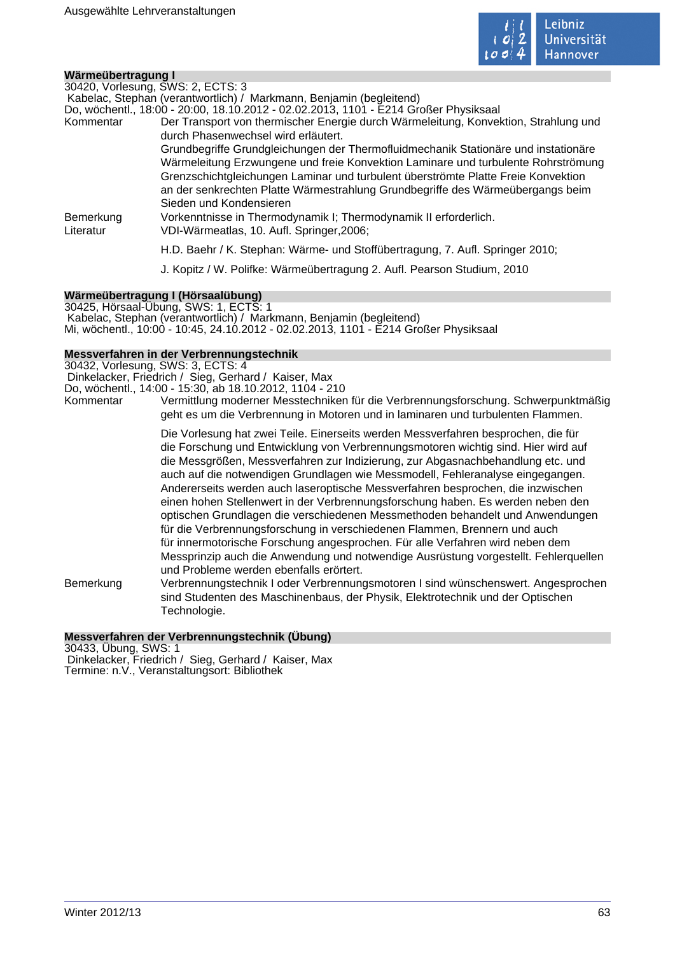

| Wärmeübertragung I |                                                                                      |
|--------------------|--------------------------------------------------------------------------------------|
|                    | 30420, Vorlesung, SWS: 2, ECTS: 3                                                    |
|                    | Kabelac, Stephan (verantwortlich) / Markmann, Benjamin (begleitend)                  |
|                    | Do, wöchentl., 18:00 - 20:00, 18.10.2012 - 02.02.2013, 1101 - E214 Großer Physiksaal |
| Kommentar          | Der Transport von thermischer Energie durch Wärmeleitung, Konvektion, Strahlung und  |
|                    | durch Phasenwechsel wird erläutert.                                                  |
|                    | Grundbegriffe Grundgleichungen der Thermofluidmechanik Stationäre und instationäre   |
|                    | Wärmeleitung Erzwungene und freie Konvektion Laminare und turbulente Rohrströmung    |
|                    | Grenzschichtgleichungen Laminar und turbulent überströmte Platte Freie Konvektion    |
|                    | an der senkrechten Platte Wärmestrahlung Grundbegriffe des Wärmeübergangs beim       |
|                    | Sieden und Kondensieren                                                              |
| Bemerkung          | Vorkenntnisse in Thermodynamik I; Thermodynamik II erforderlich.                     |
| Literatur          | VDI-Wärmeatlas, 10. Aufl. Springer, 2006;                                            |
|                    | H.D. Baehr / K. Stephan: Wärme- und Stoffübertragung, 7. Aufl. Springer 2010;        |
|                    |                                                                                      |
|                    | J. Kopitz / W. Polifke: Wärmeübertragung 2. Aufl. Pearson Studium, 2010              |
|                    |                                                                                      |

# **Wärmeübertragung I (Hörsaalübung)**

30425, Hörsaal-Übung, SWS: 1, ECTS: 1 Kabelac, Stephan (verantwortlich) / Markmann, Benjamin (begleitend) Mi, wöchentl., 10:00 - 10:45, 24.10.2012 - 02.02.2013, 1101 - E214 Großer Physiksaal

# **Messverfahren in der Verbrennungstechnik**

30432, Vorlesung, SWS: 3, ECTS: 4 Dinkelacker, Friedrich / Sieg, Gerhard / Kaiser, Max Do, wöchentl., 14:00 - 15:30, ab 18.10.2012, 1104 - 210 Kommentar Vermittlung moderner Messtechniken für die Verbrennungsforschung. Schwerpunktmäßig geht es um die Verbrennung in Motoren und in laminaren und turbulenten Flammen.

> Die Vorlesung hat zwei Teile. Einerseits werden Messverfahren besprochen, die für die Forschung und Entwicklung von Verbrennungsmotoren wichtig sind. Hier wird auf die Messgrößen, Messverfahren zur Indizierung, zur Abgasnachbehandlung etc. und auch auf die notwendigen Grundlagen wie Messmodell, Fehleranalyse eingegangen. Andererseits werden auch laseroptische Messverfahren besprochen, die inzwischen einen hohen Stellenwert in der Verbrennungsforschung haben. Es werden neben den optischen Grundlagen die verschiedenen Messmethoden behandelt und Anwendungen für die Verbrennungsforschung in verschiedenen Flammen, Brennern und auch für innermotorische Forschung angesprochen. Für alle Verfahren wird neben dem Messprinzip auch die Anwendung und notwendige Ausrüstung vorgestellt. Fehlerquellen und Probleme werden ebenfalls erörtert.

Bemerkung Verbrennungstechnik I oder Verbrennungsmotoren I sind wünschenswert. Angesprochen sind Studenten des Maschinenbaus, der Physik, Elektrotechnik und der Optischen Technologie.

# **Messverfahren der Verbrennungstechnik (Übung)**

30433, Übung, SWS: 1 Dinkelacker, Friedrich / Sieg, Gerhard / Kaiser, Max Termine: n.V., Veranstaltungsort: Bibliothek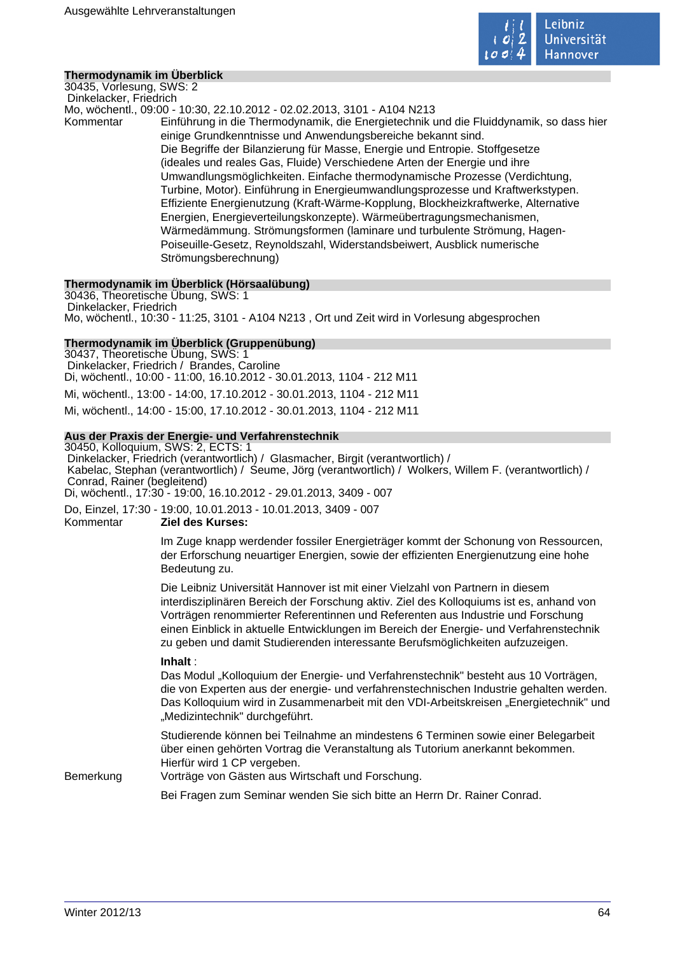

# **Thermodynamik im Überblick**

30435, Vorlesung, SWS: 2 Dinkelacker, Friedrich

Mo, wöchentl., 09:00 - 10:30, 22.10.2012 - 02.02.2013, 3101 - A104 N213

Kommentar Einführung in die Thermodynamik, die Energietechnik und die Fluiddynamik, so dass hier einige Grundkenntnisse und Anwendungsbereiche bekannt sind. Die Begriffe der Bilanzierung für Masse, Energie und Entropie. Stoffgesetze (ideales und reales Gas, Fluide) Verschiedene Arten der Energie und ihre Umwandlungsmöglichkeiten. Einfache thermodynamische Prozesse (Verdichtung, Turbine, Motor). Einführung in Energieumwandlungsprozesse und Kraftwerkstypen. Effiziente Energienutzung (Kraft-Wärme-Kopplung, Blockheizkraftwerke, Alternative Energien, Energieverteilungskonzepte). Wärmeübertragungsmechanismen, Wärmedämmung. Strömungsformen (laminare und turbulente Strömung, Hagen-Poiseuille-Gesetz, Reynoldszahl, Widerstandsbeiwert, Ausblick numerische Strömungsberechnung)

# **Thermodynamik im Überblick (Hörsaalübung)**

30436, Theoretische Übung, SWS: 1 Dinkelacker, Friedrich Mo, wöchentl., 10:30 - 11:25, 3101 - A104 N213 , Ort und Zeit wird in Vorlesung abgesprochen

# **Thermodynamik im Überblick (Gruppenübung)**

30437, Theoretische Übung, SWS: 1 Dinkelacker, Friedrich / Brandes, Caroline Di, wöchentl., 10:00 - 11:00, 16.10.2012 - 30.01.2013, 1104 - 212 M11 Mi, wöchentl., 13:00 - 14:00, 17.10.2012 - 30.01.2013, 1104 - 212 M11 Mi, wöchentl., 14:00 - 15:00, 17.10.2012 - 30.01.2013, 1104 - 212 M11

### **Aus der Praxis der Energie- und Verfahrenstechnik**

30450, Kolloquium, SWS: 2, ECTS: 1 Dinkelacker, Friedrich (verantwortlich) / Glasmacher, Birgit (verantwortlich) / Kabelac, Stephan (verantwortlich) / Seume, Jörg (verantwortlich) / Wolkers, Willem F. (verantwortlich) / Conrad, Rainer (begleitend) Di, wöchentl., 17:30 - 19:00, 16.10.2012 - 29.01.2013, 3409 - 007

Do, Einzel, 17:30 - 19:00, 10.01.2013 - 10.01.2013, 3409 - 007

### Kommentar **Ziel des Kurses:**

Im Zuge knapp werdender fossiler Energieträger kommt der Schonung von Ressourcen, der Erforschung neuartiger Energien, sowie der effizienten Energienutzung eine hohe Bedeutung zu.

Die Leibniz Universität Hannover ist mit einer Vielzahl von Partnern in diesem interdisziplinären Bereich der Forschung aktiv. Ziel des Kolloquiums ist es, anhand von Vorträgen renommierter Referentinnen und Referenten aus Industrie und Forschung einen Einblick in aktuelle Entwicklungen im Bereich der Energie- und Verfahrenstechnik zu geben und damit Studierenden interessante Berufsmöglichkeiten aufzuzeigen.

### **Inhalt** :

Das Modul "Kolloquium der Energie- und Verfahrenstechnik" besteht aus 10 Vorträgen, die von Experten aus der energie- und verfahrenstechnischen Industrie gehalten werden. Das Kolloquium wird in Zusammenarbeit mit den VDI-Arbeitskreisen "Energietechnik" und "Medizintechnik" durchgeführt.

Studierende können bei Teilnahme an mindestens 6 Terminen sowie einer Belegarbeit über einen gehörten Vortrag die Veranstaltung als Tutorium anerkannt bekommen. Hierfür wird 1 CP vergeben.

Bemerkung Vorträge von Gästen aus Wirtschaft und Forschung.

Bei Fragen zum Seminar wenden Sie sich bitte an Herrn Dr. Rainer Conrad.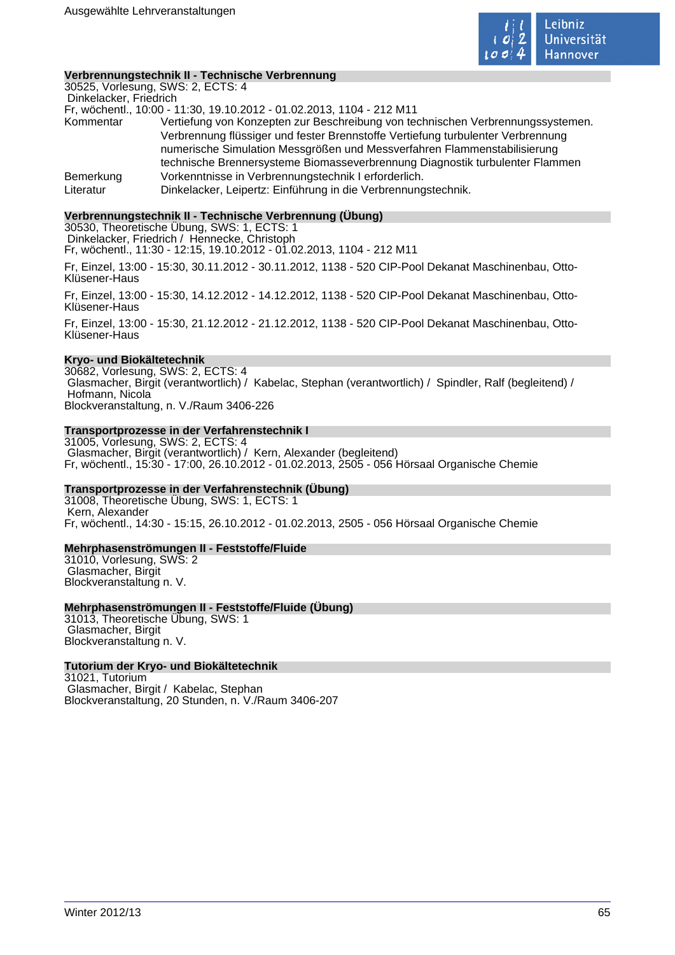

#### **Verbrennungstechnik II - Technische Verbrennung**

30525, Vorlesung, SWS: 2, ECTS: 4 Dinkelacker, Friedrich Fr, wöchentl., 10:00 - 11:30, 19.10.2012 - 01.02.2013, 1104 - 212 M11 Kommentar Vertiefung von Konzepten zur Beschreibung von technischen Verbrennungssystemen. Verbrennung flüssiger und fester Brennstoffe Vertiefung turbulenter Verbrennung numerische Simulation Messgrößen und Messverfahren Flammenstabilisierung technische Brennersysteme Biomasseverbrennung Diagnostik turbulenter Flammen Bemerkung Vorkenntnisse in Verbrennungstechnik I erforderlich. Literatur Dinkelacker, Leipertz: Einführung in die Verbrennungstechnik.

### **Verbrennungstechnik II - Technische Verbrennung (Übung)**

30530, Theoretische Übung, SWS: 1, ECTS: 1 Dinkelacker, Friedrich / Hennecke, Christoph

Fr, wöchentl., 11:30 - 12:15, 19.10.2012 - 01.02.2013, 1104 - 212 M11

Fr, Einzel, 13:00 - 15:30, 30.11.2012 - 30.11.2012, 1138 - 520 CIP-Pool Dekanat Maschinenbau, Otto-Klüsener-Haus

Fr, Einzel, 13:00 - 15:30, 14.12.2012 - 14.12.2012, 1138 - 520 CIP-Pool Dekanat Maschinenbau, Otto-Klüsener-Haus

Fr, Einzel, 13:00 - 15:30, 21.12.2012 - 21.12.2012, 1138 - 520 CIP-Pool Dekanat Maschinenbau, Otto-Klüsener-Haus

#### **Kryo- und Biokältetechnik**

30682, Vorlesung, SWS: 2, ECTS: 4 Glasmacher, Birgit (verantwortlich) / Kabelac, Stephan (verantwortlich) / Spindler, Ralf (begleitend) / Hofmann, Nicola Blockveranstaltung, n. V./Raum 3406-226

# **Transportprozesse in der Verfahrenstechnik I**

31005, Vorlesung, SWS: 2, ECTS: 4 Glasmacher, Birgit (verantwortlich) / Kern, Alexander (begleitend) Fr, wöchentl., 15:30 - 17:00, 26.10.2012 - 01.02.2013, 2505 - 056 Hörsaal Organische Chemie

### **Transportprozesse in der Verfahrenstechnik (Übung)**

31008, Theoretische Übung, SWS: 1, ECTS: 1 Kern, Alexander Fr, wöchentl., 14:30 - 15:15, 26.10.2012 - 01.02.2013, 2505 - 056 Hörsaal Organische Chemie

### **Mehrphasenströmungen II - Feststoffe/Fluide**

31010, Vorlesung, SWS: 2 Glasmacher, Birgit Blockveranstaltung n. V.

# **Mehrphasenströmungen II - Feststoffe/Fluide (Übung)**

31013, Theoretische Übung, SWS: 1 Glasmacher, Birgit Blockveranstaltung n. V.

### **Tutorium der Kryo- und Biokältetechnik**

31021, Tutorium Glasmacher, Birgit / Kabelac, Stephan Blockveranstaltung, 20 Stunden, n. V./Raum 3406-207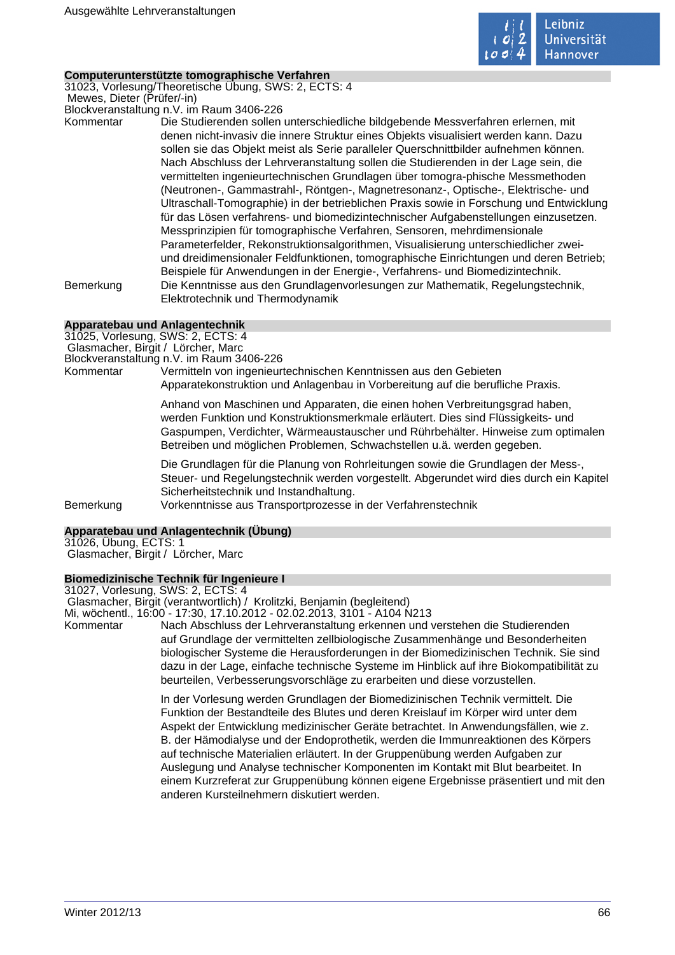

#### **Computerunterstützte tomographische Verfahren**

31023, Vorlesung/Theoretische Übung, SWS: 2, ECTS: 4 Mewes, Dieter (Prüfer/-in) Blockveranstaltung n.V. im Raum 3406-226

Kommentar Die Studierenden sollen unterschiedliche bildgebende Messverfahren erlernen, mit denen nicht-invasiv die innere Struktur eines Objekts visualisiert werden kann. Dazu sollen sie das Objekt meist als Serie paralleler Querschnittbilder aufnehmen können. Nach Abschluss der Lehrveranstaltung sollen die Studierenden in der Lage sein, die vermittelten ingenieurtechnischen Grundlagen über tomogra-phische Messmethoden (Neutronen-, Gammastrahl-, Röntgen-, Magnetresonanz-, Optische-, Elektrische- und Ultraschall-Tomographie) in der betrieblichen Praxis sowie in Forschung und Entwicklung für das Lösen verfahrens- und biomedizintechnischer Aufgabenstellungen einzusetzen. Messprinzipien für tomographische Verfahren, Sensoren, mehrdimensionale Parameterfelder, Rekonstruktionsalgorithmen, Visualisierung unterschiedlicher zweiund dreidimensionaler Feldfunktionen, tomographische Einrichtungen und deren Betrieb; Beispiele für Anwendungen in der Energie-, Verfahrens- und Biomedizintechnik. Bemerkung Die Kenntnisse aus den Grundlagenvorlesungen zur Mathematik, Regelungstechnik, Elektrotechnik und Thermodynamik

# **Apparatebau und Anlagentechnik**

31025, Vorlesung, SWS: 2, ECTS: 4

Glasmacher, Birgit / Lörcher, Marc

Blockveranstaltung n.V. im Raum 3406-226

Kommentar Vermitteln von ingenieurtechnischen Kenntnissen aus den Gebieten Apparatekonstruktion und Anlagenbau in Vorbereitung auf die berufliche Praxis.

> Anhand von Maschinen und Apparaten, die einen hohen Verbreitungsgrad haben, werden Funktion und Konstruktionsmerkmale erläutert. Dies sind Flüssigkeits- und Gaspumpen, Verdichter, Wärmeaustauscher und Rührbehälter. Hinweise zum optimalen Betreiben und möglichen Problemen, Schwachstellen u.ä. werden gegeben.

Die Grundlagen für die Planung von Rohrleitungen sowie die Grundlagen der Mess-, Steuer- und Regelungstechnik werden vorgestellt. Abgerundet wird dies durch ein Kapitel Sicherheitstechnik und Instandhaltung.

Bemerkung Vorkenntnisse aus Transportprozesse in der Verfahrenstechnik

### **Apparatebau und Anlagentechnik (Übung)**

31026, Übung, ECTS: 1 Glasmacher, Birgit / Lörcher, Marc

### **Biomedizinische Technik für Ingenieure I**

31027, Vorlesung, SWS: 2, ECTS: 4 Glasmacher, Birgit (verantwortlich) / Krolitzki, Benjamin (begleitend) Mi, wöchentl., 16:00 - 17:30, 17.10.2012 - 02.02.2013, 3101 - A104 N213 Kommentar Nach Abschluss der Lehrveranstaltung erkennen und verstehen die Studierenden auf Grundlage der vermittelten zellbiologische Zusammenhänge und Besonderheiten biologischer Systeme die Herausforderungen in der Biomedizinischen Technik. Sie sind dazu in der Lage, einfache technische Systeme im Hinblick auf ihre Biokompatibilität zu beurteilen, Verbesserungsvorschläge zu erarbeiten und diese vorzustellen. In der Vorlesung werden Grundlagen der Biomedizinischen Technik vermittelt. Die Funktion der Bestandteile des Blutes und deren Kreislauf im Körper wird unter dem Aspekt der Entwicklung medizinischer Geräte betrachtet. In Anwendungsfällen, wie z.

B. der Hämodialyse und der Endoprothetik, werden die Immunreaktionen des Körpers auf technische Materialien erläutert. In der Gruppenübung werden Aufgaben zur Auslegung und Analyse technischer Komponenten im Kontakt mit Blut bearbeitet. In einem Kurzreferat zur Gruppenübung können eigene Ergebnisse präsentiert und mit den anderen Kursteilnehmern diskutiert werden.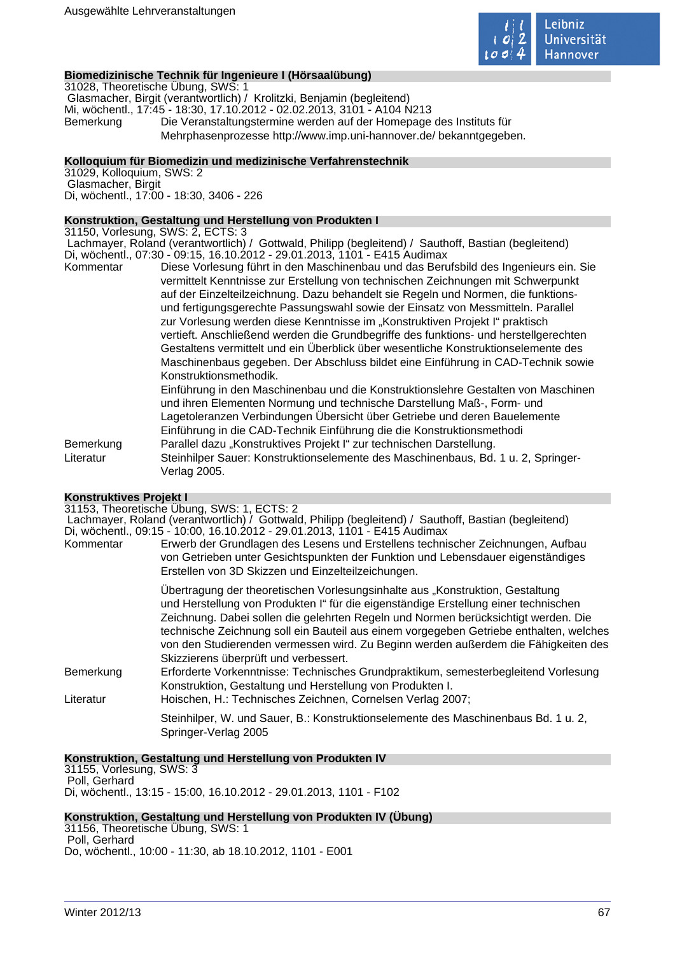

## **Biomedizinische Technik für Ingenieure I (Hörsaalübung)**

31028, Theoretische Übung, SWS: 1 Glasmacher, Birgit (verantwortlich) / Krolitzki, Benjamin (begleitend) Mi, wöchentl., 17:45 - 18:30, 17.10.2012 - 02.02.2013, 3101 - A104 N213 Bemerkung Die Veranstaltungstermine werden auf der Homepage des Instituts für Mehrphasenprozesse http://www.imp.uni-hannover.de/ bekanntgegeben.

### **Kolloquium für Biomedizin und medizinische Verfahrenstechnik**

31029, Kolloquium, SWS: 2 Glasmacher, Birgit Di, wöchentl., 17:00 - 18:30, 3406 - 226

# **Konstruktion, Gestaltung und Herstellung von Produkten I**

31150, Vorlesung, SWS: 2, ECTS: 3

 Lachmayer, Roland (verantwortlich) / Gottwald, Philipp (begleitend) / Sauthoff, Bastian (begleitend) Di, wöchentl., 07:30 - 09:15, 16.10.2012 - 29.01.2013, 1101 - E415 Audimax

Kommentar Diese Vorlesung führt in den Maschinenbau und das Berufsbild des Ingenieurs ein. Sie vermittelt Kenntnisse zur Erstellung von technischen Zeichnungen mit Schwerpunkt auf der Einzelteilzeichnung. Dazu behandelt sie Regeln und Normen, die funktionsund fertigungsgerechte Passungswahl sowie der Einsatz von Messmitteln. Parallel zur Vorlesung werden diese Kenntnisse im "Konstruktiven Projekt I" praktisch vertieft. Anschließend werden die Grundbegriffe des funktions- und herstellgerechten Gestaltens vermittelt und ein Überblick über wesentliche Konstruktionselemente des Maschinenbaus gegeben. Der Abschluss bildet eine Einführung in CAD-Technik sowie Konstruktionsmethodik. Einführung in den Maschinenbau und die Konstruktionslehre Gestalten von Maschinen und ihren Elementen Normung und technische Darstellung Maß-, Form- und Lagetoleranzen Verbindungen Übersicht über Getriebe und deren Bauelemente Einführung in die CAD-Technik Einführung die die Konstruktionsmethodi

Bemerkung Parallel dazu "Konstruktives Projekt I" zur technischen Darstellung. Literatur Steinhilper Sauer: Konstruktionselemente des Maschinenbaus, Bd. 1 u. 2, Springer-Verlag 2005.

### **Konstruktives Projekt I**

31153, Theoretische Übung, SWS: 1, ECTS: 2

 Lachmayer, Roland (verantwortlich) / Gottwald, Philipp (begleitend) / Sauthoff, Bastian (begleitend) Di, wöchentl., 09:15 - 10:00, 16.10.2012 - 29.01.2013, 1101 - E415 Audimax

Kommentar Erwerb der Grundlagen des Lesens und Erstellens technischer Zeichnungen, Aufbau von Getrieben unter Gesichtspunkten der Funktion und Lebensdauer eigenständiges Erstellen von 3D Skizzen und Einzelteilzeichungen. Übertragung der theoretischen Vorlesungsinhalte aus "Konstruktion, Gestaltung und Herstellung von Produkten I" für die eigenständige Erstellung einer technischen Zeichnung. Dabei sollen die gelehrten Regeln und Normen berücksichtigt werden. Die technische Zeichnung soll ein Bauteil aus einem vorgegeben Getriebe enthalten, welches von den Studierenden vermessen wird. Zu Beginn werden außerdem die Fähigkeiten des Skizzierens überprüft und verbessert. Bemerkung Erforderte Vorkenntnisse: Technisches Grundpraktikum, semesterbegleitend Vorlesung Konstruktion, Gestaltung und Herstellung von Produkten I. Literatur Hoischen, H.: Technisches Zeichnen, Cornelsen Verlag 2007;

Steinhilper, W. und Sauer, B.: Konstruktionselemente des Maschinenbaus Bd. 1 u. 2, Springer-Verlag 2005

# **Konstruktion, Gestaltung und Herstellung von Produkten IV**

31155, Vorlesung, SWS: 3 Poll, Gerhard Di, wöchentl., 13:15 - 15:00, 16.10.2012 - 29.01.2013, 1101 - F102

# **Konstruktion, Gestaltung und Herstellung von Produkten IV (Übung)**

31156, Theoretische Übung, SWS: 1 Poll, Gerhard Do, wöchentl., 10:00 - 11:30, ab 18.10.2012, 1101 - E001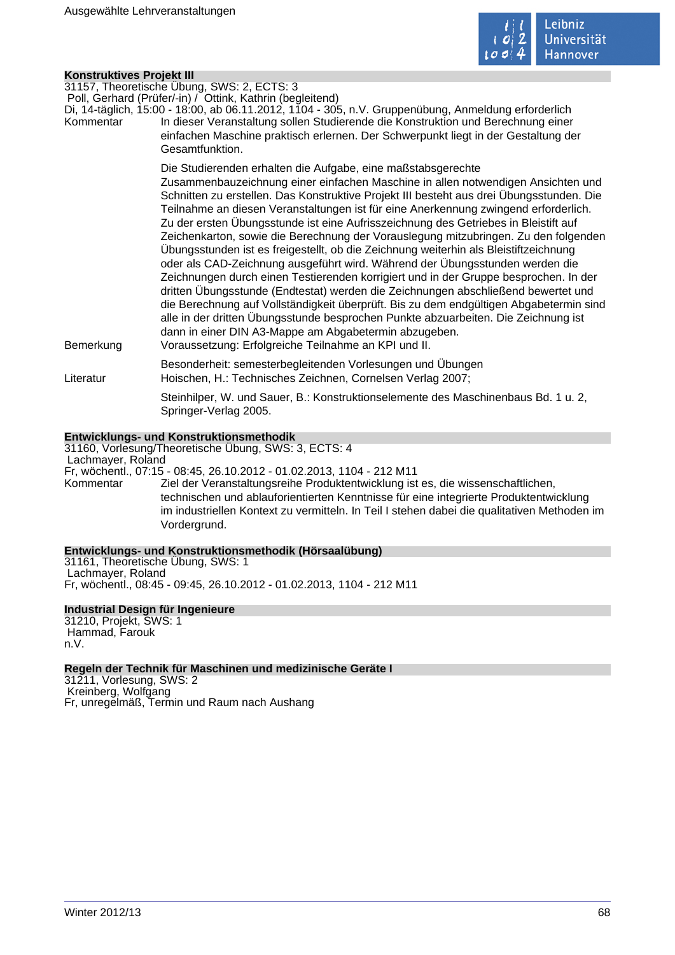

# **Konstruktives Projekt III**

| <b>NUISUUNUVES FIUJENI III</b> |                                                                                                                                                                                                                                                                                                                                                                                                                                                                                                                                                                                                                                                                                                                                                                                                                                                                                                                                                                                                                                                                                                                                                                         |
|--------------------------------|-------------------------------------------------------------------------------------------------------------------------------------------------------------------------------------------------------------------------------------------------------------------------------------------------------------------------------------------------------------------------------------------------------------------------------------------------------------------------------------------------------------------------------------------------------------------------------------------------------------------------------------------------------------------------------------------------------------------------------------------------------------------------------------------------------------------------------------------------------------------------------------------------------------------------------------------------------------------------------------------------------------------------------------------------------------------------------------------------------------------------------------------------------------------------|
| Kommentar                      | 31157, Theoretische Übung, SWS: 2, ECTS: 3<br>Poll, Gerhard (Prüfer/-in) / Ottink, Kathrin (begleitend)<br>Di, 14-täglich, 15:00 - 18:00, ab 06.11.2012, 1104 - 305, n.V. Gruppenübung, Anmeldung erforderlich<br>In dieser Veranstaltung sollen Studierende die Konstruktion und Berechnung einer<br>einfachen Maschine praktisch erlernen. Der Schwerpunkt liegt in der Gestaltung der<br>Gesamtfunktion.                                                                                                                                                                                                                                                                                                                                                                                                                                                                                                                                                                                                                                                                                                                                                             |
| Bemerkung                      | Die Studierenden erhalten die Aufgabe, eine maßstabsgerechte<br>Zusammenbauzeichnung einer einfachen Maschine in allen notwendigen Ansichten und<br>Schnitten zu erstellen. Das Konstruktive Projekt III besteht aus drei Übungsstunden. Die<br>Teilnahme an diesen Veranstaltungen ist für eine Anerkennung zwingend erforderlich.<br>Zu der ersten Übungsstunde ist eine Aufrisszeichnung des Getriebes in Bleistift auf<br>Zeichenkarton, sowie die Berechnung der Vorauslegung mitzubringen. Zu den folgenden<br>Übungsstunden ist es freigestellt, ob die Zeichnung weiterhin als Bleistiftzeichnung<br>oder als CAD-Zeichnung ausgeführt wird. Während der Übungsstunden werden die<br>Zeichnungen durch einen Testierenden korrigiert und in der Gruppe besprochen. In der<br>dritten Übungsstunde (Endtestat) werden die Zeichnungen abschließend bewertet und<br>die Berechnung auf Vollständigkeit überprüft. Bis zu dem endgültigen Abgabetermin sind<br>alle in der dritten Übungsstunde besprochen Punkte abzuarbeiten. Die Zeichnung ist<br>dann in einer DIN A3-Mappe am Abgabetermin abzugeben.<br>Voraussetzung: Erfolgreiche Teilnahme an KPI und II. |
| Literatur                      | Besonderheit: semesterbegleitenden Vorlesungen und Übungen<br>Hoischen, H.: Technisches Zeichnen, Cornelsen Verlag 2007;                                                                                                                                                                                                                                                                                                                                                                                                                                                                                                                                                                                                                                                                                                                                                                                                                                                                                                                                                                                                                                                |
|                                | Steinhilper, W. und Sauer, B.: Konstruktionselemente des Maschinenbaus Bd. 1 u. 2,<br>Springer-Verlag 2005.                                                                                                                                                                                                                                                                                                                                                                                                                                                                                                                                                                                                                                                                                                                                                                                                                                                                                                                                                                                                                                                             |
|                                | Entwicklungs- und Konstruktionsmethodik                                                                                                                                                                                                                                                                                                                                                                                                                                                                                                                                                                                                                                                                                                                                                                                                                                                                                                                                                                                                                                                                                                                                 |

# Vordergrund.

**Entwicklungs- und Konstruktionsmethodik (Hörsaalübung)** 31161, Theoretische Übung, SWS: 1 Lachmayer, Roland

Fr, wöchentl., 07:15 - 08:45, 26.10.2012 - 01.02.2013, 1104 - 212 M11

Kommentar Ziel der Veranstaltungsreihe Produktentwicklung ist es, die wissenschaftlichen,

technischen und ablauforientierten Kenntnisse für eine integrierte Produktentwicklung im industriellen Kontext zu vermitteln. In Teil I stehen dabei die qualitativen Methoden im

31160, Vorlesung/Theoretische Übung, SWS: 3, ECTS: 4

Fr, wöchentl., 08:45 - 09:45, 26.10.2012 - 01.02.2013, 1104 - 212 M11

# **Industrial Design für Ingenieure**

31210, Projekt, SWS: 1 Hammad, Farouk n.V.

Lachmayer, Roland

### **Regeln der Technik für Maschinen und medizinische Geräte I**

31211, Vorlesung, SWS: 2 Kreinberg, Wolfgang Fr, unregelmäß, Termin und Raum nach Aushang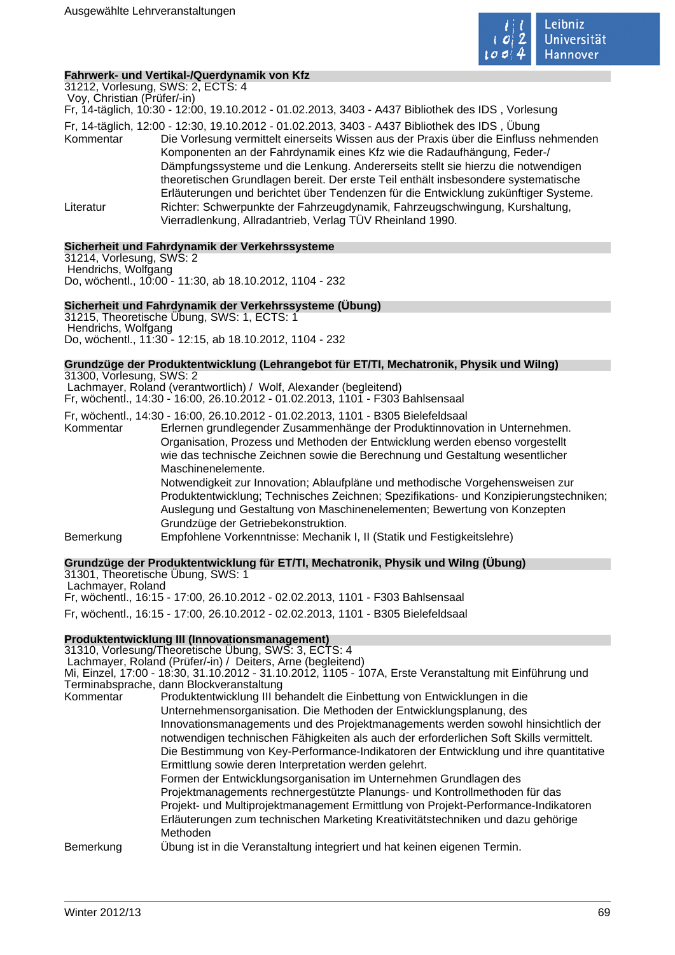

# **Fahrwerk- und Vertikal-/Querdynamik von Kfz**

31212, Vorlesung, SWS: 2, ECTS: 4 Voy, Christian (Prüfer/-in)

Fr, 14-täglich, 10:30 - 12:00, 19.10.2012 - 01.02.2013, 3403 - A437 Bibliothek des IDS , Vorlesung

Fr, 14-täglich, 12:00 - 12:30, 19.10.2012 - 01.02.2013, 3403 - A437 Bibliothek des IDS , Übung Kommentar Die Vorlesung vermittelt einerseits Wissen aus der Praxis über die Einfluss nehmenden Komponenten an der Fahrdynamik eines Kfz wie die Radaufhängung, Feder-/ Dämpfungssysteme und die Lenkung. Andererseits stellt sie hierzu die notwendigen theoretischen Grundlagen bereit. Der erste Teil enthält insbesondere systematische Erläuterungen und berichtet über Tendenzen für die Entwicklung zukünftiger Systeme. Literatur Richter: Schwerpunkte der Fahrzeugdynamik, Fahrzeugschwingung, Kurshaltung, Vierradlenkung, Allradantrieb, Verlag TÜV Rheinland 1990.

# **Sicherheit und Fahrdynamik der Verkehrssysteme**

31214, Vorlesung, SWS: 2 Hendrichs, Wolfgang Do, wöchentl., 10:00 - 11:30, ab 18.10.2012, 1104 - 232

# **Sicherheit und Fahrdynamik der Verkehrssysteme (Übung)**

31215, Theoretische Übung, SWS: 1, ECTS: 1 Hendrichs, Wolfgang Do, wöchentl., 11:30 - 12:15, ab 18.10.2012, 1104 - 232

# **Grundzüge der Produktentwicklung (Lehrangebot für ET/TI, Mechatronik, Physik und WiIng)**

31300, Vorlesung, SWS: 2 Lachmayer, Roland (verantwortlich) / Wolf, Alexander (begleitend) Fr, wöchentl., 14:30 - 16:00, 26.10.2012 - 01.02.2013, 1101 - F303 Bahlsensaal

Fr, wöchentl., 14:30 - 16:00, 26.10.2012 - 01.02.2013, 1101 - B305 Bielefeldsaal Erlernen grundlegender Zusammenhänge der Produktinnovation in Unternehmen. Organisation, Prozess und Methoden der Entwicklung werden ebenso vorgestellt wie das technische Zeichnen sowie die Berechnung und Gestaltung wesentlicher Maschinenelemente.

Notwendigkeit zur Innovation; Ablaufpläne und methodische Vorgehensweisen zur Produktentwicklung; Technisches Zeichnen; Spezifikations- und Konzipierungstechniken; Auslegung und Gestaltung von Maschinenelementen; Bewertung von Konzepten Grundzüge der Getriebekonstruktion.

Bemerkung Empfohlene Vorkenntnisse: Mechanik I, II (Statik und Festigkeitslehre)

# **Grundzüge der Produktentwicklung für ET/TI, Mechatronik, Physik und WiIng (Übung)**

31301, Theoretische Übung, SWS: 1 Lachmayer, Roland Fr, wöchentl., 16:15 - 17:00, 26.10.2012 - 02.02.2013, 1101 - F303 Bahlsensaal Fr, wöchentl., 16:15 - 17:00, 26.10.2012 - 02.02.2013, 1101 - B305 Bielefeldsaal

# **Produktentwicklung III (Innovationsmanagement)**

31310, Vorlesung/Theoretische Übung, SWS: 3, ECTS: 4

Lachmayer, Roland (Prüfer/-in) / Deiters, Arne (begleitend)

Mi, Einzel, 17:00 - 18:30, 31.10.2012 - 31.10.2012, 1105 - 107A, Erste Veranstaltung mit Einführung und Terminabsprache, dann Blockveranstaltung

Kommentar Produktentwicklung III behandelt die Einbettung von Entwicklungen in die Unternehmensorganisation. Die Methoden der Entwicklungsplanung, des Innovationsmanagements und des Projektmanagements werden sowohl hinsichtlich der notwendigen technischen Fähigkeiten als auch der erforderlichen Soft Skills vermittelt. Die Bestimmung von Key-Performance-Indikatoren der Entwicklung und ihre quantitative Ermittlung sowie deren Interpretation werden gelehrt. Formen der Entwicklungsorganisation im Unternehmen Grundlagen des Projektmanagements rechnergestützte Planungs- und Kontrollmethoden für das Projekt- und Multiprojektmanagement Ermittlung von Projekt-Performance-Indikatoren Erläuterungen zum technischen Marketing Kreativitätstechniken und dazu gehörige Methoden Bemerkung Übung ist in die Veranstaltung integriert und hat keinen eigenen Termin.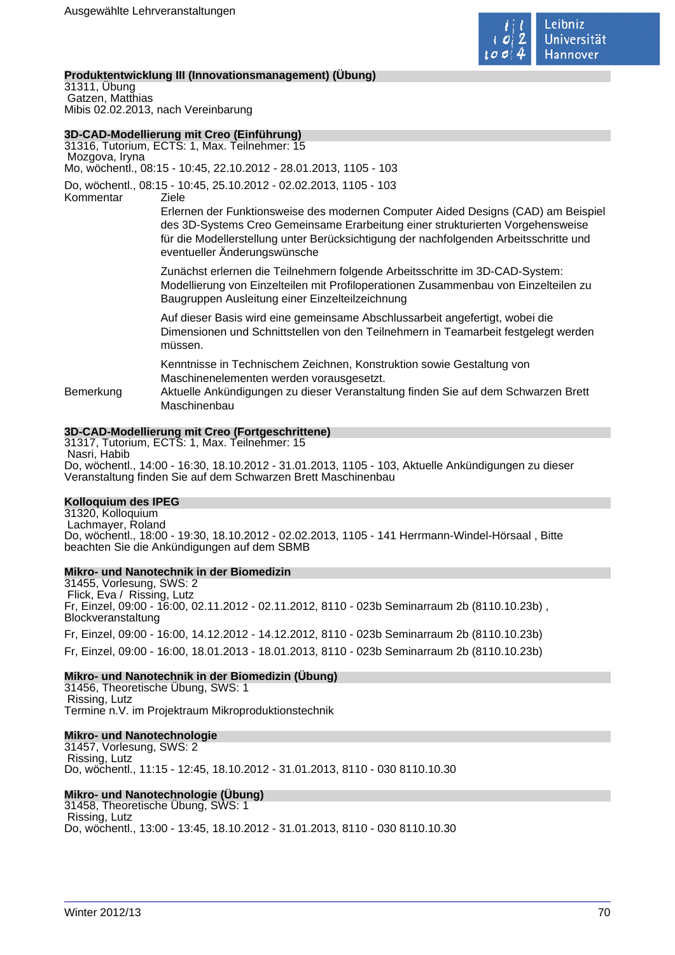

# **Produktentwicklung III (Innovationsmanagement) (Übung)**

31311, Übung Gatzen, Matthias Mibis 02.02.2013, nach Vereinbarung

# **3D-CAD-Modellierung mit Creo (Einführung)**

31316, Tutorium, ECTS: 1, Max. Teilnehmer: 15 Mozgova, Iryna Mo, wöchentl., 08:15 - 10:45, 22.10.2012 - 28.01.2013, 1105 - 103 Do, wöchentl., 08:15 - 10:45, 25.10.2012 - 02.02.2013, 1105 - 103 Kommentar Ziele Erlernen der Funktionsweise des modernen Computer Aided Designs (CAD) am Beispiel des 3D-Systems Creo Gemeinsame Erarbeitung einer strukturierten Vorgehensweise für die Modellerstellung unter Berücksichtigung der nachfolgenden Arbeitsschritte und eventueller Änderungswünsche Zunächst erlernen die Teilnehmern folgende Arbeitsschritte im 3D-CAD-System: Modellierung von Einzelteilen mit Profiloperationen Zusammenbau von Einzelteilen zu Baugruppen Ausleitung einer Einzelteilzeichnung Auf dieser Basis wird eine gemeinsame Abschlussarbeit angefertigt, wobei die Dimensionen und Schnittstellen von den Teilnehmern in Teamarbeit festgelegt werden müssen. Kenntnisse in Technischem Zeichnen, Konstruktion sowie Gestaltung von Maschinenelementen werden vorausgesetzt. Bemerkung Aktuelle Ankündigungen zu dieser Veranstaltung finden Sie auf dem Schwarzen Brett Maschinenbau

# **3D-CAD-Modellierung mit Creo (Fortgeschrittene)**

31317, Tutorium, ECTS: 1, Max. Teilnehmer: 15 Nasri, Habib Do, wöchentl., 14:00 - 16:30, 18.10.2012 - 31.01.2013, 1105 - 103, Aktuelle Ankündigungen zu dieser Veranstaltung finden Sie auf dem Schwarzen Brett Maschinenbau

# **Kolloquium des IPEG**

31320, Kolloquium Lachmayer, Roland Do, wöchentl., 18:00 - 19:30, 18.10.2012 - 02.02.2013, 1105 - 141 Herrmann-Windel-Hörsaal , Bitte beachten Sie die Ankündigungen auf dem SBMB

### **Mikro- und Nanotechnik in der Biomedizin**

31455, Vorlesung, SWS: 2 Flick, Eva / Rissing, Lutz Fr, Einzel, 09:00 - 16:00, 02.11.2012 - 02.11.2012, 8110 - 023b Seminarraum 2b (8110.10.23b) , Blockveranstaltung

Fr, Einzel, 09:00 - 16:00, 14.12.2012 - 14.12.2012, 8110 - 023b Seminarraum 2b (8110.10.23b) Fr, Einzel, 09:00 - 16:00, 18.01.2013 - 18.01.2013, 8110 - 023b Seminarraum 2b (8110.10.23b)

## **Mikro- und Nanotechnik in der Biomedizin (Übung)**

31456, Theoretische Übung, SWS: 1 Rissing, Lutz Termine n.V. im Projektraum Mikroproduktionstechnik

### **Mikro- und Nanotechnologie**

31457, Vorlesung, SWS: 2 Rissing, Lutz Do, wöchentl., 11:15 - 12:45, 18.10.2012 - 31.01.2013, 8110 - 030 8110.10.30

# **Mikro- und Nanotechnologie (Übung)**

31458, Theoretische Übung, SWS: 1 Rissing, Lutz Do, wöchentl., 13:00 - 13:45, 18.10.2012 - 31.01.2013, 8110 - 030 8110.10.30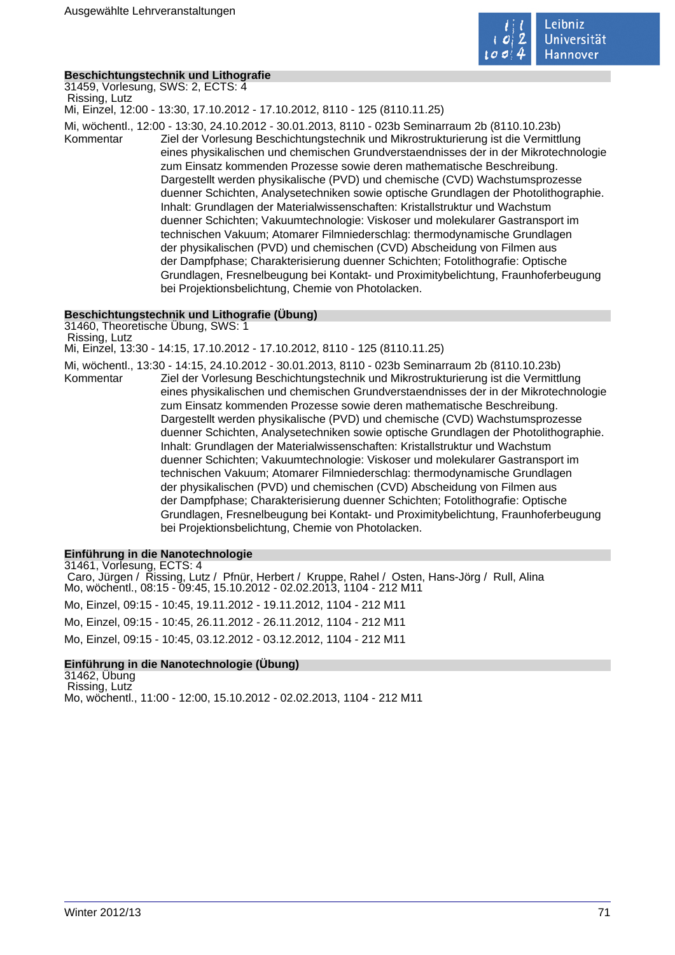

# **Beschichtungstechnik und Lithografie**

31459, Vorlesung, SWS: 2, ECTS: 4 Rissing, Lutz

Mi, Einzel, 12:00 - 13:30, 17.10.2012 - 17.10.2012, 8110 - 125 (8110.11.25)

Mi, wöchentl., 12:00 - 13:30, 24.10.2012 - 30.01.2013, 8110 - 023b Seminarraum 2b (8110.10.23b)

Kommentar Ziel der Vorlesung Beschichtungstechnik und Mikrostrukturierung ist die Vermittlung eines physikalischen und chemischen Grundverstaendnisses der in der Mikrotechnologie zum Einsatz kommenden Prozesse sowie deren mathematische Beschreibung. Dargestellt werden physikalische (PVD) und chemische (CVD) Wachstumsprozesse duenner Schichten, Analysetechniken sowie optische Grundlagen der Photolithographie. Inhalt: Grundlagen der Materialwissenschaften: Kristallstruktur und Wachstum duenner Schichten; Vakuumtechnologie: Viskoser und molekularer Gastransport im technischen Vakuum; Atomarer Filmniederschlag: thermodynamische Grundlagen der physikalischen (PVD) und chemischen (CVD) Abscheidung von Filmen aus der Dampfphase; Charakterisierung duenner Schichten; Fotolithografie: Optische Grundlagen, Fresnelbeugung bei Kontakt- und Proximitybelichtung, Fraunhoferbeugung bei Projektionsbelichtung, Chemie von Photolacken.

### **Beschichtungstechnik und Lithografie (Übung)**

31460, Theoretische Übung, SWS: 1 Rissing, Lutz Mi, Einzel, 13:30 - 14:15, 17.10.2012 - 17.10.2012, 8110 - 125 (8110.11.25) Mi, wöchentl., 13:30 - 14:15, 24.10.2012 - 30.01.2013, 8110 - 023b Seminarraum 2b (8110.10.23b) Kommentar Ziel der Vorlesung Beschichtungstechnik und Mikrostrukturierung ist die Vermittlung eines physikalischen und chemischen Grundverstaendnisses der in der Mikrotechnologie zum Einsatz kommenden Prozesse sowie deren mathematische Beschreibung. Dargestellt werden physikalische (PVD) und chemische (CVD) Wachstumsprozesse duenner Schichten, Analysetechniken sowie optische Grundlagen der Photolithographie. Inhalt: Grundlagen der Materialwissenschaften: Kristallstruktur und Wachstum duenner Schichten; Vakuumtechnologie: Viskoser und molekularer Gastransport im technischen Vakuum; Atomarer Filmniederschlag: thermodynamische Grundlagen der physikalischen (PVD) und chemischen (CVD) Abscheidung von Filmen aus der Dampfphase; Charakterisierung duenner Schichten; Fotolithografie: Optische Grundlagen, Fresnelbeugung bei Kontakt- und Proximitybelichtung, Fraunhoferbeugung bei Projektionsbelichtung, Chemie von Photolacken.

### **Einführung in die Nanotechnologie**

31461, Vorlesung, ECTS: 4 Caro, Jürgen / Rissing, Lutz / Pfnür, Herbert / Kruppe, Rahel / Osten, Hans-Jörg / Rull, Alina Mo, wöchentl., 08:15 - 09:45, 15.10.2012 - 02.02.2013, 1104 - 212 M11 Mo, Einzel, 09:15 - 10:45, 19.11.2012 - 19.11.2012, 1104 - 212 M11 Mo, Einzel, 09:15 - 10:45, 26.11.2012 - 26.11.2012, 1104 - 212 M11 Mo, Einzel, 09:15 - 10:45, 03.12.2012 - 03.12.2012, 1104 - 212 M11

# **Einführung in die Nanotechnologie (Übung)**

31462, Übung Rissing, Lutz Mo, wöchentl., 11:00 - 12:00, 15.10.2012 - 02.02.2013, 1104 - 212 M11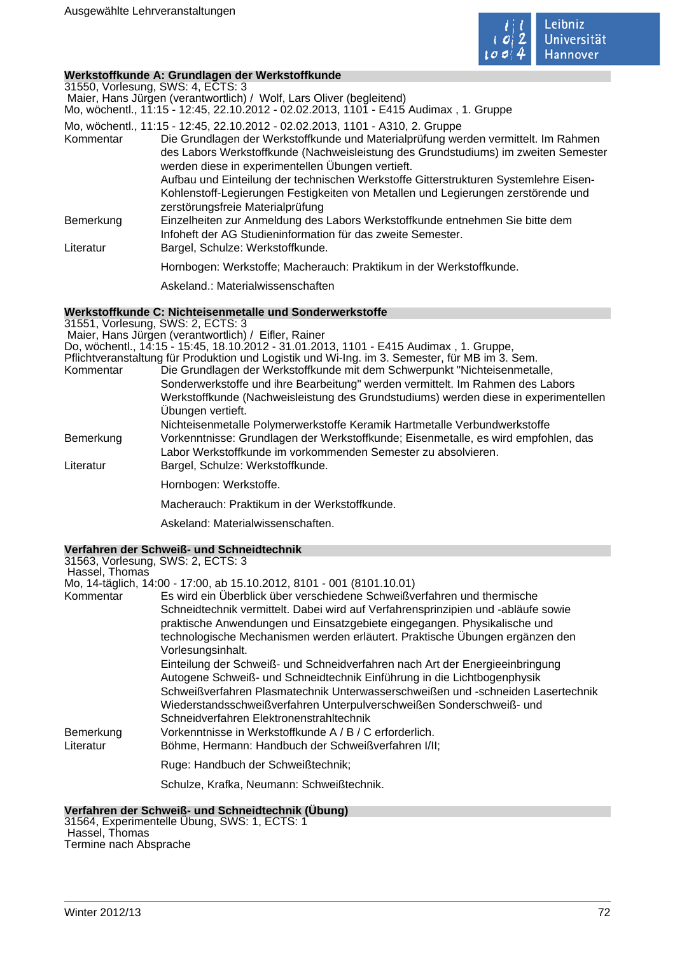

#### **Werkstoffkunde A: Grundlagen der Werkstoffkunde**

31550, Vorlesung, SWS: 4, ECTS: 3 Maier, Hans Jürgen (verantwortlich) / Wolf, Lars Oliver (begleitend)

Mo, wöchentl., 11:15 - 12:45, 22.10.2012 - 02.02.2013, 1101 - E415 Audimax , 1. Gruppe

Mo, wöchentl., 11:15 - 12:45, 22.10.2012 - 02.02.2013, 1101 - A310, 2. Gruppe

Kommentar Die Grundlagen der Werkstoffkunde und Materialprüfung werden vermittelt. Im Rahmen des Labors Werkstoffkunde (Nachweisleistung des Grundstudiums) im zweiten Semester werden diese in experimentellen Übungen vertieft. Aufbau und Einteilung der technischen Werkstoffe Gitterstrukturen Systemlehre Eisen-Kohlenstoff-Legierungen Festigkeiten von Metallen und Legierungen zerstörende und zerstörungsfreie Materialprüfung Bemerkung Einzelheiten zur Anmeldung des Labors Werkstoffkunde entnehmen Sie bitte dem Infoheft der AG Studieninformation für das zweite Semester. Literatur Bargel, Schulze: Werkstoffkunde. Hornbogen: Werkstoffe; Macherauch: Praktikum in der Werkstoffkunde. Askeland.: Materialwissenschaften

## **Werkstoffkunde C: Nichteisenmetalle und Sonderwerkstoffe**

31551, Vorlesung, SWS: 2, ECTS: 3 Maier, Hans Jürgen (verantwortlich) / Eifler, Rainer Do, wöchentl., 14:15 - 15:45, 18.10.2012 - 31.01.2013, 1101 - E415 Audimax , 1. Gruppe, Pflichtveranstaltung für Produktion und Logistik und Wi-Ing. im 3. Semester, für MB im 3. Sem. Die Grundlagen der Werkstoffkunde mit dem Schwerpunkt "Nichteisenmetalle, Sonderwerkstoffe und ihre Bearbeitung" werden vermittelt. Im Rahmen des Labors Werkstoffkunde (Nachweisleistung des Grundstudiums) werden diese in experimentellen Übungen vertieft. Nichteisenmetalle Polymerwerkstoffe Keramik Hartmetalle Verbundwerkstoffe Bemerkung Vorkenntnisse: Grundlagen der Werkstoffkunde; Eisenmetalle, es wird empfohlen, das Labor Werkstoffkunde im vorkommenden Semester zu absolvieren. Literatur Bargel, Schulze: Werkstoffkunde. Hornbogen: Werkstoffe. Macherauch: Praktikum in der Werkstoffkunde. Askeland: Materialwissenschaften.

### **Verfahren der Schweiß- und Schneidtechnik**

| 31563, Vorlesung, SWS: 2, ECTS: 3 |                                                                                   |
|-----------------------------------|-----------------------------------------------------------------------------------|
| Hassel, Thomas                    |                                                                                   |
|                                   | Mo, 14-täglich, 14:00 - 17:00, ab 15.10.2012, 8101 - 001 (8101.10.01)             |
| Kommentar                         | Es wird ein Überblick über verschiedene Schweißverfahren und thermische           |
|                                   | Schneidtechnik vermittelt. Dabei wird auf Verfahrensprinzipien und -abläufe sowie |
|                                   | praktische Anwendungen und Einsatzgebiete eingegangen. Physikalische und          |
|                                   | technologische Mechanismen werden erläutert. Praktische Übungen ergänzen den      |
|                                   | Vorlesungsinhalt.                                                                 |
|                                   | Einteilung der Schweiß- und Schneidverfahren nach Art der Energieeinbringung      |
|                                   | Autogene Schweiß- und Schneidtechnik Einführung in die Lichtbogenphysik           |
|                                   | Schweißverfahren Plasmatechnik Unterwasserschweißen und -schneiden Lasertechnik   |
|                                   | Wiederstandsschweißverfahren Unterpulverschweißen Sonderschweiß- und              |
|                                   | Schneidverfahren Elektronenstrahltechnik                                          |
| Bemerkung                         | Vorkenntnisse in Werkstoffkunde A / B / C erforderlich.                           |
| Literatur                         | Böhme, Hermann: Handbuch der Schweißverfahren I/II;                               |
|                                   | Ruge: Handbuch der Schweißtechnik;                                                |
|                                   |                                                                                   |

Schulze, Krafka, Neumann: Schweißtechnik.

### **Verfahren der Schweiß- und Schneidtechnik (Übung)**

31564, Experimentelle Übung, SWS: 1, ECTS: 1 Hassel, Thomas Termine nach Absprache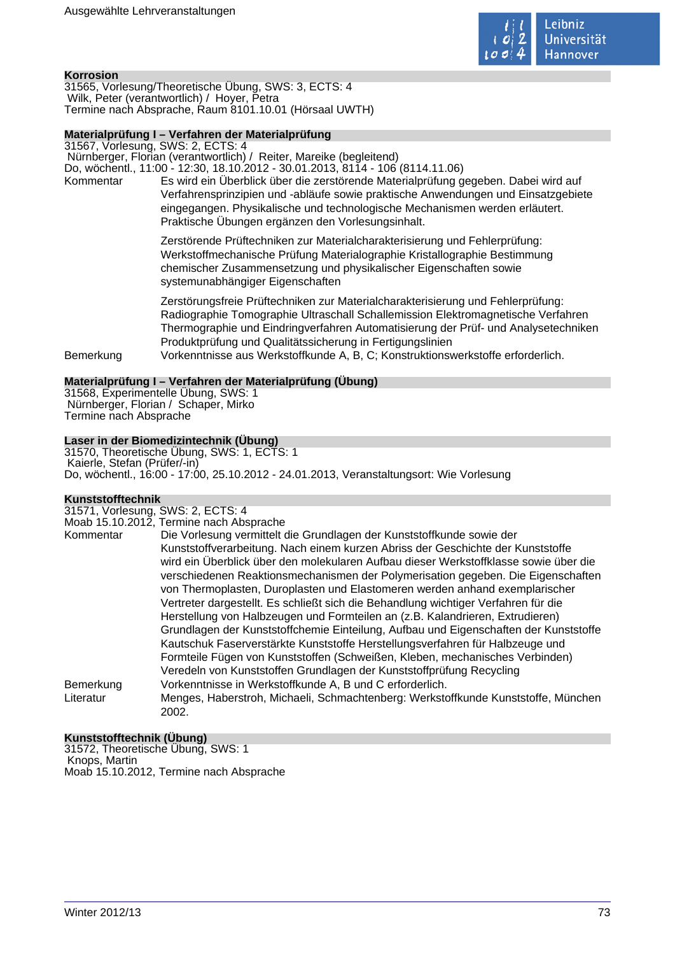

#### **Korrosion**

31565, Vorlesung/Theoretische Übung, SWS: 3, ECTS: 4 Wilk, Peter (verantwortlich) / Hoyer, Petra Termine nach Absprache, Raum 8101.10.01 (Hörsaal UWTH)

#### **Materialprüfung I – Verfahren der Materialprüfung**

31567, Vorlesung, SWS: 2, ECTS: 4

Nürnberger, Florian (verantwortlich) / Reiter, Mareike (begleitend)

Do, wöchentl., 11:00 - 12:30, 18.10.2012 - 30.01.2013, 8114 - 106 (8114.11.06) Kommentar Es wird ein Überblick über die zerstörende Materialprüfung gegeben. Dabei wird auf Verfahrensprinzipien und -abläufe sowie praktische Anwendungen und Einsatzgebiete eingegangen. Physikalische und technologische Mechanismen werden erläutert. Praktische Übungen ergänzen den Vorlesungsinhalt.

> Zerstörende Prüftechniken zur Materialcharakterisierung und Fehlerprüfung: Werkstoffmechanische Prüfung Materialographie Kristallographie Bestimmung chemischer Zusammensetzung und physikalischer Eigenschaften sowie systemunabhängiger Eigenschaften

Zerstörungsfreie Prüftechniken zur Materialcharakterisierung und Fehlerprüfung: Radiographie Tomographie Ultraschall Schallemission Elektromagnetische Verfahren Thermographie und Eindringverfahren Automatisierung der Prüf- und Analysetechniken Produktprüfung und Qualitätssicherung in Fertigungslinien Bemerkung Vorkenntnisse aus Werkstoffkunde A, B, C; Konstruktionswerkstoffe erforderlich.

#### **Materialprüfung I – Verfahren der Materialprüfung (Übung)**

31568, Experimentelle Übung, SWS: 1 Nürnberger, Florian / Schaper, Mirko Termine nach Absprache

## **Laser in der Biomedizintechnik (Übung)**

31570, Theoretische Übung, SWS: 1, ECTS: 1 Kaierle, Stefan (Prüfer/-in) Do, wöchentl., 16:00 - 17:00, 25.10.2012 - 24.01.2013, Veranstaltungsort: Wie Vorlesung

#### **Kunststofftechnik**

31571, Vorlesung, SWS: 2, ECTS: 4

|           | Moab 15.10.2012, Termine nach Absprache                                                    |
|-----------|--------------------------------------------------------------------------------------------|
| Kommentar | Die Vorlesung vermittelt die Grundlagen der Kunststoffkunde sowie der                      |
|           | Kunststoffverarbeitung. Nach einem kurzen Abriss der Geschichte der Kunststoffe            |
|           | wird ein Überblick über den molekularen Aufbau dieser Werkstoffklasse sowie über die       |
|           | verschiedenen Reaktionsmechanismen der Polymerisation gegeben. Die Eigenschaften           |
|           | von Thermoplasten, Duroplasten und Elastomeren werden anhand exemplarischer                |
|           | Vertreter dargestellt. Es schließt sich die Behandlung wichtiger Verfahren für die         |
|           | Herstellung von Halbzeugen und Formteilen an (z.B. Kalandrieren, Extrudieren)              |
|           | Grundlagen der Kunststoffchemie Einteilung, Aufbau und Eigenschaften der Kunststoffe       |
|           | Kautschuk Faserverstärkte Kunststoffe Herstellungsverfahren für Halbzeuge und              |
|           | Formteile Fügen von Kunststoffen (Schweißen, Kleben, mechanisches Verbinden)               |
|           | Veredeln von Kunststoffen Grundlagen der Kunststoffprüfung Recycling                       |
| Bemerkung | Vorkenntnisse in Werkstoffkunde A, B und C erforderlich.                                   |
| Literatur | Menges, Haberstroh, Michaeli, Schmachtenberg: Werkstoffkunde Kunststoffe, München<br>2002. |

## **Kunststofftechnik (Übung)**

31572, Theoretische Übung, SWS: 1 Knops, Martin Moab 15.10.2012, Termine nach Absprache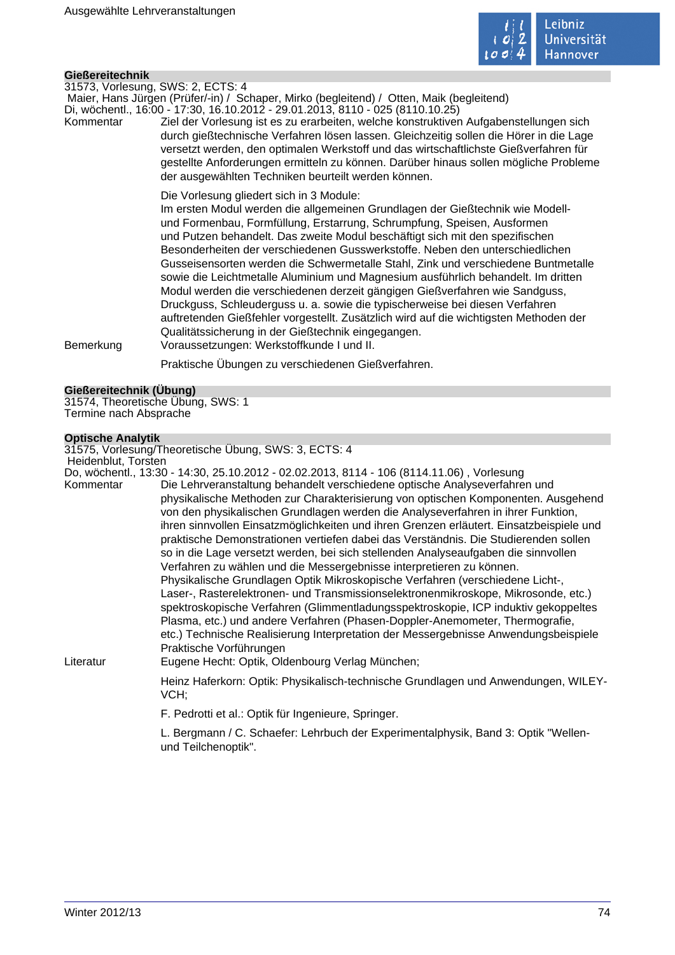

### **Gießereitechnik**

31573, Vorlesung, SWS: 2, ECTS: 4

 Maier, Hans Jürgen (Prüfer/-in) / Schaper, Mirko (begleitend) / Otten, Maik (begleitend) Di, wöchentl., 16:00 - 17:30, 16.10.2012 - 29.01.2013, 8110 - 025 (8110.10.25)

Kommentar Ziel der Vorlesung ist es zu erarbeiten, welche konstruktiven Aufgabenstellungen sich durch gießtechnische Verfahren lösen lassen. Gleichzeitig sollen die Hörer in die Lage versetzt werden, den optimalen Werkstoff und das wirtschaftlichste Gießverfahren für gestellte Anforderungen ermitteln zu können. Darüber hinaus sollen mögliche Probleme der ausgewählten Techniken beurteilt werden können.

Die Vorlesung gliedert sich in 3 Module:

Im ersten Modul werden die allgemeinen Grundlagen der Gießtechnik wie Modellund Formenbau, Formfüllung, Erstarrung, Schrumpfung, Speisen, Ausformen und Putzen behandelt. Das zweite Modul beschäftigt sich mit den spezifischen Besonderheiten der verschiedenen Gusswerkstoffe. Neben den unterschiedlichen Gusseisensorten werden die Schwermetalle Stahl, Zink und verschiedene Buntmetalle sowie die Leichtmetalle Aluminium und Magnesium ausführlich behandelt. Im dritten Modul werden die verschiedenen derzeit gängigen Gießverfahren wie Sandguss, Druckguss, Schleuderguss u. a. sowie die typischerweise bei diesen Verfahren auftretenden Gießfehler vorgestellt. Zusätzlich wird auf die wichtigsten Methoden der Qualitätssicherung in der Gießtechnik eingegangen.

Bemerkung Voraussetzungen: Werkstoffkunde I und II.

Praktische Übungen zu verschiedenen Gießverfahren.

#### **Gießereitechnik (Übung)**

31574, Theoretische Übung, SWS: 1 Termine nach Absprache

#### **Optische Analytik**

31575, Vorlesung/Theoretische Übung, SWS: 3, ECTS: 4

| Heidenblut. Torsten |                                                                                            |
|---------------------|--------------------------------------------------------------------------------------------|
|                     | Do, wöchentl., 13:30 - 14:30, 25.10.2012 - 02.02.2013, 8114 - 106 (8114.11.06) , Vorlesung |
| Kommentar           | Die Lehrveranstaltung behandelt verschiedene optische Analyseverfahre                      |

| Kommentar | Die Lehrveranstaltung behandelt verschiedene optische Analyseverfahren und              |
|-----------|-----------------------------------------------------------------------------------------|
|           | physikalische Methoden zur Charakterisierung von optischen Komponenten. Ausgehend       |
|           | von den physikalischen Grundlagen werden die Analyseverfahren in ihrer Funktion,        |
|           | ihren sinnvollen Einsatzmöglichkeiten und ihren Grenzen erläutert. Einsatzbeispiele und |
|           | praktische Demonstrationen vertiefen dabei das Verständnis. Die Studierenden sollen     |
|           | so in die Lage versetzt werden, bei sich stellenden Analyseaufgaben die sinnvollen      |
|           | Verfahren zu wählen und die Messergebnisse interpretieren zu können.                    |
|           | Physikalische Grundlagen Optik Mikroskopische Verfahren (verschiedene Licht-,           |
|           | Laser-, Rasterelektronen- und Transmissionselektronenmikroskope, Mikrosonde, etc.)      |
|           | spektroskopische Verfahren (Glimmentladungsspektroskopie, ICP induktiv gekoppeltes      |
|           | Plasma, etc.) und andere Verfahren (Phasen-Doppler-Anemometer, Thermografie,            |
|           | etc.) Technische Realisierung Interpretation der Messergebnisse Anwendungsbeispiele     |
|           | Praktische Vorführungen                                                                 |
|           |                                                                                         |

Literatur Eugene Hecht: Optik, Oldenbourg Verlag München;

Heinz Haferkorn: Optik: Physikalisch-technische Grundlagen und Anwendungen, WILEY-VCH;

F. Pedrotti et al.: Optik für Ingenieure, Springer.

L. Bergmann / C. Schaefer: Lehrbuch der Experimentalphysik, Band 3: Optik "Wellenund Teilchenoptik".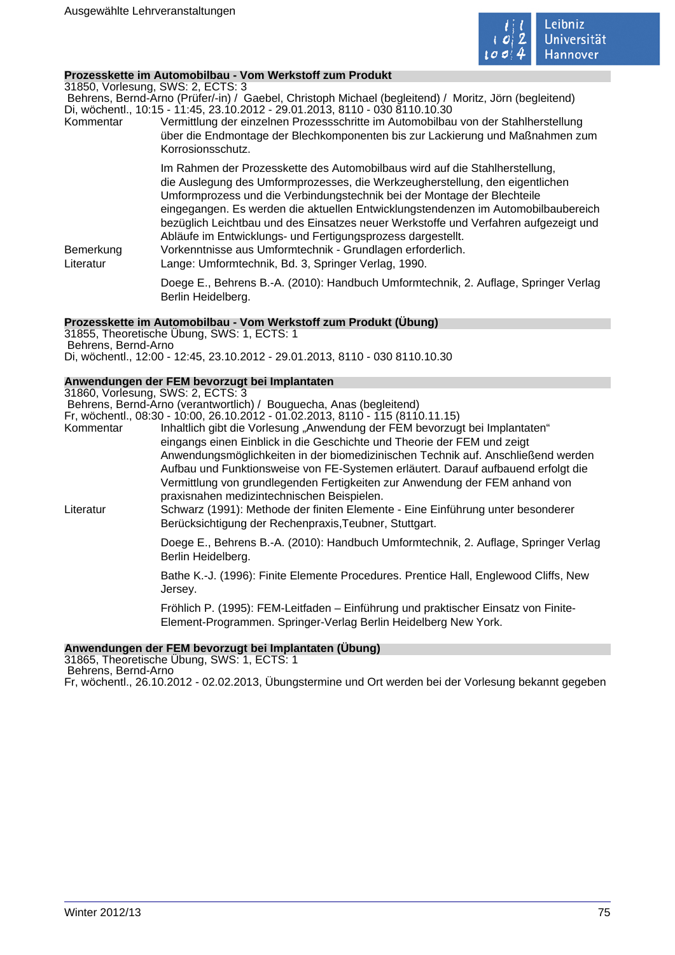

#### **Prozesskette im Automobilbau - Vom Werkstoff zum Produkt**

31850, Vorlesung, SWS: 2, ECTS: 3

 Behrens, Bernd-Arno (Prüfer/-in) / Gaebel, Christoph Michael (begleitend) / Moritz, Jörn (begleitend) Di, wöchentl., 10:15 - 11:45, 23.10.2012 - 29.01.2013, 8110 - 030 8110.10.30

Kommentar Vermittlung der einzelnen Prozessschritte im Automobilbau von der Stahlherstellung über die Endmontage der Blechkomponenten bis zur Lackierung und Maßnahmen zum Korrosionsschutz.

> Im Rahmen der Prozesskette des Automobilbaus wird auf die Stahlherstellung, die Auslegung des Umformprozesses, die Werkzeugherstellung, den eigentlichen Umformprozess und die Verbindungstechnik bei der Montage der Blechteile eingegangen. Es werden die aktuellen Entwicklungstendenzen im Automobilbaubereich bezüglich Leichtbau und des Einsatzes neuer Werkstoffe und Verfahren aufgezeigt und Abläufe im Entwicklungs- und Fertigungsprozess dargestellt.

Bemerkung Vorkenntnisse aus Umformtechnik - Grundlagen erforderlich. Literatur Lange: Umformtechnik, Bd. 3, Springer Verlag, 1990.

Doege E., Behrens B.-A. (2010): Handbuch Umformtechnik, 2. Auflage, Springer Verlag Berlin Heidelberg.

#### **Prozesskette im Automobilbau - Vom Werkstoff zum Produkt (Übung)**

31855, Theoretische Übung, SWS: 1, ECTS: 1 Behrens, Bernd-Arno Di, wöchentl., 12:00 - 12:45, 23.10.2012 - 29.01.2013, 8110 - 030 8110.10.30

## **Anwendungen der FEM bevorzugt bei Implantaten**

31860, Vorlesung, SWS: 2, ECTS: 3

Behrens, Bernd-Arno (verantwortlich) / Bouguecha, Anas (begleitend)

Fr, wöchentl., 08:30 - 10:00, 26.10.2012 - 01.02.2013, 8110 - 115 (8110.11.15)<br>Kommentar Inhaltlich gibt die Vorlesung "Anwendung der FEM bevorzug Inhaltlich gibt die Vorlesung "Anwendung der FEM bevorzugt bei Implantaten" eingangs einen Einblick in die Geschichte und Theorie der FEM und zeigt Anwendungsmöglichkeiten in der biomedizinischen Technik auf. Anschließend werden Aufbau und Funktionsweise von FE-Systemen erläutert. Darauf aufbauend erfolgt die Vermittlung von grundlegenden Fertigkeiten zur Anwendung der FEM anhand von praxisnahen medizintechnischen Beispielen.

Literatur Schwarz (1991): Methode der finiten Elemente - Eine Einführung unter besonderer Berücksichtigung der Rechenpraxis,Teubner, Stuttgart.

> Doege E., Behrens B.-A. (2010): Handbuch Umformtechnik, 2. Auflage, Springer Verlag Berlin Heidelberg.

Bathe K.-J. (1996): Finite Elemente Procedures. Prentice Hall, Englewood Cliffs, New Jersey.

Fröhlich P. (1995): FEM-Leitfaden – Einführung und praktischer Einsatz von Finite-Element-Programmen. Springer-Verlag Berlin Heidelberg New York.

## **Anwendungen der FEM bevorzugt bei Implantaten (Übung)**

31865, Theoretische Übung, SWS: 1, ECTS: 1 Behrens, Bernd-Arno

Fr, wöchentl., 26.10.2012 - 02.02.2013, Übungstermine und Ort werden bei der Vorlesung bekannt gegeben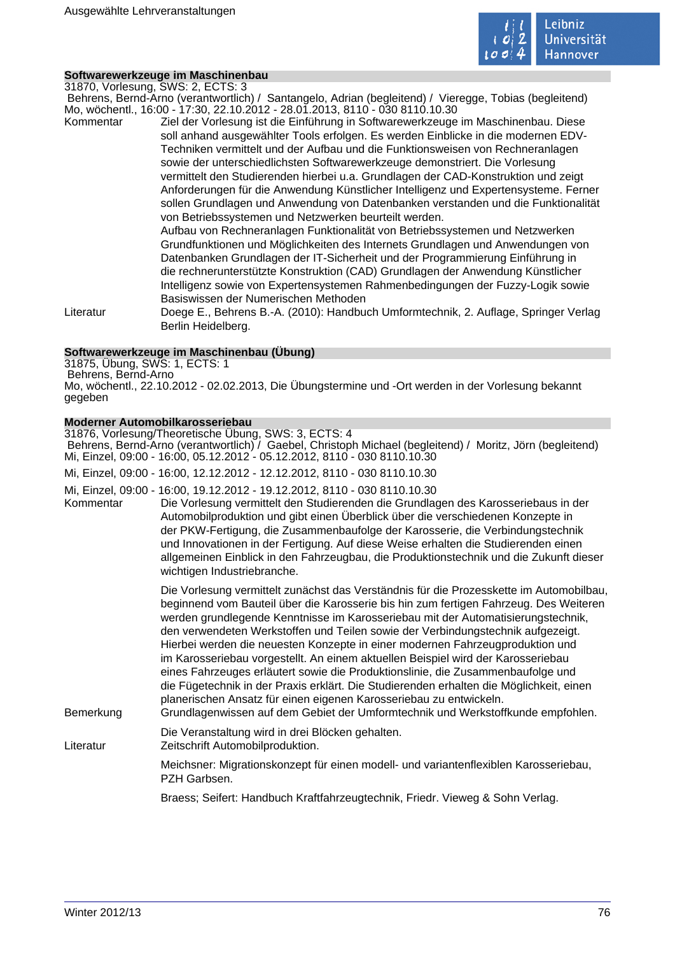

## **Softwarewerkzeuge im Maschinenbau**

31870, Vorlesung, SWS: 2, ECTS: 3

 Behrens, Bernd-Arno (verantwortlich) / Santangelo, Adrian (begleitend) / Vieregge, Tobias (begleitend) Mo, wöchentl., 16:00 - 17:30, 22.10.2012 - 28.01.2013, 8110 - 030 8110.10.30

Kommentar Ziel der Vorlesung ist die Einführung in Softwarewerkzeuge im Maschinenbau. Diese soll anhand ausgewählter Tools erfolgen. Es werden Einblicke in die modernen EDV-Techniken vermittelt und der Aufbau und die Funktionsweisen von Rechneranlagen sowie der unterschiedlichsten Softwarewerkzeuge demonstriert. Die Vorlesung vermittelt den Studierenden hierbei u.a. Grundlagen der CAD-Konstruktion und zeigt Anforderungen für die Anwendung Künstlicher Intelligenz und Expertensysteme. Ferner sollen Grundlagen und Anwendung von Datenbanken verstanden und die Funktionalität von Betriebssystemen und Netzwerken beurteilt werden.

Aufbau von Rechneranlagen Funktionalität von Betriebssystemen und Netzwerken Grundfunktionen und Möglichkeiten des Internets Grundlagen und Anwendungen von Datenbanken Grundlagen der IT-Sicherheit und der Programmierung Einführung in die rechnerunterstützte Konstruktion (CAD) Grundlagen der Anwendung Künstlicher Intelligenz sowie von Expertensystemen Rahmenbedingungen der Fuzzy-Logik sowie Basiswissen der Numerischen Methoden

Literatur Doege E., Behrens B.-A. (2010): Handbuch Umformtechnik, 2. Auflage, Springer Verlag Berlin Heidelberg.

## **Softwarewerkzeuge im Maschinenbau (Übung)**

31875, Übung, SWS: 1, ECTS: 1 Behrens, Bernd-Arno Mo, wöchentl., 22.10.2012 - 02.02.2013, Die Übungstermine und -Ort werden in der Vorlesung bekannt gegeben

## **Moderner Automobilkarosseriebau**

|           | 31876, Vorlesung/Theoretische Übung, SWS: 3, ECTS: 4<br>Behrens, Bernd-Arno (verantwortlich) / Gaebel, Christoph Michael (begleitend) / Moritz, Jörn (begleitend)<br>Mi, Einzel, 09:00 - 16:00, 05.12.2012 - 05.12.2012, 8110 - 030 8110.10.30                                                                                                                                                                                                                                                                                                                                                                                                                                                                                                                                                                                                                      |
|-----------|---------------------------------------------------------------------------------------------------------------------------------------------------------------------------------------------------------------------------------------------------------------------------------------------------------------------------------------------------------------------------------------------------------------------------------------------------------------------------------------------------------------------------------------------------------------------------------------------------------------------------------------------------------------------------------------------------------------------------------------------------------------------------------------------------------------------------------------------------------------------|
|           | Mi, Einzel, 09:00 - 16:00, 12.12.2012 - 12.12.2012, 8110 - 030 8110.10.30                                                                                                                                                                                                                                                                                                                                                                                                                                                                                                                                                                                                                                                                                                                                                                                           |
| Kommentar | Mi, Einzel, 09:00 - 16:00, 19.12.2012 - 19.12.2012, 8110 - 030 8110.10.30<br>Die Vorlesung vermittelt den Studierenden die Grundlagen des Karosseriebaus in der<br>Automobilproduktion und gibt einen Überblick über die verschiedenen Konzepte in<br>der PKW-Fertigung, die Zusammenbaufolge der Karosserie, die Verbindungstechnik<br>und Innovationen in der Fertigung. Auf diese Weise erhalten die Studierenden einen<br>allgemeinen Einblick in den Fahrzeugbau, die Produktionstechnik und die Zukunft dieser<br>wichtigen Industriebranche.                                                                                                                                                                                                                                                                                                                 |
| Bemerkung | Die Vorlesung vermittelt zunächst das Verständnis für die Prozesskette im Automobilbau,<br>beginnend vom Bauteil über die Karosserie bis hin zum fertigen Fahrzeug. Des Weiteren<br>werden grundlegende Kenntnisse im Karosseriebau mit der Automatisierungstechnik,<br>den verwendeten Werkstoffen und Teilen sowie der Verbindungstechnik aufgezeigt.<br>Hierbei werden die neuesten Konzepte in einer modernen Fahrzeugproduktion und<br>im Karosseriebau vorgestellt. An einem aktuellen Beispiel wird der Karosseriebau<br>eines Fahrzeuges erläutert sowie die Produktionslinie, die Zusammenbaufolge und<br>die Fügetechnik in der Praxis erklärt. Die Studierenden erhalten die Möglichkeit, einen<br>planerischen Ansatz für einen eigenen Karosseriebau zu entwickeln.<br>Grundlagenwissen auf dem Gebiet der Umformtechnik und Werkstoffkunde empfohlen. |
| Literatur | Die Veranstaltung wird in drei Blöcken gehalten.<br>Zeitschrift Automobilproduktion.                                                                                                                                                                                                                                                                                                                                                                                                                                                                                                                                                                                                                                                                                                                                                                                |
|           | Meichsner: Migrationskonzept für einen modell- und variantenflexiblen Karosseriebau,<br>PZH Garbsen.                                                                                                                                                                                                                                                                                                                                                                                                                                                                                                                                                                                                                                                                                                                                                                |
|           | Braess; Seifert: Handbuch Kraftfahrzeugtechnik, Friedr. Vieweg & Sohn Verlag.                                                                                                                                                                                                                                                                                                                                                                                                                                                                                                                                                                                                                                                                                                                                                                                       |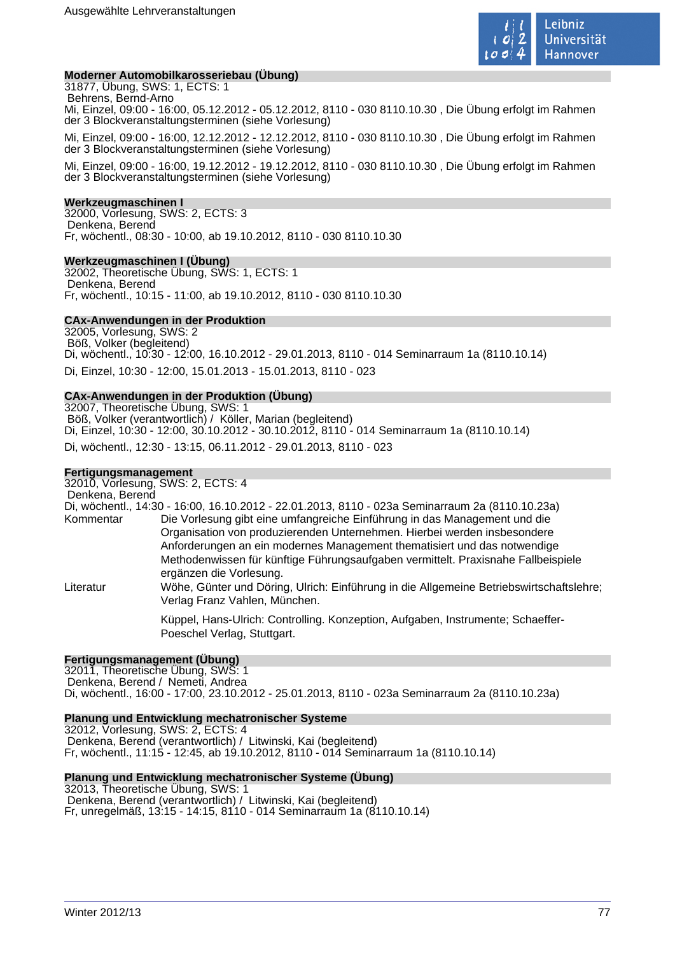

## **Moderner Automobilkarosseriebau (Übung)**

31877, Übung, SWS: 1, ECTS: 1 Behrens, Bernd-Arno Mi, Einzel, 09:00 - 16:00, 05.12.2012 - 05.12.2012, 8110 - 030 8110.10.30 , Die Übung erfolgt im Rahmen der 3 Blockveranstaltungsterminen (siehe Vorlesung)

Mi, Einzel, 09:00 - 16:00, 12.12.2012 - 12.12.2012, 8110 - 030 8110.10.30 , Die Übung erfolgt im Rahmen der 3 Blockveranstaltungsterminen (siehe Vorlesung)

Mi, Einzel, 09:00 - 16:00, 19.12.2012 - 19.12.2012, 8110 - 030 8110.10.30 , Die Übung erfolgt im Rahmen der 3 Blockveranstaltungsterminen (siehe Vorlesung)

#### **Werkzeugmaschinen I**

32000, Vorlesung, SWS: 2, ECTS: 3 Denkena, Berend Fr, wöchentl., 08:30 - 10:00, ab 19.10.2012, 8110 - 030 8110.10.30

#### **Werkzeugmaschinen I (Übung)**

32002, Theoretische Übung, SWS: 1, ECTS: 1 Denkena, Berend Fr, wöchentl., 10:15 - 11:00, ab 19.10.2012, 8110 - 030 8110.10.30

#### **CAx-Anwendungen in der Produktion**

32005, Vorlesung, SWS: 2 Böß, Volker (begleitend) Di, wöchentl., 10:30 - 12:00, 16.10.2012 - 29.01.2013, 8110 - 014 Seminarraum 1a (8110.10.14) Di, Einzel, 10:30 - 12:00, 15.01.2013 - 15.01.2013, 8110 - 023

#### **CAx-Anwendungen in der Produktion (Übung)**

32007, Theoretische Übung, SWS: 1 Böß, Volker (verantwortlich) / Köller, Marian (begleitend) Di, Einzel, 10:30 - 12:00, 30.10.2012 - 30.10.2012, 8110 - 014 Seminarraum 1a (8110.10.14) Di, wöchentl., 12:30 - 13:15, 06.11.2012 - 29.01.2013, 8110 - 023

## **Fertigungsmanagement**

32010, Vorlesung, SWS: 2, ECTS: 4 Denkena, Berend

Di, wöchentl., 14:30 - 16:00, 16.10.2012 - 22.01.2013, 8110 - 023a Seminarraum 2a (8110.10.23a) Kommentar Die Vorlesung gibt eine umfangreiche Einführung in das Management und die Organisation von produzierenden Unternehmen. Hierbei werden insbesondere Anforderungen an ein modernes Management thematisiert und das notwendige Methodenwissen für künftige Führungsaufgaben vermittelt. Praxisnahe Fallbeispiele ergänzen die Vorlesung. Literatur Wöhe, Günter und Döring, Ulrich: Einführung in die Allgemeine Betriebswirtschaftslehre; Verlag Franz Vahlen, München.

> Küppel, Hans-Ulrich: Controlling. Konzeption, Aufgaben, Instrumente; Schaeffer-Poeschel Verlag, Stuttgart.

#### **Fertigungsmanagement (Übung)**

32011, Theoretische Übung, SWS: 1 Denkena, Berend / Nemeti, Andrea Di, wöchentl., 16:00 - 17:00, 23.10.2012 - 25.01.2013, 8110 - 023a Seminarraum 2a (8110.10.23a)

#### **Planung und Entwicklung mechatronischer Systeme**

32012, Vorlesung, SWS: 2, ECTS: 4 Denkena, Berend (verantwortlich) / Litwinski, Kai (begleitend) Fr, wöchentl., 11:15 - 12:45, ab 19.10.2012, 8110 - 014 Seminarraum 1a (8110.10.14)

#### **Planung und Entwicklung mechatronischer Systeme (Übung)**

32013, Theoretische Übung, SWS: 1 Denkena, Berend (verantwortlich) / Litwinski, Kai (begleitend) Fr, unregelmäß, 13:15 - 14:15, 8110 - 014 Seminarraum 1a (8110.10.14)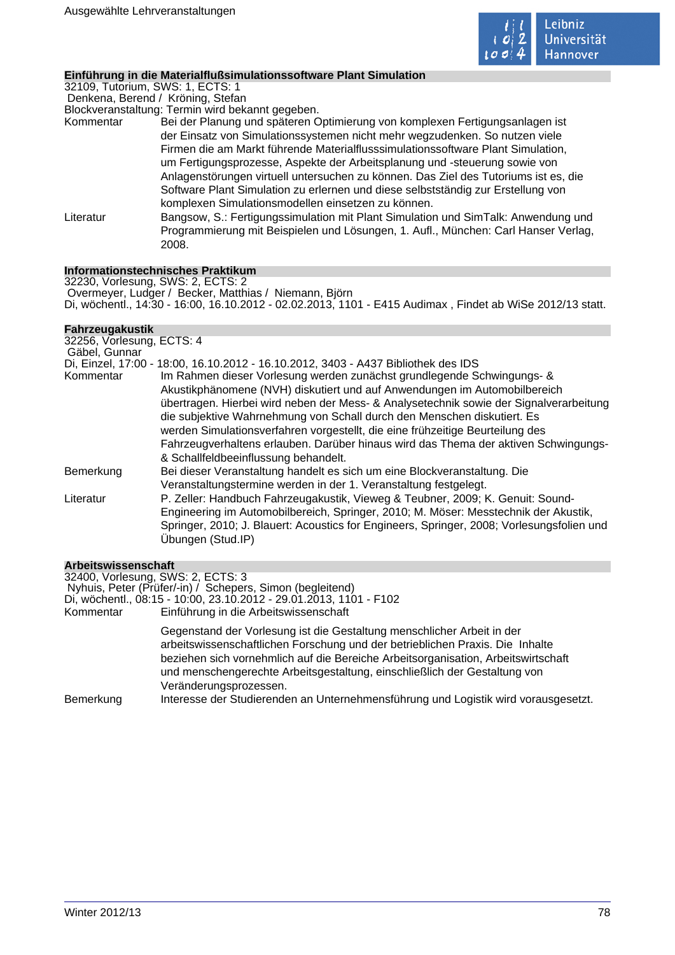

## **Einführung in die Materialflußsimulationssoftware Plant Simulation**

32109, Tutorium, SWS: 1, ECTS: 1

Denkena, Berend / Kröning, Stefan

Blockveranstaltung: Termin wird bekannt gegeben.

- Kommentar Bei der Planung und späteren Optimierung von komplexen Fertigungsanlagen ist der Einsatz von Simulationssystemen nicht mehr wegzudenken. So nutzen viele Firmen die am Markt führende Materialflusssimulationssoftware Plant Simulation, um Fertigungsprozesse, Aspekte der Arbeitsplanung und -steuerung sowie von Anlagenstörungen virtuell untersuchen zu können. Das Ziel des Tutoriums ist es, die Software Plant Simulation zu erlernen und diese selbstständig zur Erstellung von komplexen Simulationsmodellen einsetzen zu können.
- Literatur Bangsow, S.: Fertigungssimulation mit Plant Simulation und SimTalk: Anwendung und Programmierung mit Beispielen und Lösungen, 1. Aufl., München: Carl Hanser Verlag, 2008.

## **Informationstechnisches Praktikum**

32230, Vorlesung, SWS: 2, ECTS: 2 Overmeyer, Ludger / Becker, Matthias / Niemann, Björn Di, wöchentl., 14:30 - 16:00, 16.10.2012 - 02.02.2013, 1101 - E415 Audimax , Findet ab WiSe 2012/13 statt.

## **Fahrzeugakustik**

| 32256, Vorlesung, ECTS: 4 |                                                                                           |
|---------------------------|-------------------------------------------------------------------------------------------|
| Gäbel, Gunnar             |                                                                                           |
|                           | Di, Einzel, 17:00 - 18:00, 16.10.2012 - 16.10.2012, 3403 - A437 Bibliothek des IDS        |
| Kommentar                 | Im Rahmen dieser Vorlesung werden zunächst grundlegende Schwingungs- &                    |
|                           | Akustikphänomene (NVH) diskutiert und auf Anwendungen im Automobilbereich                 |
|                           | übertragen. Hierbei wird neben der Mess- & Analysetechnik sowie der Signalverarbeitung    |
|                           | die subjektive Wahrnehmung von Schall durch den Menschen diskutiert. Es                   |
|                           | werden Simulationsverfahren vorgestellt, die eine frühzeitige Beurteilung des             |
|                           | Fahrzeugverhaltens erlauben. Darüber hinaus wird das Thema der aktiven Schwingungs-       |
|                           | & Schallfeldbeeinflussung behandelt.                                                      |
| Bemerkung                 | Bei dieser Veranstaltung handelt es sich um eine Blockveranstaltung. Die                  |
|                           | Veranstaltungstermine werden in der 1. Veranstaltung festgelegt.                          |
| Literatur                 | P. Zeller: Handbuch Fahrzeugakustik, Vieweg & Teubner, 2009; K. Genuit: Sound-            |
|                           | Engineering im Automobilbereich, Springer, 2010; M. Möser: Messtechnik der Akustik,       |
|                           | Springer, 2010; J. Blauert: Acoustics for Engineers, Springer, 2008; Vorlesungsfolien und |
|                           | Übungen (Stud.IP)                                                                         |
|                           |                                                                                           |

## **Arbeitswissenschaft**

| 32400, Vorlesung, SWS: 2, ECTS: 3<br>Kommentar | Nyhuis, Peter (Prüfer/-in) / Schepers, Simon (begleitend)<br>Di, wöchentl., 08:15 - 10:00, 23.10.2012 - 29.01.2013, 1101 - F102<br>Einführung in die Arbeitswissenschaft                                                                                                                                                                                                                                                                  |
|------------------------------------------------|-------------------------------------------------------------------------------------------------------------------------------------------------------------------------------------------------------------------------------------------------------------------------------------------------------------------------------------------------------------------------------------------------------------------------------------------|
| Bemerkung                                      | Gegenstand der Vorlesung ist die Gestaltung menschlicher Arbeit in der<br>arbeitswissenschaftlichen Forschung und der betrieblichen Praxis. Die Inhalte<br>beziehen sich vornehmlich auf die Bereiche Arbeitsorganisation, Arbeitswirtschaft<br>und menschengerechte Arbeitsgestaltung, einschließlich der Gestaltung von<br>Veränderungsprozessen.<br>Interesse der Studierenden an Unternehmensführung und Logistik wird vorausgesetzt. |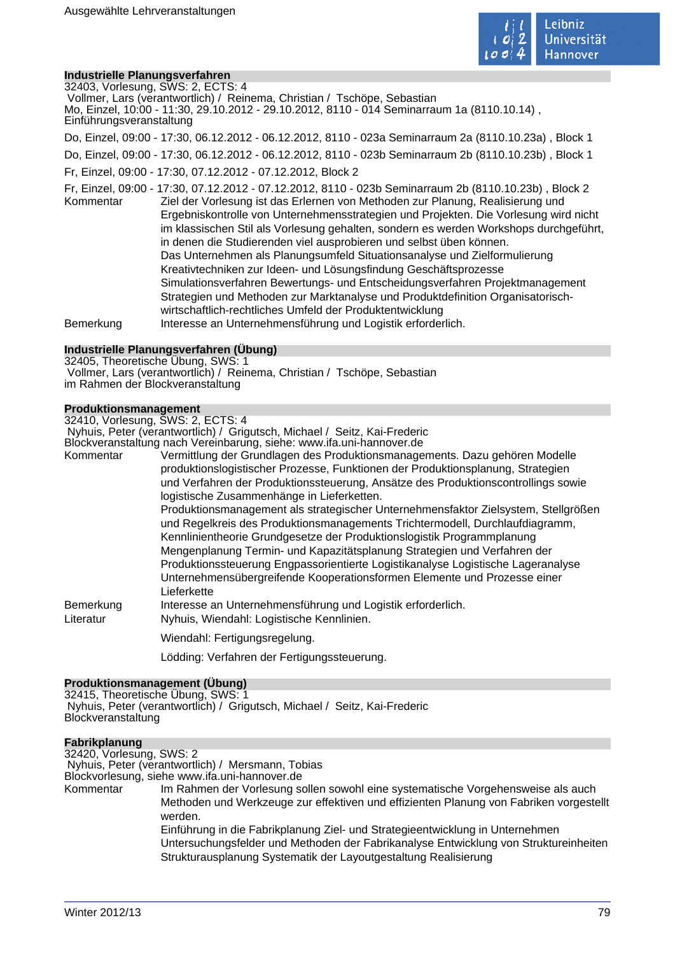

## **Industrielle Planungsverfahren**

32403, Vorlesung, SWS: 2, ECTS: 4 Vollmer, Lars (verantwortlich) / Reinema, Christian / Tschöpe, Sebastian Mo, Einzel, 10:00 - 11:30, 29.10.2012 - 29.10.2012, 8110 - 014 Seminarraum 1a (8110.10.14) , Einführungsveranstaltung Do, Einzel, 09:00 - 17:30, 06.12.2012 - 06.12.2012, 8110 - 023a Seminarraum 2a (8110.10.23a) , Block 1 Do, Einzel, 09:00 - 17:30, 06.12.2012 - 06.12.2012, 8110 - 023b Seminarraum 2b (8110.10.23b) , Block 1 Fr, Einzel, 09:00 - 17:30, 07.12.2012 - 07.12.2012, Block 2 Fr, Einzel, 09:00 - 17:30, 07.12.2012 - 07.12.2012, 8110 - 023b Seminarraum 2b (8110.10.23b) , Block 2 Kommentar Ziel der Vorlesung ist das Erlernen von Methoden zur Planung, Realisierung und Ergebniskontrolle von Unternehmensstrategien und Projekten. Die Vorlesung wird nicht im klassischen Stil als Vorlesung gehalten, sondern es werden Workshops durchgeführt, in denen die Studierenden viel ausprobieren und selbst üben können. Das Unternehmen als Planungsumfeld Situationsanalyse und Zielformulierung Kreativtechniken zur Ideen- und Lösungsfindung Geschäftsprozesse Simulationsverfahren Bewertungs- und Entscheidungsverfahren Projektmanagement Strategien und Methoden zur Marktanalyse und Produktdefinition Organisatorischwirtschaftlich-rechtliches Umfeld der Produktentwicklung Bemerkung Interesse an Unternehmensführung und Logistik erforderlich.

## **Industrielle Planungsverfahren (Übung)**

32405, Theoretische Übung, SWS: 1 Vollmer, Lars (verantwortlich) / Reinema, Christian / Tschöpe, Sebastian im Rahmen der Blockveranstaltung

## **Produktionsmanagement**

32410, Vorlesung, SWS: 2, ECTS: 4

Nyhuis, Peter (verantwortlich) / Grigutsch, Michael / Seitz, Kai-Frederic

Blockveranstaltung nach Vereinbarung, siehe: www.ifa.uni-hannover.de

| Kommentar | Vermittlung der Grundlagen des Produktionsmanagements. Dazu gehören Modelle<br>produktionslogistischer Prozesse, Funktionen der Produktionsplanung, Strategien<br>und Verfahren der Produktionssteuerung, Ansätze des Produktionscontrollings sowie                                                                                                                                                                                                                                                     |
|-----------|---------------------------------------------------------------------------------------------------------------------------------------------------------------------------------------------------------------------------------------------------------------------------------------------------------------------------------------------------------------------------------------------------------------------------------------------------------------------------------------------------------|
|           | logistische Zusammenhänge in Lieferketten.                                                                                                                                                                                                                                                                                                                                                                                                                                                              |
|           | Produktionsmanagement als strategischer Unternehmensfaktor Zielsystem, Stellgrößen<br>und Regelkreis des Produktionsmanagements Trichtermodell, Durchlaufdiagramm,<br>Kennlinientheorie Grundgesetze der Produktionslogistik Programmplanung<br>Mengenplanung Termin- und Kapazitätsplanung Strategien und Verfahren der<br>Produktionssteuerung Engpassorientierte Logistikanalyse Logistische Lageranalyse<br>Unternehmensübergreifende Kooperationsformen Elemente und Prozesse einer<br>Lieferkette |
| Bemerkung | Interesse an Unternehmensführung und Logistik erforderlich.                                                                                                                                                                                                                                                                                                                                                                                                                                             |
| Literatur | Nyhuis, Wiendahl: Logistische Kennlinien.                                                                                                                                                                                                                                                                                                                                                                                                                                                               |
|           | Wiendahl: Fertigungsregelung.                                                                                                                                                                                                                                                                                                                                                                                                                                                                           |
|           | Lödding: Verfahren der Fertigungssteuerung.                                                                                                                                                                                                                                                                                                                                                                                                                                                             |

#### **Produktionsmanagement (Übung)**

32415, Theoretische Übung, SWS: 1 Nyhuis, Peter (verantwortlich) / Grigutsch, Michael / Seitz, Kai-Frederic **Blockveranstaltung** 

## **Fabrikplanung** 32420, Vorlesung, SWS: 2 Nyhuis, Peter (verantwortlich) / Mersmann, Tobias Blockvorlesung, siehe www.ifa.uni-hannover.de Kommentar Im Rahmen der Vorlesung sollen sowohl eine systematische Vorgehensweise als auch Methoden und Werkzeuge zur effektiven und effizienten Planung von Fabriken vorgestellt werden. Einführung in die Fabrikplanung Ziel- und Strategieentwicklung in Unternehmen Untersuchungsfelder und Methoden der Fabrikanalyse Entwicklung von Struktureinheiten Strukturausplanung Systematik der Layoutgestaltung Realisierung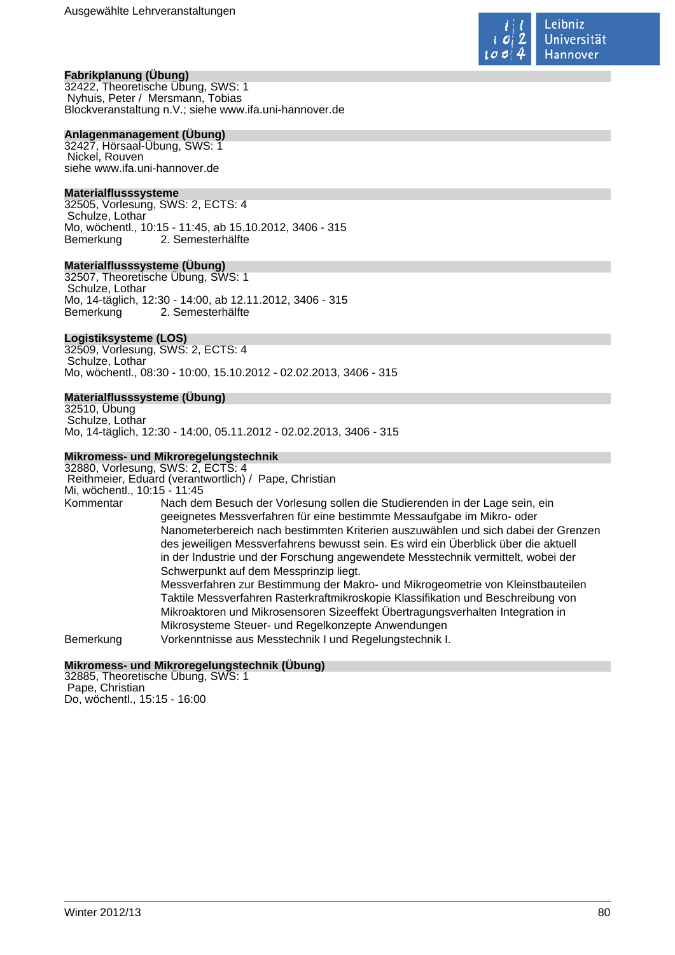

## **Fabrikplanung (Übung)**

32422, Theoretische Übung, SWS: 1 Nyhuis, Peter / Mersmann, Tobias Blockveranstaltung n.V.; siehe www.ifa.uni-hannover.de

#### **Anlagenmanagement (Übung)**

32427, Hörsaal-Übung, SWS: 1 Nickel, Rouven siehe www.ifa.uni-hannover.de

#### **Materialflusssysteme**

32505, Vorlesung, SWS: 2, ECTS: 4 Schulze, Lothar Mo, wöchentl., 10:15 - 11:45, ab 15.10.2012, 3406 - 315 Bemerkung 2. Semesterhälfte

#### **Materialflusssysteme (Übung)**

32507, Theoretische Übung, SWS: 1 Schulze, Lothar Mo, 14-täglich, 12:30 - 14:00, ab 12.11.2012, 3406 - 315 Bemerkung 2. Semesterhälfte

#### **Logistiksysteme (LOS)**

32509, Vorlesung, SWS: 2, ECTS: 4 Schulze, Lothar Mo, wöchentl., 08:30 - 10:00, 15.10.2012 - 02.02.2013, 3406 - 315

# **Materialflusssysteme (Übung)**

32510, Übung Schulze, Lothar Mo, 14-täglich, 12:30 - 14:00, 05.11.2012 - 02.02.2013, 3406 - 315

#### **Mikromess- und Mikroregelungstechnik**

32880, Vorlesung, SWS: 2, ECTS: 4 Reithmeier, Eduard (verantwortlich) / Pape, Christian Mi, wöchentl., 10:15 - 11:45<br>Kommentar Nach der Nach dem Besuch der Vorlesung sollen die Studierenden in der Lage sein, ein geeignetes Messverfahren für eine bestimmte Messaufgabe im Mikro- oder Nanometerbereich nach bestimmten Kriterien auszuwählen und sich dabei der Grenzen des jeweiligen Messverfahrens bewusst sein. Es wird ein Überblick über die aktuell in der Industrie und der Forschung angewendete Messtechnik vermittelt, wobei der Schwerpunkt auf dem Messprinzip liegt. Messverfahren zur Bestimmung der Makro- und Mikrogeometrie von Kleinstbauteilen Taktile Messverfahren Rasterkraftmikroskopie Klassifikation und Beschreibung von Mikroaktoren und Mikrosensoren Sizeeffekt Übertragungsverhalten Integration in Mikrosysteme Steuer- und Regelkonzepte Anwendungen Bemerkung Vorkenntnisse aus Messtechnik I und Regelungstechnik I.

#### **Mikromess- und Mikroregelungstechnik (Übung)**

32885, Theoretische Übung, SWS: 1 Pape, Christian Do, wöchentl., 15:15 - 16:00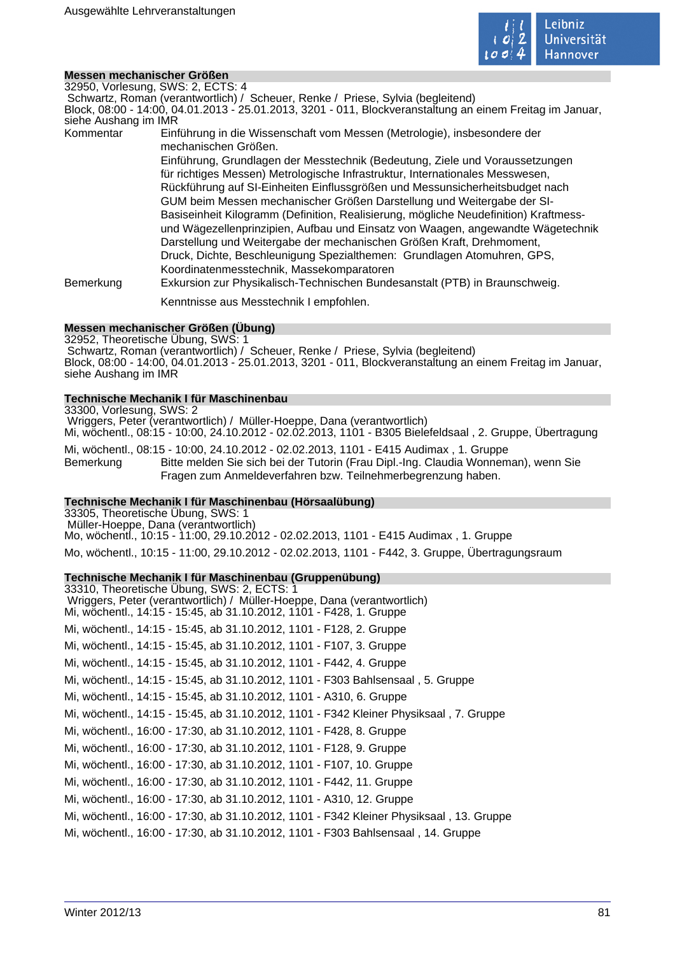

#### **Messen mechanischer Größen**

32950, Vorlesung, SWS: 2, ECTS: 4

Schwartz, Roman (verantwortlich) / Scheuer, Renke / Priese, Sylvia (begleitend)

Block, 08:00 - 14:00, 04.01.2013 - 25.01.2013, 3201 - 011, Blockveranstaltung an einem Freitag im Januar, siehe Aushang im IMR

Kommentar Einführung in die Wissenschaft vom Messen (Metrologie), insbesondere der mechanischen Größen. Einführung, Grundlagen der Messtechnik (Bedeutung, Ziele und Voraussetzungen

für richtiges Messen) Metrologische Infrastruktur, Internationales Messwesen, Rückführung auf SI-Einheiten Einflussgrößen und Messunsicherheitsbudget nach GUM beim Messen mechanischer Größen Darstellung und Weitergabe der SI-Basiseinheit Kilogramm (Definition, Realisierung, mögliche Neudefinition) Kraftmessund Wägezellenprinzipien, Aufbau und Einsatz von Waagen, angewandte Wägetechnik Darstellung und Weitergabe der mechanischen Größen Kraft, Drehmoment, Druck, Dichte, Beschleunigung Spezialthemen: Grundlagen Atomuhren, GPS, Koordinatenmesstechnik, Massekomparatoren

Bemerkung Exkursion zur Physikalisch-Technischen Bundesanstalt (PTB) in Braunschweig.

Kenntnisse aus Messtechnik I empfohlen.

### **Messen mechanischer Größen (Übung)**

32952, Theoretische Übung, SWS: 1 Schwartz, Roman (verantwortlich) / Scheuer, Renke / Priese, Sylvia (begleitend) Block, 08:00 - 14:00, 04.01.2013 - 25.01.2013, 3201 - 011, Blockveranstaltung an einem Freitag im Januar, siehe Aushang im IMR

## **Technische Mechanik I für Maschinenbau**

33300, Vorlesung, SWS: 2 Wriggers, Peter (verantwortlich) / Müller-Hoeppe, Dana (verantwortlich) Mi, wöchentl., 08:15 - 10:00, 24.10.2012 - 02.02.2013, 1101 - B305 Bielefeldsaal , 2. Gruppe, Übertragung Mi, wöchentl., 08:15 - 10:00, 24.10.2012 - 02.02.2013, 1101 - E415 Audimax , 1. Gruppe Bemerkung Bitte melden Sie sich bei der Tutorin (Frau Dipl.-Ing. Claudia Wonneman), wenn Sie Fragen zum Anmeldeverfahren bzw. Teilnehmerbegrenzung haben.

#### **Technische Mechanik I für Maschinenbau (Hörsaalübung)**

33305, Theoretische Übung, SWS: 1 Müller-Hoeppe, Dana (verantwortlich) Mo, wöchentl., 10:15 - 11:00, 29.10.2012 - 02.02.2013, 1101 - E415 Audimax , 1. Gruppe Mo, wöchentl., 10:15 - 11:00, 29.10.2012 - 02.02.2013, 1101 - F442, 3. Gruppe, Übertragungsraum

#### **Technische Mechanik I für Maschinenbau (Gruppenübung)**

| 33310, Theoretische Ubung, SWS: 2, ECTS: 1                                                                                                     |
|------------------------------------------------------------------------------------------------------------------------------------------------|
| Wriggers, Peter (verantwortlich) / Müller-Hoeppe, Dana (verantwortlich)<br>Mi, wochentl., 14:15 - 15:45, ab 31.10.2012, 1101 - F428, 1. Gruppe |
| Mi, wöchentl., 14:15 - 15:45, ab 31.10.2012, 1101 - F128, 2. Gruppe                                                                            |
| Mi, wöchentl., 14:15 - 15:45, ab 31.10.2012, 1101 - F107, 3. Gruppe                                                                            |
| Mi, wöchentl., 14:15 - 15:45, ab 31.10.2012, 1101 - F442, 4. Gruppe                                                                            |
| Mi, wöchentl., 14:15 - 15:45, ab 31.10.2012, 1101 - F303 Bahlsensaal, 5. Gruppe                                                                |
| Mi, wöchentl., 14:15 - 15:45, ab 31.10.2012, 1101 - A310, 6. Gruppe                                                                            |
| Mi, wöchentl., 14:15 - 15:45, ab 31.10.2012, 1101 - F342 Kleiner Physiksaal, 7. Gruppe                                                         |
| Mi, wöchentl., 16:00 - 17:30, ab 31.10.2012, 1101 - F428, 8. Gruppe                                                                            |
| Mi, wöchentl., 16:00 - 17:30, ab 31.10.2012, 1101 - F128, 9. Gruppe                                                                            |
| Mi, wöchentl., 16:00 - 17:30, ab 31.10.2012, 1101 - F107, 10. Gruppe                                                                           |
| Mi, wöchentl., 16:00 - 17:30, ab 31.10.2012, 1101 - F442, 11. Gruppe                                                                           |
| Mi, wöchentl., 16:00 - 17:30, ab 31.10.2012, 1101 - A310, 12. Gruppe                                                                           |
| Mi, wöchentl., 16:00 - 17:30, ab 31.10.2012, 1101 - F342 Kleiner Physiksaal, 13. Gruppe                                                        |
| Mi, wöchentl., 16:00 - 17:30, ab 31.10.2012, 1101 - F303 Bahlsensaal, 14. Gruppe                                                               |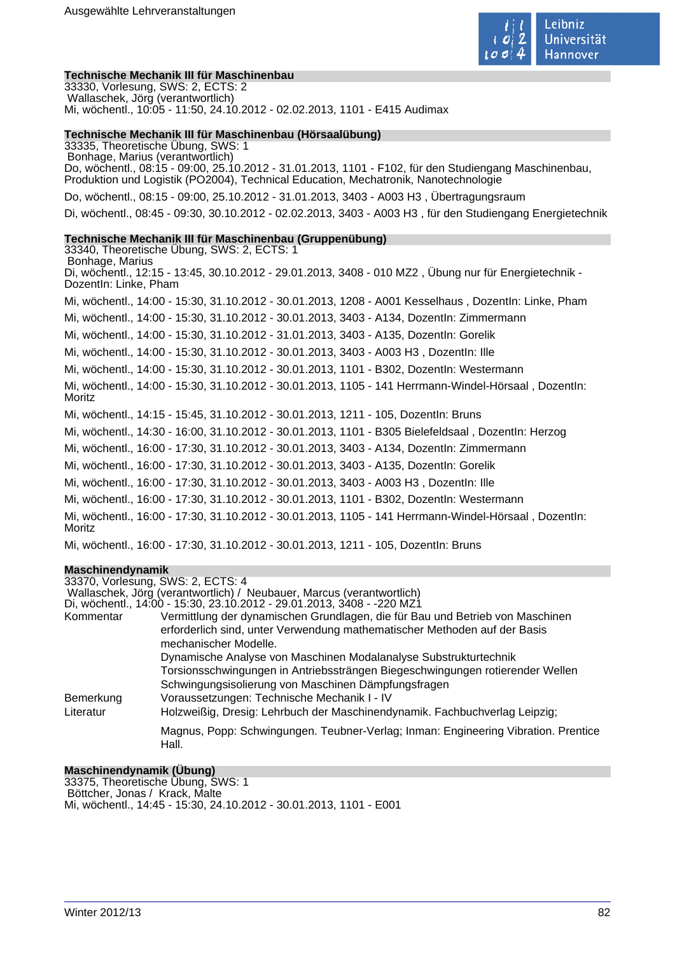

#### **Technische Mechanik III für Maschinenbau**

33330, Vorlesung, SWS: 2, ECTS: 2 Wallaschek, Jörg (verantwortlich) Mi, wöchentl., 10:05 - 11:50, 24.10.2012 - 02.02.2013, 1101 - E415 Audimax

#### **Technische Mechanik III für Maschinenbau (Hörsaalübung)**

33335, Theoretische Übung, SWS: 1 Bonhage, Marius (verantwortlich) Do, wöchentl., 08:15 - 09:00, 25.10.2012 - 31.01.2013, 1101 - F102, für den Studiengang Maschinenbau, Produktion und Logistik (PO2004), Technical Education, Mechatronik, Nanotechnologie Do, wöchentl., 08:15 - 09:00, 25.10.2012 - 31.01.2013, 3403 - A003 H3 , Übertragungsraum Di, wöchentl., 08:45 - 09:30, 30.10.2012 - 02.02.2013, 3403 - A003 H3 , für den Studiengang Energietechnik

#### **Technische Mechanik III für Maschinenbau (Gruppenübung)**

33340, Theoretische Übung, SWS: 2, ECTS: 1 Bonhage, Marius Di, wöchentl., 12:15 - 13:45, 30.10.2012 - 29.01.2013, 3408 - 010 MZ2 , Übung nur für Energietechnik - DozentIn: Linke, Pham Mi, wöchentl., 14:00 - 15:30, 31.10.2012 - 30.01.2013, 1208 - A001 Kesselhaus , DozentIn: Linke, Pham Mi, wöchentl., 14:00 - 15:30, 31.10.2012 - 30.01.2013, 3403 - A134, DozentIn: Zimmermann Mi, wöchentl., 14:00 - 15:30, 31.10.2012 - 31.01.2013, 3403 - A135, DozentIn: Gorelik Mi, wöchentl., 14:00 - 15:30, 31.10.2012 - 30.01.2013, 3403 - A003 H3 , DozentIn: Ille Mi, wöchentl., 14:00 - 15:30, 31.10.2012 - 30.01.2013, 1101 - B302, DozentIn: Westermann Mi, wöchentl., 14:00 - 15:30, 31.10.2012 - 30.01.2013, 1105 - 141 Herrmann-Windel-Hörsaal , DozentIn: Moritz Mi, wöchentl., 14:15 - 15:45, 31.10.2012 - 30.01.2013, 1211 - 105, DozentIn: Bruns Mi, wöchentl., 14:30 - 16:00, 31.10.2012 - 30.01.2013, 1101 - B305 Bielefeldsaal , DozentIn: Herzog Mi, wöchentl., 16:00 - 17:30, 31.10.2012 - 30.01.2013, 3403 - A134, DozentIn: Zimmermann Mi, wöchentl., 16:00 - 17:30, 31.10.2012 - 30.01.2013, 3403 - A135, DozentIn: Gorelik Mi, wöchentl., 16:00 - 17:30, 31.10.2012 - 30.01.2013, 3403 - A003 H3 , DozentIn: Ille Mi, wöchentl., 16:00 - 17:30, 31.10.2012 - 30.01.2013, 1101 - B302, DozentIn: Westermann Mi, wöchentl., 16:00 - 17:30, 31.10.2012 - 30.01.2013, 1105 - 141 Herrmann-Windel-Hörsaal , DozentIn: **Moritz** Mi, wöchentl., 16:00 - 17:30, 31.10.2012 - 30.01.2013, 1211 - 105, DozentIn: Bruns

#### **Maschinendynamik**

|           | 33370, Vorlesung, SWS: 2, ECTS: 4                                                           |
|-----------|---------------------------------------------------------------------------------------------|
|           | Wallaschek, Jörg (verantwortlich) / Neubauer, Marcus (verantwortlich)                       |
|           | Di, wöchentl., 14:00 - 15:30, 23.10.2012 - 29.01.2013, 3408 - -220 MZ1                      |
| Kommentar | Vermittlung der dynamischen Grundlagen, die für Bau und Betrieb von Maschinen               |
|           | erforderlich sind, unter Verwendung mathematischer Methoden auf der Basis                   |
|           | mechanischer Modelle.                                                                       |
|           | Dynamische Analyse von Maschinen Modalanalyse Substrukturtechnik                            |
|           | Torsionsschwingungen in Antriebssträngen Biegeschwingungen rotierender Wellen               |
|           | Schwingungsisolierung von Maschinen Dämpfungsfragen                                         |
| Bemerkung | Voraussetzungen: Technische Mechanik I - IV                                                 |
| Literatur | Holzweißig, Dresig: Lehrbuch der Maschinendynamik. Fachbuchverlag Leipzig;                  |
|           | Magnus, Popp: Schwingungen. Teubner-Verlag; Inman: Engineering Vibration. Prentice<br>Hall. |

#### **Maschinendynamik (Übung)**

33375, Theoretische Übung, SWS: 1 Böttcher, Jonas / Krack, Malte Mi, wöchentl., 14:45 - 15:30, 24.10.2012 - 30.01.2013, 1101 - E001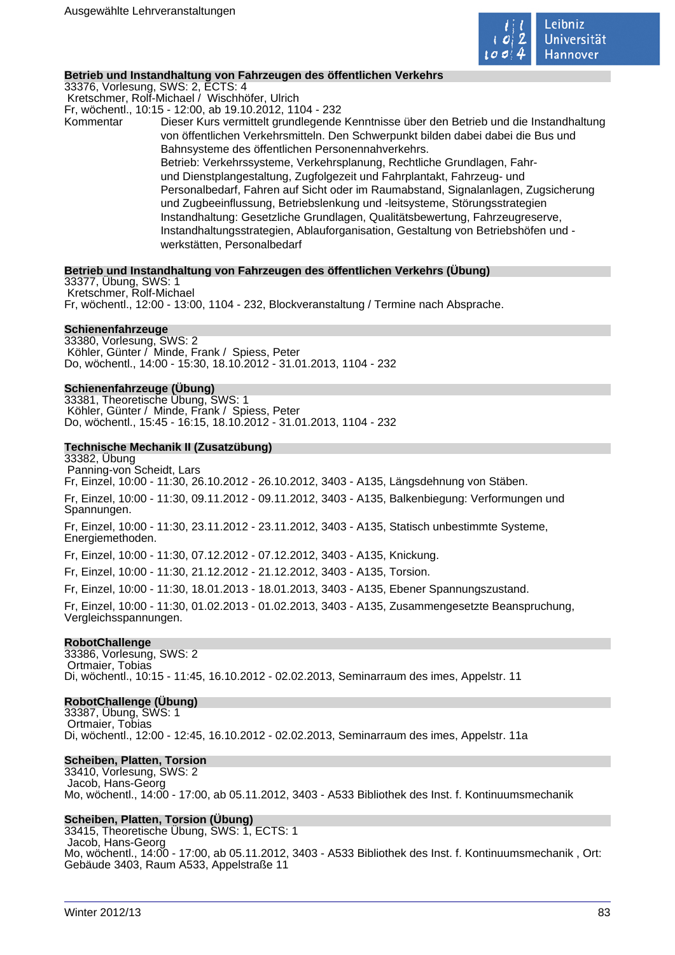

## **Betrieb und Instandhaltung von Fahrzeugen des öffentlichen Verkehrs**

33376, Vorlesung, SWS: 2, ECTS: 4 Kretschmer, Rolf-Michael / Wischhöfer, Ulrich Fr, wöchentl., 10:15 - 12:00, ab 19.10.2012, 1104 - 232 Kommentar Dieser Kurs vermittelt grundlegende Kenntnisse über den Betrieb und die Instandhaltung von öffentlichen Verkehrsmitteln. Den Schwerpunkt bilden dabei dabei die Bus und Bahnsysteme des öffentlichen Personennahverkehrs. Betrieb: Verkehrssysteme, Verkehrsplanung, Rechtliche Grundlagen, Fahrund Dienstplangestaltung, Zugfolgezeit und Fahrplantakt, Fahrzeug- und Personalbedarf, Fahren auf Sicht oder im Raumabstand, Signalanlagen, Zugsicherung und Zugbeeinflussung, Betriebslenkung und -leitsysteme, Störungsstrategien Instandhaltung: Gesetzliche Grundlagen, Qualitätsbewertung, Fahrzeugreserve, Instandhaltungsstrategien, Ablauforganisation, Gestaltung von Betriebshöfen und -

## werkstätten, Personalbedarf

#### **Betrieb und Instandhaltung von Fahrzeugen des öffentlichen Verkehrs (Übung)**

33377, Übung, SWS: 1 Kretschmer, Rolf-Michael Fr, wöchentl., 12:00 - 13:00, 1104 - 232, Blockveranstaltung / Termine nach Absprache.

#### **Schienenfahrzeuge**

33380, Vorlesung, SWS: 2 Köhler, Günter / Minde, Frank / Spiess, Peter Do, wöchentl., 14:00 - 15:30, 18.10.2012 - 31.01.2013, 1104 - 232

#### **Schienenfahrzeuge (Übung)**

33381, Theoretische Übung, SWS: 1 Köhler, Günter / Minde, Frank / Spiess, Peter Do, wöchentl., 15:45 - 16:15, 18.10.2012 - 31.01.2013, 1104 - 232

#### **Technische Mechanik II (Zusatzübung)**

33382, Übung Panning-von Scheidt, Lars Fr, Einzel, 10:00 - 11:30, 26.10.2012 - 26.10.2012, 3403 - A135, Längsdehnung von Stäben. Fr, Einzel, 10:00 - 11:30, 09.11.2012 - 09.11.2012, 3403 - A135, Balkenbiegung: Verformungen und Spannungen. Fr, Einzel, 10:00 - 11:30, 23.11.2012 - 23.11.2012, 3403 - A135, Statisch unbestimmte Systeme, Energiemethoden. Fr, Einzel, 10:00 - 11:30, 07.12.2012 - 07.12.2012, 3403 - A135, Knickung. Fr, Einzel, 10:00 - 11:30, 21.12.2012 - 21.12.2012, 3403 - A135, Torsion. Fr, Einzel, 10:00 - 11:30, 18.01.2013 - 18.01.2013, 3403 - A135, Ebener Spannungszustand. Fr, Einzel, 10:00 - 11:30, 01.02.2013 - 01.02.2013, 3403 - A135, Zusammengesetzte Beanspruchung, Vergleichsspannungen.

#### **RobotChallenge**

33386, Vorlesung, SWS: 2 Ortmaier, Tobias Di, wöchentl., 10:15 - 11:45, 16.10.2012 - 02.02.2013, Seminarraum des imes, Appelstr. 11

#### **RobotChallenge (Übung)**

33387, Übung, SWS: 1 Ortmaier, Tobias Di, wöchentl., 12:00 - 12:45, 16.10.2012 - 02.02.2013, Seminarraum des imes, Appelstr. 11a

#### **Scheiben, Platten, Torsion**

33410, Vorlesung, SWS: 2 Jacob, Hans-Georg Mo, wöchentl., 14:00 - 17:00, ab 05.11.2012, 3403 - A533 Bibliothek des Inst. f. Kontinuumsmechanik

#### **Scheiben, Platten, Torsion (Übung)**

33415, Theoretische Übung, SWS: 1, ECTS: 1 Jacob, Hans-Georg Mo, wöchentl., 14:00 - 17:00, ab 05.11.2012, 3403 - A533 Bibliothek des Inst. f. Kontinuumsmechanik , Ort: Gebäude 3403, Raum A533, Appelstraße 11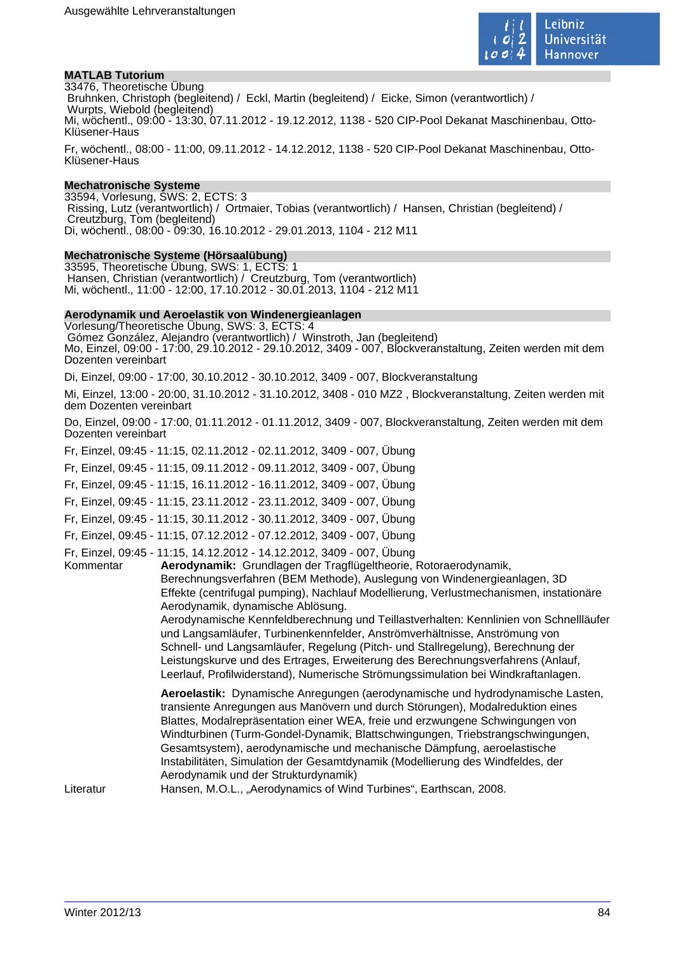

## **MATLAB Tutorium**

33476, Theoretische Übung Bruhnken, Christoph (begleitend) / Eckl, Martin (begleitend) / Eicke, Simon (verantwortlich) / Wurpts, Wiebold (begleitend) Mi, wöchentl., 09:00 - 13:30, 07.11.2012 - 19.12.2012, 1138 - 520 CIP-Pool Dekanat Maschinenbau, Otto-Klüsener-Haus

Fr, wöchentl., 08:00 - 11:00, 09.11.2012 - 14.12.2012, 1138 - 520 CIP-Pool Dekanat Maschinenbau, Otto-Klüsener-Haus

#### **Mechatronische Systeme**

33594, Vorlesung, SWS: 2, ECTS: 3 Rissing, Lutz (verantwortlich) / Ortmaier, Tobias (verantwortlich) / Hansen, Christian (begleitend) / Creutzburg, Tom (begleitend) Di, wöchentl., 08:00 - 09:30, 16.10.2012 - 29.01.2013, 1104 - 212 M11

#### **Mechatronische Systeme (Hörsaalübung)**

33595, Theoretische Übung, SWS: 1, ECTS: 1 Hansen, Christian (verantwortlich) / Creutzburg, Tom (verantwortlich) Mi, wöchentl., 11:00 - 12:00, 17.10.2012 - 30.01.2013, 1104 - 212 M11

#### **Aerodynamik und Aeroelastik von Windenergieanlagen**

Vorlesung/Theoretische Übung, SWS: 3, ECTS: 4 Gómez González, Alejandro (verantwortlich) / Winstroth, Jan (begleitend)

Mo, Einzel, 09:00 - 17:00, 29.10.2012 - 29.10.2012, 3409 - 007, Blockveranstaltung, Zeiten werden mit dem Dozenten vereinbart

Di, Einzel, 09:00 - 17:00, 30.10.2012 - 30.10.2012, 3409 - 007, Blockveranstaltung

Mi, Einzel, 13:00 - 20:00, 31.10.2012 - 31.10.2012, 3408 - 010 MZ2 , Blockveranstaltung, Zeiten werden mit dem Dozenten vereinbart

Do, Einzel, 09:00 - 17:00, 01.11.2012 - 01.11.2012, 3409 - 007, Blockveranstaltung, Zeiten werden mit dem Dozenten vereinbart

Fr, Einzel, 09:45 - 11:15, 02.11.2012 - 02.11.2012, 3409 - 007, Übung

Fr, Einzel, 09:45 - 11:15, 09.11.2012 - 09.11.2012, 3409 - 007, Übung

Fr, Einzel, 09:45 - 11:15, 16.11.2012 - 16.11.2012, 3409 - 007, Übung

Fr, Einzel, 09:45 - 11:15, 23.11.2012 - 23.11.2012, 3409 - 007, Übung

Fr, Einzel, 09:45 - 11:15, 30.11.2012 - 30.11.2012, 3409 - 007, Übung

Fr, Einzel, 09:45 - 11:15, 07.12.2012 - 07.12.2012, 3409 - 007, Übung

Fr, Einzel, 09:45 - 11:15, 14.12.2012 - 14.12.2012, 3409 - 007, Übung

Kommentar **Aerodynamik:** Grundlagen der Tragflügeltheorie, Rotoraerodynamik, Berechnungsverfahren (BEM Methode), Auslegung von Windenergieanlagen, 3D Effekte (centrifugal pumping), Nachlauf Modellierung, Verlustmechanismen, instationäre Aerodynamik, dynamische Ablösung.

Aerodynamische Kennfeldberechnung und Teillastverhalten: Kennlinien von Schnellläufer und Langsamläufer, Turbinenkennfelder, Anströmverhältnisse, Anströmung von Schnell- und Langsamläufer, Regelung (Pitch- und Stallregelung), Berechnung der Leistungskurve und des Ertrages, Erweiterung des Berechnungsverfahrens (Anlauf, Leerlauf, Profilwiderstand), Numerische Strömungssimulation bei Windkraftanlagen.

**Aeroelastik:** Dynamische Anregungen (aerodynamische und hydrodynamische Lasten, transiente Anregungen aus Manövern und durch Störungen), Modalreduktion eines Blattes, Modalrepräsentation einer WEA, freie und erzwungene Schwingungen von Windturbinen (Turm-Gondel-Dynamik, Blattschwingungen, Triebstrangschwingungen, Gesamtsystem), aerodynamische und mechanische Dämpfung, aeroelastische Instabilitäten, Simulation der Gesamtdynamik (Modellierung des Windfeldes, der Aerodynamik und der Strukturdynamik)

Literatur Hansen, M.O.L., "Aerodynamics of Wind Turbines", Earthscan, 2008.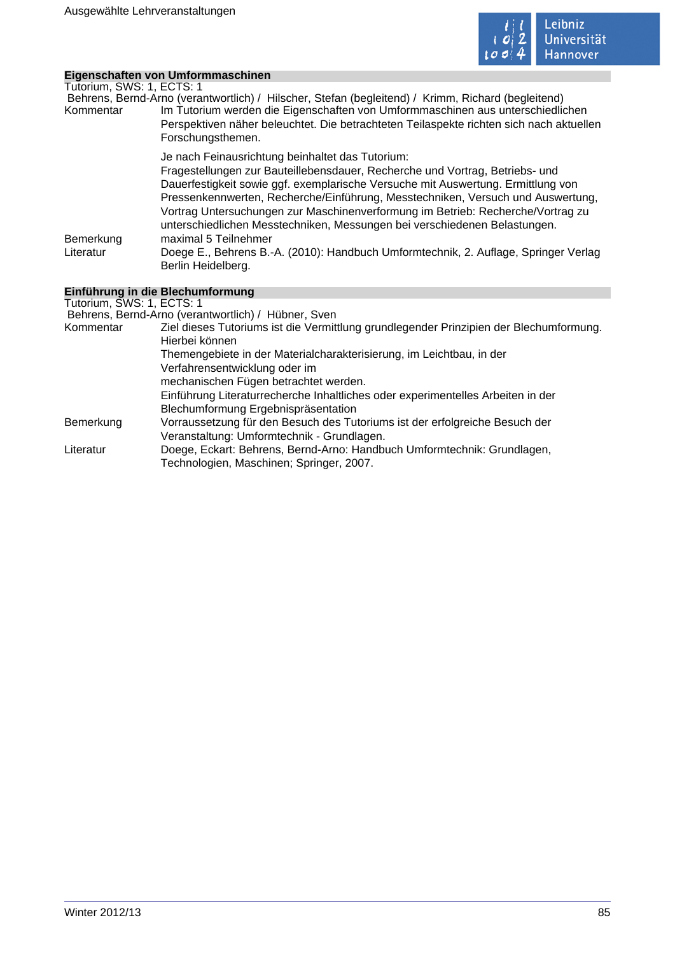

## **Eigenschaften von Umformmaschinen**

| Tutorium, SWS: 1, ECTS: 1 |                                                                                                    |
|---------------------------|----------------------------------------------------------------------------------------------------|
|                           | Behrens, Bernd-Arno (verantwortlich) / Hilscher, Stefan (begleitend) / Krimm, Richard (begleitend) |
| Kommentar                 | Im Tutorium werden die Eigenschaften von Umformmaschinen aus unterschiedlichen                     |
|                           | Perspektiven näher beleuchtet. Die betrachteten Teilaspekte richten sich nach aktuellen            |
|                           | Forschungsthemen.                                                                                  |
|                           | Je nach Feinausrichtung beinhaltet das Tutorium:                                                   |
|                           | Fragestellungen zur Bauteillebensdauer, Recherche und Vortrag, Betriebs- und                       |
|                           | Dauerfestigkeit sowie ggf. exemplarische Versuche mit Auswertung. Ermittlung von                   |
|                           | Pressenkennwerten, Recherche/Einführung, Messtechniken, Versuch und Auswertung,                    |
|                           | Vortrag Untersuchungen zur Maschinenverformung im Betrieb: Recherche/Vortrag zu                    |
|                           | unterschiedlichen Messtechniken, Messungen bei verschiedenen Belastungen.                          |
| Bemerkung                 | maximal 5 Teilnehmer                                                                               |
| Literatur                 | Doege E., Behrens B.-A. (2010): Handbuch Umformtechnik, 2. Auflage, Springer Verlag                |
|                           | Berlin Heidelberg.                                                                                 |
|                           | dillen en de la cita. Dis sierrada en cont                                                         |

## **Einführung in die Blechumformung**

Tutorium, SWS: 1, ECTS: 1 Behrens, Bernd-Arno (verantwortlich) / Hübner, Sven Kommentar Ziel dieses Tutoriums ist die Vermittlung grundlegender Prinzipien der Blechumformung. Hierbei können Themengebiete in der Materialcharakterisierung, im Leichtbau, in der Verfahrensentwicklung oder im mechanischen Fügen betrachtet werden. Einführung Literaturrecherche Inhaltliches oder experimentelles Arbeiten in der Blechumformung Ergebnispräsentation Bemerkung Vorraussetzung für den Besuch des Tutoriums ist der erfolgreiche Besuch der Veranstaltung: Umformtechnik - Grundlagen. Literatur Doege, Eckart: Behrens, Bernd-Arno: Handbuch Umformtechnik: Grundlagen, Technologien, Maschinen; Springer, 2007.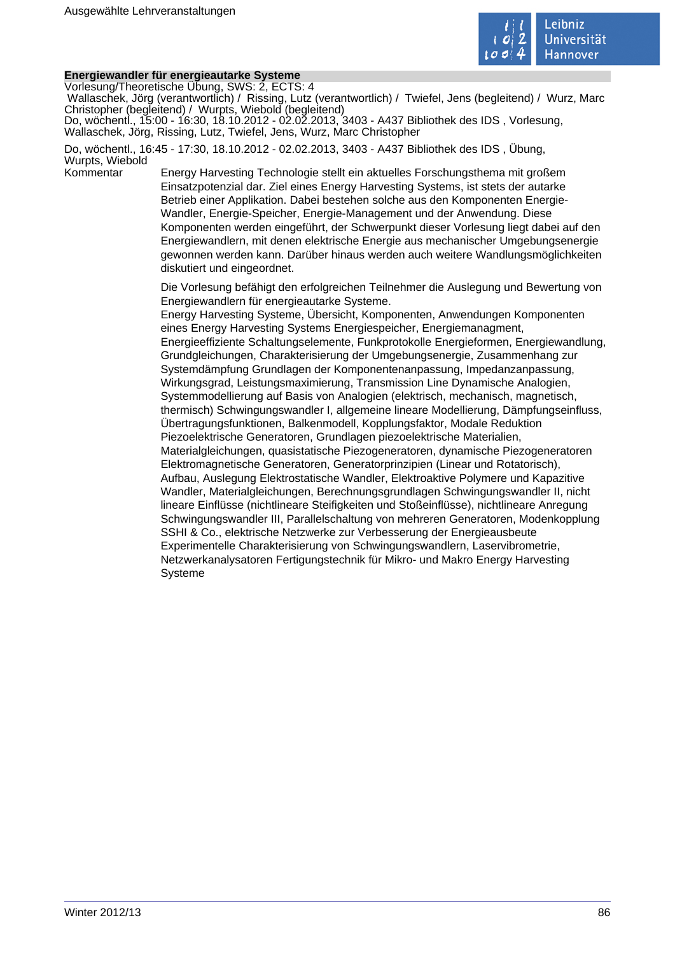

## **Energiewandler für energieautarke Systeme**

Vorlesung/Theoretische Übung, SWS: 2, ECTS: 4

 Wallaschek, Jörg (verantwortlich) / Rissing, Lutz (verantwortlich) / Twiefel, Jens (begleitend) / Wurz, Marc Christopher (begleitend) / Wurpts, Wiebold (begleitend)

Do, wöchentl., 15:00 - 16:30, 18.10.2012 - 02.02.2013, 3403 - A437 Bibliothek des IDS , Vorlesung, Wallaschek, Jörg, Rissing, Lutz, Twiefel, Jens, Wurz, Marc Christopher

Do, wöchentl., 16:45 - 17:30, 18.10.2012 - 02.02.2013, 3403 - A437 Bibliothek des IDS , Übung, Wurpts, Wiebold

Kommentar Energy Harvesting Technologie stellt ein aktuelles Forschungsthema mit großem Einsatzpotenzial dar. Ziel eines Energy Harvesting Systems, ist stets der autarke Betrieb einer Applikation. Dabei bestehen solche aus den Komponenten Energie-Wandler, Energie-Speicher, Energie-Management und der Anwendung. Diese Komponenten werden eingeführt, der Schwerpunkt dieser Vorlesung liegt dabei auf den Energiewandlern, mit denen elektrische Energie aus mechanischer Umgebungsenergie gewonnen werden kann. Darüber hinaus werden auch weitere Wandlungsmöglichkeiten diskutiert und eingeordnet.

> Die Vorlesung befähigt den erfolgreichen Teilnehmer die Auslegung und Bewertung von Energiewandlern für energieautarke Systeme.

> Energy Harvesting Systeme, Übersicht, Komponenten, Anwendungen Komponenten eines Energy Harvesting Systems Energiespeicher, Energiemanagment, Energieeffiziente Schaltungselemente, Funkprotokolle Energieformen, Energiewandlung, Grundgleichungen, Charakterisierung der Umgebungsenergie, Zusammenhang zur Systemdämpfung Grundlagen der Komponentenanpassung, Impedanzanpassung, Wirkungsgrad, Leistungsmaximierung, Transmission Line Dynamische Analogien, Systemmodellierung auf Basis von Analogien (elektrisch, mechanisch, magnetisch, thermisch) Schwingungswandler I, allgemeine lineare Modellierung, Dämpfungseinfluss, Übertragungsfunktionen, Balkenmodell, Kopplungsfaktor, Modale Reduktion Piezoelektrische Generatoren, Grundlagen piezoelektrische Materialien, Materialgleichungen, quasistatische Piezogeneratoren, dynamische Piezogeneratoren Elektromagnetische Generatoren, Generatorprinzipien (Linear und Rotatorisch), Aufbau, Auslegung Elektrostatische Wandler, Elektroaktive Polymere und Kapazitive Wandler, Materialgleichungen, Berechnungsgrundlagen Schwingungswandler II, nicht lineare Einflüsse (nichtlineare Steifigkeiten und Stoßeinflüsse), nichtlineare Anregung Schwingungswandler III, Parallelschaltung von mehreren Generatoren, Modenkopplung SSHI & Co., elektrische Netzwerke zur Verbesserung der Energieausbeute Experimentelle Charakterisierung von Schwingungswandlern, Laservibrometrie, Netzwerkanalysatoren Fertigungstechnik für Mikro- und Makro Energy Harvesting Systeme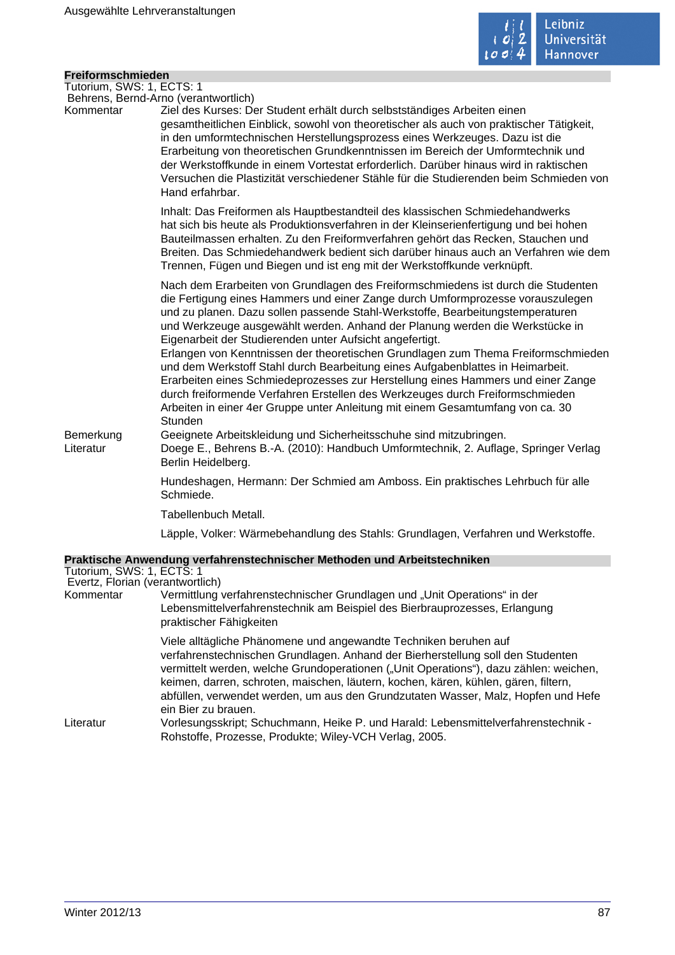

### **Freiformschmieden**

Tutorium, SWS: 1, ECTS: 1 Behrens, Bernd-Arno (verantwortlich)

Kommentar Ziel des Kurses: Der Student erhält durch selbstständiges Arbeiten einen gesamtheitlichen Einblick, sowohl von theoretischer als auch von praktischer Tätigkeit, in den umformtechnischen Herstellungsprozess eines Werkzeuges. Dazu ist die Erarbeitung von theoretischen Grundkenntnissen im Bereich der Umformtechnik und der Werkstoffkunde in einem Vortestat erforderlich. Darüber hinaus wird in raktischen Versuchen die Plastizität verschiedener Stähle für die Studierenden beim Schmieden von Hand erfahrbar.

> Inhalt: Das Freiformen als Hauptbestandteil des klassischen Schmiedehandwerks hat sich bis heute als Produktionsverfahren in der Kleinserienfertigung und bei hohen Bauteilmassen erhalten. Zu den Freiformverfahren gehört das Recken, Stauchen und Breiten. Das Schmiedehandwerk bedient sich darüber hinaus auch an Verfahren wie dem Trennen, Fügen und Biegen und ist eng mit der Werkstoffkunde verknüpft.

Nach dem Erarbeiten von Grundlagen des Freiformschmiedens ist durch die Studenten die Fertigung eines Hammers und einer Zange durch Umformprozesse vorauszulegen und zu planen. Dazu sollen passende Stahl-Werkstoffe, Bearbeitungstemperaturen und Werkzeuge ausgewählt werden. Anhand der Planung werden die Werkstücke in Eigenarbeit der Studierenden unter Aufsicht angefertigt.

Erlangen von Kenntnissen der theoretischen Grundlagen zum Thema Freiformschmieden und dem Werkstoff Stahl durch Bearbeitung eines Aufgabenblattes in Heimarbeit. Erarbeiten eines Schmiedeprozesses zur Herstellung eines Hammers und einer Zange durch freiformende Verfahren Erstellen des Werkzeuges durch Freiformschmieden Arbeiten in einer 4er Gruppe unter Anleitung mit einem Gesamtumfang von ca. 30 **Stunden** 

Bemerkung Geeignete Arbeitskleidung und Sicherheitsschuhe sind mitzubringen.

Literatur Doege E., Behrens B.-A. (2010): Handbuch Umformtechnik, 2. Auflage, Springer Verlag Berlin Heidelberg.

> Hundeshagen, Hermann: Der Schmied am Amboss. Ein praktisches Lehrbuch für alle Schmiede.

Tabellenbuch Metall.

Läpple, Volker: Wärmebehandlung des Stahls: Grundlagen, Verfahren und Werkstoffe.

## **Praktische Anwendung verfahrenstechnischer Methoden und Arbeitstechniken**

| Tutorium, SWS: 1, ECTS: 1 |                                                                                                                                                                                                                                                                                                                                                                                                                                                 |
|---------------------------|-------------------------------------------------------------------------------------------------------------------------------------------------------------------------------------------------------------------------------------------------------------------------------------------------------------------------------------------------------------------------------------------------------------------------------------------------|
|                           | Evertz, Florian (verantwortlich)                                                                                                                                                                                                                                                                                                                                                                                                                |
| Kommentar                 | Vermittlung verfahrenstechnischer Grundlagen und "Unit Operations" in der<br>Lebensmittelverfahrenstechnik am Beispiel des Bierbrauprozesses, Erlangung<br>praktischer Fähigkeiten                                                                                                                                                                                                                                                              |
|                           | Viele alltägliche Phänomene und angewandte Techniken beruhen auf<br>verfahrenstechnischen Grundlagen. Anhand der Bierherstellung soll den Studenten<br>vermittelt werden, welche Grundoperationen ("Unit Operations"), dazu zählen: weichen,<br>keimen, darren, schroten, maischen, läutern, kochen, kären, kühlen, gären, filtern,<br>abfüllen, verwendet werden, um aus den Grundzutaten Wasser, Malz, Hopfen und Hefe<br>ein Bier zu brauen. |
| Literatur                 | Vorlesungsskript; Schuchmann, Heike P. und Harald: Lebensmittelverfahrenstechnik -<br>Rohstoffe, Prozesse, Produkte; Wiley-VCH Verlag, 2005.                                                                                                                                                                                                                                                                                                    |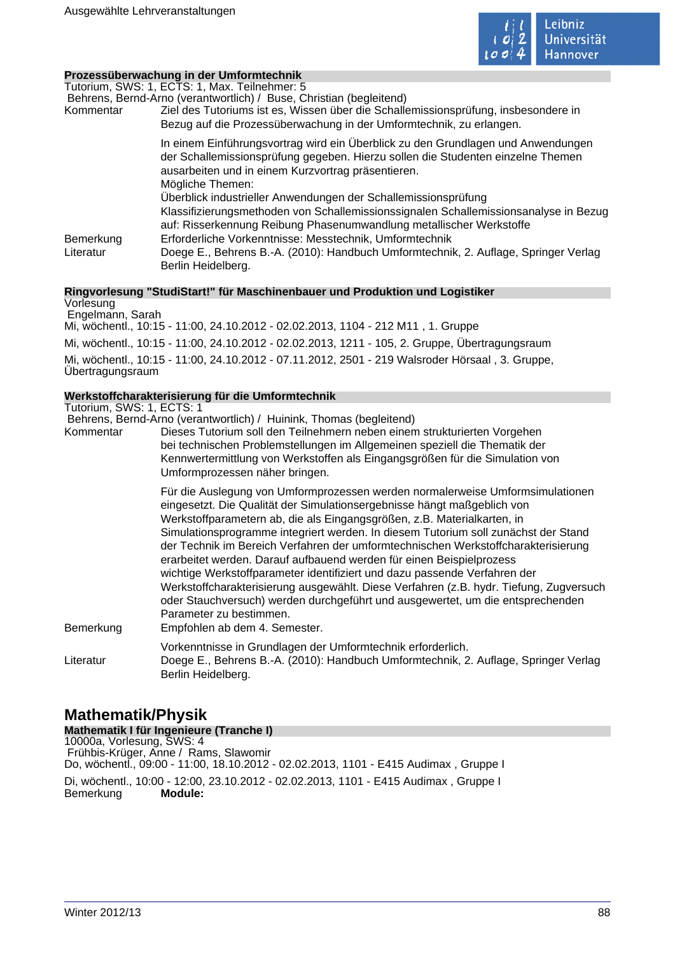

## **Prozessüberwachung in der Umformtechnik**

Tutorium, SWS: 1, ECTS: 1, Max. Teilnehmer: 5

| Kommentar              | Behrens, Bernd-Arno (verantwortlich) / Buse, Christian (begleitend)<br>Ziel des Tutoriums ist es, Wissen über die Schallemissionsprüfung, insbesondere in<br>Bezug auf die Prozessüberwachung in der Umformtechnik, zu erlangen.              |
|------------------------|-----------------------------------------------------------------------------------------------------------------------------------------------------------------------------------------------------------------------------------------------|
|                        | In einem Einführungsvortrag wird ein Überblick zu den Grundlagen und Anwendungen<br>der Schallemissionsprüfung gegeben. Hierzu sollen die Studenten einzelne Themen<br>ausarbeiten und in einem Kurzvortrag präsentieren.<br>Mögliche Themen: |
|                        | Überblick industrieller Anwendungen der Schallemissionsprüfung<br>Klassifizierungsmethoden von Schallemissionssignalen Schallemissionsanalyse in Bezug<br>auf: Risserkennung Reibung Phasenumwandlung metallischer Werkstoffe                 |
| Bemerkung<br>Literatur | Erforderliche Vorkenntnisse: Messtechnik, Umformtechnik<br>Doege E., Behrens B.-A. (2010): Handbuch Umformtechnik, 2. Auflage, Springer Verlag<br>Berlin Heidelberg.                                                                          |

#### **Ringvorlesung "StudiStart!" für Maschinenbauer und Produktion und Logistiker**

Vorlesung Engelmann, Sarah Mi, wöchentl., 10:15 - 11:00, 24.10.2012 - 02.02.2013, 1104 - 212 M11 , 1. Gruppe Mi, wöchentl., 10:15 - 11:00, 24.10.2012 - 02.02.2013, 1211 - 105, 2. Gruppe, Übertragungsraum Mi, wöchentl., 10:15 - 11:00, 24.10.2012 - 07.11.2012, 2501 - 219 Walsroder Hörsaal , 3. Gruppe, Übertragungsraum

## **Werkstoffcharakterisierung für die Umformtechnik**

|                           | <u>WEI NSLUTICHAI ANIEI ISIEI UHYTUIT UIE UIHIUI IHIECHIIN</u>                                                                                                                                                                                                                                                                                                                                                                                                                                                                                                                                                                                                                                                                                                                                              |
|---------------------------|-------------------------------------------------------------------------------------------------------------------------------------------------------------------------------------------------------------------------------------------------------------------------------------------------------------------------------------------------------------------------------------------------------------------------------------------------------------------------------------------------------------------------------------------------------------------------------------------------------------------------------------------------------------------------------------------------------------------------------------------------------------------------------------------------------------|
| Tutorium, SWS: 1, ECTS: 1 |                                                                                                                                                                                                                                                                                                                                                                                                                                                                                                                                                                                                                                                                                                                                                                                                             |
| Kommentar                 | Behrens, Bernd-Arno (verantwortlich) / Huinink, Thomas (begleitend)<br>Dieses Tutorium soll den Teilnehmern neben einem strukturierten Vorgehen<br>bei technischen Problemstellungen im Allgemeinen speziell die Thematik der<br>Kennwertermittlung von Werkstoffen als Eingangsgrößen für die Simulation von<br>Umformprozessen näher bringen.                                                                                                                                                                                                                                                                                                                                                                                                                                                             |
| Bemerkung                 | Für die Auslegung von Umformprozessen werden normalerweise Umformsimulationen<br>eingesetzt. Die Qualität der Simulationsergebnisse hängt maßgeblich von<br>Werkstoffparametern ab, die als Eingangsgrößen, z.B. Materialkarten, in<br>Simulationsprogramme integriert werden. In diesem Tutorium soll zunächst der Stand<br>der Technik im Bereich Verfahren der umformtechnischen Werkstoffcharakterisierung<br>erarbeitet werden. Darauf aufbauend werden für einen Beispielprozess<br>wichtige Werkstoffparameter identifiziert und dazu passende Verfahren der<br>Werkstoffcharakterisierung ausgewählt. Diese Verfahren (z.B. hydr. Tiefung, Zugversuch<br>oder Stauchversuch) werden durchgeführt und ausgewertet, um die entsprechenden<br>Parameter zu bestimmen.<br>Empfohlen ab dem 4. Semester. |
| Literatur                 | Vorkenntnisse in Grundlagen der Umformtechnik erforderlich.<br>Doege E., Behrens B.-A. (2010): Handbuch Umformtechnik, 2. Auflage, Springer Verlag<br>Berlin Heidelberg.                                                                                                                                                                                                                                                                                                                                                                                                                                                                                                                                                                                                                                    |

# **Mathematik/Physik**

**Mathematik I für Ingenieure (Tranche I)** 10000a, Vorlesung, SWS: 4 Frühbis-Krüger, Anne / Rams, Slawomir Do, wöchentl., 09:00 - 11:00, 18.10.2012 - 02.02.2013, 1101 - E415 Audimax , Gruppe I Di, wöchentl., 10:00 - 12:00, 23.10.2012 - 02.02.2013, 1101 - E415 Audimax , Gruppe I Bemerkung **Module:**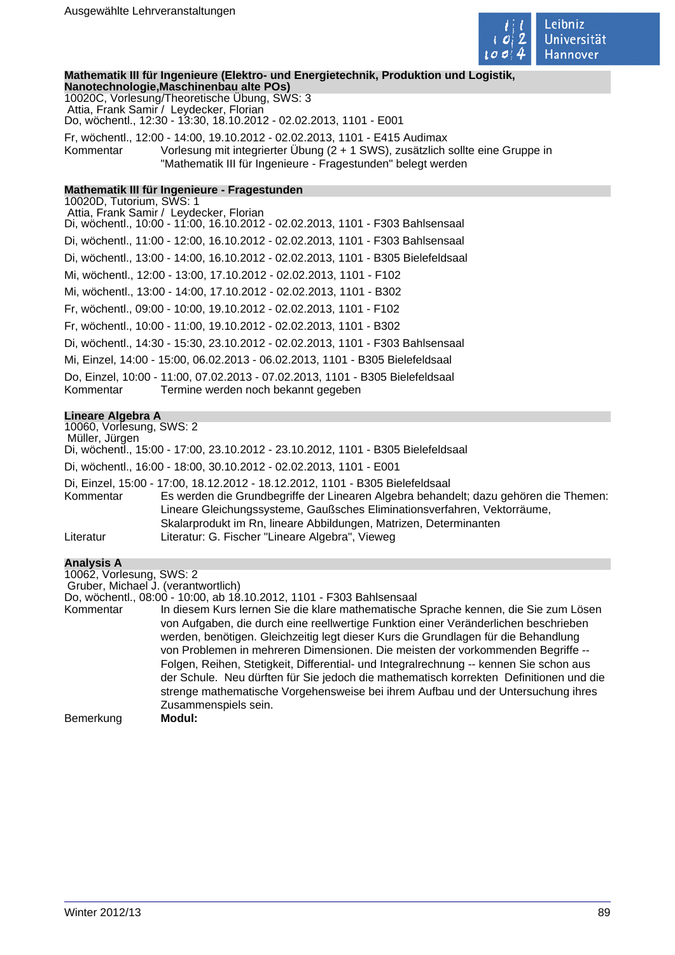

**Mathematik III für Ingenieure (Elektro- und Energietechnik, Produktion und Logistik,**

**Nanotechnologie,Maschinenbau alte POs)** 10020C, Vorlesung/Theoretische Übung, SWS: 3 Attia, Frank Samir / Leydecker, Florian Do, wöchentl., 12:30 - 13:30, 18.10.2012 - 02.02.2013, 1101 - E001 Fr, wöchentl., 12:00 - 14:00, 19.10.2012 - 02.02.2013, 1101 - E415 Audimax Kommentar Vorlesung mit integrierter Übung (2 + 1 SWS), zusätzlich sollte eine Gruppe in "Mathematik III für Ingenieure - Fragestunden" belegt werden

## **Mathematik III für Ingenieure - Fragestunden**

10020D, Tutorium, SWS: 1 Attia, Frank Samir / Leydecker, Florian Di, wöchentl., 10:00 - 11:00, 16.10.2012 - 02.02.2013, 1101 - F303 Bahlsensaal Di, wöchentl., 11:00 - 12:00, 16.10.2012 - 02.02.2013, 1101 - F303 Bahlsensaal Di, wöchentl., 13:00 - 14:00, 16.10.2012 - 02.02.2013, 1101 - B305 Bielefeldsaal Mi, wöchentl., 12:00 - 13:00, 17.10.2012 - 02.02.2013, 1101 - F102 Mi, wöchentl., 13:00 - 14:00, 17.10.2012 - 02.02.2013, 1101 - B302 Fr, wöchentl., 09:00 - 10:00, 19.10.2012 - 02.02.2013, 1101 - F102 Fr, wöchentl., 10:00 - 11:00, 19.10.2012 - 02.02.2013, 1101 - B302 Di, wöchentl., 14:30 - 15:30, 23.10.2012 - 02.02.2013, 1101 - F303 Bahlsensaal Mi, Einzel, 14:00 - 15:00, 06.02.2013 - 06.02.2013, 1101 - B305 Bielefeldsaal Do, Einzel, 10:00 - 11:00, 07.02.2013 - 07.02.2013, 1101 - B305 Bielefeldsaal Kommentar Termine werden noch bekannt gegeben

#### **Lineare Algebra A**

10060, Vorlesung, SWS: 2 Müller, Jürgen Di, wöchentl., 15:00 - 17:00, 23.10.2012 - 23.10.2012, 1101 - B305 Bielefeldsaal Di, wöchentl., 16:00 - 18:00, 30.10.2012 - 02.02.2013, 1101 - E001 Di, Einzel, 15:00 - 17:00, 18.12.2012 - 18.12.2012, 1101 - B305 Bielefeldsaal Kommentar Es werden die Grundbegriffe der Linearen Algebra behandelt; dazu gehören die Themen: Lineare Gleichungssysteme, Gaußsches Eliminationsverfahren, Vektorräume, Skalarprodukt im Rn, lineare Abbildungen, Matrizen, Determinanten Literatur Literatur: G. Fischer "Lineare Algebra", Vieweg

## **Analysis A**

10062, Vorlesung, SWS: 2 Gruber, Michael J. (verantwortlich)

Do, wöchentl., 08:00 - 10:00, ab 18.10.2012, 1101 - F303 Bahlsensaal

Kommentar In diesem Kurs lernen Sie die klare mathematische Sprache kennen, die Sie zum Lösen von Aufgaben, die durch eine reellwertige Funktion einer Veränderlichen beschrieben werden, benötigen. Gleichzeitig legt dieser Kurs die Grundlagen für die Behandlung von Problemen in mehreren Dimensionen. Die meisten der vorkommenden Begriffe -- Folgen, Reihen, Stetigkeit, Differential- und Integralrechnung -- kennen Sie schon aus der Schule. Neu dürften für Sie jedoch die mathematisch korrekten Definitionen und die strenge mathematische Vorgehensweise bei ihrem Aufbau und der Untersuchung ihres Zusammenspiels sein. Bemerkung **Modul:**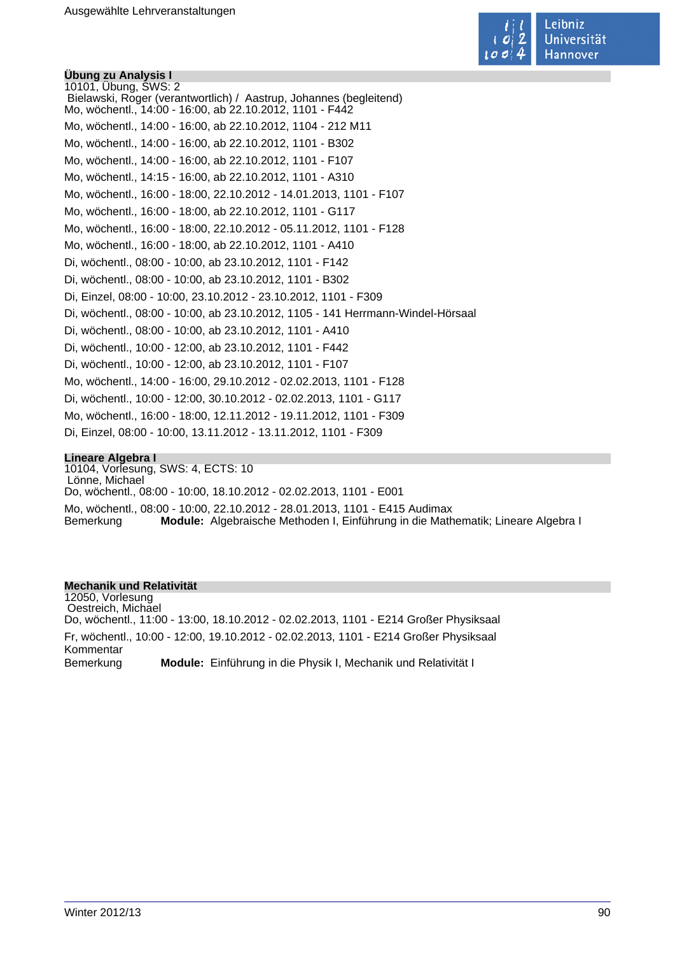

**Übung zu Analysis I** 10101, Übung, SWS: 2 Bielawski, Roger (verantwortlich) / Aastrup, Johannes (begleitend) Mo, wöchentl., 14:00 - 16:00, ab 22.10.2012, 1101 - F442 Mo, wöchentl., 14:00 - 16:00, ab 22.10.2012, 1104 - 212 M11 Mo, wöchentl., 14:00 - 16:00, ab 22.10.2012, 1101 - B302 Mo, wöchentl., 14:00 - 16:00, ab 22.10.2012, 1101 - F107 Mo, wöchentl., 14:15 - 16:00, ab 22.10.2012, 1101 - A310 Mo, wöchentl., 16:00 - 18:00, 22.10.2012 - 14.01.2013, 1101 - F107 Mo, wöchentl., 16:00 - 18:00, ab 22.10.2012, 1101 - G117 Mo, wöchentl., 16:00 - 18:00, 22.10.2012 - 05.11.2012, 1101 - F128 Mo, wöchentl., 16:00 - 18:00, ab 22.10.2012, 1101 - A410 Di, wöchentl., 08:00 - 10:00, ab 23.10.2012, 1101 - F142 Di, wöchentl., 08:00 - 10:00, ab 23.10.2012, 1101 - B302 Di, Einzel, 08:00 - 10:00, 23.10.2012 - 23.10.2012, 1101 - F309 Di, wöchentl., 08:00 - 10:00, ab 23.10.2012, 1105 - 141 Herrmann-Windel-Hörsaal Di, wöchentl., 08:00 - 10:00, ab 23.10.2012, 1101 - A410 Di, wöchentl., 10:00 - 12:00, ab 23.10.2012, 1101 - F442 Di, wöchentl., 10:00 - 12:00, ab 23.10.2012, 1101 - F107 Mo, wöchentl., 14:00 - 16:00, 29.10.2012 - 02.02.2013, 1101 - F128 Di, wöchentl., 10:00 - 12:00, 30.10.2012 - 02.02.2013, 1101 - G117 Mo, wöchentl., 16:00 - 18:00, 12.11.2012 - 19.11.2012, 1101 - F309 Di, Einzel, 08:00 - 10:00, 13.11.2012 - 13.11.2012, 1101 - F309

#### **Lineare Algebra I**

10104, Vorlesung, SWS: 4, ECTS: 10 Lönne, Michael Do, wöchentl., 08:00 - 10:00, 18.10.2012 - 02.02.2013, 1101 - E001 Mo, wöchentl., 08:00 - 10:00, 22.10.2012 - 28.01.2013, 1101 - E415 Audimax Bemerkung **Module:** Algebraische Methoden I, Einführung in die Mathematik; Lineare Algebra I

#### **Mechanik und Relativität**

12050, Vorlesung Oestreich, Michael Do, wöchentl., 11:00 - 13:00, 18.10.2012 - 02.02.2013, 1101 - E214 Großer Physiksaal Fr, wöchentl., 10:00 - 12:00, 19.10.2012 - 02.02.2013, 1101 - E214 Großer Physiksaal Kommentar Bemerkung **Module:** Einführung in die Physik I, Mechanik und Relativität I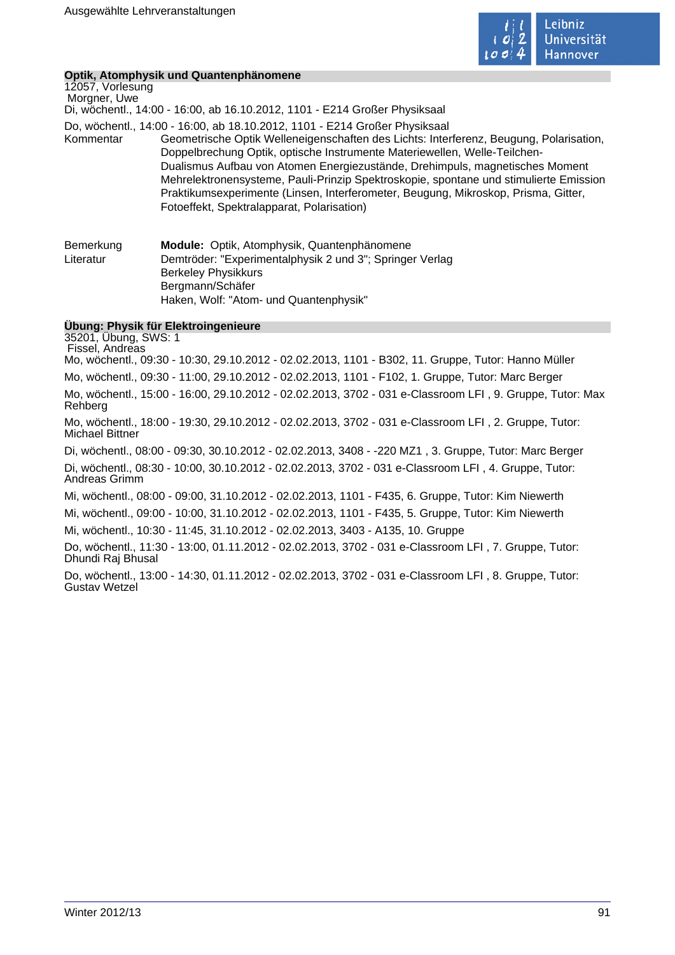

## **Optik, Atomphysik und Quantenphänomene**

12057, Vorlesung Morgner, Uwe Di, wöchentl., 14:00 - 16:00, ab 16.10.2012, 1101 - E214 Großer Physiksaal Do, wöchentl., 14:00 - 16:00, ab 18.10.2012, 1101 - E214 Großer Physiksaal Kommentar Geometrische Optik Welleneigenschaften des Lichts: Interferenz, Beugung, Polarisation, Doppelbrechung Optik, optische Instrumente Materiewellen, Welle-Teilchen-Dualismus Aufbau von Atomen Energiezustände, Drehimpuls, magnetisches Moment Mehrelektronensysteme, Pauli-Prinzip Spektroskopie, spontane und stimulierte Emission Praktikumsexperimente (Linsen, Interferometer, Beugung, Mikroskop, Prisma, Gitter, Fotoeffekt, Spektralapparat, Polarisation) Bemerkung **Module:** Optik, Atomphysik, Quantenphänomene Literatur Demtröder: "Experimentalphysik 2 und 3"; Springer Verlag Berkeley Physikkurs

**Übung: Physik für Elektroingenieure**

Bergmann/Schäfer

Haken, Wolf: "Atom- und Quantenphysik"

35201, Übung, SWS: 1 Fissel, Andreas Mo, wöchentl., 09:30 - 10:30, 29.10.2012 - 02.02.2013, 1101 - B302, 11. Gruppe, Tutor: Hanno Müller Mo, wöchentl., 09:30 - 11:00, 29.10.2012 - 02.02.2013, 1101 - F102, 1. Gruppe, Tutor: Marc Berger Mo, wöchentl., 15:00 - 16:00, 29.10.2012 - 02.02.2013, 3702 - 031 e-Classroom LFI , 9. Gruppe, Tutor: Max Rehberg Mo, wöchentl., 18:00 - 19:30, 29.10.2012 - 02.02.2013, 3702 - 031 e-Classroom LFI , 2. Gruppe, Tutor: Michael Bittner Di, wöchentl., 08:00 - 09:30, 30.10.2012 - 02.02.2013, 3408 - -220 MZ1 , 3. Gruppe, Tutor: Marc Berger Di, wöchentl., 08:30 - 10:00, 30.10.2012 - 02.02.2013, 3702 - 031 e-Classroom LFI , 4. Gruppe, Tutor: Andreas Grimm Mi, wöchentl., 08:00 - 09:00, 31.10.2012 - 02.02.2013, 1101 - F435, 6. Gruppe, Tutor: Kim Niewerth Mi, wöchentl., 09:00 - 10:00, 31.10.2012 - 02.02.2013, 1101 - F435, 5. Gruppe, Tutor: Kim Niewerth Mi, wöchentl., 10:30 - 11:45, 31.10.2012 - 02.02.2013, 3403 - A135, 10. Gruppe Do, wöchentl., 11:30 - 13:00, 01.11.2012 - 02.02.2013, 3702 - 031 e-Classroom LFI , 7. Gruppe, Tutor: Dhundi Raj Bhusal

Do, wöchentl., 13:00 - 14:30, 01.11.2012 - 02.02.2013, 3702 - 031 e-Classroom LFI , 8. Gruppe, Tutor: Gustav Wetzel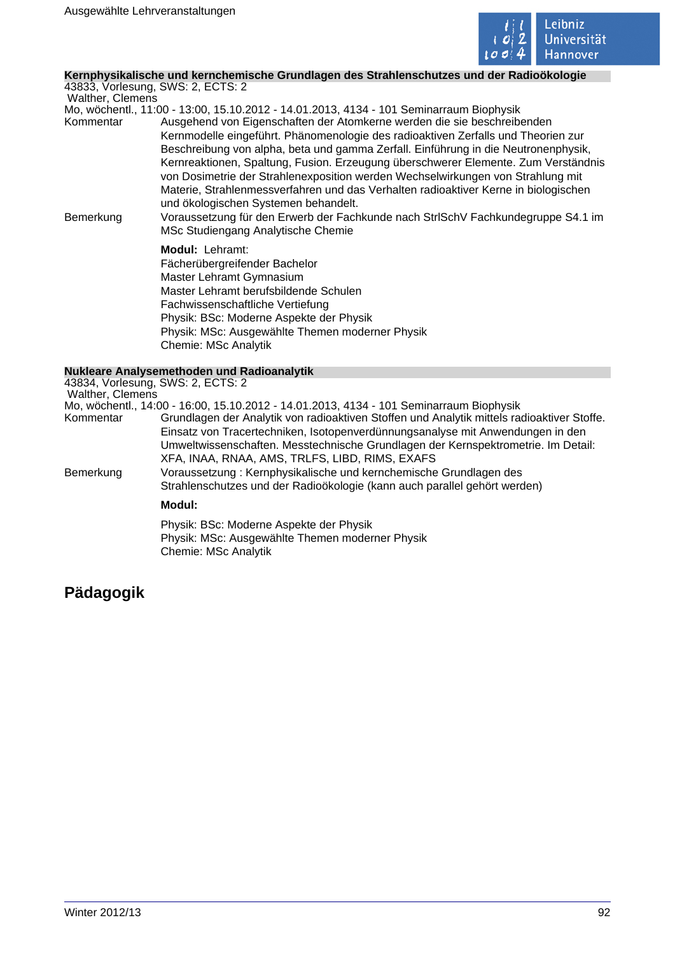

## **Kernphysikalische und kernchemische Grundlagen des Strahlenschutzes und der Radioökologie**

43833, Vorlesung, SWS: 2, ECTS: 2 Walther, Clemens

Mo, wöchentl., 11:00 - 13:00, 15.10.2012 - 14.01.2013, 4134 - 101 Seminarraum Biophysik Kommentar Ausgehend von Eigenschaften der Atomkerne werden die sie beschreibenden Kernmodelle eingeführt. Phänomenologie des radioaktiven Zerfalls und Theorien zur Beschreibung von alpha, beta und gamma Zerfall. Einführung in die Neutronenphysik, Kernreaktionen, Spaltung, Fusion. Erzeugung überschwerer Elemente. Zum Verständnis von Dosimetrie der Strahlenexposition werden Wechselwirkungen von Strahlung mit Materie, Strahlenmessverfahren und das Verhalten radioaktiver Kerne in biologischen und ökologischen Systemen behandelt.

Bemerkung Voraussetzung für den Erwerb der Fachkunde nach StrlSchV Fachkundegruppe S4.1 im MSc Studiengang Analytische Chemie

> **Modul:** Lehramt: Fächerübergreifender Bachelor Master Lehramt Gymnasium Master Lehramt berufsbildende Schulen Fachwissenschaftliche Vertiefung Physik: BSc: Moderne Aspekte der Physik Physik: MSc: Ausgewählte Themen moderner Physik Chemie: MSc Analytik

## **Nukleare Analysemethoden und Radioanalytik**

43834, Vorlesung, SWS: 2, ECTS: 2 Walther, Clemens Mo, wöchentl., 14:00 - 16:00, 15.10.2012 - 14.01.2013, 4134 - 101 Seminarraum Biophysik Grundlagen der Analytik von radioaktiven Stoffen und Analytik mittels radioaktiver Stoffe. Einsatz von Tracertechniken, Isotopenverdünnungsanalyse mit Anwendungen in den Umweltwissenschaften. Messtechnische Grundlagen der Kernspektrometrie. Im Detail: XFA, INAA, RNAA, AMS, TRLFS, LIBD, RIMS, EXAFS Bemerkung Voraussetzung : Kernphysikalische und kernchemische Grundlagen des Strahlenschutzes und der Radioökologie (kann auch parallel gehört werden) **Modul:**  Physik: BSc: Moderne Aspekte der Physik Physik: MSc: Ausgewählte Themen moderner Physik

Chemie: MSc Analytik

# **Pädagogik**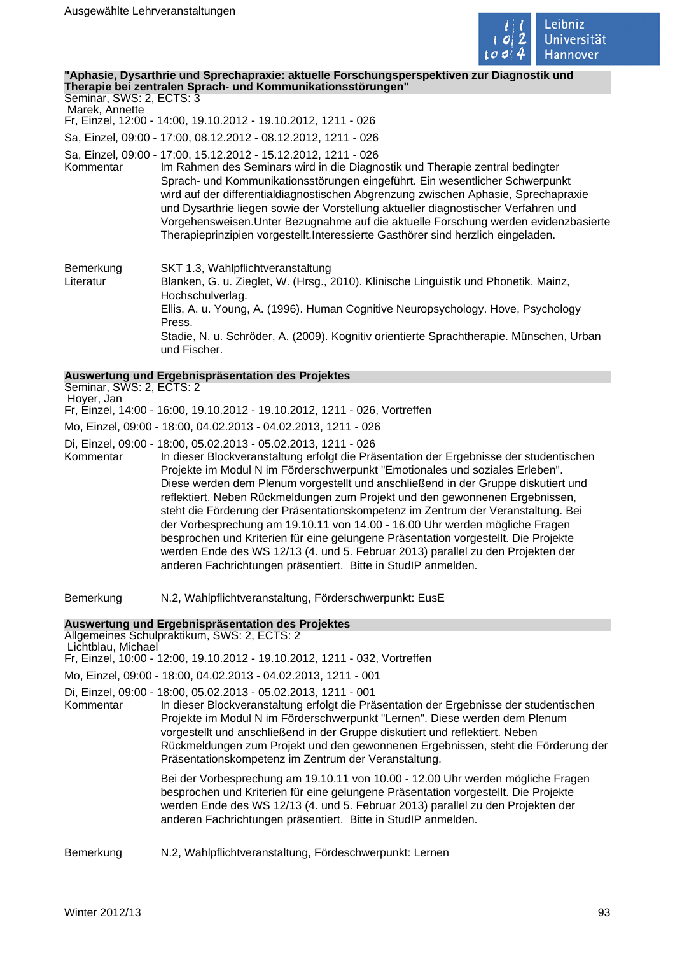

#### **"Aphasie, Dysarthrie und Sprechapraxie: aktuelle Forschungsperspektiven zur Diagnostik und Therapie bei zentralen Sprach- und Kommunikationsstörungen"**

Seminar, SWS: 2, ECTS: 3 Marek, Annette Fr, Einzel, 12:00 - 14:00, 19.10.2012 - 19.10.2012, 1211 - 026 Sa, Einzel, 09:00 - 17:00, 08.12.2012 - 08.12.2012, 1211 - 026 Sa, Einzel, 09:00 - 17:00, 15.12.2012 - 15.12.2012, 1211 - 026 Im Rahmen des Seminars wird in die Diagnostik und Therapie zentral bedingter Sprach- und Kommunikationsstörungen eingeführt. Ein wesentlicher Schwerpunkt wird auf der differentialdiagnostischen Abgrenzung zwischen Aphasie, Sprechapraxie und Dysarthrie liegen sowie der Vorstellung aktueller diagnostischer Verfahren und Vorgehensweisen.Unter Bezugnahme auf die aktuelle Forschung werden evidenzbasierte Therapieprinzipien vorgestellt.Interessierte Gasthörer sind herzlich eingeladen. Bemerkung SKT 1.3, Wahlpflichtveranstaltung Literatur Blanken, G. u. Zieglet, W. (Hrsg., 2010). Klinische Linguistik und Phonetik. Mainz, Hochschulverlag. Ellis, A. u. Young, A. (1996). Human Cognitive Neuropsychology. Hove, Psychology Press. Stadie, N. u. Schröder, A. (2009). Kognitiv orientierte Sprachtherapie. Münschen, Urban und Fischer. **Auswertung und Ergebnispräsentation des Projektes** Seminar, SWS: 2, ECTS: 2 Hoyer, Jan Fr, Einzel, 14:00 - 16:00, 19.10.2012 - 19.10.2012, 1211 - 026, Vortreffen Mo, Einzel, 09:00 - 18:00, 04.02.2013 - 04.02.2013, 1211 - 026 Di, Einzel, 09:00 - 18:00, 05.02.2013 - 05.02.2013, 1211 - 026 In dieser Blockveranstaltung erfolgt die Präsentation der Ergebnisse der studentischen Projekte im Modul N im Förderschwerpunkt "Emotionales und soziales Erleben". Diese werden dem Plenum vorgestellt und anschließend in der Gruppe diskutiert und reflektiert. Neben Rückmeldungen zum Projekt und den gewonnenen Ergebnissen, steht die Förderung der Präsentationskompetenz im Zentrum der Veranstaltung. Bei der Vorbesprechung am 19.10.11 von 14.00 - 16.00 Uhr werden mögliche Fragen besprochen und Kriterien für eine gelungene Präsentation vorgestellt. Die Projekte

Bemerkung N.2, Wahlpflichtveranstaltung, Förderschwerpunkt: EusE

**Auswertung und Ergebnispräsentation des Projektes**

Allgemeines Schulpraktikum, SWS: 2, ECTS: 2

Lichtblau, Michael

Fr, Einzel, 10:00 - 12:00, 19.10.2012 - 19.10.2012, 1211 - 032, Vortreffen

Mo, Einzel, 09:00 - 18:00, 04.02.2013 - 04.02.2013, 1211 - 001

Di, Einzel, 09:00 - 18:00, 05.02.2013 - 05.02.2013, 1211 - 001 In dieser Blockveranstaltung erfolgt die Präsentation der Ergebnisse der studentischen Projekte im Modul N im Förderschwerpunkt "Lernen". Diese werden dem Plenum vorgestellt und anschließend in der Gruppe diskutiert und reflektiert. Neben Rückmeldungen zum Projekt und den gewonnenen Ergebnissen, steht die Förderung der Präsentationskompetenz im Zentrum der Veranstaltung.

werden Ende des WS 12/13 (4. und 5. Februar 2013) parallel zu den Projekten der

anderen Fachrichtungen präsentiert. Bitte in StudIP anmelden.

Bei der Vorbesprechung am 19.10.11 von 10.00 - 12.00 Uhr werden mögliche Fragen besprochen und Kriterien für eine gelungene Präsentation vorgestellt. Die Projekte werden Ende des WS 12/13 (4. und 5. Februar 2013) parallel zu den Projekten der anderen Fachrichtungen präsentiert. Bitte in StudIP anmelden.

Bemerkung N.2, Wahlpflichtveranstaltung, Fördeschwerpunkt: Lernen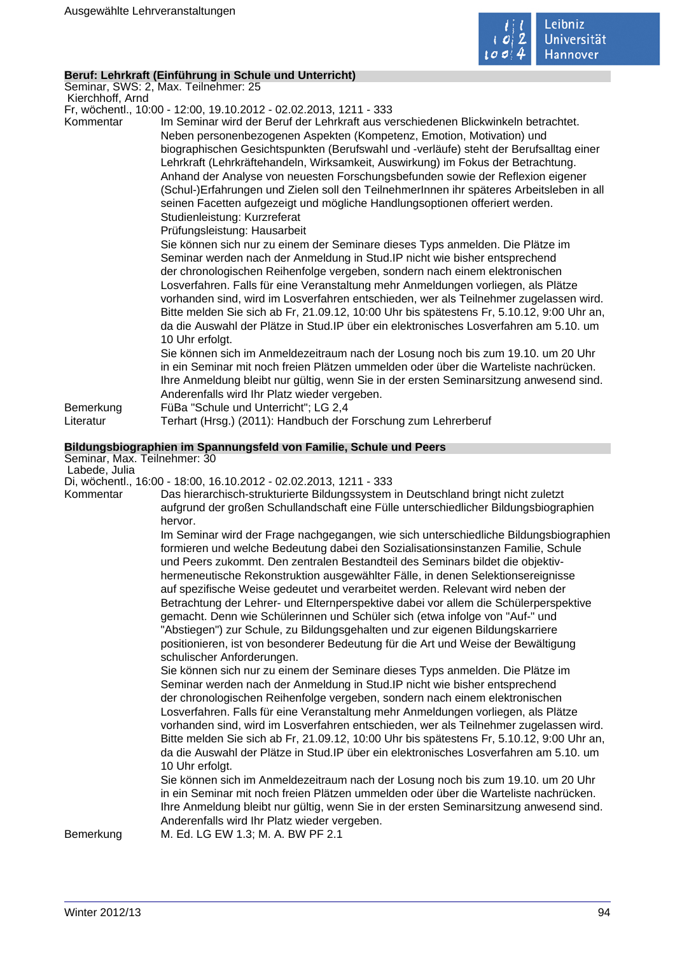

## **Beruf: Lehrkraft (Einführung in Schule und Unterricht)**

Seminar, SWS: 2, Max. Teilnehmer: 25

 Kierchhoff, Arnd Fr, wöchentl., 10:00 - 12:00, 19.10.2012 - 02.02.2013, 1211 - 333

Kommentar Im Seminar wird der Beruf der Lehrkraft aus verschiedenen Blickwinkeln betrachtet.

Neben personenbezogenen Aspekten (Kompetenz, Emotion, Motivation) und biographischen Gesichtspunkten (Berufswahl und -verläufe) steht der Berufsalltag einer Lehrkraft (Lehrkräftehandeln, Wirksamkeit, Auswirkung) im Fokus der Betrachtung. Anhand der Analyse von neuesten Forschungsbefunden sowie der Reflexion eigener (Schul-)Erfahrungen und Zielen soll den TeilnehmerInnen ihr späteres Arbeitsleben in all seinen Facetten aufgezeigt und mögliche Handlungsoptionen offeriert werden. Studienleistung: Kurzreferat

Prüfungsleistung: Hausarbeit

Sie können sich nur zu einem der Seminare dieses Typs anmelden. Die Plätze im Seminar werden nach der Anmeldung in Stud.IP nicht wie bisher entsprechend der chronologischen Reihenfolge vergeben, sondern nach einem elektronischen Losverfahren. Falls für eine Veranstaltung mehr Anmeldungen vorliegen, als Plätze vorhanden sind, wird im Losverfahren entschieden, wer als Teilnehmer zugelassen wird. Bitte melden Sie sich ab Fr, 21.09.12, 10:00 Uhr bis spätestens Fr, 5.10.12, 9:00 Uhr an, da die Auswahl der Plätze in Stud.IP über ein elektronisches Losverfahren am 5.10. um 10 Uhr erfolgt.

Sie können sich im Anmeldezeitraum nach der Losung noch bis zum 19.10. um 20 Uhr in ein Seminar mit noch freien Plätzen ummelden oder über die Warteliste nachrücken. Ihre Anmeldung bleibt nur gültig, wenn Sie in der ersten Seminarsitzung anwesend sind. Anderenfalls wird Ihr Platz wieder vergeben.

Bemerkung FüBa "Schule und Unterricht"; LG 2,4

Literatur Terhart (Hrsg.) (2011): Handbuch der Forschung zum Lehrerberuf

#### **Bildungsbiographien im Spannungsfeld von Familie, Schule und Peers**

Seminar, Max. Teilnehmer: 30

Labede, Julia

Di, wöchentl., 16:00 - 18:00, 16.10.2012 - 02.02.2013, 1211 - 333

Kommentar Das hierarchisch-strukturierte Bildungssystem in Deutschland bringt nicht zuletzt aufgrund der großen Schullandschaft eine Fülle unterschiedlicher Bildungsbiographien hervor.

Im Seminar wird der Frage nachgegangen, wie sich unterschiedliche Bildungsbiographien formieren und welche Bedeutung dabei den Sozialisationsinstanzen Familie, Schule und Peers zukommt. Den zentralen Bestandteil des Seminars bildet die objektivhermeneutische Rekonstruktion ausgewählter Fälle, in denen Selektionsereignisse auf spezifische Weise gedeutet und verarbeitet werden. Relevant wird neben der Betrachtung der Lehrer- und Elternperspektive dabei vor allem die Schülerperspektive gemacht. Denn wie Schülerinnen und Schüler sich (etwa infolge von "Auf-" und "Abstiegen") zur Schule, zu Bildungsgehalten und zur eigenen Bildungskarriere positionieren, ist von besonderer Bedeutung für die Art und Weise der Bewältigung schulischer Anforderungen.

Sie können sich nur zu einem der Seminare dieses Typs anmelden. Die Plätze im Seminar werden nach der Anmeldung in Stud.IP nicht wie bisher entsprechend der chronologischen Reihenfolge vergeben, sondern nach einem elektronischen Losverfahren. Falls für eine Veranstaltung mehr Anmeldungen vorliegen, als Plätze vorhanden sind, wird im Losverfahren entschieden, wer als Teilnehmer zugelassen wird. Bitte melden Sie sich ab Fr, 21.09.12, 10:00 Uhr bis spätestens Fr, 5.10.12, 9:00 Uhr an, da die Auswahl der Plätze in Stud.IP über ein elektronisches Losverfahren am 5.10. um 10 Uhr erfolgt.

Sie können sich im Anmeldezeitraum nach der Losung noch bis zum 19.10. um 20 Uhr in ein Seminar mit noch freien Plätzen ummelden oder über die Warteliste nachrücken. Ihre Anmeldung bleibt nur gültig, wenn Sie in der ersten Seminarsitzung anwesend sind. Anderenfalls wird Ihr Platz wieder vergeben.

Bemerkung M. Ed. LG EW 1.3; M. A. BW PF 2.1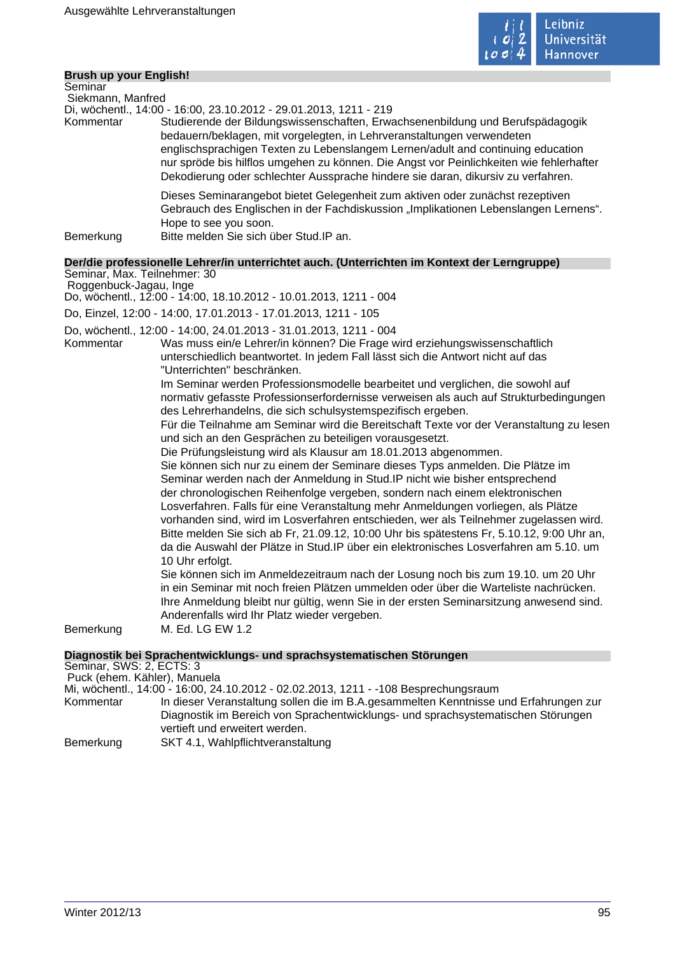

## **Brush up your English!**

| Seminar           |                                                                                                                                                                                                                                                                                                                                                                                                                            |
|-------------------|----------------------------------------------------------------------------------------------------------------------------------------------------------------------------------------------------------------------------------------------------------------------------------------------------------------------------------------------------------------------------------------------------------------------------|
| Siekmann, Manfred |                                                                                                                                                                                                                                                                                                                                                                                                                            |
|                   | Di, wöchentl., 14:00 - 16:00, 23.10.2012 - 29.01.2013, 1211 - 219                                                                                                                                                                                                                                                                                                                                                          |
| Kommentar         | Studierende der Bildungswissenschaften, Erwachsenenbildung und Berufspädagogik<br>bedauern/beklagen, mit vorgelegten, in Lehrveranstaltungen verwendeten<br>englischsprachigen Texten zu Lebenslangem Lernen/adult and continuing education<br>nur spröde bis hilflos umgehen zu können. Die Angst vor Peinlichkeiten wie fehlerhafter<br>Dekodierung oder schlechter Aussprache hindere sie daran, dikursiv zu verfahren. |
| Bemerkung         | Dieses Seminarangebot bietet Gelegenheit zum aktiven oder zunächst rezeptiven<br>Gebrauch des Englischen in der Fachdiskussion "Implikationen Lebenslangen Lernens".<br>Hope to see you soon.<br>Bitte melden Sie sich über Stud. IP an.                                                                                                                                                                                   |

**Der/die professionelle Lehrer/in unterrichtet auch. (Unterrichten im Kontext der Lerngruppe)**

Seminar, Max. Teilnehmer: 30

 Roggenbuck-Jagau, Inge Do, wöchentl., 12:00 - 14:00, 18.10.2012 - 10.01.2013, 1211 - 004

Do, Einzel, 12:00 - 14:00, 17.01.2013 - 17.01.2013, 1211 - 105

Do, wöchentl., 12:00 - 14:00, 24.01.2013 - 31.01.2013, 1211 - 004 Was muss ein/e Lehrer/in können? Die Frage wird erziehungswissenschaftlich unterschiedlich beantwortet. In jedem Fall lässt sich die Antwort nicht auf das "Unterrichten" beschränken.

> Im Seminar werden Professionsmodelle bearbeitet und verglichen, die sowohl auf normativ gefasste Professionserfordernisse verweisen als auch auf Strukturbedingungen des Lehrerhandelns, die sich schulsystemspezifisch ergeben.

> Für die Teilnahme am Seminar wird die Bereitschaft Texte vor der Veranstaltung zu lesen und sich an den Gesprächen zu beteiligen vorausgesetzt.

Die Prüfungsleistung wird als Klausur am 18.01.2013 abgenommen.

Sie können sich nur zu einem der Seminare dieses Typs anmelden. Die Plätze im Seminar werden nach der Anmeldung in Stud.IP nicht wie bisher entsprechend der chronologischen Reihenfolge vergeben, sondern nach einem elektronischen Losverfahren. Falls für eine Veranstaltung mehr Anmeldungen vorliegen, als Plätze vorhanden sind, wird im Losverfahren entschieden, wer als Teilnehmer zugelassen wird. Bitte melden Sie sich ab Fr, 21.09.12, 10:00 Uhr bis spätestens Fr, 5.10.12, 9:00 Uhr an, da die Auswahl der Plätze in Stud.IP über ein elektronisches Losverfahren am 5.10. um 10 Uhr erfolgt.

Sie können sich im Anmeldezeitraum nach der Losung noch bis zum 19.10. um 20 Uhr in ein Seminar mit noch freien Plätzen ummelden oder über die Warteliste nachrücken. Ihre Anmeldung bleibt nur gültig, wenn Sie in der ersten Seminarsitzung anwesend sind. Anderenfalls wird Ihr Platz wieder vergeben.

Bemerkung M. Ed. LG EW 1.2

#### **Diagnostik bei Sprachentwicklungs- und sprachsystematischen Störungen**

Seminar, SWS: 2, ECTS: 3 Puck (ehem. Kähler), Manuela

Mi, wöchentl., 14:00 - 16:00, 24.10.2012 - 02.02.2013, 1211 - -108 Besprechungsraum

Kommentar In dieser Veranstaltung sollen die im B.A.gesammelten Kenntnisse und Erfahrungen zur Diagnostik im Bereich von Sprachentwicklungs- und sprachsystematischen Störungen vertieft und erweitert werden.

Bemerkung SKT 4.1, Wahlpflichtveranstaltung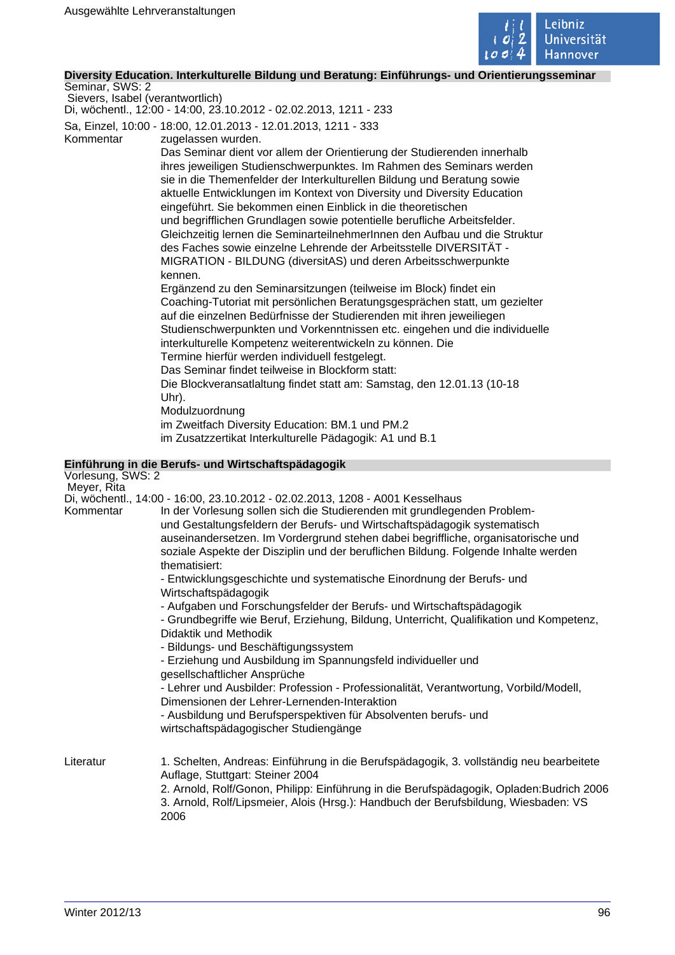

## **Diversity Education. Interkulturelle Bildung und Beratung: Einführungs- und Orientierungsseminar**

Seminar, SWS: 2 Sievers, Isabel (verantwortlich)

Di, wöchentl., 12:00 - 14:00, 23.10.2012 - 02.02.2013, 1211 - 233

Sa, Einzel, 10:00 - 18:00, 12.01.2013 - 12.01.2013, 1211 - 333

Kommentar zugelassen wurden.

Das Seminar dient vor allem der Orientierung der Studierenden innerhalb ihres jeweiligen Studienschwerpunktes. Im Rahmen des Seminars werden sie in die Themenfelder der Interkulturellen Bildung und Beratung sowie aktuelle Entwicklungen im Kontext von Diversity und Diversity Education eingeführt. Sie bekommen einen Einblick in die theoretischen und begrifflichen Grundlagen sowie potentielle berufliche Arbeitsfelder. Gleichzeitig lernen die SeminarteilnehmerInnen den Aufbau und die Struktur des Faches sowie einzelne Lehrende der Arbeitsstelle DIVERSITÄT - MIGRATION - BILDUNG (diversitAS) und deren Arbeitsschwerpunkte kennen.

Ergänzend zu den Seminarsitzungen (teilweise im Block) findet ein Coaching-Tutoriat mit persönlichen Beratungsgesprächen statt, um gezielter auf die einzelnen Bedürfnisse der Studierenden mit ihren jeweiliegen Studienschwerpunkten und Vorkenntnissen etc. eingehen und die individuelle interkulturelle Kompetenz weiterentwickeln zu können. Die Termine hierfür werden individuell festgelegt.

Das Seminar findet teilweise in Blockform statt:

Die Blockveransatlaltung findet statt am: Samstag, den 12.01.13 (10-18 Uhr).

Modulzuordnung

im Zweitfach Diversity Education: BM.1 und PM.2

im Zusatzzertikat Interkulturelle Pädagogik: A1 und B.1

## **Einführung in die Berufs- und Wirtschaftspädagogik**

Vorlesung, SWS: 2 Meyer, Rita Di, wöchentl., 14:00 - 16:00, 23.10.2012 - 02.02.2013, 1208 - A001 Kesselhaus In der Vorlesung sollen sich die Studierenden mit grundlegenden Problemund Gestaltungsfeldern der Berufs- und Wirtschaftspädagogik systematisch auseinandersetzen. Im Vordergrund stehen dabei begriffliche, organisatorische und soziale Aspekte der Disziplin und der beruflichen Bildung. Folgende Inhalte werden thematisiert: - Entwicklungsgeschichte und systematische Einordnung der Berufs- und Wirtschaftspädagogik - Aufgaben und Forschungsfelder der Berufs- und Wirtschaftspädagogik - Grundbegriffe wie Beruf, Erziehung, Bildung, Unterricht, Qualifikation und Kompetenz, Didaktik und Methodik - Bildungs- und Beschäftigungssystem - Erziehung und Ausbildung im Spannungsfeld individueller und gesellschaftlicher Ansprüche - Lehrer und Ausbilder: Profession - Professionalität, Verantwortung, Vorbild/Modell, Dimensionen der Lehrer-Lernenden-Interaktion - Ausbildung und Berufsperspektiven für Absolventen berufs- und wirtschaftspädagogischer Studiengänge Literatur 1. Schelten, Andreas: Einführung in die Berufspädagogik, 3. vollständig neu bearbeitete Auflage, Stuttgart: Steiner 2004

2. Arnold, Rolf/Gonon, Philipp: Einführung in die Berufspädagogik, Opladen:Budrich 2006 3. Arnold, Rolf/Lipsmeier, Alois (Hrsg.): Handbuch der Berufsbildung, Wiesbaden: VS 2006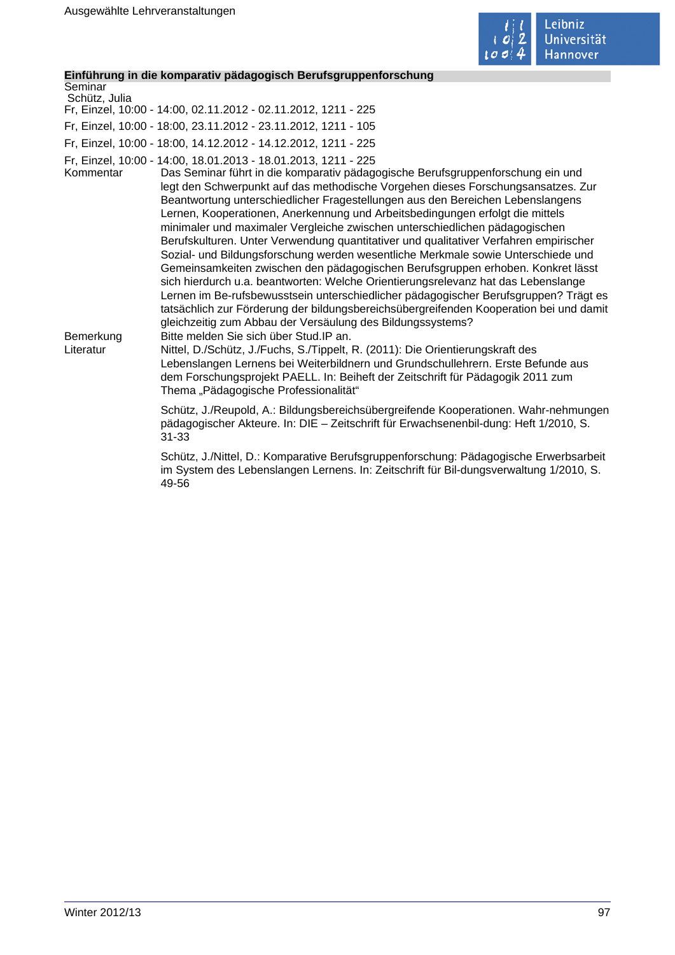

## **Einführung in die komparativ pädagogisch Berufsgruppenforschung**

| Seminar<br>Schütz, Julia            | $ \cdots$ $ \cdots$ $ \cdots$ $ \cdots$ $\cdots$                                                                                                                                                                                                                                                                                                                                                                                                                                                                                                                                                                                                                                                                                                                                                                                                                                                                                                                                                                                                                                                                                                                                                                                                                                                                                                                                                                                          |
|-------------------------------------|-------------------------------------------------------------------------------------------------------------------------------------------------------------------------------------------------------------------------------------------------------------------------------------------------------------------------------------------------------------------------------------------------------------------------------------------------------------------------------------------------------------------------------------------------------------------------------------------------------------------------------------------------------------------------------------------------------------------------------------------------------------------------------------------------------------------------------------------------------------------------------------------------------------------------------------------------------------------------------------------------------------------------------------------------------------------------------------------------------------------------------------------------------------------------------------------------------------------------------------------------------------------------------------------------------------------------------------------------------------------------------------------------------------------------------------------|
|                                     | Fr, Einzel, 10:00 - 14:00, 02.11.2012 - 02.11.2012, 1211 - 225                                                                                                                                                                                                                                                                                                                                                                                                                                                                                                                                                                                                                                                                                                                                                                                                                                                                                                                                                                                                                                                                                                                                                                                                                                                                                                                                                                            |
|                                     | Fr, Einzel, 10:00 - 18:00, 23.11.2012 - 23.11.2012, 1211 - 105                                                                                                                                                                                                                                                                                                                                                                                                                                                                                                                                                                                                                                                                                                                                                                                                                                                                                                                                                                                                                                                                                                                                                                                                                                                                                                                                                                            |
|                                     | Fr, Einzel, 10:00 - 18:00, 14.12.2012 - 14.12.2012, 1211 - 225                                                                                                                                                                                                                                                                                                                                                                                                                                                                                                                                                                                                                                                                                                                                                                                                                                                                                                                                                                                                                                                                                                                                                                                                                                                                                                                                                                            |
| Kommentar<br>Bemerkung<br>Literatur | Fr, Einzel, 10:00 - 14:00, 18.01.2013 - 18.01.2013, 1211 - 225<br>Das Seminar führt in die komparativ pädagogische Berufsgruppenforschung ein und<br>legt den Schwerpunkt auf das methodische Vorgehen dieses Forschungsansatzes. Zur<br>Beantwortung unterschiedlicher Fragestellungen aus den Bereichen Lebenslangens<br>Lernen, Kooperationen, Anerkennung und Arbeitsbedingungen erfolgt die mittels<br>minimaler und maximaler Vergleiche zwischen unterschiedlichen pädagogischen<br>Berufskulturen. Unter Verwendung quantitativer und qualitativer Verfahren empirischer<br>Sozial- und Bildungsforschung werden wesentliche Merkmale sowie Unterschiede und<br>Gemeinsamkeiten zwischen den pädagogischen Berufsgruppen erhoben. Konkret lässt<br>sich hierdurch u.a. beantworten: Welche Orientierungsrelevanz hat das Lebenslange<br>Lernen im Be-rufsbewusstsein unterschiedlicher pädagogischer Berufsgruppen? Trägt es<br>tatsächlich zur Förderung der bildungsbereichsübergreifenden Kooperation bei und damit<br>gleichzeitig zum Abbau der Versäulung des Bildungssystems?<br>Bitte melden Sie sich über Stud. IP an.<br>Nittel, D./Schütz, J./Fuchs, S./Tippelt, R. (2011): Die Orientierungskraft des<br>Lebenslangen Lernens bei Weiterbildnern und Grundschullehrern. Erste Befunde aus<br>dem Forschungsprojekt PAELL. In: Beiheft der Zeitschrift für Pädagogik 2011 zum<br>Thema "Pädagogische Professionalität" |
|                                     | Schütz, J./Reupold, A.: Bildungsbereichsübergreifende Kooperationen. Wahr-nehmungen<br>pädagogischer Akteure. In: DIE - Zeitschrift für Erwachsenenbil-dung: Heft 1/2010, S.<br>$31 - 33$                                                                                                                                                                                                                                                                                                                                                                                                                                                                                                                                                                                                                                                                                                                                                                                                                                                                                                                                                                                                                                                                                                                                                                                                                                                 |
|                                     | Schütz, J./Nittel, D.: Komparative Berufsgruppenforschung: Pädagogische Erwerbsarbeit<br>im System des Lebenslangen Lernens. In: Zeitschrift für Bil-dungsverwaltung 1/2010, S.<br>49-56                                                                                                                                                                                                                                                                                                                                                                                                                                                                                                                                                                                                                                                                                                                                                                                                                                                                                                                                                                                                                                                                                                                                                                                                                                                  |
|                                     |                                                                                                                                                                                                                                                                                                                                                                                                                                                                                                                                                                                                                                                                                                                                                                                                                                                                                                                                                                                                                                                                                                                                                                                                                                                                                                                                                                                                                                           |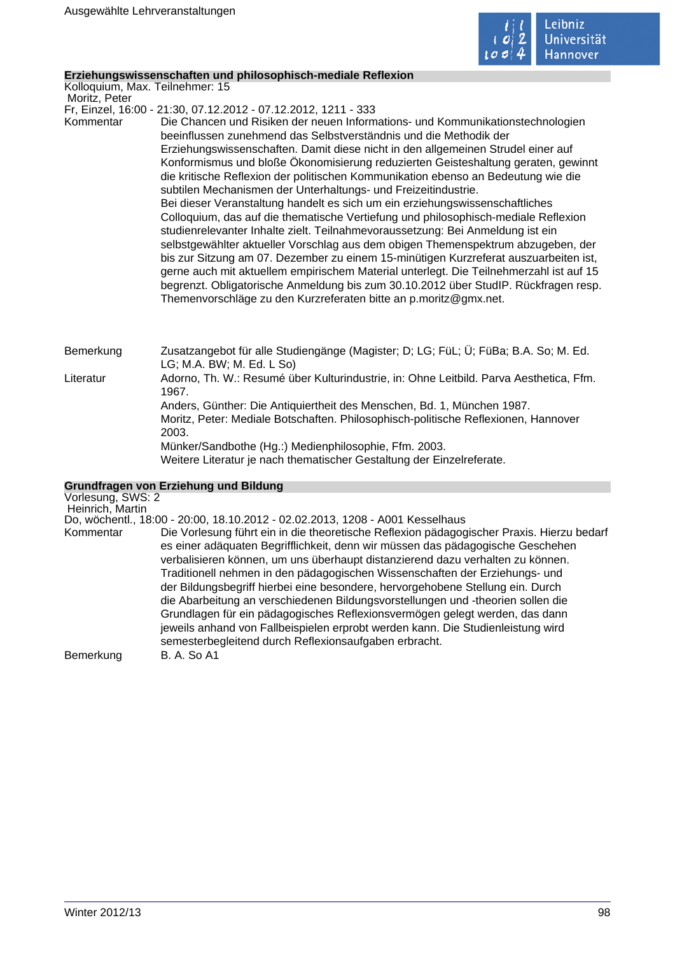

#### **Erziehungswissenschaften und philosophisch-mediale Reflexion**

Kolloquium, Max. Teilnehmer: 15

Moritz, Peter

Fr, Einzel, 16:00 - 21:30, 07.12.2012 - 07.12.2012, 1211 - 333

Kommentar Die Chancen und Risiken der neuen Informations- und Kommunikationstechnologien beeinflussen zunehmend das Selbstverständnis und die Methodik der Erziehungswissenschaften. Damit diese nicht in den allgemeinen Strudel einer auf Konformismus und bloße Ökonomisierung reduzierten Geisteshaltung geraten, gewinnt die kritische Reflexion der politischen Kommunikation ebenso an Bedeutung wie die subtilen Mechanismen der Unterhaltungs- und Freizeitindustrie. Bei dieser Veranstaltung handelt es sich um ein erziehungswissenschaftliches Colloquium, das auf die thematische Vertiefung und philosophisch-mediale Reflexion studienrelevanter Inhalte zielt. Teilnahmevoraussetzung: Bei Anmeldung ist ein selbstgewählter aktueller Vorschlag aus dem obigen Themenspektrum abzugeben, der bis zur Sitzung am 07. Dezember zu einem 15-minütigen Kurzreferat auszuarbeiten ist, gerne auch mit aktuellem empirischem Material unterlegt. Die Teilnehmerzahl ist auf 15 begrenzt. Obligatorische Anmeldung bis zum 30.10.2012 über StudIP. Rückfragen resp. Themenvorschläge zu den Kurzreferaten bitte an p.moritz@gmx.net.

Bemerkung Zusatzangebot für alle Studiengänge (Magister; D; LG; FüL; Ü; FüBa; B.A. So; M. Ed. LG; M.A. BW; M. Ed. L So)

Literatur Adorno, Th. W.: Resumé über Kulturindustrie, in: Ohne Leitbild. Parva Aesthetica, Ffm. 1967.

Anders, Günther: Die Antiquiertheit des Menschen, Bd. 1, München 1987. Moritz, Peter: Mediale Botschaften. Philosophisch-politische Reflexionen, Hannover 2003. Münker/Sandbothe (Hg.:) Medienphilosophie, Ffm. 2003.

Weitere Literatur je nach thematischer Gestaltung der Einzelreferate.

## **Grundfragen von Erziehung und Bildung**

| Vorlesung, SWS: 2<br>Heinrich, Martin |                                                                                                                                                                                                                                                                                                                                                                                                                                                                                                                                                                                                                                                                                                                                              |
|---------------------------------------|----------------------------------------------------------------------------------------------------------------------------------------------------------------------------------------------------------------------------------------------------------------------------------------------------------------------------------------------------------------------------------------------------------------------------------------------------------------------------------------------------------------------------------------------------------------------------------------------------------------------------------------------------------------------------------------------------------------------------------------------|
|                                       | Do, wöchentl., 18:00 - 20:00, 18.10.2012 - 02.02.2013, 1208 - A001 Kesselhaus                                                                                                                                                                                                                                                                                                                                                                                                                                                                                                                                                                                                                                                                |
| Kommentar                             | Die Vorlesung führt ein in die theoretische Reflexion pädagogischer Praxis. Hierzu bedarf<br>es einer adäquaten Begrifflichkeit, denn wir müssen das pädagogische Geschehen<br>verbalisieren können, um uns überhaupt distanzierend dazu verhalten zu können.<br>Traditionell nehmen in den pädagogischen Wissenschaften der Erziehungs- und<br>der Bildungsbegriff hierbei eine besondere, hervorgehobene Stellung ein. Durch<br>die Abarbeitung an verschiedenen Bildungsvorstellungen und -theorien sollen die<br>Grundlagen für ein pädagogisches Reflexionsvermögen gelegt werden, das dann<br>jeweils anhand von Fallbeispielen erprobt werden kann. Die Studienleistung wird<br>semesterbegleitend durch Reflexionsaufgaben erbracht. |
| Bemerkung                             | <b>B. A. So A1</b>                                                                                                                                                                                                                                                                                                                                                                                                                                                                                                                                                                                                                                                                                                                           |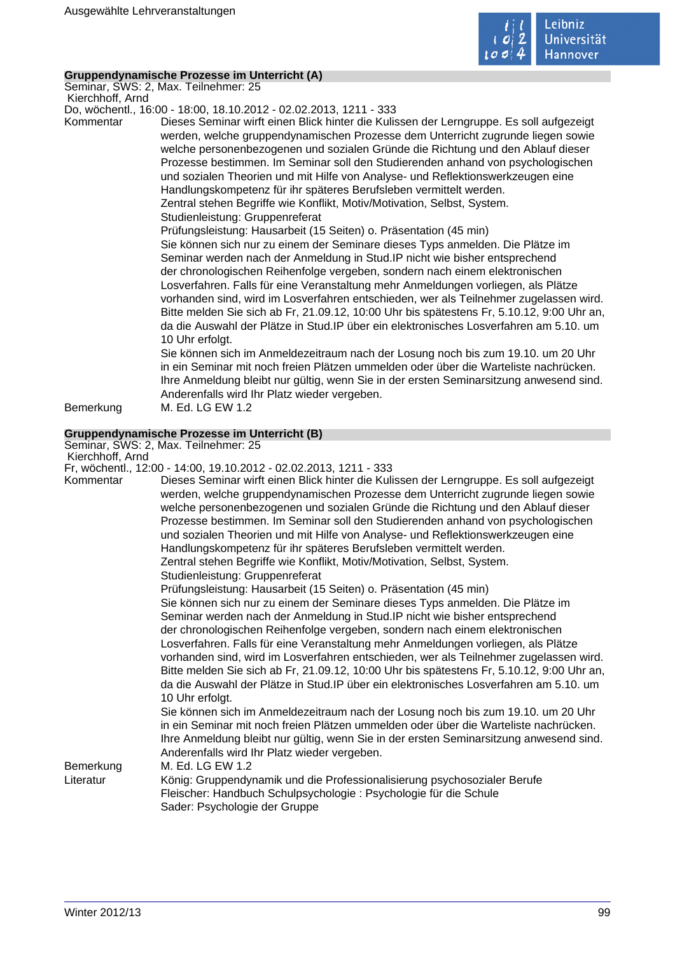

## **Gruppendynamische Prozesse im Unterricht (A)**

Seminar, SWS: 2, Max. Teilnehmer: 25 Kierchhoff, Arnd

Do, wöchentl., 16:00 - 18:00, 18.10.2012 - 02.02.2013, 1211 - 333

Kommentar Dieses Seminar wirft einen Blick hinter die Kulissen der Lerngruppe. Es soll aufgezeigt werden, welche gruppendynamischen Prozesse dem Unterricht zugrunde liegen sowie welche personenbezogenen und sozialen Gründe die Richtung und den Ablauf dieser Prozesse bestimmen. Im Seminar soll den Studierenden anhand von psychologischen und sozialen Theorien und mit Hilfe von Analyse- und Reflektionswerkzeugen eine Handlungskompetenz für ihr späteres Berufsleben vermittelt werden.

Zentral stehen Begriffe wie Konflikt, Motiv/Motivation, Selbst, System. Studienleistung: Gruppenreferat

Prüfungsleistung: Hausarbeit (15 Seiten) o. Präsentation (45 min)

Sie können sich nur zu einem der Seminare dieses Typs anmelden. Die Plätze im Seminar werden nach der Anmeldung in Stud.IP nicht wie bisher entsprechend der chronologischen Reihenfolge vergeben, sondern nach einem elektronischen Losverfahren. Falls für eine Veranstaltung mehr Anmeldungen vorliegen, als Plätze vorhanden sind, wird im Losverfahren entschieden, wer als Teilnehmer zugelassen wird. Bitte melden Sie sich ab Fr, 21.09.12, 10:00 Uhr bis spätestens Fr, 5.10.12, 9:00 Uhr an, da die Auswahl der Plätze in Stud.IP über ein elektronisches Losverfahren am 5.10. um 10 Uhr erfolgt.

Sie können sich im Anmeldezeitraum nach der Losung noch bis zum 19.10. um 20 Uhr in ein Seminar mit noch freien Plätzen ummelden oder über die Warteliste nachrücken. Ihre Anmeldung bleibt nur gültig, wenn Sie in der ersten Seminarsitzung anwesend sind. Anderenfalls wird Ihr Platz wieder vergeben.

Bemerkung M. Ed. LG EW 1.2

## **Gruppendynamische Prozesse im Unterricht (B)**

Seminar, SWS: 2, Max. Teilnehmer: 25 Kierchhoff, Arnd

Fr, wöchentl., 12:00 - 14:00, 19.10.2012 - 02.02.2013, 1211 - 333

Kommentar Dieses Seminar wirft einen Blick hinter die Kulissen der Lerngruppe. Es soll aufgezeigt werden, welche gruppendynamischen Prozesse dem Unterricht zugrunde liegen sowie welche personenbezogenen und sozialen Gründe die Richtung und den Ablauf dieser Prozesse bestimmen. Im Seminar soll den Studierenden anhand von psychologischen und sozialen Theorien und mit Hilfe von Analyse- und Reflektionswerkzeugen eine Handlungskompetenz für ihr späteres Berufsleben vermittelt werden.

Zentral stehen Begriffe wie Konflikt, Motiv/Motivation, Selbst, System.

Studienleistung: Gruppenreferat

Prüfungsleistung: Hausarbeit (15 Seiten) o. Präsentation (45 min)

Sie können sich nur zu einem der Seminare dieses Typs anmelden. Die Plätze im Seminar werden nach der Anmeldung in Stud.IP nicht wie bisher entsprechend der chronologischen Reihenfolge vergeben, sondern nach einem elektronischen Losverfahren. Falls für eine Veranstaltung mehr Anmeldungen vorliegen, als Plätze vorhanden sind, wird im Losverfahren entschieden, wer als Teilnehmer zugelassen wird. Bitte melden Sie sich ab Fr, 21.09.12, 10:00 Uhr bis spätestens Fr, 5.10.12, 9:00 Uhr an, da die Auswahl der Plätze in Stud.IP über ein elektronisches Losverfahren am 5.10. um 10 Uhr erfolgt.

Sie können sich im Anmeldezeitraum nach der Losung noch bis zum 19.10. um 20 Uhr in ein Seminar mit noch freien Plätzen ummelden oder über die Warteliste nachrücken. Ihre Anmeldung bleibt nur gültig, wenn Sie in der ersten Seminarsitzung anwesend sind. Anderenfalls wird Ihr Platz wieder vergeben.

Bemerkung M. Ed. LG EW 1.2

Literatur König: Gruppendynamik und die Professionalisierung psychosozialer Berufe Fleischer: Handbuch Schulpsychologie : Psychologie für die Schule Sader: Psychologie der Gruppe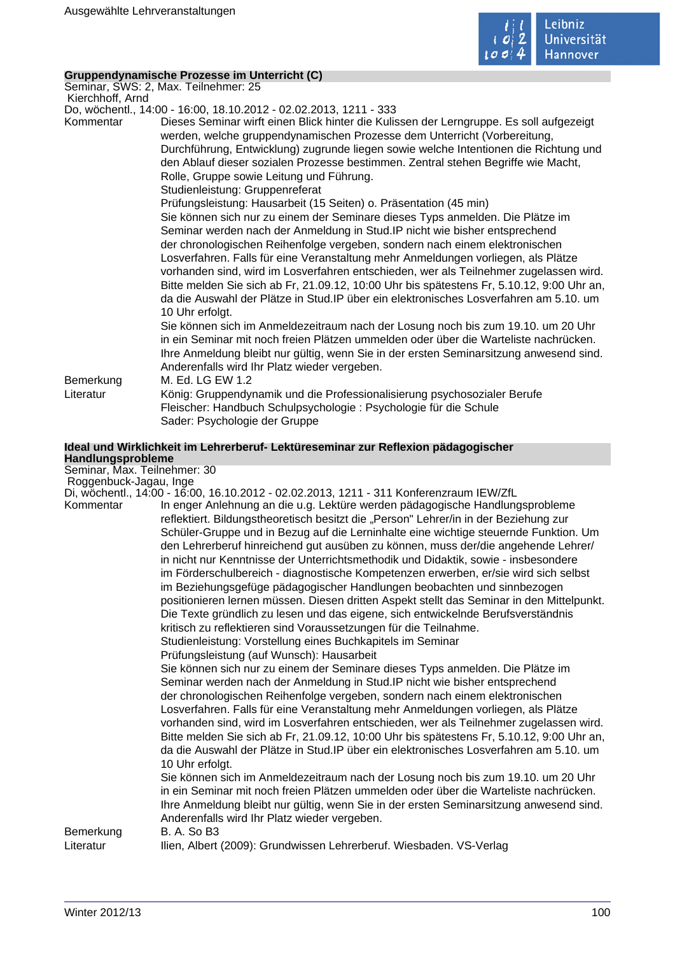

## **Gruppendynamische Prozesse im Unterricht (C)**

Seminar, SWS: 2, Max. Teilnehmer: 25 Kierchhoff, Arnd

Do, wöchentl., 14:00 - 16:00, 18.10.2012 - 02.02.2013, 1211 - 333

Kommentar Dieses Seminar wirft einen Blick hinter die Kulissen der Lerngruppe. Es soll aufgezeigt werden, welche gruppendynamischen Prozesse dem Unterricht (Vorbereitung, Durchführung, Entwicklung) zugrunde liegen sowie welche Intentionen die Richtung und den Ablauf dieser sozialen Prozesse bestimmen. Zentral stehen Begriffe wie Macht, Rolle, Gruppe sowie Leitung und Führung.

Studienleistung: Gruppenreferat

Prüfungsleistung: Hausarbeit (15 Seiten) o. Präsentation (45 min)

Sie können sich nur zu einem der Seminare dieses Typs anmelden. Die Plätze im Seminar werden nach der Anmeldung in Stud.IP nicht wie bisher entsprechend der chronologischen Reihenfolge vergeben, sondern nach einem elektronischen Losverfahren. Falls für eine Veranstaltung mehr Anmeldungen vorliegen, als Plätze vorhanden sind, wird im Losverfahren entschieden, wer als Teilnehmer zugelassen wird. Bitte melden Sie sich ab Fr, 21.09.12, 10:00 Uhr bis spätestens Fr, 5.10.12, 9:00 Uhr an, da die Auswahl der Plätze in Stud.IP über ein elektronisches Losverfahren am 5.10. um 10 Uhr erfolgt.

Sie können sich im Anmeldezeitraum nach der Losung noch bis zum 19.10. um 20 Uhr in ein Seminar mit noch freien Plätzen ummelden oder über die Warteliste nachrücken. Ihre Anmeldung bleibt nur gültig, wenn Sie in der ersten Seminarsitzung anwesend sind. Anderenfalls wird Ihr Platz wieder vergeben.

Bemerkung M. Ed. LG EW 1.2

Literatur König: Gruppendynamik und die Professionalisierung psychosozialer Berufe Fleischer: Handbuch Schulpsychologie : Psychologie für die Schule Sader: Psychologie der Gruppe

## **Ideal und Wirklichkeit im Lehrerberuf- Lektüreseminar zur Reflexion pädagogischer Handlungsprobleme**

Seminar, Max. Teilnehmer: 30 Roggenbuck-Jagau, Inge

Di, wöchentl., 14:00 - 16:00, 16.10.2012 - 02.02.2013, 1211 - 311 Konferenzraum IEW/ZfL

Kommentar In enger Anlehnung an die u.g. Lektüre werden pädagogische Handlungsprobleme reflektiert. Bildungstheoretisch besitzt die "Person" Lehrer/in in der Beziehung zur Schüler-Gruppe und in Bezug auf die Lerninhalte eine wichtige steuernde Funktion. Um den Lehrerberuf hinreichend gut ausüben zu können, muss der/die angehende Lehrer/ in nicht nur Kenntnisse der Unterrichtsmethodik und Didaktik, sowie - insbesondere im Förderschulbereich - diagnostische Kompetenzen erwerben, er/sie wird sich selbst im Beziehungsgefüge pädagogischer Handlungen beobachten und sinnbezogen positionieren lernen müssen. Diesen dritten Aspekt stellt das Seminar in den Mittelpunkt. Die Texte gründlich zu lesen und das eigene, sich entwickelnde Berufsverständnis kritisch zu reflektieren sind Voraussetzungen für die Teilnahme. Studienleistung: Vorstellung eines Buchkapitels im Seminar Prüfungsleistung (auf Wunsch): Hausarbeit Sie können sich nur zu einem der Seminare dieses Typs anmelden. Die Plätze im Seminar werden nach der Anmeldung in Stud.IP nicht wie bisher entsprechend der chronologischen Reihenfolge vergeben, sondern nach einem elektronischen Losverfahren. Falls für eine Veranstaltung mehr Anmeldungen vorliegen, als Plätze vorhanden sind, wird im Losverfahren entschieden, wer als Teilnehmer zugelassen wird. Bitte melden Sie sich ab Fr, 21.09.12, 10:00 Uhr bis spätestens Fr, 5.10.12, 9:00 Uhr an, da die Auswahl der Plätze in Stud.IP über ein elektronisches Losverfahren am 5.10. um 10 Uhr erfolgt. Sie können sich im Anmeldezeitraum nach der Losung noch bis zum 19.10. um 20 Uhr in ein Seminar mit noch freien Plätzen ummelden oder über die Warteliste nachrücken. Ihre Anmeldung bleibt nur gültig, wenn Sie in der ersten Seminarsitzung anwesend sind. Anderenfalls wird Ihr Platz wieder vergeben. Bemerkung B. A. So B3 Literatur Ilien, Albert (2009): Grundwissen Lehrerberuf. Wiesbaden. VS-Verlag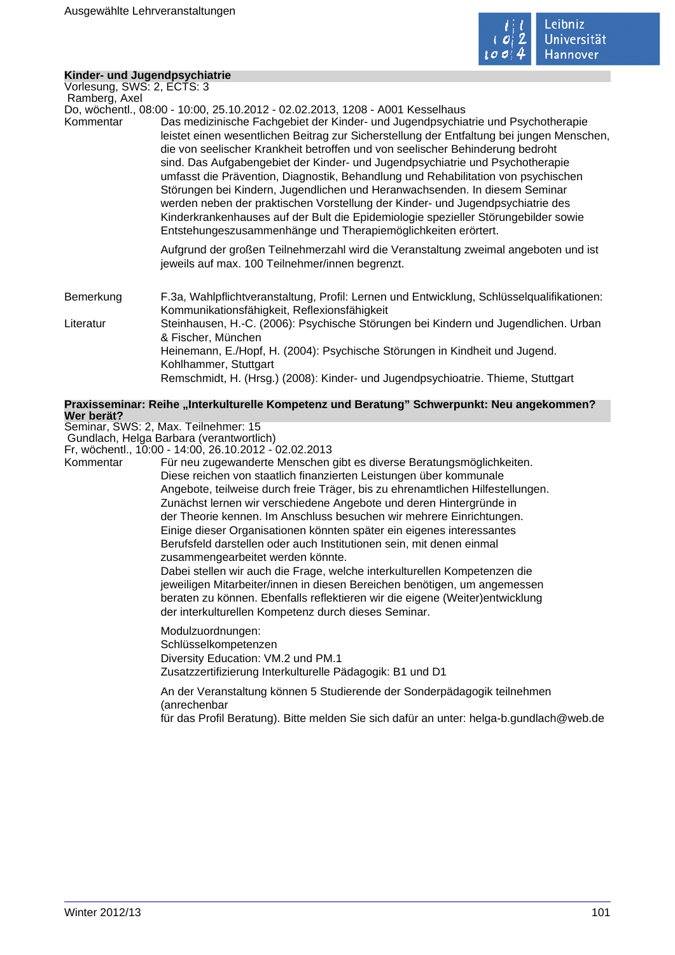

## **Kinder- und Jugendpsychiatrie**

Vorlesung, SWS: 2, ECTS: 3 Ramberg, Axel

Do, wöchentl., 08:00 - 10:00, 25.10.2012 - 02.02.2013, 1208 - A001 Kesselhaus

Kommentar Das medizinische Fachgebiet der Kinder- und Jugendpsychiatrie und Psychotherapie leistet einen wesentlichen Beitrag zur Sicherstellung der Entfaltung bei jungen Menschen, die von seelischer Krankheit betroffen und von seelischer Behinderung bedroht sind. Das Aufgabengebiet der Kinder- und Jugendpsychiatrie und Psychotherapie umfasst die Prävention, Diagnostik, Behandlung und Rehabilitation von psychischen Störungen bei Kindern, Jugendlichen und Heranwachsenden. In diesem Seminar werden neben der praktischen Vorstellung der Kinder- und Jugendpsychiatrie des Kinderkrankenhauses auf der Bult die Epidemiologie spezieller Störungebilder sowie Entstehungeszusammenhänge und Therapiemöglichkeiten erörtert.

> Aufgrund der großen Teilnehmerzahl wird die Veranstaltung zweimal angeboten und ist jeweils auf max. 100 Teilnehmer/innen begrenzt.

Bemerkung F.3a, Wahlpflichtveranstaltung, Profil: Lernen und Entwicklung, Schlüsselqualifikationen: Kommunikationsfähigkeit, Reflexionsfähigkeit Literatur Steinhausen, H.-C. (2006): Psychische Störungen bei Kindern und Jugendlichen. Urban & Fischer, München Heinemann, E./Hopf, H. (2004): Psychische Störungen in Kindheit und Jugend. Kohlhammer, Stuttgart Remschmidt, H. (Hrsg.) (2008): Kinder- und Jugendpsychioatrie. Thieme, Stuttgart

#### Praxisseminar: Reihe "Interkulturelle Kompetenz und Beratung" Schwerpunkt: Neu angekommen? **Wer berät?**

Seminar, SWS: 2, Max. Teilnehmer: 15

 Gundlach, Helga Barbara (verantwortlich) Fr, wöchentl., 10:00 - 14:00, 26.10.2012 - 02.02.2013

Kommentar Für neu zugewanderte Menschen gibt es diverse Beratungsmöglichkeiten. Diese reichen von staatlich finanzierten Leistungen über kommunale Angebote, teilweise durch freie Träger, bis zu ehrenamtlichen Hilfestellungen. Zunächst lernen wir verschiedene Angebote und deren Hintergründe in der Theorie kennen. Im Anschluss besuchen wir mehrere Einrichtungen. Einige dieser Organisationen könnten später ein eigenes interessantes Berufsfeld darstellen oder auch Institutionen sein, mit denen einmal zusammengearbeitet werden könnte.

> Dabei stellen wir auch die Frage, welche interkulturellen Kompetenzen die jeweiligen Mitarbeiter/innen in diesen Bereichen benötigen, um angemessen beraten zu können. Ebenfalls reflektieren wir die eigene (Weiter)entwicklung der interkulturellen Kompetenz durch dieses Seminar.

Modulzuordnungen: Schlüsselkompetenzen Diversity Education: VM.2 und PM.1 Zusatzzertifizierung Interkulturelle Pädagogik: B1 und D1

An der Veranstaltung können 5 Studierende der Sonderpädagogik teilnehmen (anrechenbar

für das Profil Beratung). Bitte melden Sie sich dafür an unter: helga-b.gundlach@web.de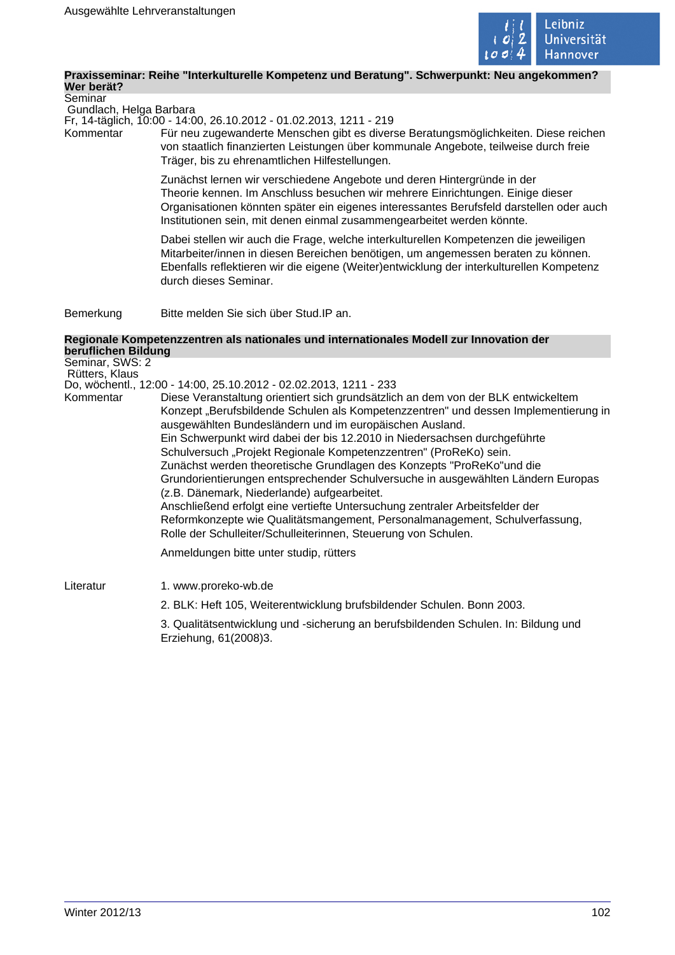

#### **Praxisseminar: Reihe "Interkulturelle Kompetenz und Beratung". Schwerpunkt: Neu angekommen? Wer berät?**

Seminar Gundlach, Helga Barbara

Fr, 14-täglich, 10:00 - 14:00, 26.10.2012 - 01.02.2013, 1211 - 219

Kommentar Für neu zugewanderte Menschen gibt es diverse Beratungsmöglichkeiten. Diese reichen von staatlich finanzierten Leistungen über kommunale Angebote, teilweise durch freie Träger, bis zu ehrenamtlichen Hilfestellungen.

> Zunächst lernen wir verschiedene Angebote und deren Hintergründe in der Theorie kennen. Im Anschluss besuchen wir mehrere Einrichtungen. Einige dieser Organisationen könnten später ein eigenes interessantes Berufsfeld darstellen oder auch Institutionen sein, mit denen einmal zusammengearbeitet werden könnte.

Dabei stellen wir auch die Frage, welche interkulturellen Kompetenzen die jeweiligen Mitarbeiter/innen in diesen Bereichen benötigen, um angemessen beraten zu können. Ebenfalls reflektieren wir die eigene (Weiter)entwicklung der interkulturellen Kompetenz durch dieses Seminar.

Bemerkung Bitte melden Sie sich über Stud.IP an.

#### **Regionale Kompetenzzentren als nationales und internationales Modell zur Innovation der beruflichen Bildung**

Seminar, SWS: 2 Rütters, Klaus Do, wöchentl., 12:00 - 14:00, 25.10.2012 - 02.02.2013, 1211 - 233 Kommentar Diese Veranstaltung orientiert sich grundsätzlich an dem von der BLK entwickeltem Konzept "Berufsbildende Schulen als Kompetenzzentren" und dessen Implementierung in ausgewählten Bundesländern und im europäischen Ausland. Ein Schwerpunkt wird dabei der bis 12.2010 in Niedersachsen durchgeführte Schulversuch "Projekt Regionale Kompetenzzentren" (ProReKo) sein. Zunächst werden theoretische Grundlagen des Konzepts "ProReKo"und die Grundorientierungen entsprechender Schulversuche in ausgewählten Ländern Europas (z.B. Dänemark, Niederlande) aufgearbeitet. Anschließend erfolgt eine vertiefte Untersuchung zentraler Arbeitsfelder der Reformkonzepte wie Qualitätsmangement, Personalmanagement, Schulverfassung, Rolle der Schulleiter/Schulleiterinnen, Steuerung von Schulen.

Anmeldungen bitte unter studip, rütters

Literatur 1. www.proreko-wb.de

2. BLK: Heft 105, Weiterentwicklung brufsbildender Schulen. Bonn 2003.

3. Qualitätsentwicklung und -sicherung an berufsbildenden Schulen. In: Bildung und Erziehung, 61(2008)3.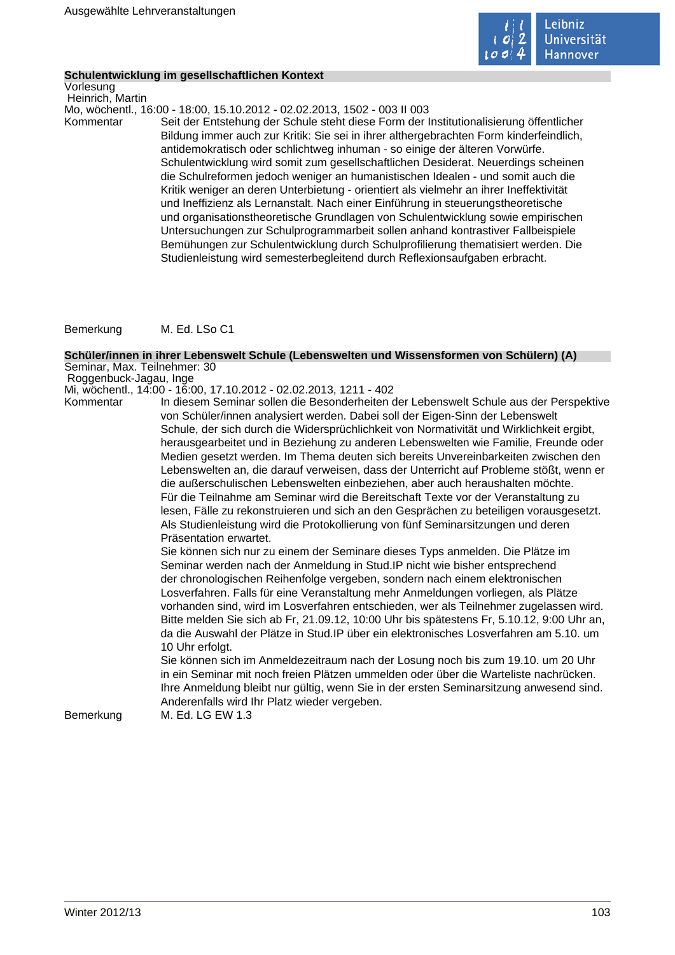

#### **Schulentwicklung im gesellschaftlichen Kontext**

Vorlesung Heinrich, Martin

Mo, wöchentl., 16:00 - 18:00, 15.10.2012 - 02.02.2013, 1502 - 003 II 003

Kommentar Seit der Entstehung der Schule steht diese Form der Institutionalisierung öffentlicher Bildung immer auch zur Kritik: Sie sei in ihrer althergebrachten Form kinderfeindlich, antidemokratisch oder schlichtweg inhuman - so einige der älteren Vorwürfe. Schulentwicklung wird somit zum gesellschaftlichen Desiderat. Neuerdings scheinen die Schulreformen jedoch weniger an humanistischen Idealen - und somit auch die Kritik weniger an deren Unterbietung - orientiert als vielmehr an ihrer Ineffektivität und Ineffizienz als Lernanstalt. Nach einer Einführung in steuerungstheoretische und organisationstheoretische Grundlagen von Schulentwicklung sowie empirischen Untersuchungen zur Schulprogrammarbeit sollen anhand kontrastiver Fallbeispiele Bemühungen zur Schulentwicklung durch Schulprofilierung thematisiert werden. Die Studienleistung wird semesterbegleitend durch Reflexionsaufgaben erbracht.

Bemerkung M. Ed. LSo C1

#### **Schüler/innen in ihrer Lebenswelt Schule (Lebenswelten und Wissensformen von Schülern) (A)** Seminar, Max. Teilnehmer: 30

Roggenbuck-Jagau, Inge

Mi, wöchentl., 14:00 - 16:00, 17.10.2012 - 02.02.2013, 1211 - 402

In diesem Seminar sollen die Besonderheiten der Lebenswelt Schule aus der Perspektive von Schüler/innen analysiert werden. Dabei soll der Eigen-Sinn der Lebenswelt Schule, der sich durch die Widersprüchlichkeit von Normativität und Wirklichkeit ergibt, herausgearbeitet und in Beziehung zu anderen Lebenswelten wie Familie, Freunde oder Medien gesetzt werden. Im Thema deuten sich bereits Unvereinbarkeiten zwischen den Lebenswelten an, die darauf verweisen, dass der Unterricht auf Probleme stößt, wenn er die außerschulischen Lebenswelten einbeziehen, aber auch heraushalten möchte. Für die Teilnahme am Seminar wird die Bereitschaft Texte vor der Veranstaltung zu lesen, Fälle zu rekonstruieren und sich an den Gesprächen zu beteiligen vorausgesetzt. Als Studienleistung wird die Protokollierung von fünf Seminarsitzungen und deren Präsentation erwartet.

Sie können sich nur zu einem der Seminare dieses Typs anmelden. Die Plätze im Seminar werden nach der Anmeldung in Stud.IP nicht wie bisher entsprechend der chronologischen Reihenfolge vergeben, sondern nach einem elektronischen Losverfahren. Falls für eine Veranstaltung mehr Anmeldungen vorliegen, als Plätze vorhanden sind, wird im Losverfahren entschieden, wer als Teilnehmer zugelassen wird. Bitte melden Sie sich ab Fr, 21.09.12, 10:00 Uhr bis spätestens Fr, 5.10.12, 9:00 Uhr an, da die Auswahl der Plätze in Stud.IP über ein elektronisches Losverfahren am 5.10. um 10 Uhr erfolgt.

Sie können sich im Anmeldezeitraum nach der Losung noch bis zum 19.10. um 20 Uhr in ein Seminar mit noch freien Plätzen ummelden oder über die Warteliste nachrücken. Ihre Anmeldung bleibt nur gültig, wenn Sie in der ersten Seminarsitzung anwesend sind. Anderenfalls wird Ihr Platz wieder vergeben.

Bemerkung M. Ed. LG EW 1.3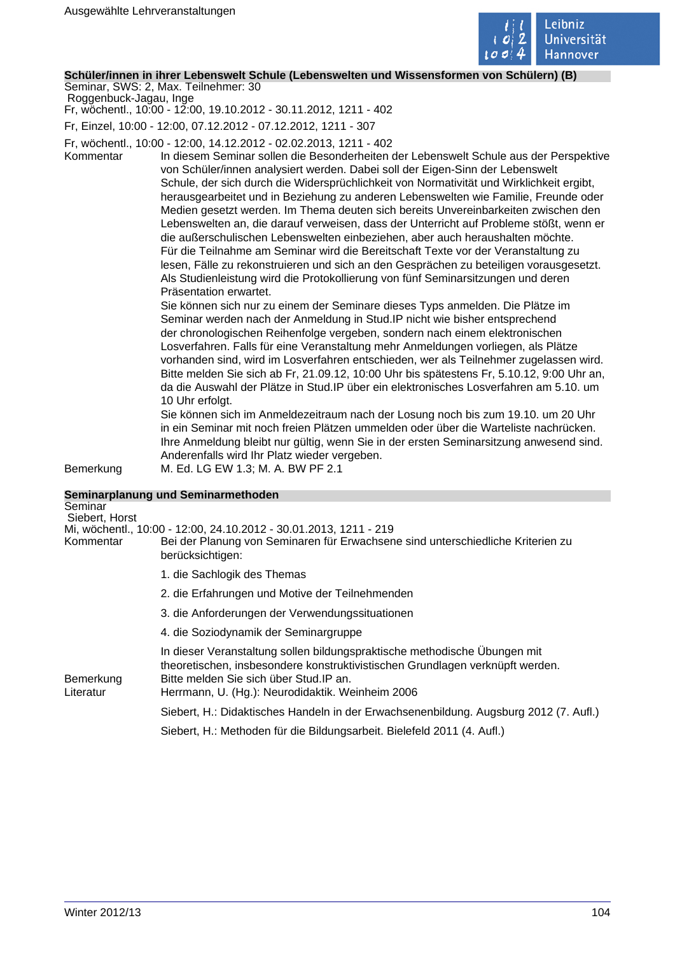

#### **Schüler/innen in ihrer Lebenswelt Schule (Lebenswelten und Wissensformen von Schülern) (B)**

Seminar, SWS: 2, Max. Teilnehmer: 30 Roggenbuck-Jagau, Inge

Fr, wöchentl., 10:00 - 12:00, 19.10.2012 - 30.11.2012, 1211 - 402

Fr, Einzel, 10:00 - 12:00, 07.12.2012 - 07.12.2012, 1211 - 307

Fr, wöchentl., 10:00 - 12:00, 14.12.2012 - 02.02.2013, 1211 - 402

Kommentar In diesem Seminar sollen die Besonderheiten der Lebenswelt Schule aus der Perspektive von Schüler/innen analysiert werden. Dabei soll der Eigen-Sinn der Lebenswelt Schule, der sich durch die Widersprüchlichkeit von Normativität und Wirklichkeit ergibt, herausgearbeitet und in Beziehung zu anderen Lebenswelten wie Familie, Freunde oder Medien gesetzt werden. Im Thema deuten sich bereits Unvereinbarkeiten zwischen den Lebenswelten an, die darauf verweisen, dass der Unterricht auf Probleme stößt, wenn er die außerschulischen Lebenswelten einbeziehen, aber auch heraushalten möchte. Für die Teilnahme am Seminar wird die Bereitschaft Texte vor der Veranstaltung zu lesen, Fälle zu rekonstruieren und sich an den Gesprächen zu beteiligen vorausgesetzt. Als Studienleistung wird die Protokollierung von fünf Seminarsitzungen und deren Präsentation erwartet.

> Sie können sich nur zu einem der Seminare dieses Typs anmelden. Die Plätze im Seminar werden nach der Anmeldung in Stud.IP nicht wie bisher entsprechend der chronologischen Reihenfolge vergeben, sondern nach einem elektronischen Losverfahren. Falls für eine Veranstaltung mehr Anmeldungen vorliegen, als Plätze vorhanden sind, wird im Losverfahren entschieden, wer als Teilnehmer zugelassen wird. Bitte melden Sie sich ab Fr, 21.09.12, 10:00 Uhr bis spätestens Fr, 5.10.12, 9:00 Uhr an, da die Auswahl der Plätze in Stud.IP über ein elektronisches Losverfahren am 5.10. um 10 Uhr erfolgt.

> Sie können sich im Anmeldezeitraum nach der Losung noch bis zum 19.10. um 20 Uhr in ein Seminar mit noch freien Plätzen ummelden oder über die Warteliste nachrücken. Ihre Anmeldung bleibt nur gültig, wenn Sie in der ersten Seminarsitzung anwesend sind. Anderenfalls wird Ihr Platz wieder vergeben.

Bemerkung M. Ed. LG EW 1.3; M. A. BW PF 2.1

| Seminarplanung und Seminarmethoden                                                                                                                                                                                                                        |
|-----------------------------------------------------------------------------------------------------------------------------------------------------------------------------------------------------------------------------------------------------------|
|                                                                                                                                                                                                                                                           |
|                                                                                                                                                                                                                                                           |
| Mi, wöchentl., 10:00 - 12:00, 24.10.2012 - 30.01.2013, 1211 - 219                                                                                                                                                                                         |
| Bei der Planung von Seminaren für Erwachsene sind unterschiedliche Kriterien zu<br>berücksichtigen:                                                                                                                                                       |
| 1. die Sachlogik des Themas                                                                                                                                                                                                                               |
| 2. die Erfahrungen und Motive der Teilnehmenden                                                                                                                                                                                                           |
| 3. die Anforderungen der Verwendungssituationen                                                                                                                                                                                                           |
| 4. die Soziodynamik der Seminargruppe                                                                                                                                                                                                                     |
| In dieser Veranstaltung sollen bildungspraktische methodische Übungen mit<br>theoretischen, insbesondere konstruktivistischen Grundlagen verknüpft werden.<br>Bitte melden Sie sich über Stud. IP an.<br>Herrmann, U. (Hg.): Neurodidaktik. Weinheim 2006 |
| Siebert, H.: Didaktisches Handeln in der Erwachsenenbildung. Augsburg 2012 (7. Aufl.)                                                                                                                                                                     |
| Siebert, H.: Methoden für die Bildungsarbeit. Bielefeld 2011 (4. Aufl.)                                                                                                                                                                                   |
|                                                                                                                                                                                                                                                           |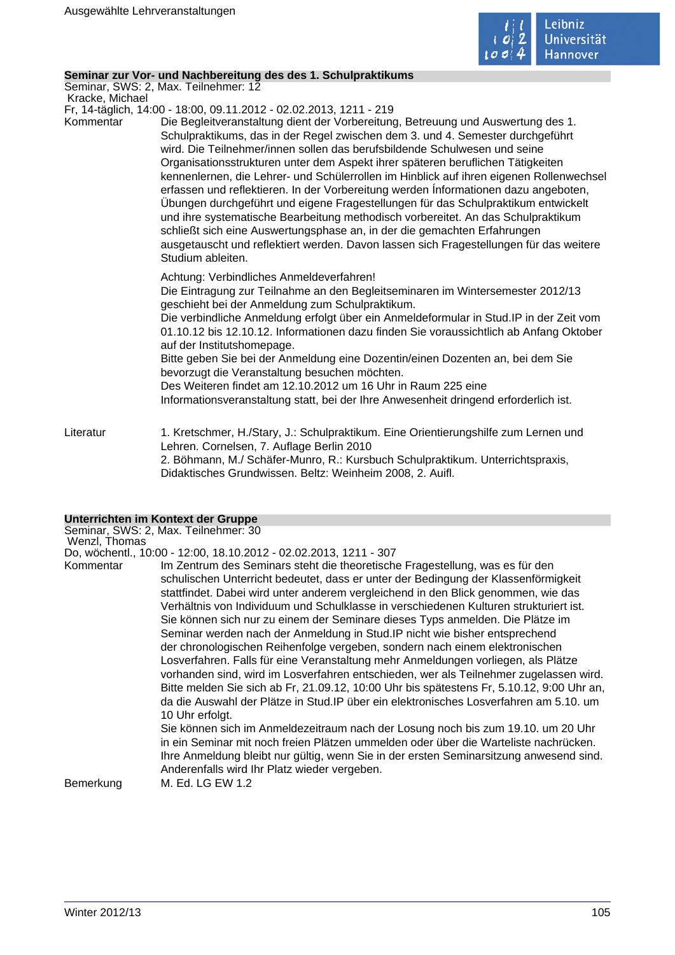

## **Seminar zur Vor- und Nachbereitung des des 1. Schulpraktikums**

Seminar, SWS: 2, Max. Teilnehmer: 12

Kracke, Michael

Fr, 14-täglich, 14:00 - 18:00, 09.11.2012 - 02.02.2013, 1211 - 219

Kommentar Die Begleitveranstaltung dient der Vorbereitung, Betreuung und Auswertung des 1. Schulpraktikums, das in der Regel zwischen dem 3. und 4. Semester durchgeführt wird. Die Teilnehmer/innen sollen das berufsbildende Schulwesen und seine Organisationsstrukturen unter dem Aspekt ihrer späteren beruflichen Tätigkeiten kennenlernen, die Lehrer- und Schülerrollen im Hinblick auf ihren eigenen Rollenwechsel erfassen und reflektieren. In der Vorbereitung werden Ínformationen dazu angeboten, Übungen durchgeführt und eigene Fragestellungen für das Schulpraktikum entwickelt und ihre systematische Bearbeitung methodisch vorbereitet. An das Schulpraktikum schließt sich eine Auswertungsphase an, in der die gemachten Erfahrungen ausgetauscht und reflektiert werden. Davon lassen sich Fragestellungen für das weitere Studium ableiten.

Achtung: Verbindliches Anmeldeverfahren!

Die Eintragung zur Teilnahme an den Begleitseminaren im Wintersemester 2012/13 geschieht bei der Anmeldung zum Schulpraktikum.

Die verbindliche Anmeldung erfolgt über ein Anmeldeformular in Stud.IP in der Zeit vom 01.10.12 bis 12.10.12. Informationen dazu finden Sie voraussichtlich ab Anfang Oktober auf der Institutshomepage.

Bitte geben Sie bei der Anmeldung eine Dozentin/einen Dozenten an, bei dem Sie bevorzugt die Veranstaltung besuchen möchten.

Des Weiteren findet am 12.10.2012 um 16 Uhr in Raum 225 eine

Informationsveranstaltung statt, bei der Ihre Anwesenheit dringend erforderlich ist.

Literatur 1. Kretschmer, H./Stary, J.: Schulpraktikum. Eine Orientierungshilfe zum Lernen und Lehren. Cornelsen, 7. Auflage Berlin 2010 2. Böhmann, M./ Schäfer-Munro, R.: Kursbuch Schulpraktikum. Unterrichtspraxis, Didaktisches Grundwissen. Beltz: Weinheim 2008, 2. Auifl.

#### **Unterrichten im Kontext der Gruppe**

Seminar, SWS: 2, Max. Teilnehmer: 30 Wenzl, Thomas

Do, wöchentl., 10:00 - 12:00, 18.10.2012 - 02.02.2013, 1211 - 307

Kommentar Im Zentrum des Seminars steht die theoretische Fragestellung, was es für den schulischen Unterricht bedeutet, dass er unter der Bedingung der Klassenförmigkeit stattfindet. Dabei wird unter anderem vergleichend in den Blick genommen, wie das Verhältnis von Individuum und Schulklasse in verschiedenen Kulturen strukturiert ist. Sie können sich nur zu einem der Seminare dieses Typs anmelden. Die Plätze im Seminar werden nach der Anmeldung in Stud.IP nicht wie bisher entsprechend der chronologischen Reihenfolge vergeben, sondern nach einem elektronischen Losverfahren. Falls für eine Veranstaltung mehr Anmeldungen vorliegen, als Plätze vorhanden sind, wird im Losverfahren entschieden, wer als Teilnehmer zugelassen wird. Bitte melden Sie sich ab Fr, 21.09.12, 10:00 Uhr bis spätestens Fr, 5.10.12, 9:00 Uhr an, da die Auswahl der Plätze in Stud.IP über ein elektronisches Losverfahren am 5.10. um 10 Uhr erfolgt. Sie können sich im Anmeldezeitraum nach der Losung noch bis zum 19.10. um 20 Uhr in ein Seminar mit noch freien Plätzen ummelden oder über die Warteliste nachrücken.

Ihre Anmeldung bleibt nur gültig, wenn Sie in der ersten Seminarsitzung anwesend sind. Anderenfalls wird Ihr Platz wieder vergeben.

Bemerkung M. Ed. LG EW 1.2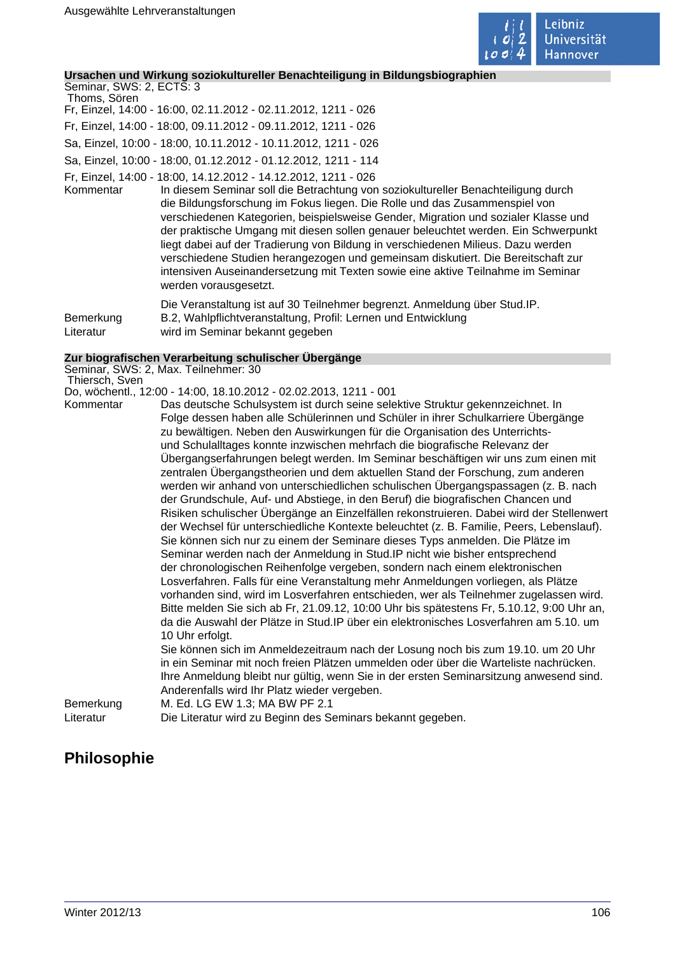

## **Ursachen und Wirkung soziokultureller Benachteiligung in Bildungsbiographien**

Seminar, SWS: 2, ECTS: 3 Thoms, Sören Fr, Einzel, 14:00 - 16:00, 02.11.2012 - 02.11.2012, 1211 - 026 Fr, Einzel, 14:00 - 18:00, 09.11.2012 - 09.11.2012, 1211 - 026 Sa, Einzel, 10:00 - 18:00, 10.11.2012 - 10.11.2012, 1211 - 026 Sa, Einzel, 10:00 - 18:00, 01.12.2012 - 01.12.2012, 1211 - 114 Fr, Einzel, 14:00 - 18:00, 14.12.2012 - 14.12.2012, 1211 - 026

Kommentar In diesem Seminar soll die Betrachtung von soziokultureller Benachteiligung durch die Bildungsforschung im Fokus liegen. Die Rolle und das Zusammenspiel von verschiedenen Kategorien, beispielsweise Gender, Migration und sozialer Klasse und der praktische Umgang mit diesen sollen genauer beleuchtet werden. Ein Schwerpunkt liegt dabei auf der Tradierung von Bildung in verschiedenen Milieus. Dazu werden verschiedene Studien herangezogen und gemeinsam diskutiert. Die Bereitschaft zur intensiven Auseinandersetzung mit Texten sowie eine aktive Teilnahme im Seminar werden vorausgesetzt.

Die Veranstaltung ist auf 30 Teilnehmer begrenzt. Anmeldung über Stud.IP. Bemerkung B.2, Wahlpflichtveranstaltung, Profil: Lernen und Entwicklung Literatur wird im Seminar bekannt gegeben

## **Zur biografischen Verarbeitung schulischer Übergänge**

Seminar, SWS: 2, Max. Teilnehmer: 30 Thiersch, Sven

Do, wöchentl., 12:00 - 14:00, 18.10.2012 - 02.02.2013, 1211 - 001

Kommentar Das deutsche Schulsystem ist durch seine selektive Struktur gekennzeichnet. In Folge dessen haben alle Schülerinnen und Schüler in ihrer Schulkarriere Übergänge zu bewältigen. Neben den Auswirkungen für die Organisation des Unterrichtsund Schulalltages konnte inzwischen mehrfach die biografische Relevanz der Übergangserfahrungen belegt werden. Im Seminar beschäftigen wir uns zum einen mit zentralen Übergangstheorien und dem aktuellen Stand der Forschung, zum anderen werden wir anhand von unterschiedlichen schulischen Übergangspassagen (z. B. nach der Grundschule, Auf- und Abstiege, in den Beruf) die biografischen Chancen und Risiken schulischer Übergänge an Einzelfällen rekonstruieren. Dabei wird der Stellenwert der Wechsel für unterschiedliche Kontexte beleuchtet (z. B. Familie, Peers, Lebenslauf). Sie können sich nur zu einem der Seminare dieses Typs anmelden. Die Plätze im Seminar werden nach der Anmeldung in Stud.IP nicht wie bisher entsprechend der chronologischen Reihenfolge vergeben, sondern nach einem elektronischen Losverfahren. Falls für eine Veranstaltung mehr Anmeldungen vorliegen, als Plätze vorhanden sind, wird im Losverfahren entschieden, wer als Teilnehmer zugelassen wird. Bitte melden Sie sich ab Fr, 21.09.12, 10:00 Uhr bis spätestens Fr, 5.10.12, 9:00 Uhr an, da die Auswahl der Plätze in Stud.IP über ein elektronisches Losverfahren am 5.10. um 10 Uhr erfolgt. Sie können sich im Anmeldezeitraum nach der Losung noch bis zum 19.10. um 20 Uhr in ein Seminar mit noch freien Plätzen ummelden oder über die Warteliste nachrücken. Ihre Anmeldung bleibt nur gültig, wenn Sie in der ersten Seminarsitzung anwesend sind.

Anderenfalls wird Ihr Platz wieder vergeben. Bemerkung M. Ed. LG EW 1.3; MA BW PF 2.1 Literatur Die Literatur wird zu Beginn des Seminars bekannt gegeben.

# **Philosophie**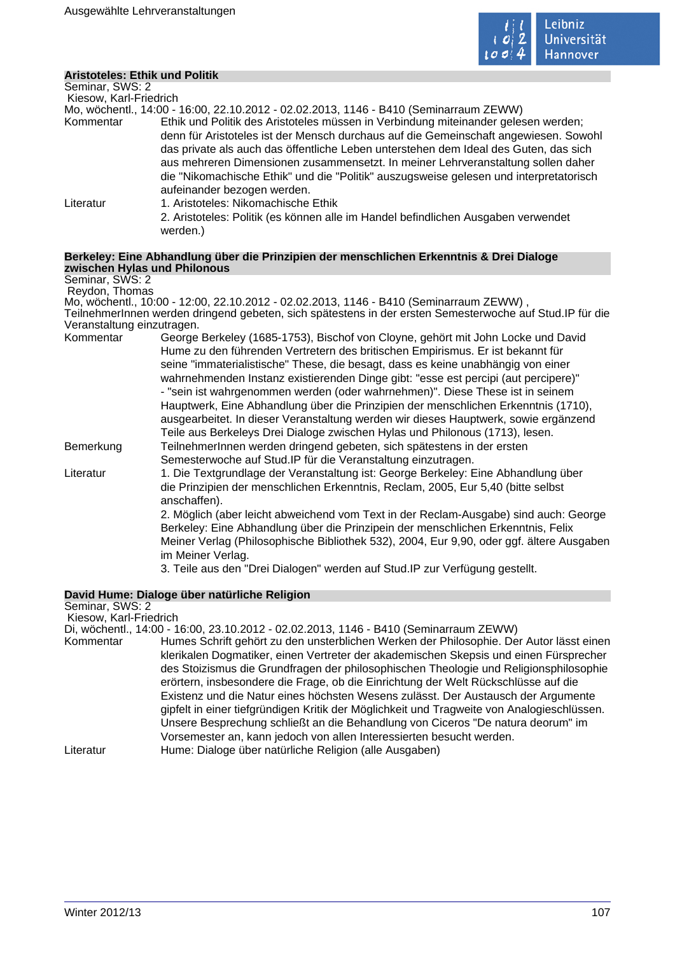

## **Aristoteles: Ethik und Politik**

| Seminar, SWS: 2        |                                                                                               |
|------------------------|-----------------------------------------------------------------------------------------------|
| Kiesow, Karl-Friedrich |                                                                                               |
|                        | Mo, wöchentl., 14:00 - 16:00, 22.10.2012 - 02.02.2013, 1146 - B410 (Seminarraum ZEWW)         |
| Kommentar              | Ethik und Politik des Aristoteles müssen in Verbindung miteinander gelesen werden;            |
|                        | denn für Aristoteles ist der Mensch durchaus auf die Gemeinschaft angewiesen. Sowohl          |
|                        | das private als auch das öffentliche Leben unterstehen dem Ideal des Guten, das sich          |
|                        | aus mehreren Dimensionen zusammensetzt. In meiner Lehrveranstaltung sollen daher              |
|                        | die "Nikomachische Ethik" und die "Politik" auszugsweise gelesen und interpretatorisch        |
|                        | aufeinander bezogen werden.                                                                   |
| Literatur              | 1. Aristoteles: Nikomachische Ethik                                                           |
|                        | 2. Aristoteles: Politik (es können alle im Handel befindlichen Ausgaben verwendet<br>werden.) |

#### **Berkeley: Eine Abhandlung über die Prinzipien der menschlichen Erkenntnis & Drei Dialoge zwischen Hylas und Philonous**

Seminar, SWS: 2 Reydon, Thomas

Mo, wöchentl., 10:00 - 12:00, 22.10.2012 - 02.02.2013, 1146 - B410 (Seminarraum ZEWW) , TeilnehmerInnen werden dringend gebeten, sich spätestens in der ersten Semesterwoche auf Stud.IP für die Veranstaltung einzutragen.

| Kommentar | George Berkeley (1685-1753), Bischof von Cloyne, gehört mit John Locke und David         |
|-----------|------------------------------------------------------------------------------------------|
|           | Hume zu den führenden Vertretern des britischen Empirismus. Er ist bekannt für           |
|           | seine "immaterialistische" These, die besagt, dass es keine unabhängig von einer         |
|           | wahrnehmenden Instanz existierenden Dinge gibt: "esse est percipi (aut percipere)"       |
|           | - "sein ist wahrgenommen werden (oder wahrnehmen)". Diese These ist in seinem            |
|           | Hauptwerk, Eine Abhandlung über die Prinzipien der menschlichen Erkenntnis (1710),       |
|           | ausgearbeitet. In dieser Veranstaltung werden wir dieses Hauptwerk, sowie ergänzend      |
|           | Teile aus Berkeleys Drei Dialoge zwischen Hylas und Philonous (1713), lesen.             |
| Bemerkung | TeilnehmerInnen werden dringend gebeten, sich spätestens in der ersten                   |
|           | Semesterwoche auf Stud. IP für die Veranstaltung einzutragen.                            |
| Literatur | 1. Die Textgrundlage der Veranstaltung ist: George Berkeley: Eine Abhandlung über        |
|           | die Prinzipien der menschlichen Erkenntnis, Reclam, 2005, Eur 5,40 (bitte selbst         |
|           | anschaffen).                                                                             |
|           | 2. Möglich (aber leicht abweichend vom Text in der Reclam-Ausgabe) sind auch: George     |
|           | Berkeley: Eine Abhandlung über die Prinzipein der menschlichen Erkenntnis, Felix         |
|           | Meiner Verlag (Philosophische Bibliothek 532), 2004, Eur 9,90, oder ggf. ältere Ausgaben |
|           | im Meiner Verlag.                                                                        |
|           |                                                                                          |

3. Teile aus den "Drei Dialogen" werden auf Stud.IP zur Verfügung gestellt.

#### **David Hume: Dialoge über natürliche Religion**

Seminar, SWS: 2 Kiesow, Karl-Friedrich

Di, wöchentl., 14:00 - 16:00, 23.10.2012 - 02.02.2013, 1146 - B410 (Seminarraum ZEWW) Kommentar Humes Schrift gehört zu den unsterblichen Werken der Philosophie. Der Autor lässt einen klerikalen Dogmatiker, einen Vertreter der akademischen Skepsis und einen Fürsprecher des Stoizismus die Grundfragen der philosophischen Theologie und Religionsphilosophie erörtern, insbesondere die Frage, ob die Einrichtung der Welt Rückschlüsse auf die Existenz und die Natur eines höchsten Wesens zulässt. Der Austausch der Argumente gipfelt in einer tiefgründigen Kritik der Möglichkeit und Tragweite von Analogieschlüssen. Unsere Besprechung schließt an die Behandlung von Ciceros "De natura deorum" im Vorsemester an, kann jedoch von allen Interessierten besucht werden. Literatur Hume: Dialoge über natürliche Religion (alle Ausgaben)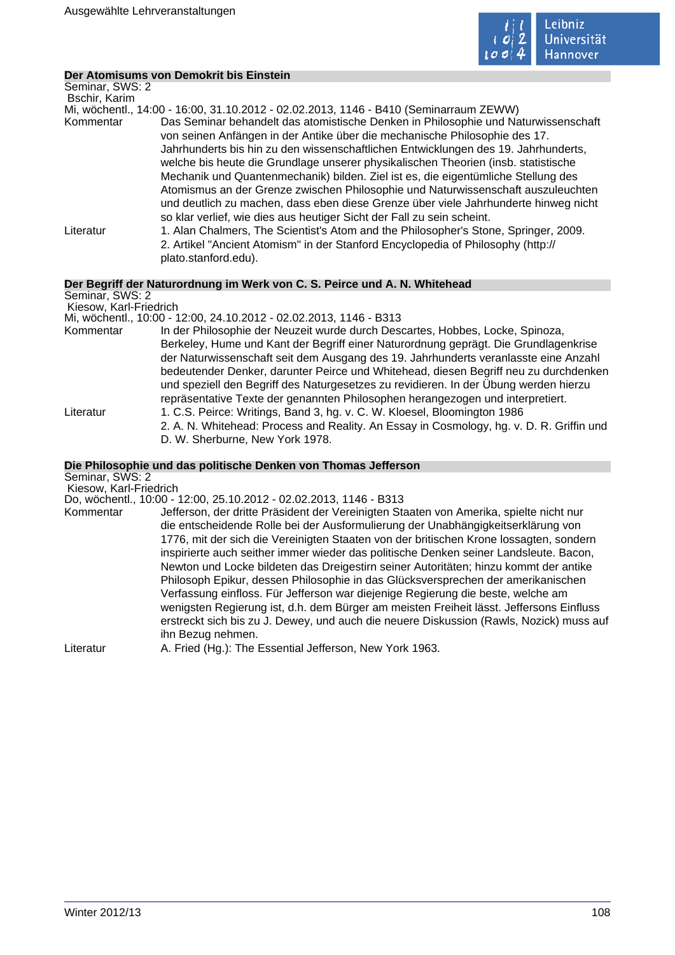

## **Der Atomisums von Demokrit bis Einstein**

| Seminar, SWS: 2<br>Bschir, Karim          |                                                                                                                                                                                                                                                                                                                                                                                                                                                                                                                                                                                                                                                                                        |
|-------------------------------------------|----------------------------------------------------------------------------------------------------------------------------------------------------------------------------------------------------------------------------------------------------------------------------------------------------------------------------------------------------------------------------------------------------------------------------------------------------------------------------------------------------------------------------------------------------------------------------------------------------------------------------------------------------------------------------------------|
|                                           | Mi, wöchentl., 14:00 - 16:00, 31.10.2012 - 02.02.2013, 1146 - B410 (Seminarraum ZEWW)                                                                                                                                                                                                                                                                                                                                                                                                                                                                                                                                                                                                  |
| Kommentar                                 | Das Seminar behandelt das atomistische Denken in Philosophie und Naturwissenschaft<br>von seinen Anfängen in der Antike über die mechanische Philosophie des 17.<br>Jahrhunderts bis hin zu den wissenschaftlichen Entwicklungen des 19. Jahrhunderts,<br>welche bis heute die Grundlage unserer physikalischen Theorien (insb. statistische<br>Mechanik und Quantenmechanik) bilden. Ziel ist es, die eigentümliche Stellung des<br>Atomismus an der Grenze zwischen Philosophie und Naturwissenschaft auszuleuchten<br>und deutlich zu machen, dass eben diese Grenze über viele Jahrhunderte hinweg nicht<br>so klar verlief, wie dies aus heutiger Sicht der Fall zu sein scheint. |
| Literatur                                 | 1. Alan Chalmers, The Scientist's Atom and the Philosopher's Stone, Springer, 2009.<br>2. Artikel "Ancient Atomism" in der Stanford Encyclopedia of Philosophy (http://<br>plato.stanford.edu).                                                                                                                                                                                                                                                                                                                                                                                                                                                                                        |
|                                           | Der Begriff der Naturordnung im Werk von C. S. Peirce und A. N. Whitehead                                                                                                                                                                                                                                                                                                                                                                                                                                                                                                                                                                                                              |
| Seminar, SWS: 2<br>Kiesow, Karl-Friedrich |                                                                                                                                                                                                                                                                                                                                                                                                                                                                                                                                                                                                                                                                                        |
|                                           | Mi, wöchentl., 10:00 - 12:00, 24.10.2012 - 02.02.2013, 1146 - B313                                                                                                                                                                                                                                                                                                                                                                                                                                                                                                                                                                                                                     |

- Kommentar In der Philosophie der Neuzeit wurde durch Descartes, Hobbes, Locke, Spinoza, Berkeley, Hume und Kant der Begriff einer Naturordnung geprägt. Die Grundlagenkrise der Naturwissenschaft seit dem Ausgang des 19. Jahrhunderts veranlasste eine Anzahl bedeutender Denker, darunter Peirce und Whitehead, diesen Begriff neu zu durchdenken und speziell den Begriff des Naturgesetzes zu revidieren. In der Übung werden hierzu repräsentative Texte der genannten Philosophen herangezogen und interpretiert. Literatur 1. C.S. Peirce: Writings, Band 3, hg. v. C. W. Kloesel, Bloomington 1986
	- 2. A. N. Whitehead: Process and Reality. An Essay in Cosmology, hg. v. D. R. Griffin und D. W. Sherburne, New York 1978.

# **Die Philosophie und das politische Denken von Thomas Jefferson**

Seminar, SWS: 2 Kiesow, Karl-Friedrich

## Do, wöchentl., 10:00 - 12:00, 25.10.2012 - 02.02.2013, 1146 - B313

| Kommentar | Jefferson, der dritte Präsident der Vereinigten Staaten von Amerika, spielte nicht nur  |
|-----------|-----------------------------------------------------------------------------------------|
|           | die entscheidende Rolle bei der Ausformulierung der Unabhängigkeitserklärung von        |
|           | 1776, mit der sich die Vereinigten Staaten von der britischen Krone lossagten, sondern  |
|           | inspirierte auch seither immer wieder das politische Denken seiner Landsleute. Bacon,   |
|           | Newton und Locke bildeten das Dreigestirn seiner Autoritäten; hinzu kommt der antike    |
|           | Philosoph Epikur, dessen Philosophie in das Glücksversprechen der amerikanischen        |
|           | Verfassung einfloss. Für Jefferson war diejenige Regierung die beste, welche am         |
|           | wenigsten Regierung ist, d.h. dem Bürger am meisten Freiheit lässt. Jeffersons Einfluss |
|           | erstreckt sich bis zu J. Dewey, und auch die neuere Diskussion (Rawls, Nozick) muss auf |
|           | ihn Bezug nehmen.                                                                       |
| Literatur | A. Fried (Hg.): The Essential Jefferson, New York 1963.                                 |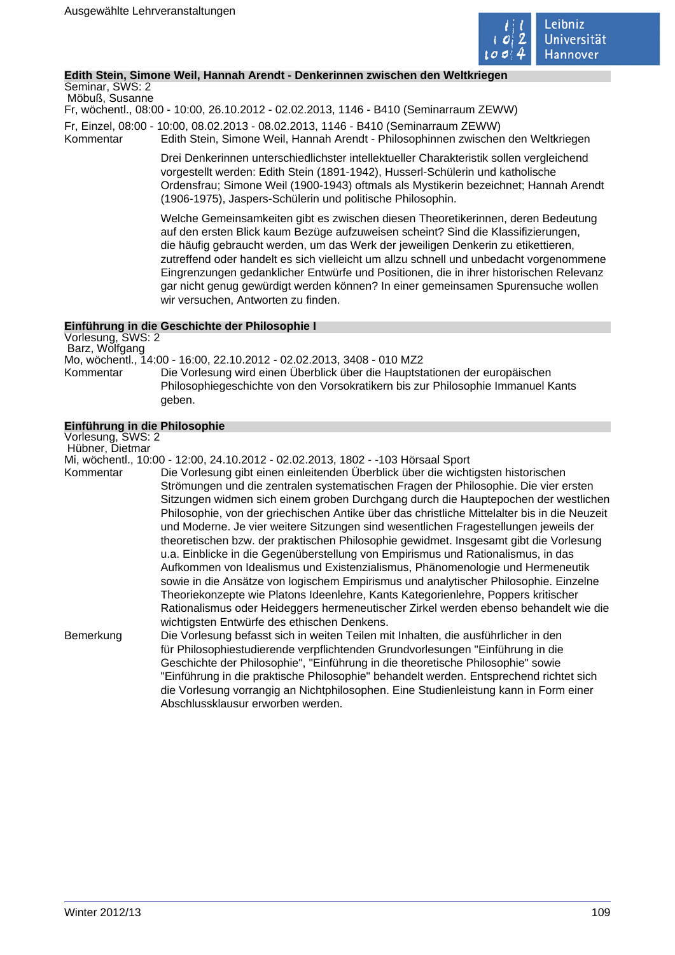

# **Edith Stein, Simone Weil, Hannah Arendt - Denkerinnen zwischen den Weltkriegen**

Seminar, SWS: 2 Möbuß, Susanne

Fr, wöchentl., 08:00 - 10:00, 26.10.2012 - 02.02.2013, 1146 - B410 (Seminarraum ZEWW)

Fr, Einzel, 08:00 - 10:00, 08.02.2013 - 08.02.2013, 1146 - B410 (Seminarraum ZEWW)

Kommentar Edith Stein, Simone Weil, Hannah Arendt - Philosophinnen zwischen den Weltkriegen

Drei Denkerinnen unterschiedlichster intellektueller Charakteristik sollen vergleichend vorgestellt werden: Edith Stein (1891-1942), Husserl-Schülerin und katholische Ordensfrau; Simone Weil (1900-1943) oftmals als Mystikerin bezeichnet; Hannah Arendt (1906-1975), Jaspers-Schülerin und politische Philosophin.

Welche Gemeinsamkeiten gibt es zwischen diesen Theoretikerinnen, deren Bedeutung auf den ersten Blick kaum Bezüge aufzuweisen scheint? Sind die Klassifizierungen, die häufig gebraucht werden, um das Werk der jeweiligen Denkerin zu etikettieren, zutreffend oder handelt es sich vielleicht um allzu schnell und unbedacht vorgenommene Eingrenzungen gedanklicher Entwürfe und Positionen, die in ihrer historischen Relevanz gar nicht genug gewürdigt werden können? In einer gemeinsamen Spurensuche wollen wir versuchen, Antworten zu finden.

# **Einführung in die Geschichte der Philosophie I**

Vorlesung, SWS: 2 Barz, Wolfgang Mo, wöchentl., 14:00 - 16:00, 22.10.2012 - 02.02.2013, 3408 - 010 MZ2 Kommentar Die Vorlesung wird einen Überblick über die Hauptstationen der europäischen Philosophiegeschichte von den Vorsokratikern bis zur Philosophie Immanuel Kants geben.

# **Einführung in die Philosophie**

Vorlesung, SWS: 2 Hübner, Dietmar Mi, wöchentl., 10:00 - 12:00, 24.10.2012 - 02.02.2013, 1802 - -103 Hörsaal Sport Die Vorlesung gibt einen einleitenden Überblick über die wichtigsten historischen Strömungen und die zentralen systematischen Fragen der Philosophie. Die vier ersten Sitzungen widmen sich einem groben Durchgang durch die Hauptepochen der westlichen Philosophie, von der griechischen Antike über das christliche Mittelalter bis in die Neuzeit und Moderne. Je vier weitere Sitzungen sind wesentlichen Fragestellungen jeweils der theoretischen bzw. der praktischen Philosophie gewidmet. Insgesamt gibt die Vorlesung

u.a. Einblicke in die Gegenüberstellung von Empirismus und Rationalismus, in das Aufkommen von Idealismus und Existenzialismus, Phänomenologie und Hermeneutik sowie in die Ansätze von logischem Empirismus und analytischer Philosophie. Einzelne Theoriekonzepte wie Platons Ideenlehre, Kants Kategorienlehre, Poppers kritischer Rationalismus oder Heideggers hermeneutischer Zirkel werden ebenso behandelt wie die wichtigsten Entwürfe des ethischen Denkens.

Bemerkung Die Vorlesung befasst sich in weiten Teilen mit Inhalten, die ausführlicher in den für Philosophiestudierende verpflichtenden Grundvorlesungen "Einführung in die Geschichte der Philosophie", "Einführung in die theoretische Philosophie" sowie "Einführung in die praktische Philosophie" behandelt werden. Entsprechend richtet sich die Vorlesung vorrangig an Nichtphilosophen. Eine Studienleistung kann in Form einer Abschlussklausur erworben werden.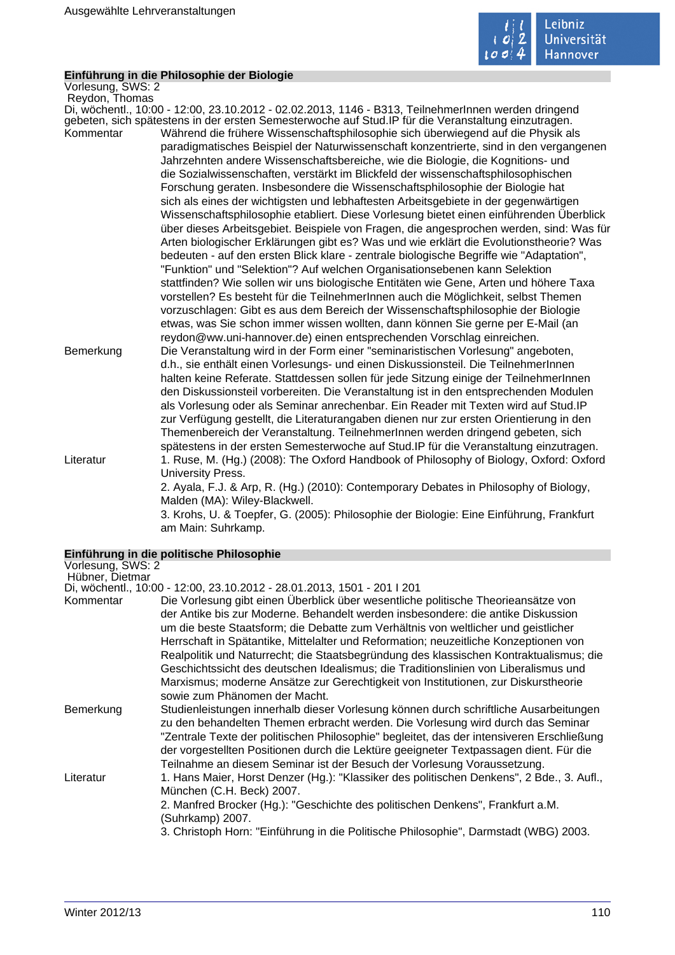

# **Einführung in die Philosophie der Biologie**

Vorlesung, SWS: 2 Reydon, Thomas

Di, wöchentl., 10:00 - 12:00, 23.10.2012 - 02.02.2013, 1146 - B313, TeilnehmerInnen werden dringend gebeten, sich spätestens in der ersten Semesterwoche auf Stud.IP für die Veranstaltung einzutragen. Kommentar Während die frühere Wissenschaftsphilosophie sich überwiegend auf die Physik als paradigmatisches Beispiel der Naturwissenschaft konzentrierte, sind in den vergangenen Jahrzehnten andere Wissenschaftsbereiche, wie die Biologie, die Kognitions- und die Sozialwissenschaften, verstärkt im Blickfeld der wissenschaftsphilosophischen Forschung geraten. Insbesondere die Wissenschaftsphilosophie der Biologie hat sich als eines der wichtigsten und lebhaftesten Arbeitsgebiete in der gegenwärtigen Wissenschaftsphilosophie etabliert. Diese Vorlesung bietet einen einführenden Überblick über dieses Arbeitsgebiet. Beispiele von Fragen, die angesprochen werden, sind: Was für Arten biologischer Erklärungen gibt es? Was und wie erklärt die Evolutionstheorie? Was bedeuten - auf den ersten Blick klare - zentrale biologische Begriffe wie "Adaptation", "Funktion" und "Selektion"? Auf welchen Organisationsebenen kann Selektion stattfinden? Wie sollen wir uns biologische Entitäten wie Gene, Arten und höhere Taxa vorstellen? Es besteht für die TeilnehmerInnen auch die Möglichkeit, selbst Themen vorzuschlagen: Gibt es aus dem Bereich der Wissenschaftsphilosophie der Biologie etwas, was Sie schon immer wissen wollten, dann können Sie gerne per E-Mail (an reydon@ww.uni-hannover.de) einen entsprechenden Vorschlag einreichen. Bemerkung Die Veranstaltung wird in der Form einer "seminaristischen Vorlesung" angeboten, d.h., sie enthält einen Vorlesungs- und einen Diskussionsteil. Die TeilnehmerInnen halten keine Referate. Stattdessen sollen für jede Sitzung einige der TeilnehmerInnen den Diskussionsteil vorbereiten. Die Veranstaltung ist in den entsprechenden Modulen

als Vorlesung oder als Seminar anrechenbar. Ein Reader mit Texten wird auf Stud.IP zur Verfügung gestellt, die Literaturangaben dienen nur zur ersten Orientierung in den Themenbereich der Veranstaltung. TeilnehmerInnen werden dringend gebeten, sich spätestens in der ersten Semesterwoche auf Stud.IP für die Veranstaltung einzutragen. Literatur 1. Ruse, M. (Hg.) (2008): The Oxford Handbook of Philosophy of Biology, Oxford: Oxford University Press. 2. Ayala, F.J. & Arp, R. (Hg.) (2010): Contemporary Debates in Philosophy of Biology, Malden (MA): Wiley-Blackwell.

> 3. Krohs, U. & Toepfer, G. (2005): Philosophie der Biologie: Eine Einführung, Frankfurt am Main: Suhrkamp.

# **Einführung in die politische Philosophie**

| Vorlesung, SWS: 2 |                                                                                                                                                                                                                                                                                                                                                                                                                                                                                                                                                                                                                                                             |
|-------------------|-------------------------------------------------------------------------------------------------------------------------------------------------------------------------------------------------------------------------------------------------------------------------------------------------------------------------------------------------------------------------------------------------------------------------------------------------------------------------------------------------------------------------------------------------------------------------------------------------------------------------------------------------------------|
| Hübner, Dietmar   |                                                                                                                                                                                                                                                                                                                                                                                                                                                                                                                                                                                                                                                             |
|                   | Di, wöchentl., 10:00 - 12:00, 23.10.2012 - 28.01.2013, 1501 - 201   201                                                                                                                                                                                                                                                                                                                                                                                                                                                                                                                                                                                     |
| Kommentar         | Die Vorlesung gibt einen Überblick über wesentliche politische Theorieansätze von<br>der Antike bis zur Moderne. Behandelt werden insbesondere: die antike Diskussion<br>um die beste Staatsform; die Debatte zum Verhältnis von weltlicher und geistlicher<br>Herrschaft in Spätantike, Mittelalter und Reformation; neuzeitliche Konzeptionen von<br>Realpolitik und Naturrecht; die Staatsbegründung des klassischen Kontraktualismus; die<br>Geschichtssicht des deutschen Idealismus; die Traditionslinien von Liberalismus und<br>Marxismus; moderne Ansätze zur Gerechtigkeit von Institutionen, zur Diskurstheorie<br>sowie zum Phänomen der Macht. |
| Bemerkung         | Studienleistungen innerhalb dieser Vorlesung können durch schriftliche Ausarbeitungen<br>zu den behandelten Themen erbracht werden. Die Vorlesung wird durch das Seminar<br>"Zentrale Texte der politischen Philosophie" begleitet, das der intensiveren Erschließung<br>der vorgestellten Positionen durch die Lektüre geeigneter Textpassagen dient. Für die<br>Teilnahme an diesem Seminar ist der Besuch der Vorlesung Voraussetzung.                                                                                                                                                                                                                   |
| Literatur         | 1. Hans Maier, Horst Denzer (Hg.): "Klassiker des politischen Denkens", 2 Bde., 3. Aufl.,<br>München (C.H. Beck) 2007.<br>2. Manfred Brocker (Hg.): "Geschichte des politischen Denkens", Frankfurt a.M.<br>(Suhrkamp) 2007.<br>3. Christoph Horn: "Einführung in die Politische Philosophie", Darmstadt (WBG) 2003.                                                                                                                                                                                                                                                                                                                                        |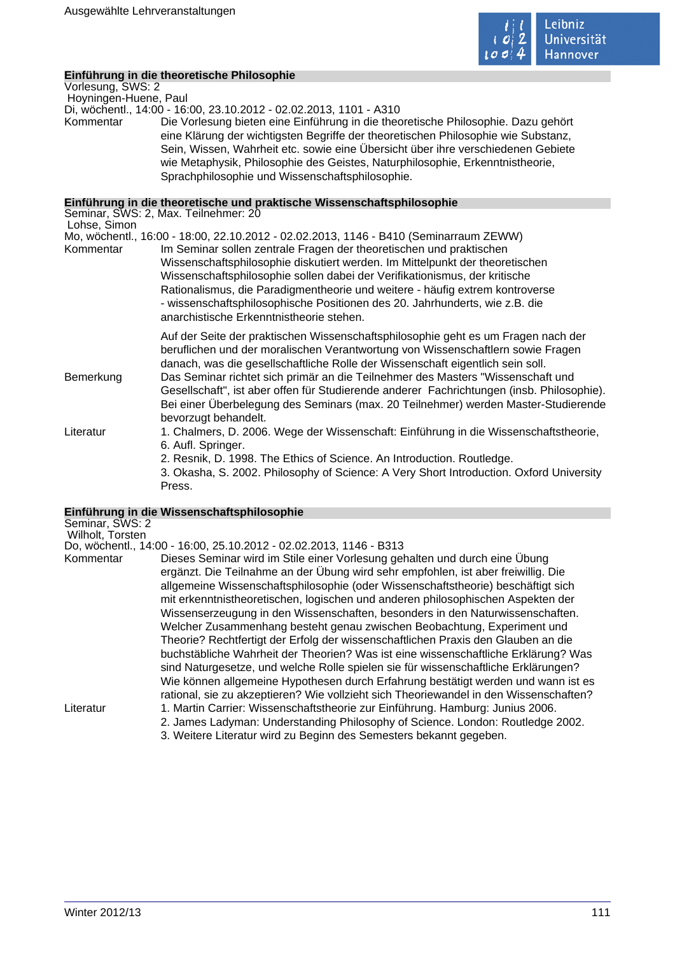

# **Einführung in die theoretische Philosophie**

Vorlesung, SWS: 2 Hoyningen-Huene, Paul

Di, wöchentl., 14:00 - 16:00, 23.10.2012 - 02.02.2013, 1101 - A310

Die Vorlesung bieten eine Einführung in die theoretische Philosophie. Dazu gehört eine Klärung der wichtigsten Begriffe der theoretischen Philosophie wie Substanz, Sein, Wissen, Wahrheit etc. sowie eine Übersicht über ihre verschiedenen Gebiete wie Metaphysik, Philosophie des Geistes, Naturphilosophie, Erkenntnistheorie, Sprachphilosophie und Wissenschaftsphilosophie.

# **Einführung in die theoretische und praktische Wissenschaftsphilosophie**

| Lohse, Simon | Seminar, SWS: 2, Max. Teilnehmer: 20                                                                                                                                                                                                                                                                                                                                                                                                                                                                                                                 |
|--------------|------------------------------------------------------------------------------------------------------------------------------------------------------------------------------------------------------------------------------------------------------------------------------------------------------------------------------------------------------------------------------------------------------------------------------------------------------------------------------------------------------------------------------------------------------|
|              | Mo, wöchentl., 16:00 - 18:00, 22.10.2012 - 02.02.2013, 1146 - B410 (Seminarraum ZEWW)                                                                                                                                                                                                                                                                                                                                                                                                                                                                |
| Kommentar    | Im Seminar sollen zentrale Fragen der theoretischen und praktischen<br>Wissenschaftsphilosophie diskutiert werden. Im Mittelpunkt der theoretischen<br>Wissenschaftsphilosophie sollen dabei der Verifikationismus, der kritische<br>Rationalismus, die Paradigmentheorie und weitere - häufig extrem kontroverse<br>- wissenschaftsphilosophische Positionen des 20. Jahrhunderts, wie z.B. die<br>anarchistische Erkenntnistheorie stehen.                                                                                                         |
| Bemerkung    | Auf der Seite der praktischen Wissenschaftsphilosophie geht es um Fragen nach der<br>beruflichen und der moralischen Verantwortung von Wissenschaftlern sowie Fragen<br>danach, was die gesellschaftliche Rolle der Wissenschaft eigentlich sein soll.<br>Das Seminar richtet sich primär an die Teilnehmer des Masters "Wissenschaft und<br>Gesellschaft", ist aber offen für Studierende anderer Fachrichtungen (insb. Philosophie).<br>Bei einer Überbelegung des Seminars (max. 20 Teilnehmer) werden Master-Studierende<br>bevorzugt behandelt. |
| Literatur    | 1. Chalmers, D. 2006. Wege der Wissenschaft: Einführung in die Wissenschaftstheorie,<br>6. Aufl. Springer.<br>2. Resnik, D. 1998. The Ethics of Science. An Introduction. Routledge.<br>3. Okasha, S. 2002. Philosophy of Science: A Very Short Introduction. Oxford University<br>Press.                                                                                                                                                                                                                                                            |

# **Einführung in die Wissenschaftsphilosophie**

| Seminar, SWS: 2<br>Wilholt, Torsten |                                                                                                                                                                                                                                                                                                                                                                                                                                                                                                                                                                                                                                                                                                                                                                                                                                                          |
|-------------------------------------|----------------------------------------------------------------------------------------------------------------------------------------------------------------------------------------------------------------------------------------------------------------------------------------------------------------------------------------------------------------------------------------------------------------------------------------------------------------------------------------------------------------------------------------------------------------------------------------------------------------------------------------------------------------------------------------------------------------------------------------------------------------------------------------------------------------------------------------------------------|
|                                     | Do, wöchentl., 14:00 - 16:00, 25.10.2012 - 02.02.2013, 1146 - B313                                                                                                                                                                                                                                                                                                                                                                                                                                                                                                                                                                                                                                                                                                                                                                                       |
| Kommentar                           | Dieses Seminar wird im Stile einer Vorlesung gehalten und durch eine Übung<br>ergänzt. Die Teilnahme an der Übung wird sehr empfohlen, ist aber freiwillig. Die<br>allgemeine Wissenschaftsphilosophie (oder Wissenschaftstheorie) beschäftigt sich<br>mit erkenntnistheoretischen, logischen und anderen philosophischen Aspekten der<br>Wissenserzeugung in den Wissenschaften, besonders in den Naturwissenschaften.<br>Welcher Zusammenhang besteht genau zwischen Beobachtung, Experiment und<br>Theorie? Rechtfertigt der Erfolg der wissenschaftlichen Praxis den Glauben an die<br>buchstäbliche Wahrheit der Theorien? Was ist eine wissenschaftliche Erklärung? Was<br>sind Naturgesetze, und welche Rolle spielen sie für wissenschaftliche Erklärungen?<br>Wie können allgemeine Hypothesen durch Erfahrung bestätigt werden und wann ist es |
|                                     | rational, sie zu akzeptieren? Wie vollzieht sich Theoriewandel in den Wissenschaften?                                                                                                                                                                                                                                                                                                                                                                                                                                                                                                                                                                                                                                                                                                                                                                    |
| Literatur                           | 1. Martin Carrier: Wissenschaftstheorie zur Einführung. Hamburg: Junius 2006.                                                                                                                                                                                                                                                                                                                                                                                                                                                                                                                                                                                                                                                                                                                                                                            |
|                                     | 2. James Ladyman: Understanding Philosophy of Science. London: Routledge 2002.<br>3. Weitere Literatur wird zu Beginn des Semesters bekannt gegeben.                                                                                                                                                                                                                                                                                                                                                                                                                                                                                                                                                                                                                                                                                                     |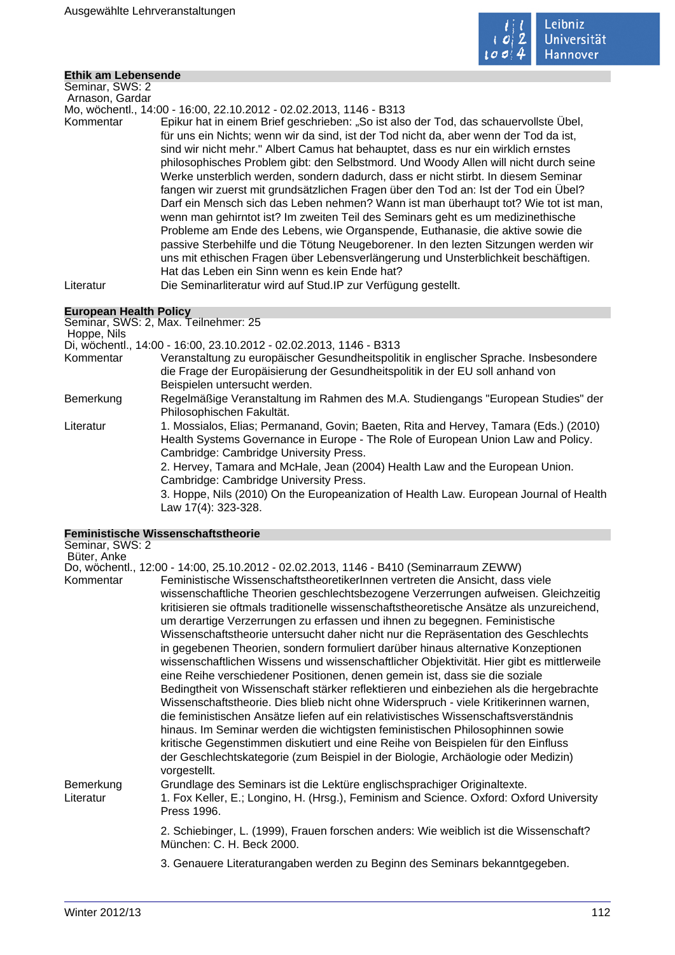

# **Ethik am Lebensende**

Seminar, SWS: 2 Arnason, Gardar

Mo, wöchentl., 14:00 - 16:00, 22.10.2012 - 02.02.2013, 1146 - B313

Kommentar Epikur hat in einem Brief geschrieben: "So ist also der Tod, das schauervollste Übel, für uns ein Nichts; wenn wir da sind, ist der Tod nicht da, aber wenn der Tod da ist, sind wir nicht mehr." Albert Camus hat behauptet, dass es nur ein wirklich ernstes philosophisches Problem gibt: den Selbstmord. Und Woody Allen will nicht durch seine Werke unsterblich werden, sondern dadurch, dass er nicht stirbt. In diesem Seminar fangen wir zuerst mit grundsätzlichen Fragen über den Tod an: Ist der Tod ein Übel? Darf ein Mensch sich das Leben nehmen? Wann ist man überhaupt tot? Wie tot ist man, wenn man gehirntot ist? Im zweiten Teil des Seminars geht es um medizinethische Probleme am Ende des Lebens, wie Organspende, Euthanasie, die aktive sowie die passive Sterbehilfe und die Tötung Neugeborener. In den lezten Sitzungen werden wir uns mit ethischen Fragen über Lebensverlängerung und Unsterblichkeit beschäftigen. Hat das Leben ein Sinn wenn es kein Ende hat?

Literatur Die Seminarliteratur wird auf Stud.IP zur Verfügung gestellt.

# **European Health Policy**

| Lui Obean Health I Olicy |                                                                                        |
|--------------------------|----------------------------------------------------------------------------------------|
|                          | Seminar, SWS: 2, Max. Teilnehmer: 25                                                   |
| Hoppe, Nils              |                                                                                        |
|                          | Di, wöchentl., 14:00 - 16:00, 23.10.2012 - 02.02.2013, 1146 - B313                     |
| Kommentar                | Veranstaltung zu europäischer Gesundheitspolitik in englischer Sprache. Insbesondere   |
|                          | die Frage der Europäisierung der Gesundheitspolitik in der EU soll anhand von          |
|                          | Beispielen untersucht werden.                                                          |
| Bemerkung                | Regelmäßige Veranstaltung im Rahmen des M.A. Studiengangs "European Studies" der       |
|                          | Philosophischen Fakultät.                                                              |
| Literatur                | 1. Mossialos, Elias; Permanand, Govin; Baeten, Rita and Hervey, Tamara (Eds.) (2010)   |
|                          | Health Systems Governance in Europe - The Role of European Union Law and Policy.       |
|                          | Cambridge: Cambridge University Press.                                                 |
|                          | 2. Hervey, Tamara and McHale, Jean (2004) Health Law and the European Union.           |
|                          | Cambridge: Cambridge University Press.                                                 |
|                          | 3. Hoppe, Nils (2010) On the Europeanization of Health Law. European Journal of Health |
|                          | Law 17(4): 323-328.                                                                    |

# **Feministische Wissenschaftstheorie**

| Seminar, SWS: 2        |                                                                                                                                                                                                                                                                                                                                                                                                                                                                                                                                                                                                                                                                                                                                                                                                                                                                                                                                                                                                                                                                                                                                                                                                                                                                                                                                                     |
|------------------------|-----------------------------------------------------------------------------------------------------------------------------------------------------------------------------------------------------------------------------------------------------------------------------------------------------------------------------------------------------------------------------------------------------------------------------------------------------------------------------------------------------------------------------------------------------------------------------------------------------------------------------------------------------------------------------------------------------------------------------------------------------------------------------------------------------------------------------------------------------------------------------------------------------------------------------------------------------------------------------------------------------------------------------------------------------------------------------------------------------------------------------------------------------------------------------------------------------------------------------------------------------------------------------------------------------------------------------------------------------|
| Büter, Anke            |                                                                                                                                                                                                                                                                                                                                                                                                                                                                                                                                                                                                                                                                                                                                                                                                                                                                                                                                                                                                                                                                                                                                                                                                                                                                                                                                                     |
| Kommentar              | Do, wöchentl., 12:00 - 14:00, 25.10.2012 - 02.02.2013, 1146 - B410 (Seminarraum ZEWW)<br>Feministische WissenschaftstheoretikerInnen vertreten die Ansicht, dass viele<br>wissenschaftliche Theorien geschlechtsbezogene Verzerrungen aufweisen. Gleichzeitig<br>kritisieren sie oftmals traditionelle wissenschaftstheoretische Ansätze als unzureichend,<br>um derartige Verzerrungen zu erfassen und ihnen zu begegnen. Feministische<br>Wissenschaftstheorie untersucht daher nicht nur die Repräsentation des Geschlechts<br>in gegebenen Theorien, sondern formuliert darüber hinaus alternative Konzeptionen<br>wissenschaftlichen Wissens und wissenschaftlicher Objektivität. Hier gibt es mittlerweile<br>eine Reihe verschiedener Positionen, denen gemein ist, dass sie die soziale<br>Bedingtheit von Wissenschaft stärker reflektieren und einbeziehen als die hergebrachte<br>Wissenschaftstheorie. Dies blieb nicht ohne Widerspruch - viele Kritikerinnen warnen,<br>die feministischen Ansätze liefen auf ein relativistisches Wissenschaftsverständnis<br>hinaus. Im Seminar werden die wichtigsten feministischen Philosophinnen sowie<br>kritische Gegenstimmen diskutiert und eine Reihe von Beispielen für den Einfluss<br>der Geschlechtskategorie (zum Beispiel in der Biologie, Archäologie oder Medizin)<br>vorgestellt. |
| Bemerkung<br>Literatur | Grundlage des Seminars ist die Lektüre englischsprachiger Originaltexte.<br>1. Fox Keller, E.; Longino, H. (Hrsg.), Feminism and Science. Oxford: Oxford University<br>Press 1996.                                                                                                                                                                                                                                                                                                                                                                                                                                                                                                                                                                                                                                                                                                                                                                                                                                                                                                                                                                                                                                                                                                                                                                  |
|                        | 2. Schiebinger, L. (1999), Frauen forschen anders: Wie weiblich ist die Wissenschaft?<br>München: C. H. Beck 2000.                                                                                                                                                                                                                                                                                                                                                                                                                                                                                                                                                                                                                                                                                                                                                                                                                                                                                                                                                                                                                                                                                                                                                                                                                                  |
|                        | 3. Genauere Literaturangaben werden zu Beginn des Seminars bekanntgegeben.                                                                                                                                                                                                                                                                                                                                                                                                                                                                                                                                                                                                                                                                                                                                                                                                                                                                                                                                                                                                                                                                                                                                                                                                                                                                          |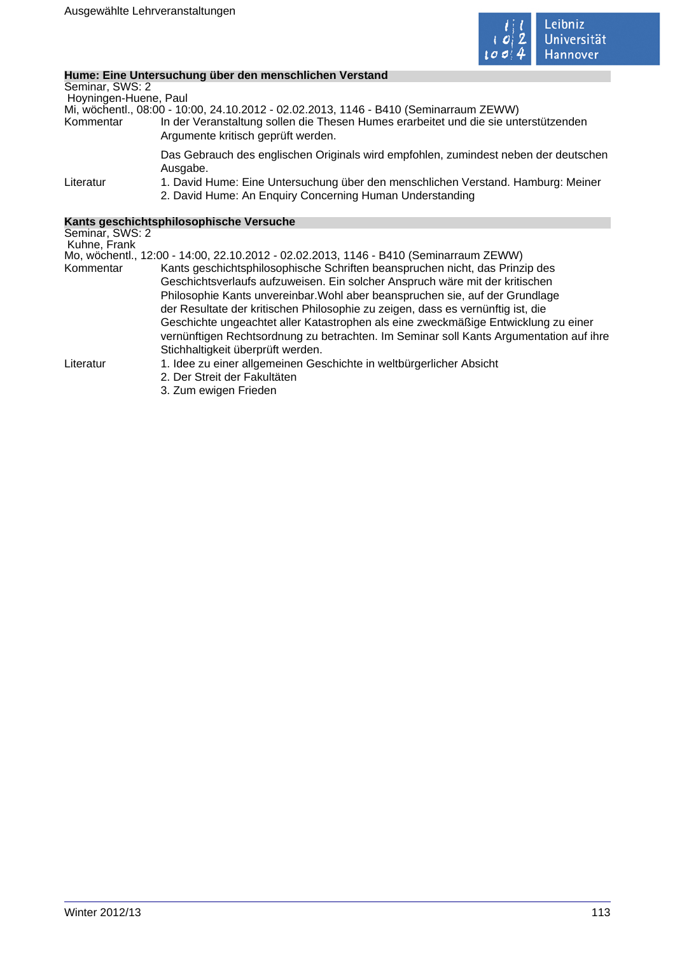

# **Hume: Eine Untersuchung über den menschlichen Verstand**

|                                 | <u>Hume. Eine Untersuchung über den menschlichen verstand</u>                                                                                |
|---------------------------------|----------------------------------------------------------------------------------------------------------------------------------------------|
| Seminar, SWS: 2                 |                                                                                                                                              |
| Hoyningen-Huene, Paul           |                                                                                                                                              |
|                                 | Mi, wöchentl., 08:00 - 10:00, 24.10.2012 - 02.02.2013, 1146 - B410 (Seminarraum ZEWW)                                                        |
| Kommentar                       | In der Veranstaltung sollen die Thesen Humes erarbeitet und die sie unterstützenden<br>Argumente kritisch geprüft werden.                    |
|                                 | Das Gebrauch des englischen Originals wird empfohlen, zumindest neben der deutschen                                                          |
|                                 | Ausgabe.                                                                                                                                     |
| Literatur                       | 1. David Hume: Eine Untersuchung über den menschlichen Verstand. Hamburg: Meiner<br>2. David Hume: An Enquiry Concerning Human Understanding |
|                                 |                                                                                                                                              |
|                                 | Kants geschichtsphilosophische Versuche                                                                                                      |
| Seminar, SWS: 2<br>Kuhne, Frank |                                                                                                                                              |
|                                 | Mo, wöchentl., 12:00 - 14:00, 22.10.2012 - 02.02.2013, 1146 - B410 (Seminarraum ZEWW)                                                        |
| Kommentar                       | Kants geschichtsphilosophische Schriften beanspruchen nicht, das Prinzip des                                                                 |
|                                 | Geschichtsverlaufs aufzuweisen. Ein solcher Anspruch wäre mit der kritischen                                                                 |
|                                 | Philosophie Kants unvereinbar. Wohl aber beanspruchen sie, auf der Grundlage                                                                 |
|                                 | der Resultate der kritischen Philosophie zu zeigen, dass es vernünftig ist, die                                                              |
|                                 | Geschichte ungeachtet aller Katastrophen als eine zweckmäßige Entwicklung zu einer                                                           |
|                                 | vernünftigen Rechtsordnung zu betrachten. Im Seminar soll Kants Argumentation auf ihre                                                       |
|                                 |                                                                                                                                              |
|                                 | Stichhaltigkeit überprüft werden.                                                                                                            |
| Literatur                       | 1. Idee zu einer allgemeinen Geschichte in weltbürgerlicher Absicht                                                                          |
|                                 | 2. Der Streit der Fakultäten                                                                                                                 |
|                                 | 3. Zum ewigen Frieden                                                                                                                        |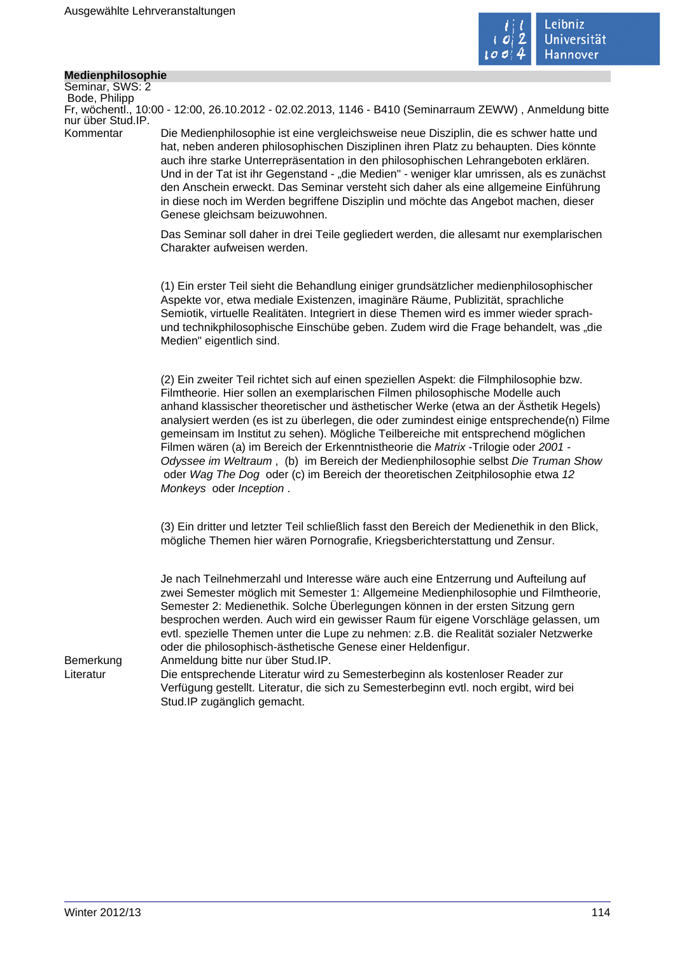

# **Medienphilosophie**

Seminar, SWS: 2 Bode, Philipp nur über Stud.IP.

Fr, wöchentl., 10:00 - 12:00, 26.10.2012 - 02.02.2013, 1146 - B410 (Seminarraum ZEWW) , Anmeldung bitte

Kommentar Die Medienphilosophie ist eine vergleichsweise neue Disziplin, die es schwer hatte und hat, neben anderen philosophischen Disziplinen ihren Platz zu behaupten. Dies könnte auch ihre starke Unterrepräsentation in den philosophischen Lehrangeboten erklären. Und in der Tat ist ihr Gegenstand - "die Medien" - weniger klar umrissen, als es zunächst den Anschein erweckt. Das Seminar versteht sich daher als eine allgemeine Einführung in diese noch im Werden begriffene Disziplin und möchte das Angebot machen, dieser Genese gleichsam beizuwohnen.

> Das Seminar soll daher in drei Teile gegliedert werden, die allesamt nur exemplarischen Charakter aufweisen werden.

> (1) Ein erster Teil sieht die Behandlung einiger grundsätzlicher medienphilosophischer Aspekte vor, etwa mediale Existenzen, imaginäre Räume, Publizität, sprachliche Semiotik, virtuelle Realitäten. Integriert in diese Themen wird es immer wieder sprachund technikphilosophische Einschübe geben. Zudem wird die Frage behandelt, was "die Medien" eigentlich sind.

(2) Ein zweiter Teil richtet sich auf einen speziellen Aspekt: die Filmphilosophie bzw. Filmtheorie. Hier sollen an exemplarischen Filmen philosophische Modelle auch anhand klassischer theoretischer und ästhetischer Werke (etwa an der Ästhetik Hegels) analysiert werden (es ist zu überlegen, die oder zumindest einige entsprechende(n) Filme gemeinsam im Institut zu sehen). Mögliche Teilbereiche mit entsprechend möglichen Filmen wären (a) im Bereich der Erkenntnistheorie die Matrix -Trilogie oder 2001 - Odyssee im Weltraum , (b) im Bereich der Medienphilosophie selbst Die Truman Show oder Wag The Dog oder (c) im Bereich der theoretischen Zeitphilosophie etwa 12 Monkeys oder Inception .

(3) Ein dritter und letzter Teil schließlich fasst den Bereich der Medienethik in den Blick, mögliche Themen hier wären Pornografie, Kriegsberichterstattung und Zensur.

Je nach Teilnehmerzahl und Interesse wäre auch eine Entzerrung und Aufteilung auf zwei Semester möglich mit Semester 1: Allgemeine Medienphilosophie und Filmtheorie, Semester 2: Medienethik. Solche Überlegungen können in der ersten Sitzung gern besprochen werden. Auch wird ein gewisser Raum für eigene Vorschläge gelassen, um evtl. spezielle Themen unter die Lupe zu nehmen: z.B. die Realität sozialer Netzwerke oder die philosophisch-ästhetische Genese einer Heldenfigur.

Bemerkung Anmeldung bitte nur über Stud.IP.

Literatur Die entsprechende Literatur wird zu Semesterbeginn als kostenloser Reader zur Verfügung gestellt. Literatur, die sich zu Semesterbeginn evtl. noch ergibt, wird bei Stud.IP zugänglich gemacht.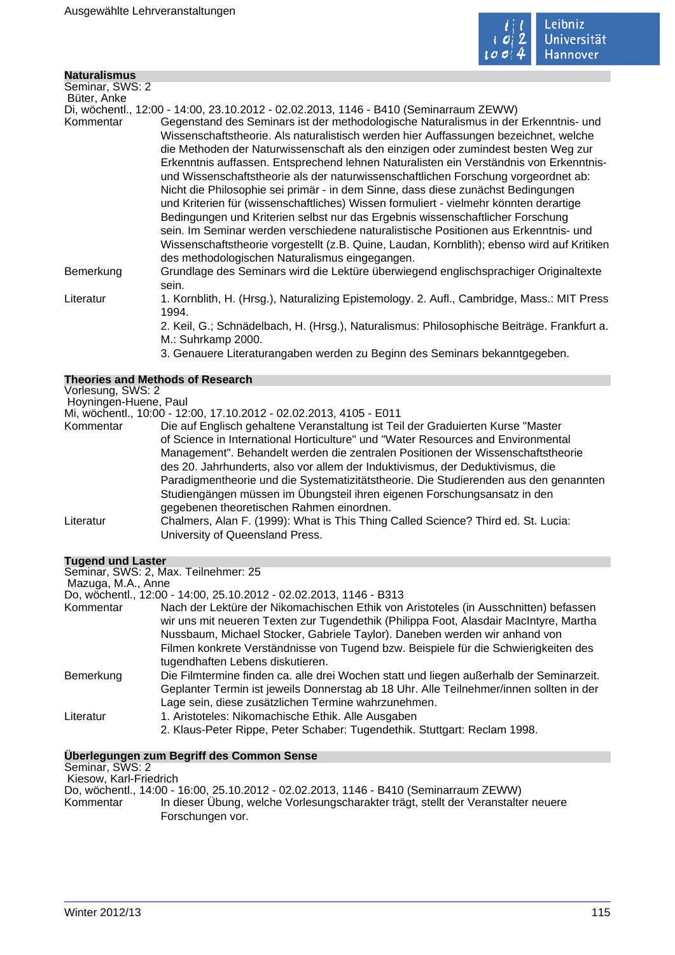

| <b>Naturalismus</b> |                                                                                                                                                                                                                                                                                                                                                                                                                                                                                                                                                                                                                                                                                                                                                                                                                                                                                                      |
|---------------------|------------------------------------------------------------------------------------------------------------------------------------------------------------------------------------------------------------------------------------------------------------------------------------------------------------------------------------------------------------------------------------------------------------------------------------------------------------------------------------------------------------------------------------------------------------------------------------------------------------------------------------------------------------------------------------------------------------------------------------------------------------------------------------------------------------------------------------------------------------------------------------------------------|
| Seminar, SWS: 2     |                                                                                                                                                                                                                                                                                                                                                                                                                                                                                                                                                                                                                                                                                                                                                                                                                                                                                                      |
| Büter, Anke         |                                                                                                                                                                                                                                                                                                                                                                                                                                                                                                                                                                                                                                                                                                                                                                                                                                                                                                      |
|                     | Di, wöchentl., 12:00 - 14:00, 23.10.2012 - 02.02.2013, 1146 - B410 (Seminarraum ZEWW)                                                                                                                                                                                                                                                                                                                                                                                                                                                                                                                                                                                                                                                                                                                                                                                                                |
| Kommentar           | Gegenstand des Seminars ist der methodologische Naturalismus in der Erkenntnis- und<br>Wissenschaftstheorie. Als naturalistisch werden hier Auffassungen bezeichnet, welche<br>die Methoden der Naturwissenschaft als den einzigen oder zumindest besten Weg zur<br>Erkenntnis auffassen. Entsprechend lehnen Naturalisten ein Verständnis von Erkenntnis-<br>und Wissenschaftstheorie als der naturwissenschaftlichen Forschung vorgeordnet ab:<br>Nicht die Philosophie sei primär - in dem Sinne, dass diese zunächst Bedingungen<br>und Kriterien für (wissenschaftliches) Wissen formuliert - vielmehr könnten derartige<br>Bedingungen und Kriterien selbst nur das Ergebnis wissenschaftlicher Forschung<br>sein. Im Seminar werden verschiedene naturalistische Positionen aus Erkenntnis- und<br>Wissenschaftstheorie vorgestellt (z.B. Quine, Laudan, Kornblith); ebenso wird auf Kritiken |
|                     | des methodologischen Naturalismus eingegangen.                                                                                                                                                                                                                                                                                                                                                                                                                                                                                                                                                                                                                                                                                                                                                                                                                                                       |
| Bemerkung           | Grundlage des Seminars wird die Lektüre überwiegend englischsprachiger Originaltexte<br>sein.                                                                                                                                                                                                                                                                                                                                                                                                                                                                                                                                                                                                                                                                                                                                                                                                        |
| Literatur           | 1. Kornblith, H. (Hrsg.), Naturalizing Epistemology. 2. Aufl., Cambridge, Mass.: MIT Press<br>1994.                                                                                                                                                                                                                                                                                                                                                                                                                                                                                                                                                                                                                                                                                                                                                                                                  |
|                     | 2. Keil, G.; Schnädelbach, H. (Hrsg.), Naturalismus: Philosophische Beiträge. Frankfurt a.<br>M.: Suhrkamp 2000.                                                                                                                                                                                                                                                                                                                                                                                                                                                                                                                                                                                                                                                                                                                                                                                     |
|                     | 3. Genauere Literaturangaben werden zu Beginn des Seminars bekanntgegeben.                                                                                                                                                                                                                                                                                                                                                                                                                                                                                                                                                                                                                                                                                                                                                                                                                           |

|                       | <b>Theories and Methods of Research</b>                                              |
|-----------------------|--------------------------------------------------------------------------------------|
| Vorlesung, SWS: 2     |                                                                                      |
| Hoyningen-Huene, Paul |                                                                                      |
|                       | Mi, wöchentl., 10:00 - 12:00, 17.10.2012 - 02.02.2013, 4105 - E011                   |
| Kommentar             | Die auf Englisch gehaltene Veranstaltung ist Teil der Graduierten Kurse "Master      |
|                       | of Science in International Horticulture" und "Water Resources and Environmental     |
|                       | Management". Behandelt werden die zentralen Positionen der Wissenschaftstheorie      |
|                       | des 20. Jahrhunderts, also vor allem der Induktivismus, der Deduktivismus, die       |
|                       | Paradigmentheorie und die Systematizitätstheorie. Die Studierenden aus den genannten |
|                       | Studiengängen müssen im Übungsteil ihren eigenen Forschungsansatz in den             |
|                       | gegebenen theoretischen Rahmen einordnen.                                            |
| Literatur             | Chalmers, Alan F. (1999): What is This Thing Called Science? Third ed. St. Lucia:    |
|                       | University of Queensland Press.                                                      |
|                       |                                                                                      |
|                       |                                                                                      |
| Tugend und Laster     |                                                                                      |

**Tugend und Laster**

|                    | Seminar, SWS: 2, Max. Teilnehmer: 25                                                                                                                                                                                                      |
|--------------------|-------------------------------------------------------------------------------------------------------------------------------------------------------------------------------------------------------------------------------------------|
| Mazuga, M.A., Anne |                                                                                                                                                                                                                                           |
|                    | Do, wochentl., 12:00 - 14:00, 25.10.2012 - 02.02.2013, 1146 - B313                                                                                                                                                                        |
| Kommentar          | Nach der Lektüre der Nikomachischen Ethik von Aristoteles (in Ausschnitten) befassen<br>wir uns mit neueren Texten zur Tugendethik (Philippa Foot, Alasdair MacIntyre, Martha                                                             |
|                    | Nussbaum, Michael Stocker, Gabriele Taylor). Daneben werden wir anhand von                                                                                                                                                                |
|                    | Filmen konkrete Verständnisse von Tugend bzw. Beispiele für die Schwierigkeiten des<br>tugendhaften Lebens diskutieren.                                                                                                                   |
| Bemerkung          | Die Filmtermine finden ca. alle drei Wochen statt und liegen außerhalb der Seminarzeit.<br>Geplanter Termin ist jeweils Donnerstag ab 18 Uhr. Alle Teilnehmer/innen sollten in der<br>Lage sein, diese zusätzlichen Termine wahrzunehmen. |
| Literatur          | 1. Aristoteles: Nikomachische Ethik. Alle Ausgaben<br>2. Klaus-Peter Rippe, Peter Schaber: Tugendethik. Stuttgart: Reclam 1998.                                                                                                           |

# **Überlegungen zum Begriff des Common Sense**

Seminar, SWS: 2

 Kiesow, Karl-Friedrich Do, wöchentl., 14:00 - 16:00, 25.10.2012 - 02.02.2013, 1146 - B410 (Seminarraum ZEWW) In dieser Übung, welche Vorlesungscharakter trägt, stellt der Veranstalter neuere Forschungen vor.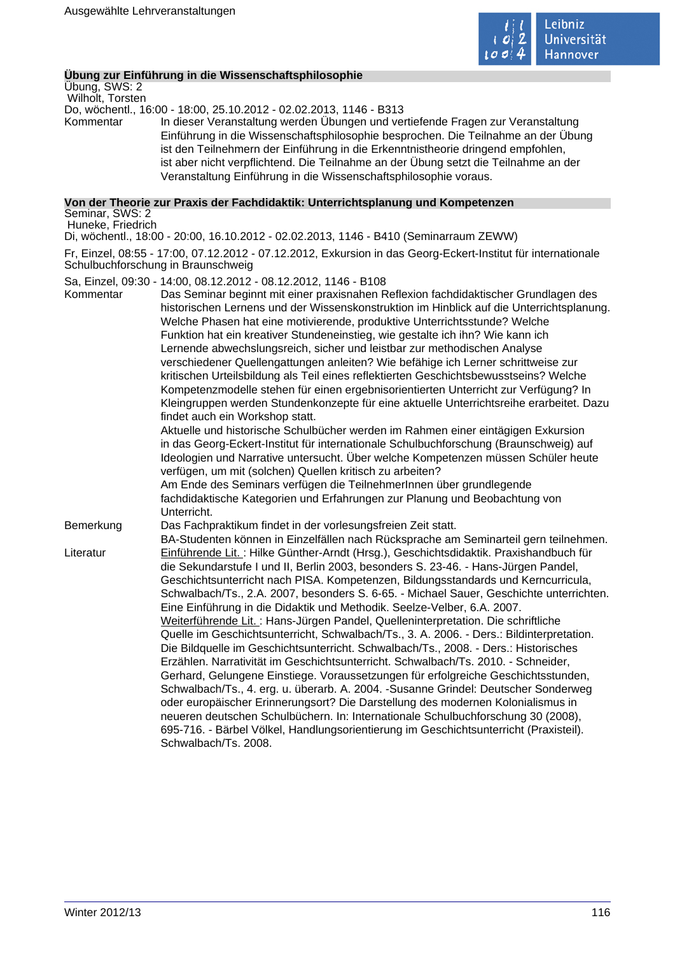

# **Übung zur Einführung in die Wissenschaftsphilosophie**

Übung, SWS: 2 Wilholt, Torsten

Do, wöchentl., 16:00 - 18:00, 25.10.2012 - 02.02.2013, 1146 - B313

Kommentar In dieser Veranstaltung werden Übungen und vertiefende Fragen zur Veranstaltung Einführung in die Wissenschaftsphilosophie besprochen. Die Teilnahme an der Übung ist den Teilnehmern der Einführung in die Erkenntnistheorie dringend empfohlen, ist aber nicht verpflichtend. Die Teilnahme an der Übung setzt die Teilnahme an der Veranstaltung Einführung in die Wissenschaftsphilosophie voraus.

**Von der Theorie zur Praxis der Fachdidaktik: Unterrichtsplanung und Kompetenzen** Seminar, SWS: 2

Huneke, Friedrich

Di, wöchentl., 18:00 - 20:00, 16.10.2012 - 02.02.2013, 1146 - B410 (Seminarraum ZEWW)

Fr, Einzel, 08:55 - 17:00, 07.12.2012 - 07.12.2012, Exkursion in das Georg-Eckert-Institut für internationale Schulbuchforschung in Braunschweig

Sa, Einzel, 09:30 - 14:00, 08.12.2012 - 08.12.2012, 1146 - B108

- Kommentar Das Seminar beginnt mit einer praxisnahen Reflexion fachdidaktischer Grundlagen des historischen Lernens und der Wissenskonstruktion im Hinblick auf die Unterrichtsplanung. Welche Phasen hat eine motivierende, produktive Unterrichtsstunde? Welche Funktion hat ein kreativer Stundeneinstieg, wie gestalte ich ihn? Wie kann ich Lernende abwechslungsreich, sicher und leistbar zur methodischen Analyse verschiedener Quellengattungen anleiten? Wie befähige ich Lerner schrittweise zur kritischen Urteilsbildung als Teil eines reflektierten Geschichtsbewusstseins? Welche Kompetenzmodelle stehen für einen ergebnisorientierten Unterricht zur Verfügung? In Kleingruppen werden Stundenkonzepte für eine aktuelle Unterrichtsreihe erarbeitet. Dazu findet auch ein Workshop statt.
	- Aktuelle und historische Schulbücher werden im Rahmen einer eintägigen Exkursion in das Georg-Eckert-Institut für internationale Schulbuchforschung (Braunschweig) auf Ideologien und Narrative untersucht. Über welche Kompetenzen müssen Schüler heute verfügen, um mit (solchen) Quellen kritisch zu arbeiten?

Am Ende des Seminars verfügen die TeilnehmerInnen über grundlegende fachdidaktische Kategorien und Erfahrungen zur Planung und Beobachtung von Unterricht.

Bemerkung Das Fachpraktikum findet in der vorlesungsfreien Zeit statt.

BA-Studenten können in Einzelfällen nach Rücksprache am Seminarteil gern teilnehmen. Literatur Einführende Lit. : Hilke Günther-Arndt (Hrsg.), Geschichtsdidaktik. Praxishandbuch für die Sekundarstufe I und II, Berlin 2003, besonders S. 23-46. - Hans-Jürgen Pandel, Geschichtsunterricht nach PISA. Kompetenzen, Bildungsstandards und Kerncurricula, Schwalbach/Ts., 2.A. 2007, besonders S. 6-65. - Michael Sauer, Geschichte unterrichten. Eine Einführung in die Didaktik und Methodik. Seelze-Velber, 6.A. 2007. Weiterführende Lit. : Hans-Jürgen Pandel, Quelleninterpretation. Die schriftliche Quelle im Geschichtsunterricht, Schwalbach/Ts., 3. A. 2006. - Ders.: Bildinterpretation. Die Bildquelle im Geschichtsunterricht. Schwalbach/Ts., 2008. - Ders.: Historisches Erzählen. Narrativität im Geschichtsunterricht. Schwalbach/Ts. 2010. - Schneider, Gerhard, Gelungene Einstiege. Voraussetzungen für erfolgreiche Geschichtsstunden, Schwalbach/Ts., 4. erg. u. überarb. A. 2004. -Susanne Grindel: Deutscher Sonderweg oder europäischer Erinnerungsort? Die Darstellung des modernen Kolonialismus in neueren deutschen Schulbüchern. In: Internationale Schulbuchforschung 30 (2008), 695-716. - Bärbel Völkel, Handlungsorientierung im Geschichtsunterricht (Praxisteil). Schwalbach/Ts. 2008.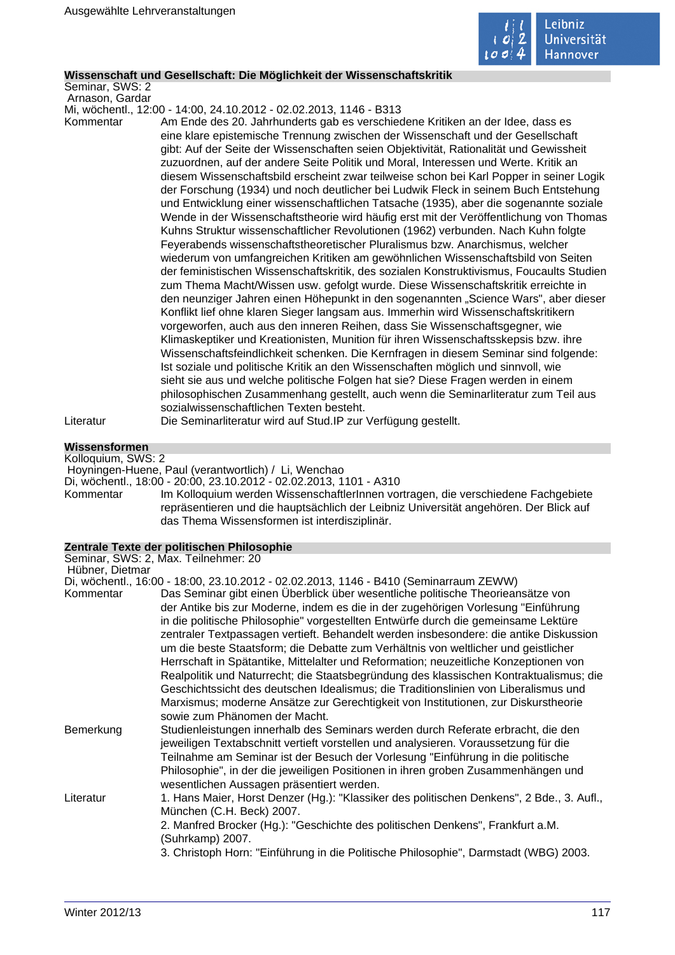

# **Wissenschaft und Gesellschaft: Die Möglichkeit der Wissenschaftskritik**

Seminar, SWS: 2 Arnason, Gardar

Mi, wöchentl., 12:00 - 14:00, 24.10.2012 - 02.02.2013, 1146 - B313

Kommentar Am Ende des 20. Jahrhunderts gab es verschiedene Kritiken an der Idee, dass es eine klare epistemische Trennung zwischen der Wissenschaft und der Gesellschaft gibt: Auf der Seite der Wissenschaften seien Objektivität, Rationalität und Gewissheit zuzuordnen, auf der andere Seite Politik und Moral, Interessen und Werte. Kritik an diesem Wissenschaftsbild erscheint zwar teilweise schon bei Karl Popper in seiner Logik der Forschung (1934) und noch deutlicher bei Ludwik Fleck in seinem Buch Entstehung und Entwicklung einer wissenschaftlichen Tatsache (1935), aber die sogenannte soziale Wende in der Wissenschaftstheorie wird häufig erst mit der Veröffentlichung von Thomas Kuhns Struktur wissenschaftlicher Revolutionen (1962) verbunden. Nach Kuhn folgte Feyerabends wissenschaftstheoretischer Pluralismus bzw. Anarchismus, welcher wiederum von umfangreichen Kritiken am gewöhnlichen Wissenschaftsbild von Seiten der feministischen Wissenschaftskritik, des sozialen Konstruktivismus, Foucaults Studien zum Thema Macht/Wissen usw. gefolgt wurde. Diese Wissenschaftskritik erreichte in den neunziger Jahren einen Höhepunkt in den sogenannten "Science Wars", aber dieser Konflikt lief ohne klaren Sieger langsam aus. Immerhin wird Wissenschaftskritikern vorgeworfen, auch aus den inneren Reihen, dass Sie Wissenschaftsgegner, wie Klimaskeptiker und Kreationisten, Munition für ihren Wissenschaftsskepsis bzw. ihre Wissenschaftsfeindlichkeit schenken. Die Kernfragen in diesem Seminar sind folgende: Ist soziale und politische Kritik an den Wissenschaften möglich und sinnvoll, wie sieht sie aus und welche politische Folgen hat sie? Diese Fragen werden in einem philosophischen Zusammenhang gestellt, auch wenn die Seminarliteratur zum Teil aus sozialwissenschaftlichen Texten besteht. Literatur Die Seminarliteratur wird auf Stud.IP zur Verfügung gestellt.

# **Wissensformen**

Kolloquium, SWS: 2 Hoyningen-Huene, Paul (verantwortlich) / Li, Wenchao

Di, wöchentl., 18:00 - 20:00, 23.10.2012 - 02.02.2013, 1101 - A310

Kommentar Im Kolloquium werden WissenschaftlerInnen vortragen, die verschiedene Fachgebiete repräsentieren und die hauptsächlich der Leibniz Universität angehören. Der Blick auf das Thema Wissensformen ist interdisziplinär.

## **Zentrale Texte der politischen Philosophie**

|                 | Seminar, SWS: 2, Max. Teilnehmer: 20                                                                                                                                                                                                                                                                                                                                                                                                                                                                                                                                                                                                                                                                                                                                                                                                      |
|-----------------|-------------------------------------------------------------------------------------------------------------------------------------------------------------------------------------------------------------------------------------------------------------------------------------------------------------------------------------------------------------------------------------------------------------------------------------------------------------------------------------------------------------------------------------------------------------------------------------------------------------------------------------------------------------------------------------------------------------------------------------------------------------------------------------------------------------------------------------------|
| Hübner, Dietmar | Di, wöchentl., 16:00 - 18:00, 23.10.2012 - 02.02.2013, 1146 - B410 (Seminarraum ZEWW)                                                                                                                                                                                                                                                                                                                                                                                                                                                                                                                                                                                                                                                                                                                                                     |
| Kommentar       | Das Seminar gibt einen Überblick über wesentliche politische Theorieansätze von<br>der Antike bis zur Moderne, indem es die in der zugehörigen Vorlesung "Einführung<br>in die politische Philosophie" vorgestellten Entwürfe durch die gemeinsame Lektüre<br>zentraler Textpassagen vertieft. Behandelt werden insbesondere: die antike Diskussion<br>um die beste Staatsform; die Debatte zum Verhältnis von weltlicher und geistlicher<br>Herrschaft in Spätantike, Mittelalter und Reformation; neuzeitliche Konzeptionen von<br>Realpolitik und Naturrecht; die Staatsbegründung des klassischen Kontraktualismus; die<br>Geschichtssicht des deutschen Idealismus; die Traditionslinien von Liberalismus und<br>Marxismus; moderne Ansätze zur Gerechtigkeit von Institutionen, zur Diskurstheorie<br>sowie zum Phänomen der Macht. |
| Bemerkung       | Studienleistungen innerhalb des Seminars werden durch Referate erbracht, die den<br>jeweiligen Textabschnitt vertieft vorstellen und analysieren. Voraussetzung für die<br>Teilnahme am Seminar ist der Besuch der Vorlesung "Einführung in die politische<br>Philosophie", in der die jeweiligen Positionen in ihren groben Zusammenhängen und<br>wesentlichen Aussagen präsentiert werden.                                                                                                                                                                                                                                                                                                                                                                                                                                              |
| Literatur       | 1. Hans Maier, Horst Denzer (Hg.): "Klassiker des politischen Denkens", 2 Bde., 3. Aufl.,<br>München (C.H. Beck) 2007.<br>2. Manfred Brocker (Hg.): "Geschichte des politischen Denkens", Frankfurt a.M.<br>(Suhrkamp) 2007.<br>3. Christoph Horn: "Einführung in die Politische Philosophie", Darmstadt (WBG) 2003.                                                                                                                                                                                                                                                                                                                                                                                                                                                                                                                      |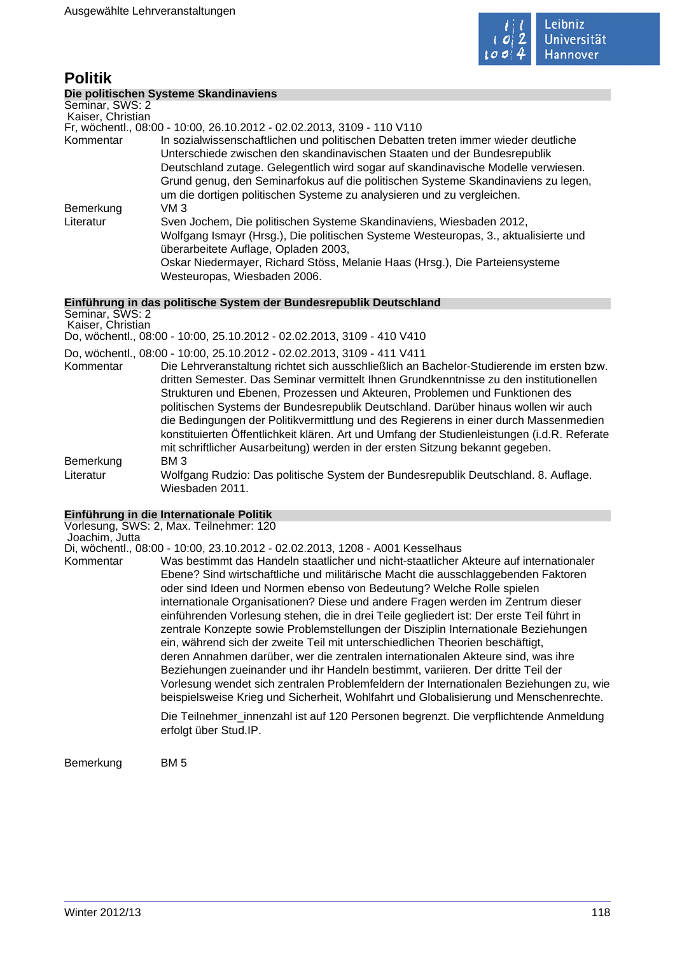

# **Politik**

# **Die politischen Systeme Skandinaviens**

Seminar, SWS: 2 Kaiser, Christian

Fr, wöchentl., 08:00 - 10:00, 26.10.2012 - 02.02.2013, 3109 - 110 V110

Kommentar In sozialwissenschaftlichen und politischen Debatten treten immer wieder deutliche Unterschiede zwischen den skandinavischen Staaten und der Bundesrepublik Deutschland zutage. Gelegentlich wird sogar auf skandinavische Modelle verwiesen. Grund genug, den Seminarfokus auf die politischen Systeme Skandinaviens zu legen, um die dortigen politischen Systeme zu analysieren und zu vergleichen. Bemerkung VM 3 Literatur Sven Jochem, Die politischen Systeme Skandinaviens, Wiesbaden 2012, Wolfgang Ismayr (Hrsg.), Die politischen Systeme Westeuropas, 3., aktualisierte und überarbeitete Auflage, Opladen 2003, Oskar Niedermayer, Richard Stöss, Melanie Haas (Hrsg.), Die Parteiensysteme Westeuropas, Wiesbaden 2006.

# **Einführung in das politische System der Bundesrepublik Deutschland**

| Seminar, SWS: 2<br>Kaiser, Christian |                                                                                                                                                                                                                                                                                                                                                                                                                                                                                                                           |
|--------------------------------------|---------------------------------------------------------------------------------------------------------------------------------------------------------------------------------------------------------------------------------------------------------------------------------------------------------------------------------------------------------------------------------------------------------------------------------------------------------------------------------------------------------------------------|
|                                      | Do, wöchentl., 08:00 - 10:00, 25.10.2012 - 02.02.2013, 3109 - 410 V410                                                                                                                                                                                                                                                                                                                                                                                                                                                    |
| Kommentar                            | Do, wöchentl., 08:00 - 10:00, 25.10.2012 - 02.02.2013, 3109 - 411 V411<br>Die Lehrveranstaltung richtet sich ausschließlich an Bachelor-Studierende im ersten bzw.<br>dritten Semester. Das Seminar vermittelt Ihnen Grundkenntnisse zu den institutionellen<br>Strukturen und Ebenen, Prozessen und Akteuren, Problemen und Funktionen des<br>politischen Systems der Bundesrepublik Deutschland. Darüber hinaus wollen wir auch<br>die Bedingungen der Politikvermittlung und des Regierens in einer durch Massenmedien |
|                                      | konstituierten Öffentlichkeit klären. Art und Umfang der Studienleistungen (i.d.R. Referate<br>mit schriftlicher Ausarbeitung) werden in der ersten Sitzung bekannt gegeben.                                                                                                                                                                                                                                                                                                                                              |
| Bemerkung                            | BM 3                                                                                                                                                                                                                                                                                                                                                                                                                                                                                                                      |
| Literatur                            | Wolfgang Rudzio: Das politische System der Bundesrepublik Deutschland. 8. Auflage.<br>Wiesbaden 2011.                                                                                                                                                                                                                                                                                                                                                                                                                     |

# **Einführung in die Internationale Politik**

Vorlesung, SWS: 2, Max. Teilnehmer: 120

Joachim, Jutta

Di, wöchentl., 08:00 - 10:00, 23.10.2012 - 02.02.2013, 1208 - A001 Kesselhaus

Kommentar Was bestimmt das Handeln staatlicher und nicht-staatlicher Akteure auf internationaler Ebene? Sind wirtschaftliche und militärische Macht die ausschlaggebenden Faktoren oder sind Ideen und Normen ebenso von Bedeutung? Welche Rolle spielen internationale Organisationen? Diese und andere Fragen werden im Zentrum dieser einführenden Vorlesung stehen, die in drei Teile gegliedert ist: Der erste Teil führt in zentrale Konzepte sowie Problemstellungen der Disziplin Internationale Beziehungen ein, während sich der zweite Teil mit unterschiedlichen Theorien beschäftigt, deren Annahmen darüber, wer die zentralen internationalen Akteure sind, was ihre Beziehungen zueinander und ihr Handeln bestimmt, variieren. Der dritte Teil der Vorlesung wendet sich zentralen Problemfeldern der Internationalen Beziehungen zu, wie beispielsweise Krieg und Sicherheit, Wohlfahrt und Globalisierung und Menschenrechte.

> Die Teilnehmer\_innenzahl ist auf 120 Personen begrenzt. Die verpflichtende Anmeldung erfolgt über Stud.IP.

Bemerkung BM 5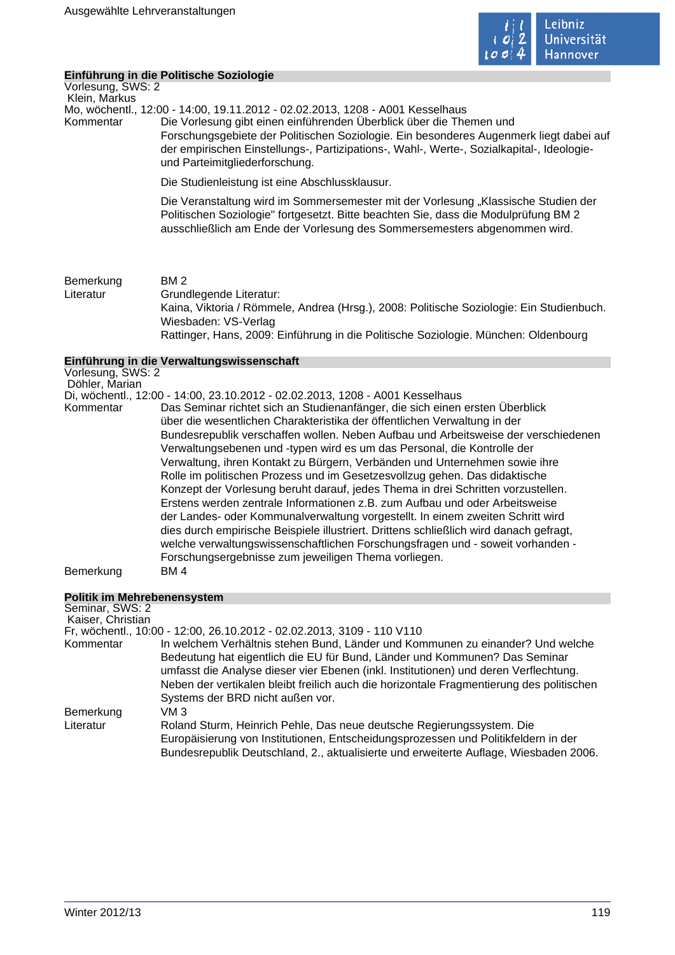

# **Einführung in die Politische Soziologie**

Vorlesung, SWS: 2 Klein, Markus

Mo, wöchentl., 12:00 - 14:00, 19.11.2012 - 02.02.2013, 1208 - A001 Kesselhaus

Kommentar Die Vorlesung gibt einen einführenden Überblick über die Themen und Forschungsgebiete der Politischen Soziologie. Ein besonderes Augenmerk liegt dabei auf der empirischen Einstellungs-, Partizipations-, Wahl-, Werte-, Sozialkapital-, Ideologieund Parteimitgliederforschung.

Die Studienleistung ist eine Abschlussklausur.

Die Veranstaltung wird im Sommersemester mit der Vorlesung "Klassische Studien der Politischen Soziologie" fortgesetzt. Bitte beachten Sie, dass die Modulprüfung BM 2 ausschließlich am Ende der Vorlesung des Sommersemesters abgenommen wird.

Bemerkung BM 2 Literatur Grundlegende Literatur: Kaina, Viktoria / Römmele, Andrea (Hrsg.), 2008: Politische Soziologie: Ein Studienbuch. Wiesbaden: VS-Verlag Rattinger, Hans, 2009: Einführung in die Politische Soziologie. München: Oldenbourg

# **Einführung in die Verwaltungswissenschaft**

|                   | Ellinum ung in die verwaltungswissenschaft                                                                                                                                                                                       |
|-------------------|----------------------------------------------------------------------------------------------------------------------------------------------------------------------------------------------------------------------------------|
| Vorlesung, SWS: 2 |                                                                                                                                                                                                                                  |
| Döhler, Marian    |                                                                                                                                                                                                                                  |
|                   | Di, wöchentl., 12:00 - 14:00, 23.10.2012 - 02.02.2013, 1208 - A001 Kesselhaus                                                                                                                                                    |
| Kommentar         | Das Seminar richtet sich an Studienanfänger, die sich einen ersten Überblick                                                                                                                                                     |
|                   | über die wesentlichen Charakteristika der öffentlichen Verwaltung in der                                                                                                                                                         |
|                   | Bundesrepublik verschaffen wollen. Neben Aufbau und Arbeitsweise der verschiedenen                                                                                                                                               |
|                   | Verwaltungsebenen und -typen wird es um das Personal, die Kontrolle der                                                                                                                                                          |
|                   | Verwaltung, ihren Kontakt zu Bürgern, Verbänden und Unternehmen sowie ihre                                                                                                                                                       |
|                   | Rolle im politischen Prozess und im Gesetzesvollzug gehen. Das didaktische                                                                                                                                                       |
|                   | Konzept der Vorlesung beruht darauf, jedes Thema in drei Schritten vorzustellen.                                                                                                                                                 |
|                   | Erstens werden zentrale Informationen z.B. zum Aufbau und oder Arbeitsweise                                                                                                                                                      |
|                   | der Landes- oder Kommunalverwaltung vorgestellt. In einem zweiten Schritt wird                                                                                                                                                   |
|                   | dies durch empirische Beispiele illustriert. Drittens schließlich wird danach gefragt,<br>welche verwaltungswissenschaftlichen Forschungsfragen und - soweit vorhanden -<br>Forschungsergebnisse zum jeweiligen Thema vorliegen. |
| Bemerkung         | BM 4                                                                                                                                                                                                                             |
|                   |                                                                                                                                                                                                                                  |

# **Politik im Mehrebenensystem**

| Seminar, SWS: 2   |                                                                                                                                                                             |
|-------------------|-----------------------------------------------------------------------------------------------------------------------------------------------------------------------------|
| Kaiser, Christian |                                                                                                                                                                             |
|                   | Fr, wöchentl., 10:00 - 12:00, 26.10.2012 - 02.02.2013, 3109 - 110 V110                                                                                                      |
| Kommentar         | In welchem Verhältnis stehen Bund, Länder und Kommunen zu einander? Und welche                                                                                              |
|                   | Bedeutung hat eigentlich die EU für Bund, Länder und Kommunen? Das Seminar<br>umfasst die Analyse dieser vier Ebenen (inkl. Institutionen) und deren Verflechtung.          |
|                   | Neben der vertikalen bleibt freilich auch die horizontale Fragmentierung des politischen                                                                                    |
|                   | Systems der BRD nicht außen vor.                                                                                                                                            |
| Bemerkung         | VM 3                                                                                                                                                                        |
| Literatur         | Roland Sturm, Heinrich Pehle, Das neue deutsche Regierungssystem. Die                                                                                                       |
|                   | Europäisierung von Institutionen, Entscheidungsprozessen und Politikfeldern in der<br>Bundesrepublik Deutschland, 2., aktualisierte und erweiterte Auflage, Wiesbaden 2006. |
|                   |                                                                                                                                                                             |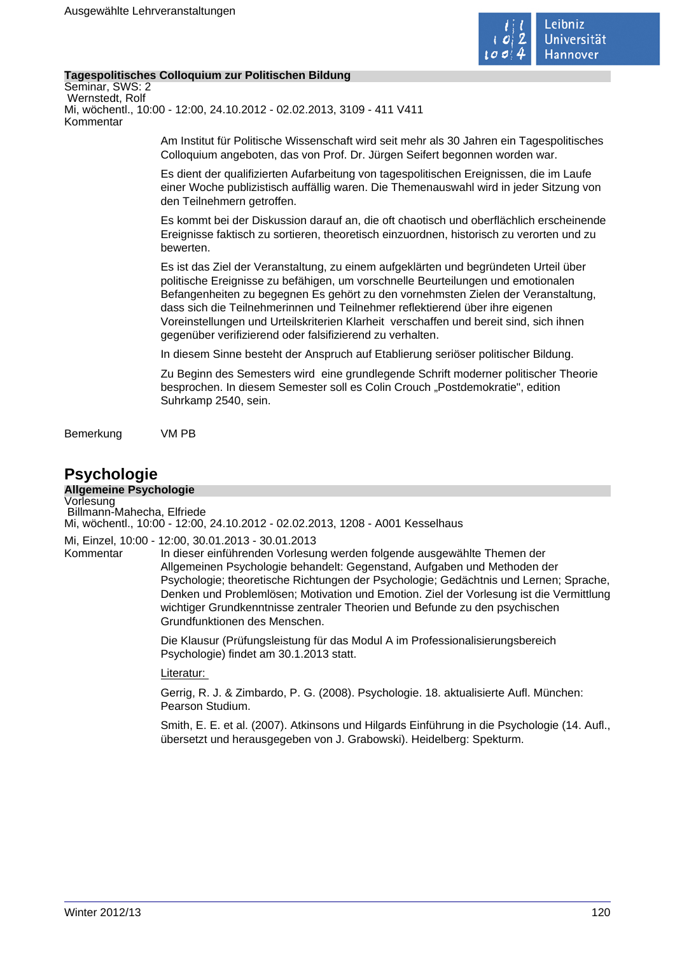

# **Tagespolitisches Colloquium zur Politischen Bildung**

Seminar, SWS: 2 Wernstedt, Rolf Mi, wöchentl., 10:00 - 12:00, 24.10.2012 - 02.02.2013, 3109 - 411 V411 Kommentar

> Am Institut für Politische Wissenschaft wird seit mehr als 30 Jahren ein Tagespolitisches Colloquium angeboten, das von Prof. Dr. Jürgen Seifert begonnen worden war.

> Es dient der qualifizierten Aufarbeitung von tagespolitischen Ereignissen, die im Laufe einer Woche publizistisch auffällig waren. Die Themenauswahl wird in jeder Sitzung von den Teilnehmern getroffen.

> Es kommt bei der Diskussion darauf an, die oft chaotisch und oberflächlich erscheinende Ereignisse faktisch zu sortieren, theoretisch einzuordnen, historisch zu verorten und zu bewerten.

Es ist das Ziel der Veranstaltung, zu einem aufgeklärten und begründeten Urteil über politische Ereignisse zu befähigen, um vorschnelle Beurteilungen und emotionalen Befangenheiten zu begegnen Es gehört zu den vornehmsten Zielen der Veranstaltung, dass sich die Teilnehmerinnen und Teilnehmer reflektierend über ihre eigenen Voreinstellungen und Urteilskriterien Klarheit verschaffen und bereit sind, sich ihnen gegenüber verifizierend oder falsifizierend zu verhalten.

In diesem Sinne besteht der Anspruch auf Etablierung seriöser politischer Bildung.

Zu Beginn des Semesters wird eine grundlegende Schrift moderner politischer Theorie besprochen. In diesem Semester soll es Colin Crouch "Postdemokratie", edition Suhrkamp 2540, sein.

Bemerkung VM PB

# **Psychologie**

# **Allgemeine Psychologie**

Vorlesung Billmann-Mahecha, Elfriede

Mi, wöchentl., 10:00 - 12:00, 24.10.2012 - 02.02.2013, 1208 - A001 Kesselhaus

# Mi, Einzel, 10:00 - 12:00, 30.01.2013 - 30.01.2013

Kommentar In dieser einführenden Vorlesung werden folgende ausgewählte Themen der Allgemeinen Psychologie behandelt: Gegenstand, Aufgaben und Methoden der Psychologie; theoretische Richtungen der Psychologie; Gedächtnis und Lernen; Sprache, Denken und Problemlösen; Motivation und Emotion. Ziel der Vorlesung ist die Vermittlung wichtiger Grundkenntnisse zentraler Theorien und Befunde zu den psychischen Grundfunktionen des Menschen.

> Die Klausur (Prüfungsleistung für das Modul A im Professionalisierungsbereich Psychologie) findet am 30.1.2013 statt.

Literatur:

Gerrig, R. J. & Zimbardo, P. G. (2008). Psychologie. 18. aktualisierte Aufl. München: Pearson Studium.

Smith, E. E. et al. (2007). Atkinsons und Hilgards Einführung in die Psychologie (14. Aufl., übersetzt und herausgegeben von J. Grabowski). Heidelberg: Spekturm.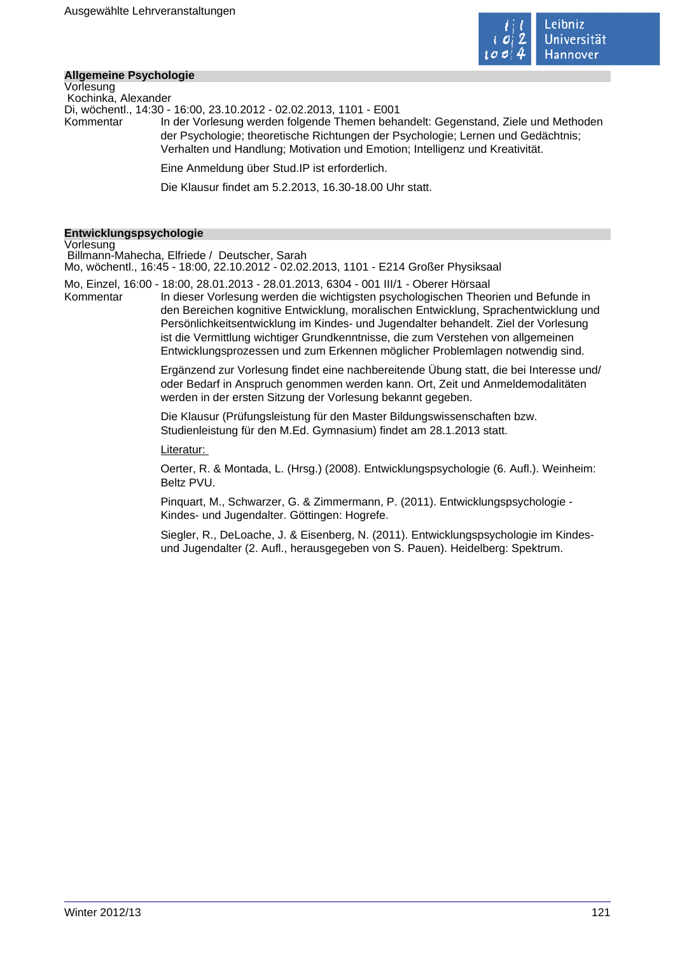

## **Allgemeine Psychologie** Vorlesung

 Kochinka, Alexander Di, wöchentl., 14:30 - 16:00, 23.10.2012 - 02.02.2013, 1101 - E001 Kommentar In der Vorlesung werden folgende Themen behandelt: Gegenstand, Ziele und Methoden der Psychologie; theoretische Richtungen der Psychologie; Lernen und Gedächtnis; Verhalten und Handlung; Motivation und Emotion; Intelligenz und Kreativität. Eine Anmeldung über Stud.IP ist erforderlich. Die Klausur findet am 5.2.2013, 16.30-18.00 Uhr statt.

# **Entwicklungspsychologie**

Vorlesung

 Billmann-Mahecha, Elfriede / Deutscher, Sarah Mo, wöchentl., 16:45 - 18:00, 22.10.2012 - 02.02.2013, 1101 - E214 Großer Physiksaal

Mo, Einzel, 16:00 - 18:00, 28.01.2013 - 28.01.2013, 6304 - 001 III/1 - Oberer Hörsaal

Kommentar In dieser Vorlesung werden die wichtigsten psychologischen Theorien und Befunde in den Bereichen kognitive Entwicklung, moralischen Entwicklung, Sprachentwicklung und Persönlichkeitsentwicklung im Kindes- und Jugendalter behandelt. Ziel der Vorlesung ist die Vermittlung wichtiger Grundkenntnisse, die zum Verstehen von allgemeinen Entwicklungsprozessen und zum Erkennen möglicher Problemlagen notwendig sind.

> Ergänzend zur Vorlesung findet eine nachbereitende Übung statt, die bei Interesse und/ oder Bedarf in Anspruch genommen werden kann. Ort, Zeit und Anmeldemodalitäten werden in der ersten Sitzung der Vorlesung bekannt gegeben.

Die Klausur (Prüfungsleistung für den Master Bildungswissenschaften bzw. Studienleistung für den M.Ed. Gymnasium) findet am 28.1.2013 statt.

## Literatur:

Oerter, R. & Montada, L. (Hrsg.) (2008). Entwicklungspsychologie (6. Aufl.). Weinheim: Beltz PVU.

Pinquart, M., Schwarzer, G. & Zimmermann, P. (2011). Entwicklungspsychologie - Kindes- und Jugendalter. Göttingen: Hogrefe.

Siegler, R., DeLoache, J. & Eisenberg, N. (2011). Entwicklungspsychologie im Kindesund Jugendalter (2. Aufl., herausgegeben von S. Pauen). Heidelberg: Spektrum.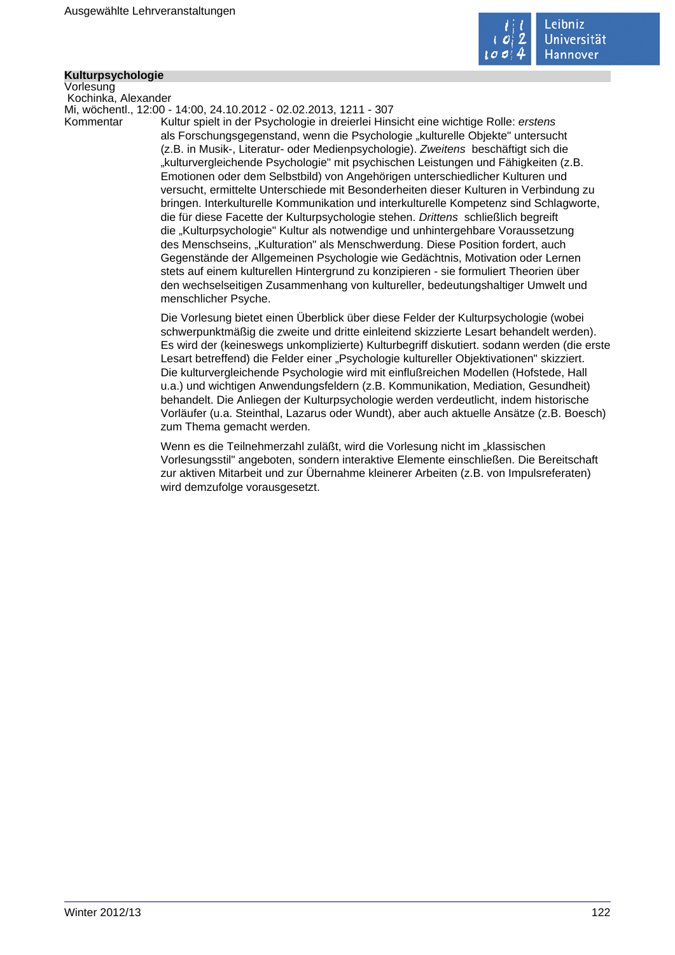

# **Kulturpsychologie**

Vorlesung Kochinka, Alexander

Mi, wöchentl., 12:00 - 14:00, 24.10.2012 - 02.02.2013, 1211 - 307

Kommentar Kultur spielt in der Psychologie in dreierlei Hinsicht eine wichtige Rolle: erstens als Forschungsgegenstand, wenn die Psychologie "kulturelle Objekte" untersucht (z.B. in Musik-, Literatur- oder Medienpsychologie). Zweitens beschäftigt sich die "kulturvergleichende Psychologie" mit psychischen Leistungen und Fähigkeiten (z.B. Emotionen oder dem Selbstbild) von Angehörigen unterschiedlicher Kulturen und versucht, ermittelte Unterschiede mit Besonderheiten dieser Kulturen in Verbindung zu bringen. Interkulturelle Kommunikation und interkulturelle Kompetenz sind Schlagworte, die für diese Facette der Kulturpsychologie stehen. Drittens schließlich begreift die "Kulturpsychologie" Kultur als notwendige und unhintergehbare Voraussetzung des Menschseins, "Kulturation" als Menschwerdung. Diese Position fordert, auch Gegenstände der Allgemeinen Psychologie wie Gedächtnis, Motivation oder Lernen stets auf einem kulturellen Hintergrund zu konzipieren - sie formuliert Theorien über den wechselseitigen Zusammenhang von kultureller, bedeutungshaltiger Umwelt und menschlicher Psyche.

> Die Vorlesung bietet einen Überblick über diese Felder der Kulturpsychologie (wobei schwerpunktmäßig die zweite und dritte einleitend skizzierte Lesart behandelt werden). Es wird der (keineswegs unkomplizierte) Kulturbegriff diskutiert. sodann werden (die erste Lesart betreffend) die Felder einer "Psychologie kultureller Objektivationen" skizziert. Die kulturvergleichende Psychologie wird mit einflußreichen Modellen (Hofstede, Hall u.a.) und wichtigen Anwendungsfeldern (z.B. Kommunikation, Mediation, Gesundheit) behandelt. Die Anliegen der Kulturpsychologie werden verdeutlicht, indem historische Vorläufer (u.a. Steinthal, Lazarus oder Wundt), aber auch aktuelle Ansätze (z.B. Boesch) zum Thema gemacht werden.

Wenn es die Teilnehmerzahl zuläßt, wird die Vorlesung nicht im "klassischen Vorlesungsstil" angeboten, sondern interaktive Elemente einschließen. Die Bereitschaft zur aktiven Mitarbeit und zur Übernahme kleinerer Arbeiten (z.B. von Impulsreferaten) wird demzufolge vorausgesetzt.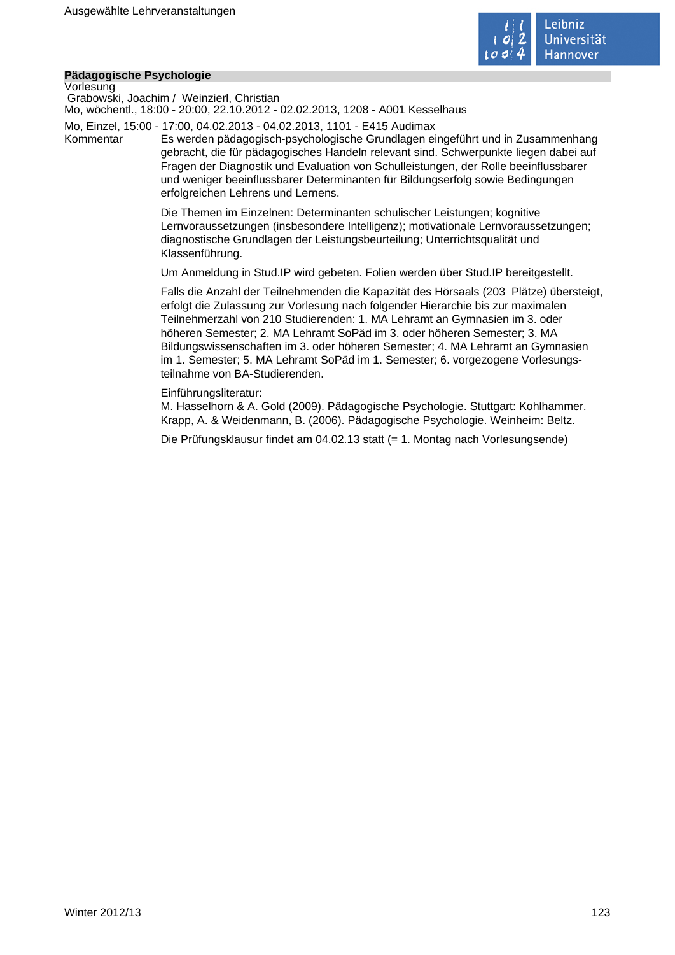

# **Pädagogische Psychologie**

Vorlesung

 Grabowski, Joachim / Weinzierl, Christian Mo, wöchentl., 18:00 - 20:00, 22.10.2012 - 02.02.2013, 1208 - A001 Kesselhaus

Mo, Einzel, 15:00 - 17:00, 04.02.2013 - 04.02.2013, 1101 - E415 Audimax

Kommentar Es werden pädagogisch-psychologische Grundlagen eingeführt und in Zusammenhang gebracht, die für pädagogisches Handeln relevant sind. Schwerpunkte liegen dabei auf Fragen der Diagnostik und Evaluation von Schulleistungen, der Rolle beeinflussbarer und weniger beeinflussbarer Determinanten für Bildungserfolg sowie Bedingungen erfolgreichen Lehrens und Lernens.

> Die Themen im Einzelnen: Determinanten schulischer Leistungen; kognitive Lernvoraussetzungen (insbesondere Intelligenz); motivationale Lernvoraussetzungen; diagnostische Grundlagen der Leistungsbeurteilung; Unterrichtsqualität und Klassenführung.

Um Anmeldung in Stud.IP wird gebeten. Folien werden über Stud.IP bereitgestellt.

Falls die Anzahl der Teilnehmenden die Kapazität des Hörsaals (203 Plätze) übersteigt, erfolgt die Zulassung zur Vorlesung nach folgender Hierarchie bis zur maximalen Teilnehmerzahl von 210 Studierenden: 1. MA Lehramt an Gymnasien im 3. oder höheren Semester; 2. MA Lehramt SoPäd im 3. oder höheren Semester; 3. MA Bildungswissenschaften im 3. oder höheren Semester; 4. MA Lehramt an Gymnasien im 1. Semester; 5. MA Lehramt SoPäd im 1. Semester; 6. vorgezogene Vorlesungsteilnahme von BA-Studierenden.

Einführungsliteratur:

M. Hasselhorn & A. Gold (2009). Pädagogische Psychologie. Stuttgart: Kohlhammer. Krapp, A. & Weidenmann, B. (2006). Pädagogische Psychologie. Weinheim: Beltz.

Die Prüfungsklausur findet am 04.02.13 statt (= 1. Montag nach Vorlesungsende)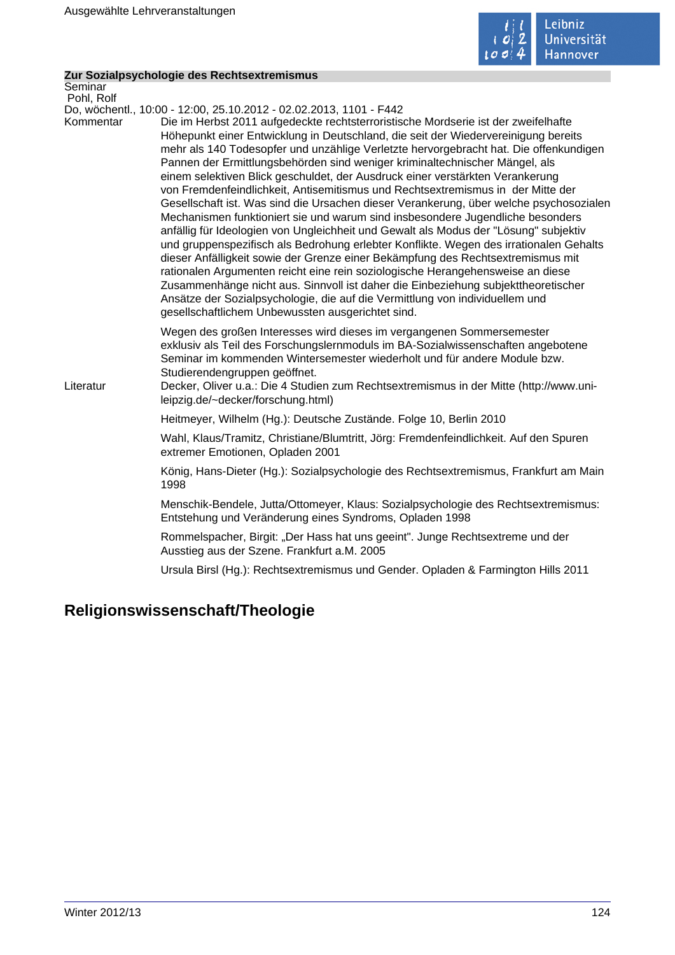

 $\mathcal{L}_{\mathcal{A}}$ 

# **Zur Sozialpsychologie des Rechtsextremismus**

| Seminar<br>Pohl, Rolf |                                                                                                                                                                                                                                                                                                                                                                                                                                                                                                                                                                                                                                                                                                                                                                                                                                                                                                                                                                                                                                                                                                                                                                                                                                                                                   |  |
|-----------------------|-----------------------------------------------------------------------------------------------------------------------------------------------------------------------------------------------------------------------------------------------------------------------------------------------------------------------------------------------------------------------------------------------------------------------------------------------------------------------------------------------------------------------------------------------------------------------------------------------------------------------------------------------------------------------------------------------------------------------------------------------------------------------------------------------------------------------------------------------------------------------------------------------------------------------------------------------------------------------------------------------------------------------------------------------------------------------------------------------------------------------------------------------------------------------------------------------------------------------------------------------------------------------------------|--|
|                       | Do, wöchentl., 10:00 - 12:00, 25.10.2012 - 02.02.2013, 1101 - F442                                                                                                                                                                                                                                                                                                                                                                                                                                                                                                                                                                                                                                                                                                                                                                                                                                                                                                                                                                                                                                                                                                                                                                                                                |  |
| Kommentar             | Die im Herbst 2011 aufgedeckte rechtsterroristische Mordserie ist der zweifelhafte<br>Höhepunkt einer Entwicklung in Deutschland, die seit der Wiedervereinigung bereits<br>mehr als 140 Todesopfer und unzählige Verletzte hervorgebracht hat. Die offenkundigen<br>Pannen der Ermittlungsbehörden sind weniger kriminaltechnischer Mängel, als<br>einem selektiven Blick geschuldet, der Ausdruck einer verstärkten Verankerung<br>von Fremdenfeindlichkeit, Antisemitismus und Rechtsextremismus in der Mitte der<br>Gesellschaft ist. Was sind die Ursachen dieser Verankerung, über welche psychosozialen<br>Mechanismen funktioniert sie und warum sind insbesondere Jugendliche besonders<br>anfällig für Ideologien von Ungleichheit und Gewalt als Modus der "Lösung" subjektiv<br>und gruppenspezifisch als Bedrohung erlebter Konflikte. Wegen des irrationalen Gehalts<br>dieser Anfälligkeit sowie der Grenze einer Bekämpfung des Rechtsextremismus mit<br>rationalen Argumenten reicht eine rein soziologische Herangehensweise an diese<br>Zusammenhänge nicht aus. Sinnvoll ist daher die Einbeziehung subjekttheoretischer<br>Ansätze der Sozialpsychologie, die auf die Vermittlung von individuellem und<br>gesellschaftlichem Unbewussten ausgerichtet sind. |  |
| Literatur             | Wegen des großen Interesses wird dieses im vergangenen Sommersemester<br>exklusiv als Teil des Forschungslernmoduls im BA-Sozialwissenschaften angebotene<br>Seminar im kommenden Wintersemester wiederholt und für andere Module bzw.<br>Studierendengruppen geöffnet.<br>Decker, Oliver u.a.: Die 4 Studien zum Rechtsextremismus in der Mitte (http://www.uni-<br>leipzig.de/~decker/forschung.html)                                                                                                                                                                                                                                                                                                                                                                                                                                                                                                                                                                                                                                                                                                                                                                                                                                                                           |  |
|                       | Heitmeyer, Wilhelm (Hg.): Deutsche Zustände. Folge 10, Berlin 2010                                                                                                                                                                                                                                                                                                                                                                                                                                                                                                                                                                                                                                                                                                                                                                                                                                                                                                                                                                                                                                                                                                                                                                                                                |  |
|                       | Wahl, Klaus/Tramitz, Christiane/Blumtritt, Jörg: Fremdenfeindlichkeit. Auf den Spuren<br>extremer Emotionen, Opladen 2001                                                                                                                                                                                                                                                                                                                                                                                                                                                                                                                                                                                                                                                                                                                                                                                                                                                                                                                                                                                                                                                                                                                                                         |  |
|                       | König, Hans-Dieter (Hg.): Sozialpsychologie des Rechtsextremismus, Frankfurt am Main<br>1998                                                                                                                                                                                                                                                                                                                                                                                                                                                                                                                                                                                                                                                                                                                                                                                                                                                                                                                                                                                                                                                                                                                                                                                      |  |
|                       | Menschik-Bendele, Jutta/Ottomeyer, Klaus: Sozialpsychologie des Rechtsextremismus:<br>Entstehung und Veränderung eines Syndroms, Opladen 1998                                                                                                                                                                                                                                                                                                                                                                                                                                                                                                                                                                                                                                                                                                                                                                                                                                                                                                                                                                                                                                                                                                                                     |  |
|                       | Rommelspacher, Birgit: "Der Hass hat uns geeint". Junge Rechtsextreme und der<br>Ausstieg aus der Szene. Frankfurt a.M. 2005                                                                                                                                                                                                                                                                                                                                                                                                                                                                                                                                                                                                                                                                                                                                                                                                                                                                                                                                                                                                                                                                                                                                                      |  |
|                       | Ursula Birsl (Hg.): Rechtsextremismus und Gender. Opladen & Farmington Hills 2011                                                                                                                                                                                                                                                                                                                                                                                                                                                                                                                                                                                                                                                                                                                                                                                                                                                                                                                                                                                                                                                                                                                                                                                                 |  |

# **Religionswissenschaft/Theologie**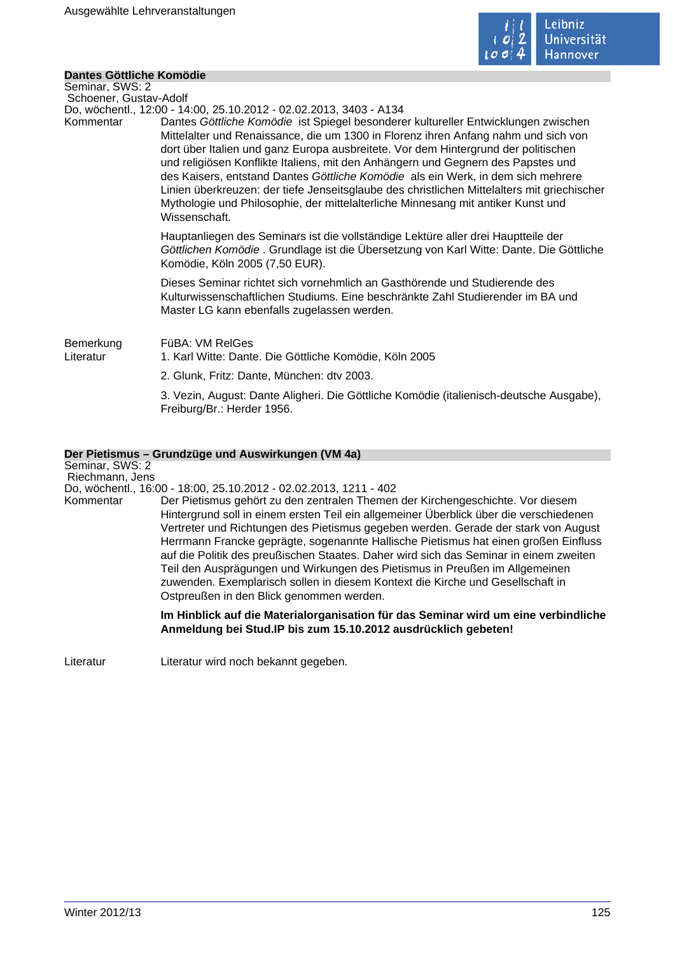

# **Dantes Göttliche Komödie**

| Seminar, SWS: 2        |                                                                                                                                                                                                                                                                                                                                                                                                                                                                                                                                                                                                                                            |
|------------------------|--------------------------------------------------------------------------------------------------------------------------------------------------------------------------------------------------------------------------------------------------------------------------------------------------------------------------------------------------------------------------------------------------------------------------------------------------------------------------------------------------------------------------------------------------------------------------------------------------------------------------------------------|
| Schoener, Gustav-Adolf |                                                                                                                                                                                                                                                                                                                                                                                                                                                                                                                                                                                                                                            |
|                        | Do, wöchentl., 12:00 - 14:00, 25.10.2012 - 02.02.2013, 3403 - A134                                                                                                                                                                                                                                                                                                                                                                                                                                                                                                                                                                         |
| Kommentar              | Dantes Göttliche Komödie ist Spiegel besonderer kultureller Entwicklungen zwischen<br>Mittelalter und Renaissance, die um 1300 in Florenz ihren Anfang nahm und sich von<br>dort über Italien und ganz Europa ausbreitete. Vor dem Hintergrund der politischen<br>und religiösen Konflikte Italiens, mit den Anhängern und Gegnern des Papstes und<br>des Kaisers, entstand Dantes Göttliche Komödie als ein Werk, in dem sich mehrere<br>Linien überkreuzen: der tiefe Jenseitsglaube des christlichen Mittelalters mit griechischer<br>Mythologie und Philosophie, der mittelalterliche Minnesang mit antiker Kunst und<br>Wissenschaft. |
|                        | Hauptanliegen des Seminars ist die vollständige Lektüre aller drei Hauptteile der<br>Göttlichen Komödie . Grundlage ist die Übersetzung von Karl Witte: Dante. Die Göttliche<br>Komödie, Köln 2005 (7,50 EUR).                                                                                                                                                                                                                                                                                                                                                                                                                             |
|                        | Dieses Seminar richtet sich vornehmlich an Gasthörende und Studierende des<br>Kulturwissenschaftlichen Studiums. Eine beschränkte Zahl Studierender im BA und<br>Master LG kann ebenfalls zugelassen werden.                                                                                                                                                                                                                                                                                                                                                                                                                               |
| Bemerkung<br>Literatur | FüBA: VM RelGes<br>1. Karl Witte: Dante. Die Göttliche Komödie, Köln 2005                                                                                                                                                                                                                                                                                                                                                                                                                                                                                                                                                                  |
|                        | 2. Glunk, Fritz: Dante, München: dtv 2003.                                                                                                                                                                                                                                                                                                                                                                                                                                                                                                                                                                                                 |
|                        | 3. Vezin, August: Dante Aligheri. Die Göttliche Komödie (italienisch-deutsche Ausgabe),<br>Freiburg/Br.: Herder 1956.                                                                                                                                                                                                                                                                                                                                                                                                                                                                                                                      |
|                        |                                                                                                                                                                                                                                                                                                                                                                                                                                                                                                                                                                                                                                            |
| Seminar, SWS: 2        | Der Pietismus - Grundzüge und Auswirkungen (VM 4a)                                                                                                                                                                                                                                                                                                                                                                                                                                                                                                                                                                                         |
| Riechmann, Jens        |                                                                                                                                                                                                                                                                                                                                                                                                                                                                                                                                                                                                                                            |
|                        | Do, wöchentl., 16:00 - 18:00, 25.10.2012 - 02.02.2013, 1211 - 402                                                                                                                                                                                                                                                                                                                                                                                                                                                                                                                                                                          |
| Kommentar              | Der Pietismus gehört zu den zentralen Themen der Kirchengeschichte. Vor diesem<br>Hintergrund soll in einem ersten Teil ein allgemeiner Überblick über die verschiedenen<br>Vertreter und Richtungen des Pietismus gegeben werden. Gerade der stark von August<br>Llexmens Cresche senzione cessociate Llellieghe Distinguis het sisse suchen Cistluce                                                                                                                                                                                                                                                                                     |

Herrmann Francke geprägte, sogenannte Hallische Pietismus hat einen großen Einfluss auf die Politik des preußischen Staates. Daher wird sich das Seminar in einem zweiten Teil den Ausprägungen und Wirkungen des Pietismus in Preußen im Allgemeinen zuwenden. Exemplarisch sollen in diesem Kontext die Kirche und Gesellschaft in Ostpreußen in den Blick genommen werden.

**Im Hinblick auf die Materialorganisation für das Seminar wird um eine verbindliche Anmeldung bei Stud.IP bis zum 15.10.2012 ausdrücklich gebeten!** 

Literatur Literatur wird noch bekannt gegeben.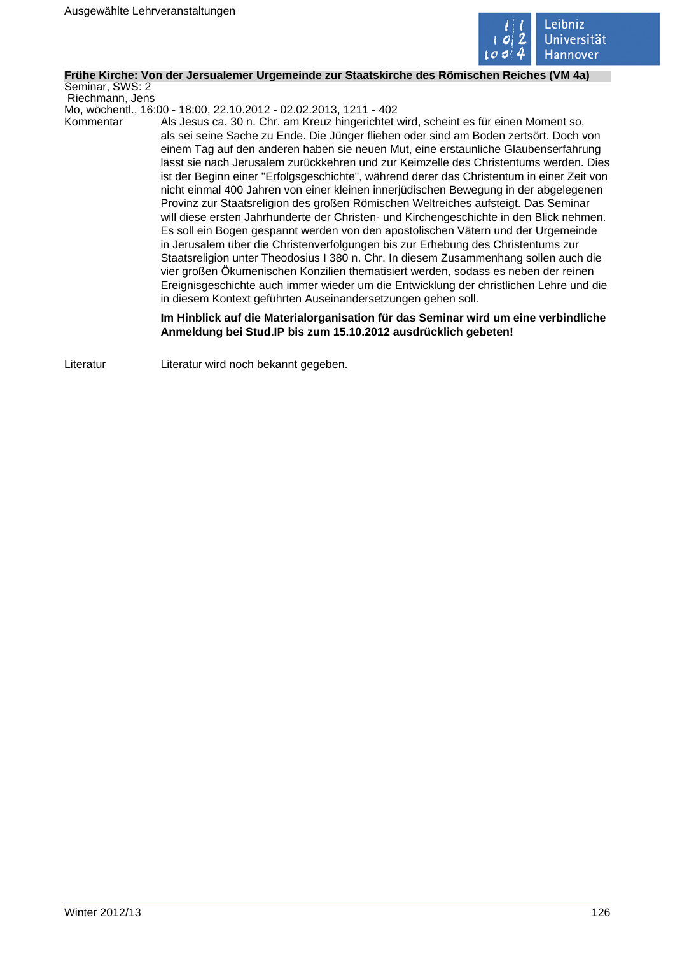

# **Frühe Kirche: Von der Jersualemer Urgemeinde zur Staatskirche des Römischen Reiches (VM 4a)**

Seminar, SWS: 2 Riechmann, Jens

Mo, wöchentl., 16:00 - 18:00, 22.10.2012 - 02.02.2013, 1211 - 402

Kommentar Als Jesus ca. 30 n. Chr. am Kreuz hingerichtet wird, scheint es für einen Moment so, als sei seine Sache zu Ende. Die Jünger fliehen oder sind am Boden zertsört. Doch von einem Tag auf den anderen haben sie neuen Mut, eine erstaunliche Glaubenserfahrung lässt sie nach Jerusalem zurückkehren und zur Keimzelle des Christentums werden. Dies ist der Beginn einer "Erfolgsgeschichte", während derer das Christentum in einer Zeit von nicht einmal 400 Jahren von einer kleinen innerjüdischen Bewegung in der abgelegenen Provinz zur Staatsreligion des großen Römischen Weltreiches aufsteigt. Das Seminar will diese ersten Jahrhunderte der Christen- und Kirchengeschichte in den Blick nehmen. Es soll ein Bogen gespannt werden von den apostolischen Vätern und der Urgemeinde in Jerusalem über die Christenverfolgungen bis zur Erhebung des Christentums zur Staatsreligion unter Theodosius I 380 n. Chr. In diesem Zusammenhang sollen auch die vier großen Ökumenischen Konzilien thematisiert werden, sodass es neben der reinen Ereignisgeschichte auch immer wieder um die Entwicklung der christlichen Lehre und die in diesem Kontext geführten Auseinandersetzungen gehen soll.

> **Im Hinblick auf die Materialorganisation für das Seminar wird um eine verbindliche Anmeldung bei Stud.IP bis zum 15.10.2012 ausdrücklich gebeten!**

Literatur Literatur wird noch bekannt gegeben.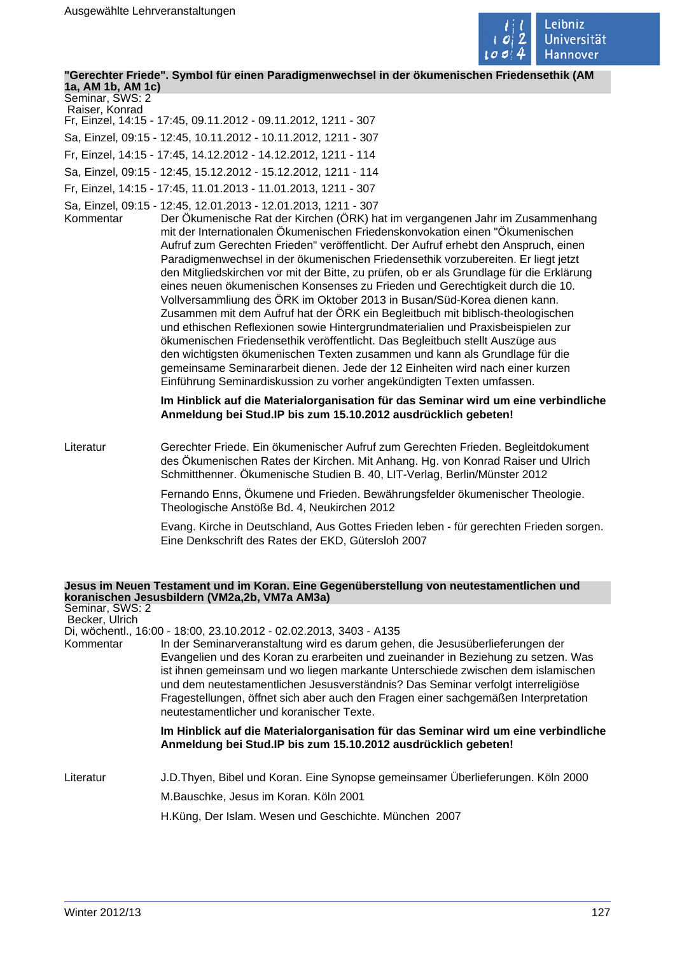

**"Gerechter Friede". Symbol für einen Paradigmenwechsel in der ökumenischen Friedensethik (AM**

**1a, AM 1b, AM 1c)** Seminar, SWS: 2

- Raiser, Konrad Fr, Einzel, 14:15 - 17:45, 09.11.2012 - 09.11.2012, 1211 - 307
- Sa, Einzel, 09:15 12:45, 10.11.2012 10.11.2012, 1211 307
- Fr, Einzel, 14:15 17:45, 14.12.2012 14.12.2012, 1211 114
- Sa, Einzel, 09:15 12:45, 15.12.2012 15.12.2012, 1211 114
- Fr, Einzel, 14:15 17:45, 11.01.2013 11.01.2013, 1211 307
- Sa, Einzel, 09:15 12:45, 12.01.2013 12.01.2013, 1211 307
	- Der Ökumenische Rat der Kirchen (ÖRK) hat im vergangenen Jahr im Zusammenhang mit der Internationalen Ökumenischen Friedenskonvokation einen "Ökumenischen Aufruf zum Gerechten Frieden" veröffentlicht. Der Aufruf erhebt den Anspruch, einen Paradigmenwechsel in der ökumenischen Friedensethik vorzubereiten. Er liegt jetzt den Mitgliedskirchen vor mit der Bitte, zu prüfen, ob er als Grundlage für die Erklärung eines neuen ökumenischen Konsenses zu Frieden und Gerechtigkeit durch die 10. Vollversammliung des ÖRK im Oktober 2013 in Busan/Süd-Korea dienen kann. Zusammen mit dem Aufruf hat der ÖRK ein Begleitbuch mit biblisch-theologischen und ethischen Reflexionen sowie Hintergrundmaterialien und Praxisbeispielen zur ökumenischen Friedensethik veröffentlicht. Das Begleitbuch stellt Auszüge aus den wichtigsten ökumenischen Texten zusammen und kann als Grundlage für die gemeinsame Seminararbeit dienen. Jede der 12 Einheiten wird nach einer kurzen Einführung Seminardiskussion zu vorher angekündigten Texten umfassen.

**Im Hinblick auf die Materialorganisation für das Seminar wird um eine verbindliche Anmeldung bei Stud.IP bis zum 15.10.2012 ausdrücklich gebeten!** 

Literatur Gerechter Friede. Ein ökumenischer Aufruf zum Gerechten Frieden. Begleitdokument des Ökumenischen Rates der Kirchen. Mit Anhang. Hg. von Konrad Raiser und Ulrich Schmitthenner. Ökumenische Studien B. 40, LIT-Verlag, Berlin/Münster 2012

> Fernando Enns, Ökumene und Frieden. Bewährungsfelder ökumenischer Theologie. Theologische Anstöße Bd. 4, Neukirchen 2012

Evang. Kirche in Deutschland, Aus Gottes Frieden leben - für gerechten Frieden sorgen. Eine Denkschrift des Rates der EKD, Gütersloh 2007

# **Jesus im Neuen Testament und im Koran. Eine Gegenüberstellung von neutestamentlichen und koranischen Jesusbildern (VM2a,2b, VM7a AM3a)**

| Seminar, SWS: 2<br>Becker, Ulrich |                                                                                                                                                                                                                                                                                                                                                                                                                                                                                                                                                     |
|-----------------------------------|-----------------------------------------------------------------------------------------------------------------------------------------------------------------------------------------------------------------------------------------------------------------------------------------------------------------------------------------------------------------------------------------------------------------------------------------------------------------------------------------------------------------------------------------------------|
| Kommentar                         | Di, wöchentl., 16:00 - 18:00, 23.10.2012 - 02.02.2013, 3403 - A135<br>In der Seminarveranstaltung wird es darum gehen, die Jesusüberlieferungen der<br>Evangelien und des Koran zu erarbeiten und zueinander in Beziehung zu setzen. Was<br>ist ihnen gemeinsam und wo liegen markante Unterschiede zwischen dem islamischen<br>und dem neutestamentlichen Jesusverständnis? Das Seminar verfolgt interreligiöse<br>Fragestellungen, öffnet sich aber auch den Fragen einer sachgemäßen Interpretation<br>neutestamentlicher und koranischer Texte. |
|                                   | Im Hinblick auf die Materialorganisation für das Seminar wird um eine verbindliche<br>Anmeldung bei Stud.IP bis zum 15.10.2012 ausdrücklich gebeten!                                                                                                                                                                                                                                                                                                                                                                                                |
| Literatur                         | J.D. Thyen, Bibel und Koran. Eine Synopse gemeinsamer Überlieferungen. Köln 2000                                                                                                                                                                                                                                                                                                                                                                                                                                                                    |
|                                   | M.Bauschke, Jesus im Koran. Köln 2001                                                                                                                                                                                                                                                                                                                                                                                                                                                                                                               |
|                                   | H.Küng, Der Islam. Wesen und Geschichte. München 2007                                                                                                                                                                                                                                                                                                                                                                                                                                                                                               |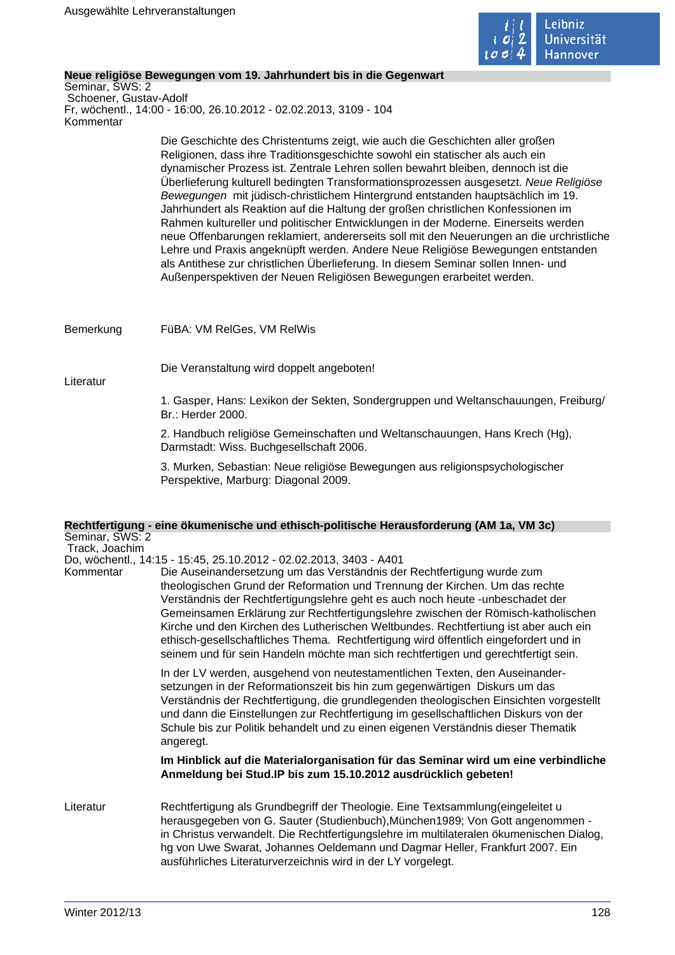

# **Neue religiöse Bewegungen vom 19. Jahrhundert bis in die Gegenwart**

Seminar, SWS: 2 Schoener, Gustav-Adolf Fr, wöchentl., 14:00 - 16:00, 26.10.2012 - 02.02.2013, 3109 - 104 Kommentar

> Die Geschichte des Christentums zeigt, wie auch die Geschichten aller großen Religionen, dass ihre Traditionsgeschichte sowohl ein statischer als auch ein dynamischer Prozess ist. Zentrale Lehren sollen bewahrt bleiben, dennoch ist die Überlieferung kulturell bedingten Transformationsprozessen ausgesetzt. Neue Religiöse Bewegungen mit jüdisch-christlichem Hintergrund entstanden hauptsächlich im 19. Jahrhundert als Reaktion auf die Haltung der großen christlichen Konfessionen im Rahmen kultureller und politischer Entwicklungen in der Moderne. Einerseits werden neue Offenbarungen reklamiert, andererseits soll mit den Neuerungen an die urchristliche Lehre und Praxis angeknüpft werden. Andere Neue Religiöse Bewegungen entstanden als Antithese zur christlichen Überlieferung. In diesem Seminar sollen Innen- und Außenperspektiven der Neuen Religiösen Bewegungen erarbeitet werden.

Bemerkung FüBA: VM RelGes, VM RelWis

Die Veranstaltung wird doppelt angeboten!

Literatur

1. Gasper, Hans: Lexikon der Sekten, Sondergruppen und Weltanschauungen, Freiburg/ Br.: Herder 2000.

2. Handbuch religiöse Gemeinschaften und Weltanschauungen, Hans Krech (Hg), Darmstadt: Wiss. Buchgesellschaft 2006.

3. Murken, Sebastian: Neue religiöse Bewegungen aus religionspsychologischer Perspektive, Marburg: Diagonal 2009.

# **Rechtfertigung - eine ökumenische und ethisch-politische Herausforderung (AM 1a, VM 3c)** Seminar, SWS: 2

Track, Joachim

Do, wöchentl., 14:15 - 15:45, 25.10.2012 - 02.02.2013, 3403 - A401

Kommentar Die Auseinandersetzung um das Verständnis der Rechtfertigung wurde zum theologischen Grund der Reformation und Trennung der Kirchen. Um das rechte Verständnis der Rechtfertigungslehre geht es auch noch heute -unbeschadet der Gemeinsamen Erklärung zur Rechtfertigungslehre zwischen der Römisch-katholischen Kirche und den Kirchen des Lutherischen Weltbundes. Rechtfertiung ist aber auch ein ethisch-gesellschaftliches Thema. Rechtfertigung wird öffentlich eingefordert und in seinem und für sein Handeln möchte man sich rechtfertigen und gerechtfertigt sein.

> In der LV werden, ausgehend von neutestamentlichen Texten, den Auseinandersetzungen in der Reformationszeit bis hin zum gegenwärtigen Diskurs um das Verständnis der Rechtfertigung, die grundlegenden theologischen Einsichten vorgestellt und dann die Einstellungen zur Rechtfertigung im gesellschaftlichen Diskurs von der Schule bis zur Politik behandelt und zu einen eigenen Verständnis dieser Thematik angeregt.

# **Im Hinblick auf die Materialorganisation für das Seminar wird um eine verbindliche Anmeldung bei Stud.IP bis zum 15.10.2012 ausdrücklich gebeten!**

Literatur Rechtfertigung als Grundbegriff der Theologie. Eine Textsammlung(eingeleitet u herausgegeben von G. Sauter (Studienbuch),München1989; Von Gott angenommen in Christus verwandelt. Die Rechtfertigungslehre im multilateralen ökumenischen Dialog, hg von Uwe Swarat, Johannes Oeldemann und Dagmar Heller, Frankfurt 2007. Ein ausführliches Literaturverzeichnis wird in der LY vorgelegt.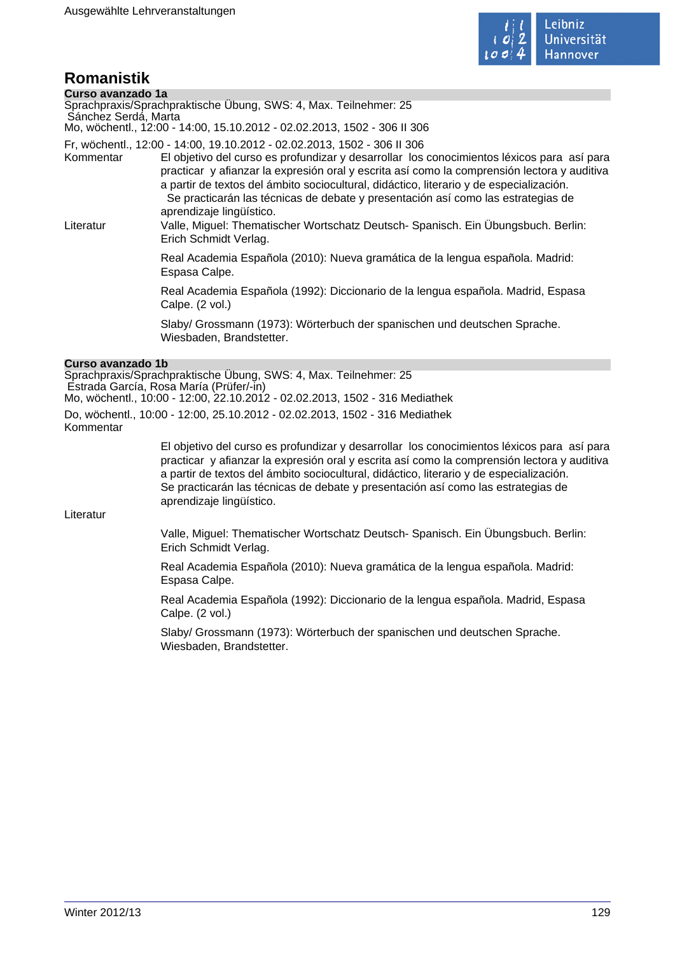

# **Romanistik**

| Curso avanzado 1a<br>Sánchez Serdá, Marta | Sprachpraxis/Sprachpraktische Übung, SWS: 4, Max. Teilnehmer: 25                                                                                                                                                                                                                                                                                                                                                                                                                 |
|-------------------------------------------|----------------------------------------------------------------------------------------------------------------------------------------------------------------------------------------------------------------------------------------------------------------------------------------------------------------------------------------------------------------------------------------------------------------------------------------------------------------------------------|
|                                           | Mo, wöchentl., 12:00 - 14:00, 15.10.2012 - 02.02.2013, 1502 - 306 II 306                                                                                                                                                                                                                                                                                                                                                                                                         |
| Kommentar                                 | Fr, wöchentl., 12:00 - 14:00, 19.10.2012 - 02.02.2013, 1502 - 306 II 306<br>El objetivo del curso es profundizar y desarrollar los conocimientos léxicos para así para<br>practicar y afianzar la expresión oral y escrita así como la comprensión lectora y auditiva<br>a partir de textos del ámbito sociocultural, didáctico, literario y de especialización.<br>Se practicarán las técnicas de debate y presentación así como las estrategias de<br>aprendizaje lingüístico. |
| Literatur                                 | Valle, Miguel: Thematischer Wortschatz Deutsch- Spanisch. Ein Übungsbuch. Berlin:<br>Erich Schmidt Verlag.                                                                                                                                                                                                                                                                                                                                                                       |
|                                           | Real Academia Española (2010): Nueva gramática de la lengua española. Madrid:<br>Espasa Calpe.                                                                                                                                                                                                                                                                                                                                                                                   |
|                                           | Real Academia Española (1992): Diccionario de la lengua española. Madrid, Espasa<br>Calpe. (2 vol.)                                                                                                                                                                                                                                                                                                                                                                              |
|                                           | Slaby/ Grossmann (1973): Wörterbuch der spanischen und deutschen Sprache.<br>Wiesbaden, Brandstetter.                                                                                                                                                                                                                                                                                                                                                                            |
|                                           |                                                                                                                                                                                                                                                                                                                                                                                                                                                                                  |

# **Curso avanzado 1b**

Sprachpraxis/Sprachpraktische Übung, SWS: 4, Max. Teilnehmer: 25 Estrada García, Rosa María (Prüfer/-in) Mo, wöchentl., 10:00 - 12:00, 22.10.2012 - 02.02.2013, 1502 - 316 Mediathek Do, wöchentl., 10:00 - 12:00, 25.10.2012 - 02.02.2013, 1502 - 316 Mediathek Kommentar

> El objetivo del curso es profundizar y desarrollar los conocimientos léxicos para así para practicar y afianzar la expresión oral y escrita así como la comprensión lectora y auditiva a partir de textos del ámbito sociocultural, didáctico, literario y de especialización. Se practicarán las técnicas de debate y presentación así como las estrategias de aprendizaje lingüístico.

Literatur

Valle, Miguel: Thematischer Wortschatz Deutsch- Spanisch. Ein Übungsbuch. Berlin: Erich Schmidt Verlag.

Real Academia Española (2010): Nueva gramática de la lengua española. Madrid: Espasa Calpe.

Real Academia Española (1992): Diccionario de la lengua española. Madrid, Espasa Calpe. (2 vol.)

Slaby/ Grossmann (1973): Wörterbuch der spanischen und deutschen Sprache. Wiesbaden, Brandstetter.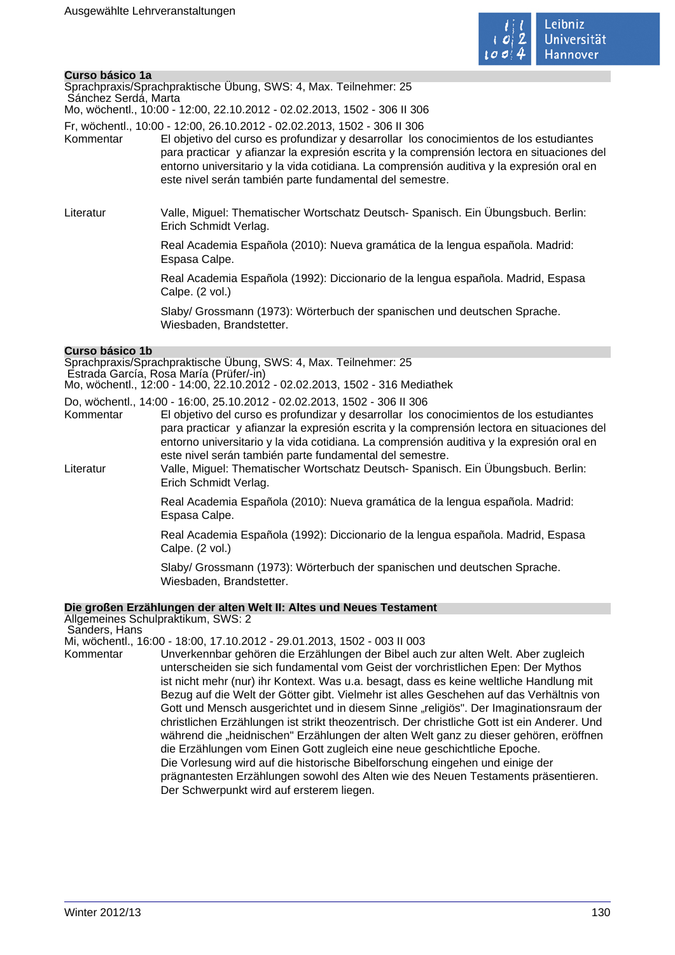

# **Curso básico 1a**

| Sprachpraxis/Sprachpraktische Ubung, SWS: 4, Max. Teilnehmer: 25       |
|------------------------------------------------------------------------|
| Sánchez Serdá, Marta                                                   |
| Mo. wöchentl 10:00 - 12:00. 22.10.2012 - 02.02.2013. 1502 - 306 II 306 |

Fr, wöchentl., 10:00 - 12:00, 26.10.2012 - 02.02.2013, 1502 - 306 II 306

- Kommentar El objetivo del curso es profundizar y desarrollar los conocimientos de los estudiantes para practicar y afianzar la expresión escrita y la comprensión lectora en situaciones del entorno universitario y la vida cotidiana. La comprensión auditiva y la expresión oral en este nivel serán también parte fundamental del semestre.
- Literatur Valle, Miguel: Thematischer Wortschatz Deutsch- Spanisch. Ein Übungsbuch. Berlin: Erich Schmidt Verlag.

Real Academia Española (2010): Nueva gramática de la lengua española. Madrid: Espasa Calpe.

Real Academia Española (1992): Diccionario de la lengua española. Madrid, Espasa Calpe. (2 vol.)

Slaby/ Grossmann (1973): Wörterbuch der spanischen und deutschen Sprache. Wiesbaden, Brandstetter.

# **Curso básico 1b**

Sprachpraxis/Sprachpraktische Übung, SWS: 4, Max. Teilnehmer: 25 Estrada García, Rosa María (Prüfer/-in) Mo, wöchentl., 12:00 - 14:00, 22.10.2012 - 02.02.2013, 1502 - 316 Mediathek

Do, wöchentl., 14:00 - 16:00, 25.10.2012 - 02.02.2013, 1502 - 306 II 306 El objetivo del curso es profundizar y desarrollar los conocimientos de los estudiantes para practicar y afianzar la expresión escrita y la comprensión lectora en situaciones del entorno universitario y la vida cotidiana. La comprensión auditiva y la expresión oral en este nivel serán también parte fundamental del semestre.

Literatur Valle, Miguel: Thematischer Wortschatz Deutsch- Spanisch. Ein Übungsbuch. Berlin: Erich Schmidt Verlag.

> Real Academia Española (2010): Nueva gramática de la lengua española. Madrid: Espasa Calpe.

Real Academia Española (1992): Diccionario de la lengua española. Madrid, Espasa Calpe. (2 vol.)

Slaby/ Grossmann (1973): Wörterbuch der spanischen und deutschen Sprache. Wiesbaden, Brandstetter.

# **Die großen Erzählungen der alten Welt II: Altes und Neues Testament**

Allgemeines Schulpraktikum, SWS: 2 Sanders, Hans

Mi, wöchentl., 16:00 - 18:00, 17.10.2012 - 29.01.2013, 1502 - 003 II 003

Kommentar Unverkennbar gehören die Erzählungen der Bibel auch zur alten Welt. Aber zugleich unterscheiden sie sich fundamental vom Geist der vorchristlichen Epen: Der Mythos ist nicht mehr (nur) ihr Kontext. Was u.a. besagt, dass es keine weltliche Handlung mit Bezug auf die Welt der Götter gibt. Vielmehr ist alles Geschehen auf das Verhältnis von Gott und Mensch ausgerichtet und in diesem Sinne "religiös". Der Imaginationsraum der christlichen Erzählungen ist strikt theozentrisch. Der christliche Gott ist ein Anderer. Und während die "heidnischen" Erzählungen der alten Welt ganz zu dieser gehören, eröffnen die Erzählungen vom Einen Gott zugleich eine neue geschichtliche Epoche. Die Vorlesung wird auf die historische Bibelforschung eingehen und einige der prägnantesten Erzählungen sowohl des Alten wie des Neuen Testaments präsentieren. Der Schwerpunkt wird auf ersterem liegen.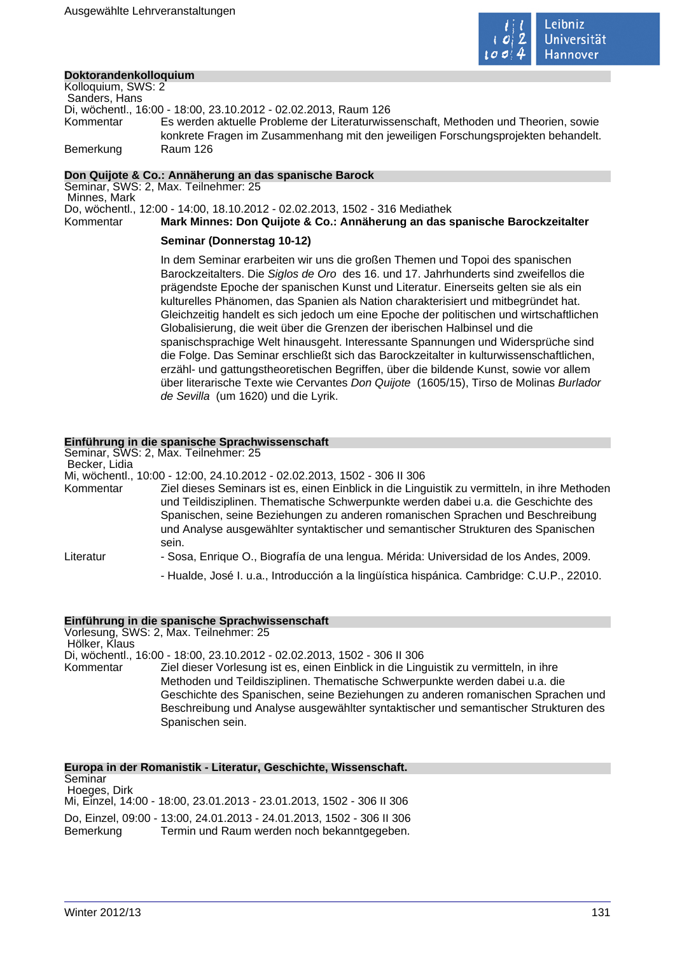

# **Doktorandenkolloquium**

Kolloquium, SWS: 2 Sanders, Hans Di, wöchentl., 16:00 - 18:00, 23.10.2012 - 02.02.2013, Raum 126 Kommentar Es werden aktuelle Probleme der Literaturwissenschaft, Methoden und Theorien, sowie konkrete Fragen im Zusammenhang mit den jeweiligen Forschungsprojekten behandelt. Bemerkung Raum 126

# **Don Quijote & Co.: Annäherung an das spanische Barock**

Seminar, SWS: 2, Max. Teilnehmer: 25 Minnes, Mark Do, wöchentl., 12:00 - 14:00, 18.10.2012 - 02.02.2013, 1502 - 316 Mediathek Kommentar **Mark Minnes: Don Quijote & Co.: Annäherung an das spanische Barockzeitalter** 

# **Seminar (Donnerstag 10-12)**

In dem Seminar erarbeiten wir uns die großen Themen und Topoi des spanischen Barockzeitalters. Die Siglos de Oro des 16. und 17. Jahrhunderts sind zweifellos die prägendste Epoche der spanischen Kunst und Literatur. Einerseits gelten sie als ein kulturelles Phänomen, das Spanien als Nation charakterisiert und mitbegründet hat. Gleichzeitig handelt es sich jedoch um eine Epoche der politischen und wirtschaftlichen Globalisierung, die weit über die Grenzen der iberischen Halbinsel und die spanischsprachige Welt hinausgeht. Interessante Spannungen und Widersprüche sind die Folge. Das Seminar erschließt sich das Barockzeitalter in kulturwissenschaftlichen, erzähl- und gattungstheoretischen Begriffen, über die bildende Kunst, sowie vor allem über literarische Texte wie Cervantes Don Quijote (1605/15), Tirso de Molinas Burlador de Sevilla (um 1620) und die Lyrik.

# **Einführung in die spanische Sprachwissenschaft**

Seminar, SWS: 2, Max. Teilnehmer: 25 Becker, Lidia Mi, wöchentl., 10:00 - 12:00, 24.10.2012 - 02.02.2013, 1502 - 306 II 306 Kommentar Ziel dieses Seminars ist es, einen Einblick in die Linguistik zu vermitteln, in ihre Methoden und Teildisziplinen. Thematische Schwerpunkte werden dabei u.a. die Geschichte des Spanischen, seine Beziehungen zu anderen romanischen Sprachen und Beschreibung und Analyse ausgewählter syntaktischer und semantischer Strukturen des Spanischen sein. Literatur - Sosa, Enrique O., Biografía de una lengua. Mérida: Universidad de los Andes, 2009. - Hualde, José I. u.a., Introducción a la lingüística hispánica. Cambridge: C.U.P., 22010.

# **Einführung in die spanische Sprachwissenschaft**

Vorlesung, SWS: 2, Max. Teilnehmer: 25 Hölker, Klaus Di, wöchentl., 16:00 - 18:00, 23.10.2012 - 02.02.2013, 1502 - 306 II 306 Kommentar Ziel dieser Vorlesung ist es, einen Einblick in die Linguistik zu vermitteln, in ihre Methoden und Teildisziplinen. Thematische Schwerpunkte werden dabei u.a. die Geschichte des Spanischen, seine Beziehungen zu anderen romanischen Sprachen und Beschreibung und Analyse ausgewählter syntaktischer und semantischer Strukturen des Spanischen sein.

**Europa in der Romanistik - Literatur, Geschichte, Wissenschaft.** Seminar Hoeges, Dirk Mi, Einzel, 14:00 - 18:00, 23.01.2013 - 23.01.2013, 1502 - 306 II 306 Do, Einzel, 09:00 - 13:00, 24.01.2013 - 24.01.2013, 1502 - 306 II 306 Bemerkung Termin und Raum werden noch bekanntgegeben.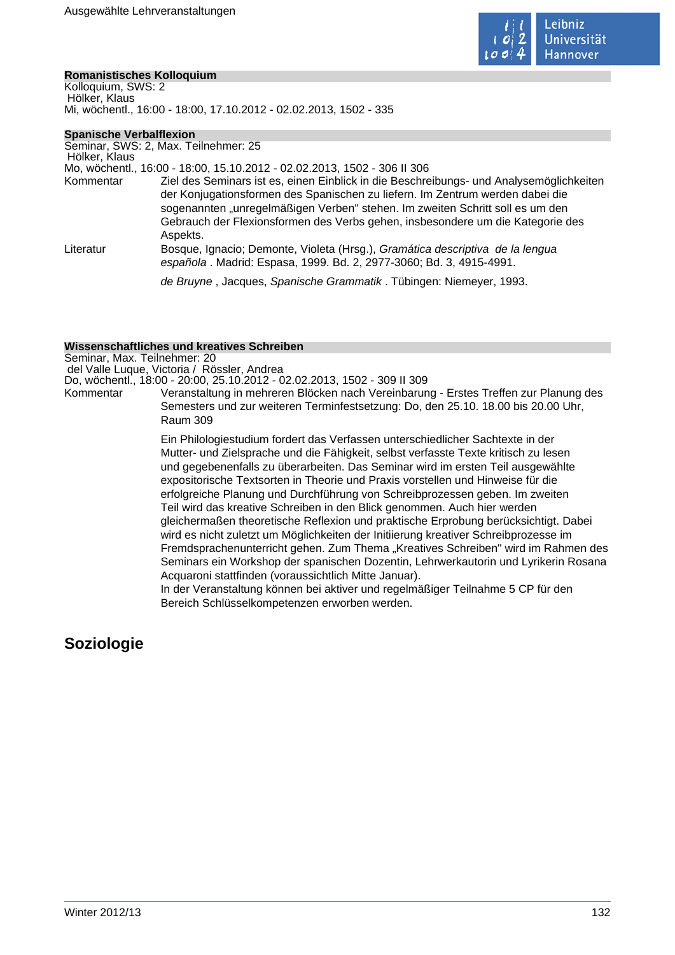

# **Romanistisches Kolloquium**

Kolloquium, SWS: 2 Hölker, Klaus Mi, wöchentl., 16:00 - 18:00, 17.10.2012 - 02.02.2013, 1502 - 335

# **Spanische Verbalflexion**

Seminar, SWS: 2, Max. Teilnehmer: 25 Hölker, Klaus Mo, wöchentl., 16:00 - 18:00, 15.10.2012 - 02.02.2013, 1502 - 306 II 306 Kommentar Ziel des Seminars ist es, einen Einblick in die Beschreibungs- und Analysemöglichkeiten der Konjugationsformen des Spanischen zu liefern. Im Zentrum werden dabei die sogenannten "unregelmäßigen Verben" stehen. Im zweiten Schritt soll es um den Gebrauch der Flexionsformen des Verbs gehen, insbesondere um die Kategorie des Aspekts. Literatur Bosque, Ignacio; Demonte, Violeta (Hrsg.), Gramática descriptiva de la lengua española . Madrid: Espasa, 1999. Bd. 2, 2977-3060; Bd. 3, 4915-4991. de Bruyne , Jacques, Spanische Grammatik . Tübingen: Niemeyer, 1993.

# **Wissenschaftliches und kreatives Schreiben**

Seminar, Max. Teilnehmer: 20

del Valle Luque, Victoria / Rössler, Andrea

Do, wöchentl., 18:00 - 20:00, 25.10.2012 - 02.02.2013, 1502 - 309 II 309

Kommentar Veranstaltung in mehreren Blöcken nach Vereinbarung - Erstes Treffen zur Planung des Semesters und zur weiteren Terminfestsetzung: Do, den 25.10. 18.00 bis 20.00 Uhr, Raum 309

> Ein Philologiestudium fordert das Verfassen unterschiedlicher Sachtexte in der Mutter- und Zielsprache und die Fähigkeit, selbst verfasste Texte kritisch zu lesen und gegebenenfalls zu überarbeiten. Das Seminar wird im ersten Teil ausgewählte expositorische Textsorten in Theorie und Praxis vorstellen und Hinweise für die erfolgreiche Planung und Durchführung von Schreibprozessen geben. Im zweiten Teil wird das kreative Schreiben in den Blick genommen. Auch hier werden gleichermaßen theoretische Reflexion und praktische Erprobung berücksichtigt. Dabei wird es nicht zuletzt um Möglichkeiten der Initiierung kreativer Schreibprozesse im Fremdsprachenunterricht gehen. Zum Thema "Kreatives Schreiben" wird im Rahmen des Seminars ein Workshop der spanischen Dozentin, Lehrwerkautorin und Lyrikerin Rosana Acquaroni stattfinden (voraussichtlich Mitte Januar).

In der Veranstaltung können bei aktiver und regelmäßiger Teilnahme 5 CP für den Bereich Schlüsselkompetenzen erworben werden.

# **Soziologie**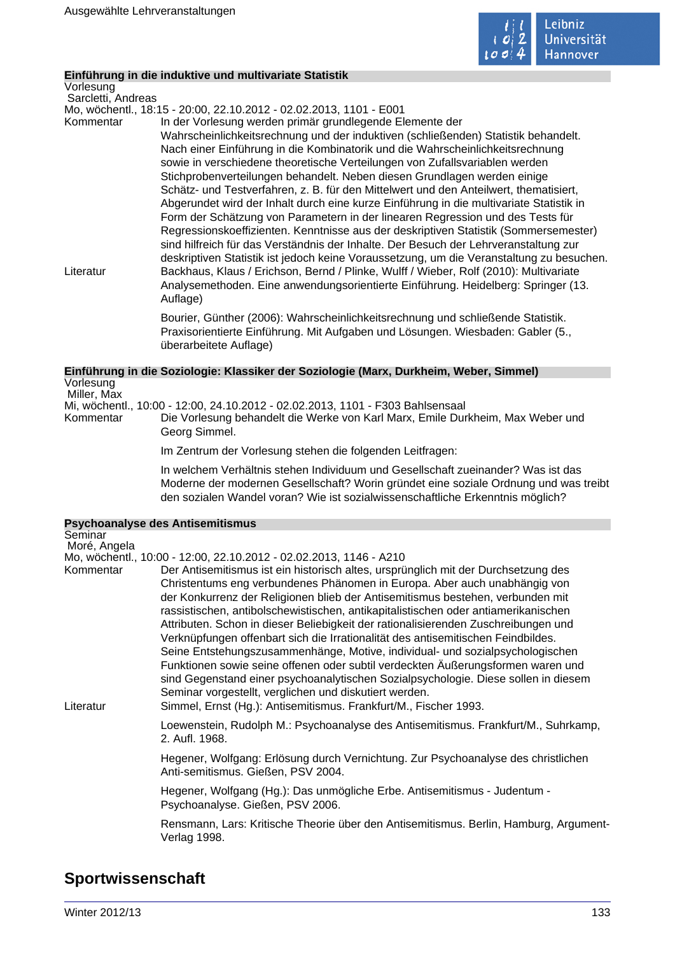

# **Einführung in die induktive und multivariate Statistik**

Vorlesung Sarcletti, Andreas

Mo, wöchentl., 18:15 - 20:00, 22.10.2012 - 02.02.2013, 1101 - E001

Kommentar In der Vorlesung werden primär grundlegende Elemente der Wahrscheinlichkeitsrechnung und der induktiven (schließenden) Statistik behandelt. Nach einer Einführung in die Kombinatorik und die Wahrscheinlichkeitsrechnung sowie in verschiedene theoretische Verteilungen von Zufallsvariablen werden Stichprobenverteilungen behandelt. Neben diesen Grundlagen werden einige Schätz- und Testverfahren, z. B. für den Mittelwert und den Anteilwert, thematisiert, Abgerundet wird der Inhalt durch eine kurze Einführung in die multivariate Statistik in Form der Schätzung von Parametern in der linearen Regression und des Tests für Regressionskoeffizienten. Kenntnisse aus der deskriptiven Statistik (Sommersemester) sind hilfreich für das Verständnis der Inhalte. Der Besuch der Lehrveranstaltung zur deskriptiven Statistik ist jedoch keine Voraussetzung, um die Veranstaltung zu besuchen. Literatur Backhaus, Klaus / Erichson, Bernd / Plinke, Wulff / Wieber, Rolf (2010): Multivariate Analysemethoden. Eine anwendungsorientierte Einführung. Heidelberg: Springer (13. Auflage)

> Bourier, Günther (2006): Wahrscheinlichkeitsrechnung und schließende Statistik. Praxisorientierte Einführung. Mit Aufgaben und Lösungen. Wiesbaden: Gabler (5., überarbeitete Auflage)

#### **Einführung in die Soziologie: Klassiker der Soziologie (Marx, Durkheim, Weber, Simmel)** Vorlesung

 Miller, Max Mi, wöchentl., 10:00 - 12:00, 24.10.2012 - 02.02.2013, 1101 - F303 Bahlsensaal Die Vorlesung behandelt die Werke von Karl Marx, Emile Durkheim, Max Weber und Georg Simmel.

Im Zentrum der Vorlesung stehen die folgenden Leitfragen:

In welchem Verhältnis stehen Individuum und Gesellschaft zueinander? Was ist das Moderne der modernen Gesellschaft? Worin gründet eine soziale Ordnung und was treibt den sozialen Wandel voran? Wie ist sozialwissenschaftliche Erkenntnis möglich?

| <b>Psychoanalyse des Antisemitismus</b> |                                                                                                                                                                                                                                                                                                                                                                                                                                                                                                                                                                                                                                                                                                                                                                                                                                       |  |
|-----------------------------------------|---------------------------------------------------------------------------------------------------------------------------------------------------------------------------------------------------------------------------------------------------------------------------------------------------------------------------------------------------------------------------------------------------------------------------------------------------------------------------------------------------------------------------------------------------------------------------------------------------------------------------------------------------------------------------------------------------------------------------------------------------------------------------------------------------------------------------------------|--|
| Seminar                                 |                                                                                                                                                                                                                                                                                                                                                                                                                                                                                                                                                                                                                                                                                                                                                                                                                                       |  |
| Moré, Angela                            |                                                                                                                                                                                                                                                                                                                                                                                                                                                                                                                                                                                                                                                                                                                                                                                                                                       |  |
|                                         | Mo, wöchentl., 10:00 - 12:00, 22.10.2012 - 02.02.2013, 1146 - A210                                                                                                                                                                                                                                                                                                                                                                                                                                                                                                                                                                                                                                                                                                                                                                    |  |
| Kommentar                               | Der Antisemitismus ist ein historisch altes, ursprünglich mit der Durchsetzung des<br>Christentums eng verbundenes Phänomen in Europa. Aber auch unabhängig von<br>der Konkurrenz der Religionen blieb der Antisemitismus bestehen, verbunden mit<br>rassistischen, antibolschewistischen, antikapitalistischen oder antiamerikanischen<br>Attributen. Schon in dieser Beliebigkeit der rationalisierenden Zuschreibungen und<br>Verknüpfungen offenbart sich die Irrationalität des antisemitischen Feindbildes.<br>Seine Entstehungszusammenhänge, Motive, individual- und sozialpsychologischen<br>Funktionen sowie seine offenen oder subtil verdeckten Äußerungsformen waren und<br>sind Gegenstand einer psychoanalytischen Sozialpsychologie. Diese sollen in diesem<br>Seminar vorgestellt, verglichen und diskutiert werden. |  |
| Literatur                               | Simmel, Ernst (Hg.): Antisemitismus. Frankfurt/M., Fischer 1993.                                                                                                                                                                                                                                                                                                                                                                                                                                                                                                                                                                                                                                                                                                                                                                      |  |
|                                         | Loewenstein, Rudolph M.: Psychoanalyse des Antisemitismus. Frankfurt/M., Suhrkamp,<br>2. Aufl. 1968.                                                                                                                                                                                                                                                                                                                                                                                                                                                                                                                                                                                                                                                                                                                                  |  |
|                                         | Hegener, Wolfgang: Erlösung durch Vernichtung. Zur Psychoanalyse des christlichen<br>Anti-semitismus. Gießen, PSV 2004.                                                                                                                                                                                                                                                                                                                                                                                                                                                                                                                                                                                                                                                                                                               |  |
|                                         | Hegener, Wolfgang (Hg.): Das unmögliche Erbe. Antisemitismus - Judentum -<br>Psychoanalyse. Gießen, PSV 2006.                                                                                                                                                                                                                                                                                                                                                                                                                                                                                                                                                                                                                                                                                                                         |  |
|                                         | Rensmann, Lars: Kritische Theorie über den Antisemitismus. Berlin, Hamburg, Argument-<br>Verlag 1998.                                                                                                                                                                                                                                                                                                                                                                                                                                                                                                                                                                                                                                                                                                                                 |  |

# **Sportwissenschaft**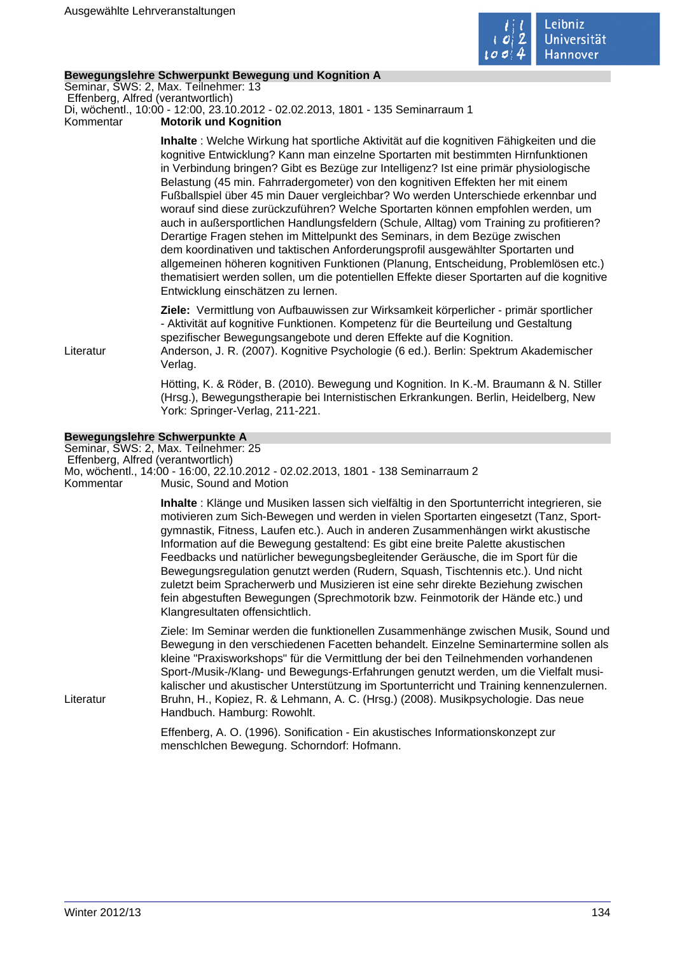

# **Bewegungslehre Schwerpunkt Bewegung und Kognition A**

Seminar, SWS: 2, Max. Teilnehmer: 13 Effenberg, Alfred (verantwortlich)

Di, wöchentl., 10:00 - 12:00, 23.10.2012 - 02.02.2013, 1801 - 135 Seminarraum 1

Kommentar **Motorik und Kognition** 

**Inhalte** : Welche Wirkung hat sportliche Aktivität auf die kognitiven Fähigkeiten und die kognitive Entwicklung? Kann man einzelne Sportarten mit bestimmten Hirnfunktionen in Verbindung bringen? Gibt es Bezüge zur Intelligenz? Ist eine primär physiologische Belastung (45 min. Fahrradergometer) von den kognitiven Effekten her mit einem Fußballspiel über 45 min Dauer vergleichbar? Wo werden Unterschiede erkennbar und worauf sind diese zurückzuführen? Welche Sportarten können empfohlen werden, um auch in außersportlichen Handlungsfeldern (Schule, Alltag) vom Training zu profitieren? Derartige Fragen stehen im Mittelpunkt des Seminars, in dem Bezüge zwischen dem koordinativen und taktischen Anforderungsprofil ausgewählter Sportarten und allgemeinen höheren kognitiven Funktionen (Planung, Entscheidung, Problemlösen etc.) thematisiert werden sollen, um die potentiellen Effekte dieser Sportarten auf die kognitive Entwicklung einschätzen zu lernen.

**Ziele:** Vermittlung von Aufbauwissen zur Wirksamkeit körperlicher - primär sportlicher - Aktivität auf kognitive Funktionen. Kompetenz für die Beurteilung und Gestaltung spezifischer Bewegungsangebote und deren Effekte auf die Kognition.

Literatur Anderson, J. R. (2007). Kognitive Psychologie (6 ed.). Berlin: Spektrum Akademischer Verlag.

> Hötting, K. & Röder, B. (2010). Bewegung und Kognition. In K.-M. Braumann & N. Stiller (Hrsg.), Bewegungstherapie bei Internistischen Erkrankungen. Berlin, Heidelberg, New York: Springer-Verlag, 211-221.

# **Bewegungslehre Schwerpunkte A**

Seminar, SWS: 2, Max. Teilnehmer: 25

 Effenberg, Alfred (verantwortlich) Mo, wöchentl., 14:00 - 16:00, 22.10.2012 - 02.02.2013, 1801 - 138 Seminarraum 2

Kommentar Music, Sound and Motion

**Inhalte** : Klänge und Musiken lassen sich vielfältig in den Sportunterricht integrieren, sie motivieren zum Sich-Bewegen und werden in vielen Sportarten eingesetzt (Tanz, Sportgymnastik, Fitness, Laufen etc.). Auch in anderen Zusammenhängen wirkt akustische Information auf die Bewegung gestaltend: Es gibt eine breite Palette akustischen Feedbacks und natürlicher bewegungsbegleitender Geräusche, die im Sport für die Bewegungsregulation genutzt werden (Rudern, Squash, Tischtennis etc.). Und nicht zuletzt beim Spracherwerb und Musizieren ist eine sehr direkte Beziehung zwischen fein abgestuften Bewegungen (Sprechmotorik bzw. Feinmotorik der Hände etc.) und Klangresultaten offensichtlich.

Ziele: Im Seminar werden die funktionellen Zusammenhänge zwischen Musik, Sound und Bewegung in den verschiedenen Facetten behandelt. Einzelne Seminartermine sollen als kleine "Praxisworkshops" für die Vermittlung der bei den Teilnehmenden vorhandenen Sport-/Musik-/Klang- und Bewegungs-Erfahrungen genutzt werden, um die Vielfalt musikalischer und akustischer Unterstützung im Sportunterricht und Training kennenzulernen. Literatur Bruhn, H., Kopiez, R. & Lehmann, A. C. (Hrsg.) (2008). Musikpsychologie. Das neue Handbuch. Hamburg: Rowohlt.

> Effenberg, A. O. (1996). Sonification - Ein akustisches Informationskonzept zur menschlchen Bewegung. Schorndorf: Hofmann.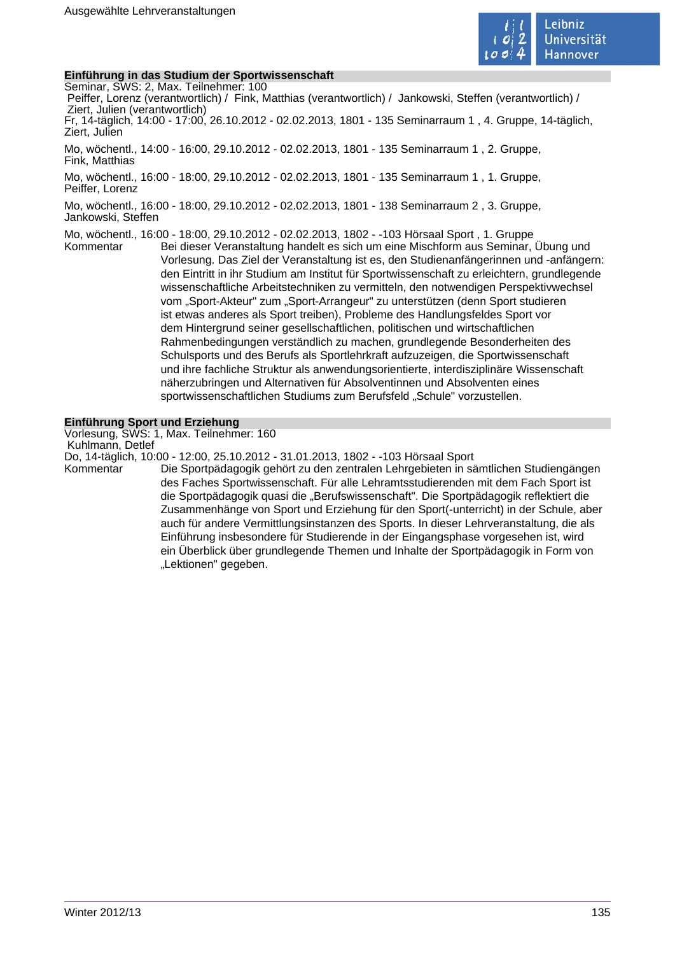

# **Einführung in das Studium der Sportwissenschaft**

Seminar, SWS: 2, Max. Teilnehmer: 100

 Peiffer, Lorenz (verantwortlich) / Fink, Matthias (verantwortlich) / Jankowski, Steffen (verantwortlich) / Ziert, Julien (verantwortlich) Fr, 14-täglich, 14:00 - 17:00, 26.10.2012 - 02.02.2013, 1801 - 135 Seminarraum 1 , 4. Gruppe, 14-täglich, Ziert, Julien

Mo, wöchentl., 14:00 - 16:00, 29.10.2012 - 02.02.2013, 1801 - 135 Seminarraum 1 , 2. Gruppe, Fink, Matthias

Mo, wöchentl., 16:00 - 18:00, 29.10.2012 - 02.02.2013, 1801 - 135 Seminarraum 1 , 1. Gruppe, Peiffer, Lorenz

Mo, wöchentl., 16:00 - 18:00, 29.10.2012 - 02.02.2013, 1801 - 138 Seminarraum 2 , 3. Gruppe, Jankowski, Steffen

Mo, wöchentl., 16:00 - 18:00, 29.10.2012 - 02.02.2013, 1802 - -103 Hörsaal Sport , 1. Gruppe

Kommentar Bei dieser Veranstaltung handelt es sich um eine Mischform aus Seminar, Übung und Vorlesung. Das Ziel der Veranstaltung ist es, den Studienanfängerinnen und -anfängern: den Eintritt in ihr Studium am Institut für Sportwissenschaft zu erleichtern, grundlegende wissenschaftliche Arbeitstechniken zu vermitteln, den notwendigen Perspektivwechsel vom "Sport-Akteur" zum "Sport-Arrangeur" zu unterstützen (denn Sport studieren ist etwas anderes als Sport treiben), Probleme des Handlungsfeldes Sport vor dem Hintergrund seiner gesellschaftlichen, politischen und wirtschaftlichen Rahmenbedingungen verständlich zu machen, grundlegende Besonderheiten des Schulsports und des Berufs als Sportlehrkraft aufzuzeigen, die Sportwissenschaft und ihre fachliche Struktur als anwendungsorientierte, interdisziplinäre Wissenschaft näherzubringen und Alternativen für Absolventinnen und Absolventen eines sportwissenschaftlichen Studiums zum Berufsfeld "Schule" vorzustellen.

## **Einführung Sport und Erziehung**

Vorlesung, SWS: 1, Max. Teilnehmer: 160

Kuhlmann, Detlef

Do, 14-täglich, 10:00 - 12:00, 25.10.2012 - 31.01.2013, 1802 - -103 Hörsaal Sport

Die Sportpädagogik gehört zu den zentralen Lehrgebieten in sämtlichen Studiengängen des Faches Sportwissenschaft. Für alle Lehramtsstudierenden mit dem Fach Sport ist die Sportpädagogik quasi die "Berufswissenschaft". Die Sportpädagogik reflektiert die Zusammenhänge von Sport und Erziehung für den Sport(-unterricht) in der Schule, aber auch für andere Vermittlungsinstanzen des Sports. In dieser Lehrveranstaltung, die als Einführung insbesondere für Studierende in der Eingangsphase vorgesehen ist, wird ein Überblick über grundlegende Themen und Inhalte der Sportpädagogik in Form von "Lektionen" gegeben.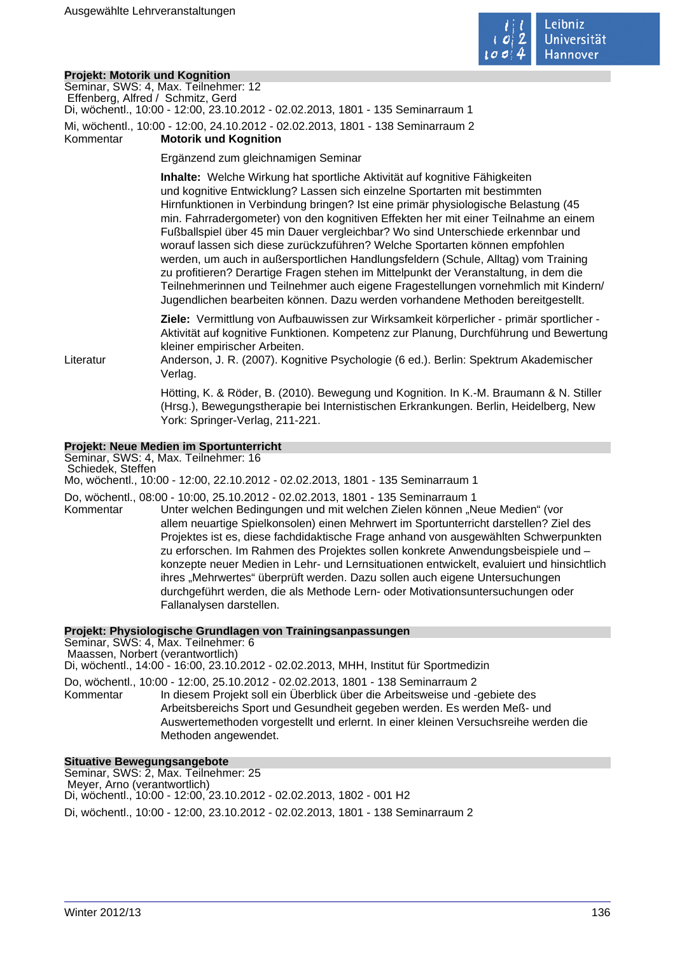

# **Projekt: Motorik und Kognition**

|                   | FIUJEKI. MULUIIK UNU NUYIIILIUN                                                                                                                                                                                                                                                                                                                                                                                                                                                                                                                                                                                                                                                                                                                                                                                                                                |
|-------------------|----------------------------------------------------------------------------------------------------------------------------------------------------------------------------------------------------------------------------------------------------------------------------------------------------------------------------------------------------------------------------------------------------------------------------------------------------------------------------------------------------------------------------------------------------------------------------------------------------------------------------------------------------------------------------------------------------------------------------------------------------------------------------------------------------------------------------------------------------------------|
|                   | Seminar, SWS: 4, Max. Teilnehmer: 12                                                                                                                                                                                                                                                                                                                                                                                                                                                                                                                                                                                                                                                                                                                                                                                                                           |
|                   | Effenberg, Alfred / Schmitz, Gerd<br>Di, wöchentl., 10:00 - 12:00, 23.10.2012 - 02.02.2013, 1801 - 135 Seminarraum 1                                                                                                                                                                                                                                                                                                                                                                                                                                                                                                                                                                                                                                                                                                                                           |
| Kommentar         | Mi, wöchentl., 10:00 - 12:00, 24.10.2012 - 02.02.2013, 1801 - 138 Seminarraum 2<br><b>Motorik und Kognition</b>                                                                                                                                                                                                                                                                                                                                                                                                                                                                                                                                                                                                                                                                                                                                                |
|                   |                                                                                                                                                                                                                                                                                                                                                                                                                                                                                                                                                                                                                                                                                                                                                                                                                                                                |
|                   | Ergänzend zum gleichnamigen Seminar                                                                                                                                                                                                                                                                                                                                                                                                                                                                                                                                                                                                                                                                                                                                                                                                                            |
|                   | Inhalte: Welche Wirkung hat sportliche Aktivität auf kognitive Fähigkeiten<br>und kognitive Entwicklung? Lassen sich einzelne Sportarten mit bestimmten<br>Hirnfunktionen in Verbindung bringen? Ist eine primär physiologische Belastung (45<br>min. Fahrradergometer) von den kognitiven Effekten her mit einer Teilnahme an einem<br>Fußballspiel über 45 min Dauer vergleichbar? Wo sind Unterschiede erkennbar und<br>worauf lassen sich diese zurückzuführen? Welche Sportarten können empfohlen<br>werden, um auch in außersportlichen Handlungsfeldern (Schule, Alltag) vom Training<br>zu profitieren? Derartige Fragen stehen im Mittelpunkt der Veranstaltung, in dem die<br>Teilnehmerinnen und Teilnehmer auch eigene Fragestellungen vornehmlich mit Kindern/<br>Jugendlichen bearbeiten können. Dazu werden vorhandene Methoden bereitgestellt. |
| Literatur         | Ziele: Vermittlung von Aufbauwissen zur Wirksamkeit körperlicher - primär sportlicher -<br>Aktivität auf kognitive Funktionen. Kompetenz zur Planung, Durchführung und Bewertung<br>kleiner empirischer Arbeiten.<br>Anderson, J. R. (2007). Kognitive Psychologie (6 ed.). Berlin: Spektrum Akademischer<br>Verlag.                                                                                                                                                                                                                                                                                                                                                                                                                                                                                                                                           |
|                   | Hötting, K. & Röder, B. (2010). Bewegung und Kognition. In K.-M. Braumann & N. Stiller<br>(Hrsg.), Bewegungstherapie bei Internistischen Erkrankungen. Berlin, Heidelberg, New<br>York: Springer-Verlag, 211-221.                                                                                                                                                                                                                                                                                                                                                                                                                                                                                                                                                                                                                                              |
|                   | Projekt: Neue Medien im Sportunterricht                                                                                                                                                                                                                                                                                                                                                                                                                                                                                                                                                                                                                                                                                                                                                                                                                        |
| Schiedek, Steffen | Seminar, SWS: 4, Max. Teilnehmer: 16<br>Mo, wöchentl., 10:00 - 12:00, 22.10.2012 - 02.02.2013, 1801 - 135 Seminarraum 1                                                                                                                                                                                                                                                                                                                                                                                                                                                                                                                                                                                                                                                                                                                                        |
|                   |                                                                                                                                                                                                                                                                                                                                                                                                                                                                                                                                                                                                                                                                                                                                                                                                                                                                |
|                   | Do, wöchentl., 08:00 - 10:00, 25.10.2012 - 02.02.2013, 1801 - 135 Seminarraum 1                                                                                                                                                                                                                                                                                                                                                                                                                                                                                                                                                                                                                                                                                                                                                                                |

Kommentar Finder welchen Bedingungen und mit welchen Zielen können "Neue Medien" (vor allem neuartige Spielkonsolen) einen Mehrwert im Sportunterricht darstellen? Ziel des Projektes ist es, diese fachdidaktische Frage anhand von ausgewählten Schwerpunkten zu erforschen. Im Rahmen des Projektes sollen konkrete Anwendungsbeispiele und – konzepte neuer Medien in Lehr- und Lernsituationen entwickelt, evaluiert und hinsichtlich ihres "Mehrwertes" überprüft werden. Dazu sollen auch eigene Untersuchungen durchgeführt werden, die als Methode Lern- oder Motivationsuntersuchungen oder Fallanalysen darstellen.

## **Projekt: Physiologische Grundlagen von Trainingsanpassungen**

Seminar, SWS: 4, Max. Teilnehmer: 6 Maassen, Norbert (verantwortlich) Di, wöchentl., 14:00 - 16:00, 23.10.2012 - 02.02.2013, MHH, Institut für Sportmedizin Do, wöchentl., 10:00 - 12:00, 25.10.2012 - 02.02.2013, 1801 - 138 Seminarraum 2 Kommentar In diesem Projekt soll ein Überblick über die Arbeitsweise und -gebiete des Arbeitsbereichs Sport und Gesundheit gegeben werden. Es werden Meß- und Auswertemethoden vorgestellt und erlernt. In einer kleinen Versuchsreihe werden die Methoden angewendet.

#### **Situative Bewegungsangebote**

Seminar, SWS: 2, Max. Teilnehmer: 25 Meyer, Arno (verantwortlich) Di, wöchentl., 10:00 - 12:00, 23.10.2012 - 02.02.2013, 1802 - 001 H2 Di, wöchentl., 10:00 - 12:00, 23.10.2012 - 02.02.2013, 1801 - 138 Seminarraum 2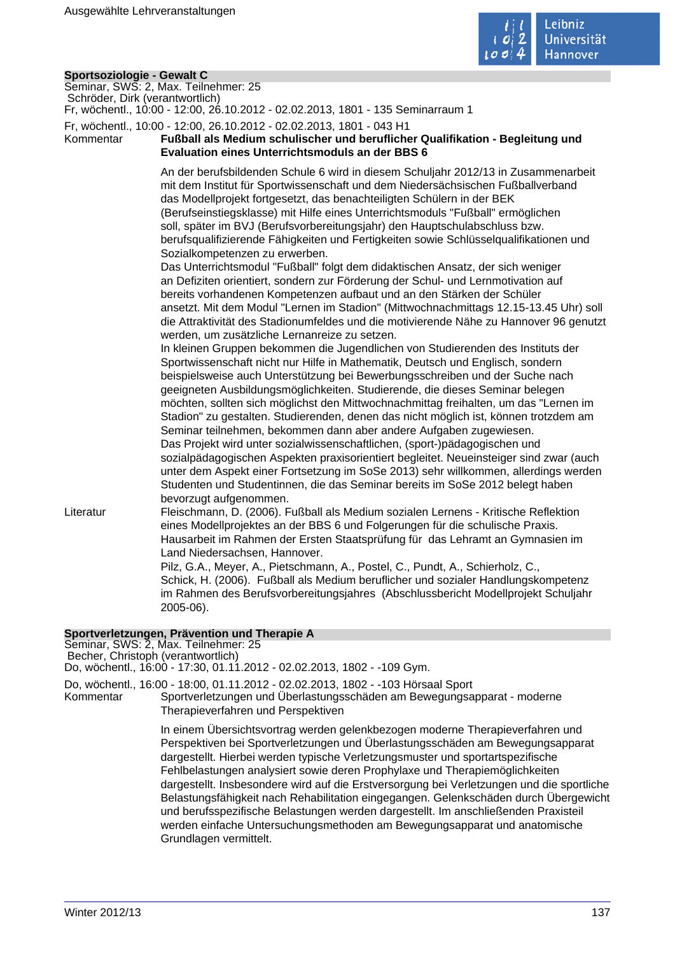

| Sportsoziologie - Gewalt C           |                                                                                        |  |
|--------------------------------------|----------------------------------------------------------------------------------------|--|
| Seminar, SWS: 2, Max. Teilnehmer: 25 |                                                                                        |  |
| Schröder, Dirk (verantwortlich)      |                                                                                        |  |
|                                      | Fr, wöchentl., 10:00 - 12:00, 26.10.2012 - 02.02.2013, 1801 - 135 Seminarraum 1        |  |
|                                      | Fr, wöchentl., 10:00 - 12:00, 26.10.2012 - 02.02.2013, 1801 - 043 H1                   |  |
| Kommentar                            | Fußball als Medium schulischer und beruflicher Qualifikation - Begleitung und          |  |
|                                      | <b>Evaluation eines Unterrichtsmoduls an der BBS 6</b>                                 |  |
|                                      |                                                                                        |  |
|                                      | An der berufsbildenden Schule 6 wird in diesem Schuljahr 2012/13 in Zusammenarbeit     |  |
|                                      | mit dem Institut für Sportwissenschaft und dem Niedersächsischen Fußballverband        |  |
|                                      | das Modellprojekt fortgesetzt, das benachteiligten Schülern in der BEK                 |  |
|                                      | (Berufseinstiegsklasse) mit Hilfe eines Unterrichtsmoduls "Fußball" ermöglichen        |  |
|                                      | soll, später im BVJ (Berufsvorbereitungsjahr) den Hauptschulabschluss bzw.             |  |
|                                      | berufsqualifizierende Fähigkeiten und Fertigkeiten sowie Schlüsselqualifikationen und  |  |
|                                      |                                                                                        |  |
|                                      | Sozialkompetenzen zu erwerben.                                                         |  |
|                                      | Das Unterrichtsmodul "Fußball" folgt dem didaktischen Ansatz, der sich weniger         |  |
|                                      | an Defiziten orientiert, sondern zur Förderung der Schul- und Lernmotivation auf       |  |
|                                      | bereits vorhandenen Kompetenzen aufbaut und an den Stärken der Schüler                 |  |
|                                      | ansetzt. Mit dem Modul "Lernen im Stadion" (Mittwochnachmittags 12.15-13.45 Uhr) soll  |  |
|                                      | die Attraktivität des Stadionumfeldes und die motivierende Nähe zu Hannover 96 genutzt |  |
|                                      | werden, um zusätzliche Lernanreize zu setzen.                                          |  |
|                                      | In kleinen Gruppen bekommen die Jugendlichen von Studierenden des Instituts der        |  |
|                                      | Sportwissenschaft nicht nur Hilfe in Mathematik, Deutsch und Englisch, sondern         |  |
|                                      | beispielsweise auch Unterstützung bei Bewerbungsschreiben und der Suche nach           |  |
|                                      | geeigneten Ausbildungsmöglichkeiten. Studierende, die dieses Seminar belegen           |  |
|                                      | möchten, sollten sich möglichst den Mittwochnachmittag freihalten, um das "Lernen im   |  |
|                                      | Stadion" zu gestalten. Studierenden, denen das nicht möglich ist, können trotzdem am   |  |
|                                      | Seminar teilnehmen, bekommen dann aber andere Aufgaben zugewiesen.                     |  |
|                                      | Das Projekt wird unter sozialwissenschaftlichen, (sport-)pädagogischen und             |  |
|                                      |                                                                                        |  |
|                                      | sozialpädagogischen Aspekten praxisorientiert begleitet. Neueinsteiger sind zwar (auch |  |
|                                      | unter dem Aspekt einer Fortsetzung im SoSe 2013) sehr willkommen, allerdings werden    |  |
|                                      | Studenten und Studentinnen, die das Seminar bereits im SoSe 2012 belegt haben          |  |
|                                      | bevorzugt aufgenommen.                                                                 |  |
| Literatur                            | Fleischmann, D. (2006). Fußball als Medium sozialen Lernens - Kritische Reflektion     |  |
|                                      | eines Modellprojektes an der BBS 6 und Folgerungen für die schulische Praxis.          |  |
|                                      | Hausarbeit im Rahmen der Ersten Staatsprüfung für das Lehramt an Gymnasien im          |  |
|                                      | Land Niedersachsen, Hannover.                                                          |  |
|                                      | Pilz, G.A., Meyer, A., Pietschmann, A., Postel, C., Pundt, A., Schierholz, C.,         |  |
|                                      | Schick, H. (2006). Fußball als Medium beruflicher und sozialer Handlungskompetenz      |  |
|                                      | im Rahmen des Berufsvorbereitungsjahres (Abschlussbericht Modellprojekt Schuljahr      |  |
|                                      | 2005-06).                                                                              |  |
|                                      |                                                                                        |  |
|                                      | Sportverletzungen, Prävention und Therapie A                                           |  |
|                                      | Seminar, SWS: 2, Max. Teilnehmer: 25                                                   |  |

Becher, Christoph (verantwortlich)

Do, wöchentl., 16:00 - 17:30, 01.11.2012 - 02.02.2013, 1802 - -109 Gym.

Do, wöchentl., 16:00 - 18:00, 01.11.2012 - 02.02.2013, 1802 - -103 Hörsaal Sport

Kommentar Sportverletzungen und Überlastungsschäden am Bewegungsapparat - moderne Therapieverfahren und Perspektiven

> In einem Übersichtsvortrag werden gelenkbezogen moderne Therapieverfahren und Perspektiven bei Sportverletzungen und Überlastungsschäden am Bewegungsapparat dargestellt. Hierbei werden typische Verletzungsmuster und sportartspezifische Fehlbelastungen analysiert sowie deren Prophylaxe und Therapiemöglichkeiten dargestellt. Insbesondere wird auf die Erstversorgung bei Verletzungen und die sportliche Belastungsfähigkeit nach Rehabilitation eingegangen. Gelenkschäden durch Übergewicht und berufsspezifische Belastungen werden dargestellt. Im anschließenden Praxisteil werden einfache Untersuchungsmethoden am Bewegungsapparat und anatomische Grundlagen vermittelt.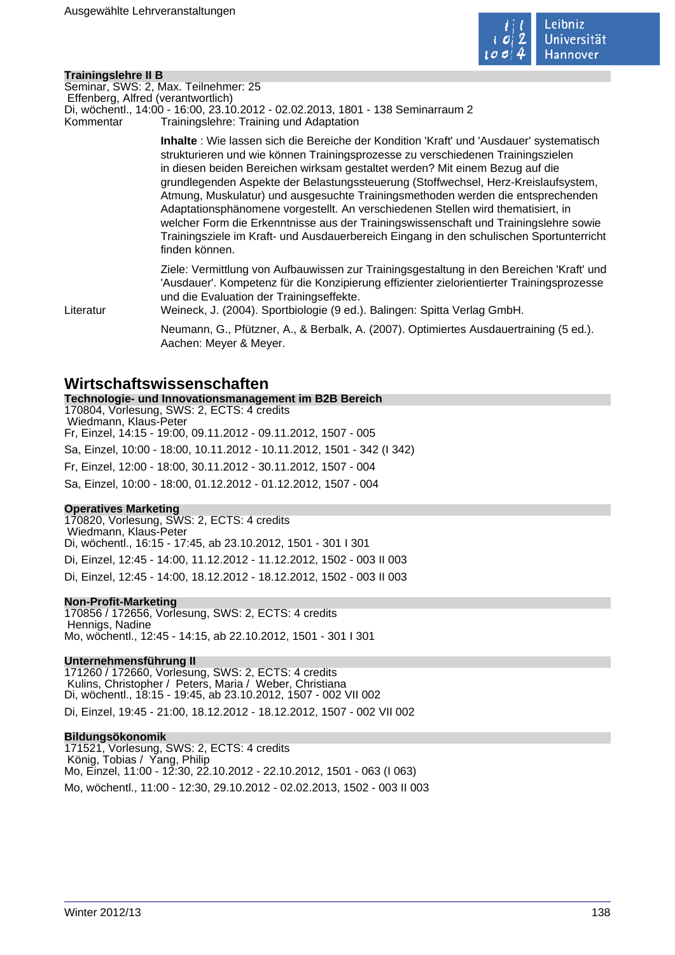

# **Trainingslehre II B**

Seminar, SWS: 2, Max. Teilnehmer: 25 Effenberg, Alfred (verantwortlich)

Di, wöchentl., 14:00 - 16:00, 23.10.2012 - 02.02.2013, 1801 - 138 Seminarraum 2

Kommentar Trainingslehre: Training und Adaptation

**Inhalte** : Wie lassen sich die Bereiche der Kondition 'Kraft' und 'Ausdauer' systematisch strukturieren und wie können Trainingsprozesse zu verschiedenen Trainingszielen in diesen beiden Bereichen wirksam gestaltet werden? Mit einem Bezug auf die grundlegenden Aspekte der Belastungssteuerung (Stoffwechsel, Herz-Kreislaufsystem, Atmung, Muskulatur) und ausgesuchte Trainingsmethoden werden die entsprechenden Adaptationsphänomene vorgestellt. An verschiedenen Stellen wird thematisiert, in welcher Form die Erkenntnisse aus der Trainingswissenschaft und Trainingslehre sowie Trainingsziele im Kraft- und Ausdauerbereich Eingang in den schulischen Sportunterricht finden können.

Ziele: Vermittlung von Aufbauwissen zur Trainingsgestaltung in den Bereichen 'Kraft' und 'Ausdauer'. Kompetenz für die Konzipierung effizienter zielorientierter Trainingsprozesse und die Evaluation der Trainingseffekte.

Literatur Weineck, J. (2004). Sportbiologie (9 ed.). Balingen: Spitta Verlag GmbH.

Neumann, G., Pfützner, A., & Berbalk, A. (2007). Optimiertes Ausdauertraining (5 ed.). Aachen: Meyer & Meyer.

# **Wirtschaftswissenschaften**

**Technologie- und Innovationsmanagement im B2B Bereich** 170804, Vorlesung, SWS: 2, ECTS: 4 credits Wiedmann, Klaus-Peter Fr, Einzel, 14:15 - 19:00, 09.11.2012 - 09.11.2012, 1507 - 005 Sa, Einzel, 10:00 - 18:00, 10.11.2012 - 10.11.2012, 1501 - 342 (I 342) Fr, Einzel, 12:00 - 18:00, 30.11.2012 - 30.11.2012, 1507 - 004 Sa, Einzel, 10:00 - 18:00, 01.12.2012 - 01.12.2012, 1507 - 004

# **Operatives Marketing**

170820, Vorlesung, SWS: 2, ECTS: 4 credits Wiedmann, Klaus-Peter Di, wöchentl., 16:15 - 17:45, ab 23.10.2012, 1501 - 301 I 301 Di, Einzel, 12:45 - 14:00, 11.12.2012 - 11.12.2012, 1502 - 003 II 003 Di, Einzel, 12:45 - 14:00, 18.12.2012 - 18.12.2012, 1502 - 003 II 003

# **Non-Profit-Marketing**

170856 / 172656, Vorlesung, SWS: 2, ECTS: 4 credits Hennigs, Nadine Mo, wöchentl., 12:45 - 14:15, ab 22.10.2012, 1501 - 301 I 301

# **Unternehmensführung II**

171260 / 172660, Vorlesung, SWS: 2, ECTS: 4 credits Kulins, Christopher / Peters, Maria / Weber, Christiana Di, wöchentl., 18:15 - 19:45, ab 23.10.2012, 1507 - 002 VII 002

Di, Einzel, 19:45 - 21:00, 18.12.2012 - 18.12.2012, 1507 - 002 VII 002

# **Bildungsökonomik**

171521, Vorlesung, SWS: 2, ECTS: 4 credits König, Tobias / Yang, Philip Mo, Einzel, 11:00 - 12:30, 22.10.2012 - 22.10.2012, 1501 - 063 (I 063) Mo, wöchentl., 11:00 - 12:30, 29.10.2012 - 02.02.2013, 1502 - 003 II 003